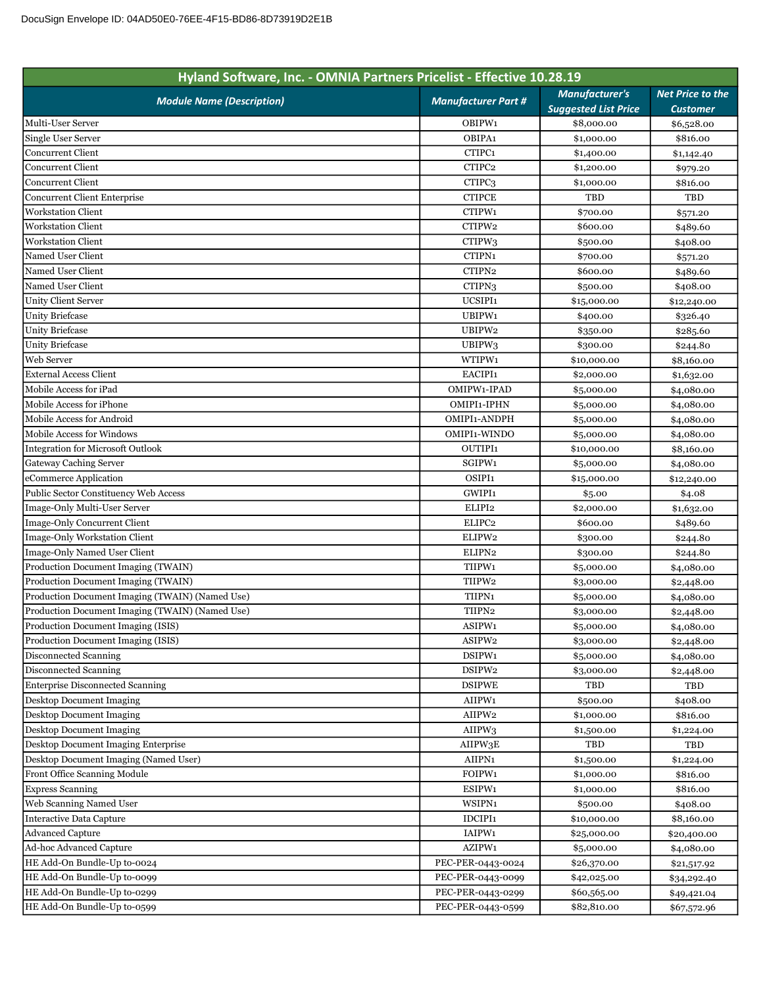| Hyland Software, Inc. - OMNIA Partners Pricelist - Effective 10.28.19 |                            |                                                      |                                            |
|-----------------------------------------------------------------------|----------------------------|------------------------------------------------------|--------------------------------------------|
| <b>Module Name (Description)</b>                                      | <b>Manufacturer Part #</b> | <b>Manufacturer's</b><br><b>Suggested List Price</b> | <b>Net Price to the</b><br><b>Customer</b> |
| Multi-User Server                                                     | OBIPW1                     | \$8,000.00                                           | \$6,528.00                                 |
| Single User Server                                                    | OBIPA1                     | \$1,000.00                                           | \$816.00                                   |
| <b>Concurrent Client</b>                                              | CTIPC <sub>1</sub>         | \$1,400.00                                           | \$1,142.40                                 |
| Concurrent Client                                                     | CTIPC <sub>2</sub>         | \$1,200.00                                           | \$979.20                                   |
| Concurrent Client                                                     | CTIPC3                     | \$1,000.00                                           | \$816.00                                   |
| Concurrent Client Enterprise                                          | <b>CTIPCE</b>              | TBD                                                  | TBD                                        |
| <b>Workstation Client</b>                                             | CTIPW1                     | \$700.00                                             | \$571.20                                   |
| <b>Workstation Client</b>                                             | CTIPW2                     | \$600.00                                             | \$489.60                                   |
| <b>Workstation Client</b>                                             | CTIPW3                     | \$500.00                                             | \$408.00                                   |
| Named User Client                                                     | CTIPN1                     | \$700.00                                             | \$571.20                                   |
| Named User Client                                                     | CTIPN2                     | \$600.00                                             | \$489.60                                   |
| Named User Client                                                     | CTIPN <sub>3</sub>         | \$500.00                                             | \$408.00                                   |
| Unity Client Server                                                   | UCSIPI1                    | \$15,000.00                                          | \$12,240.00                                |
| <b>Unity Briefcase</b>                                                | UBIPW1                     | \$400.00                                             | \$326.40                                   |
| <b>Unity Briefcase</b>                                                | UBIPW2                     | \$350.00                                             | \$285.60                                   |
| <b>Unity Briefcase</b>                                                | UBIPW3                     | \$300.00                                             | \$244.80                                   |
| Web Server                                                            | WTIPW1                     | \$10,000.00                                          | \$8,160.00                                 |
| <b>External Access Client</b>                                         | EACIPI1                    | \$2,000.00                                           | \$1,632.00                                 |
| Mobile Access for iPad                                                | OMIPW1-IPAD                | \$5,000.00                                           | \$4,080.00                                 |
| Mobile Access for iPhone                                              | OMIPI1-IPHN                | \$5,000.00                                           | \$4,080.00                                 |
| Mobile Access for Android                                             | OMIPI1-ANDPH               | \$5,000.00                                           | \$4,080.00                                 |
| <b>Mobile Access for Windows</b>                                      | OMIPI1-WINDO               | \$5,000.00                                           | \$4,080.00                                 |
| <b>Integration for Microsoft Outlook</b>                              | <b>OUTIPI1</b>             | \$10,000.00                                          | \$8,160.00                                 |
| Gateway Caching Server                                                | SGIPW1                     | \$5,000.00                                           | \$4,080.00                                 |
| eCommerce Application                                                 | OSIPI1                     | \$15,000.00                                          | \$12,240.00                                |
| Public Sector Constituency Web Access                                 | GWIPI1                     | \$5.00                                               | \$4.08                                     |
| Image-Only Multi-User Server                                          | ELIPI2                     | \$2,000.00                                           | \$1,632.00                                 |
| Image-Only Concurrent Client                                          | ELIPC <sub>2</sub>         | \$600.00                                             | \$489.60                                   |
| Image-Only Workstation Client                                         | ELIPW2                     | \$300.00                                             | \$244.80                                   |
| Image-Only Named User Client                                          | ELIPN <sub>2</sub>         | \$300.00                                             | \$244.80                                   |
| Production Document Imaging (TWAIN)                                   | TIIPW1                     | \$5,000.00                                           | \$4,080.00                                 |
| Production Document Imaging (TWAIN)                                   | TIIPW2                     | \$3,000.00                                           | \$2,448.00                                 |
| Production Document Imaging (TWAIN) (Named Use)                       | TIIPN1                     | \$5,000.00                                           | \$4,080.00                                 |
| Production Document Imaging (TWAIN) (Named Use)                       | TIIPN2                     | \$3,000.00                                           | \$2,448.00                                 |
| Production Document Imaging (ISIS)                                    | ASIPW1                     | \$5,000.00                                           | \$4,080.00                                 |
| Production Document Imaging (ISIS)                                    | ASIPW2                     | \$3,000.00                                           | \$2,448.00                                 |
| Disconnected Scanning                                                 | DSIPW1                     | \$5,000.00                                           | \$4,080.00                                 |
| Disconnected Scanning                                                 | DSIPW2                     | \$3,000.00                                           | \$2,448.00                                 |
| Enterprise Disconnected Scanning                                      | <b>DSIPWE</b>              | TBD                                                  | TBD                                        |
| Desktop Document Imaging                                              | AIIPW1                     | \$500.00                                             | \$408.00                                   |
| <b>Desktop Document Imaging</b>                                       | AIIPW2                     | \$1,000.00                                           | \$816.00                                   |
| <b>Desktop Document Imaging</b>                                       | AIIPW3                     | \$1,500.00                                           | \$1,224.00                                 |
| Desktop Document Imaging Enterprise                                   | AIIPW3E                    | TBD                                                  | TBD                                        |
| Desktop Document Imaging (Named User)                                 | AIIPN1                     | \$1,500.00                                           | \$1,224.00                                 |
| Front Office Scanning Module                                          | FOIPW1                     | \$1,000.00                                           | \$816.00                                   |
| <b>Express Scanning</b>                                               | ESIPW1                     | \$1,000.00                                           | \$816.00                                   |
| Web Scanning Named User                                               | WSIPN1                     | \$500.00                                             | \$408.00                                   |
| Interactive Data Capture                                              | IDCIPI1                    | \$10,000.00                                          | \$8,160.00                                 |
| <b>Advanced Capture</b>                                               | IAIPW1                     | \$25,000.00                                          | \$20,400.00                                |
| Ad-hoc Advanced Capture                                               | AZIPW1                     | \$5,000.00                                           | \$4,080.00                                 |
| HE Add-On Bundle-Up to-0024                                           | PEC-PER-0443-0024          | \$26,370.00                                          | \$21,517.92                                |
| HE Add-On Bundle-Up to-0099                                           | PEC-PER-0443-0099          | \$42,025.00                                          | \$34,292.40                                |
| HE Add-On Bundle-Up to-0299                                           | PEC-PER-0443-0299          | \$60,565.00                                          | \$49,421.04                                |
| HE Add-On Bundle-Up to-0599                                           | PEC-PER-0443-0599          | \$82,810.00                                          | \$67,572.96                                |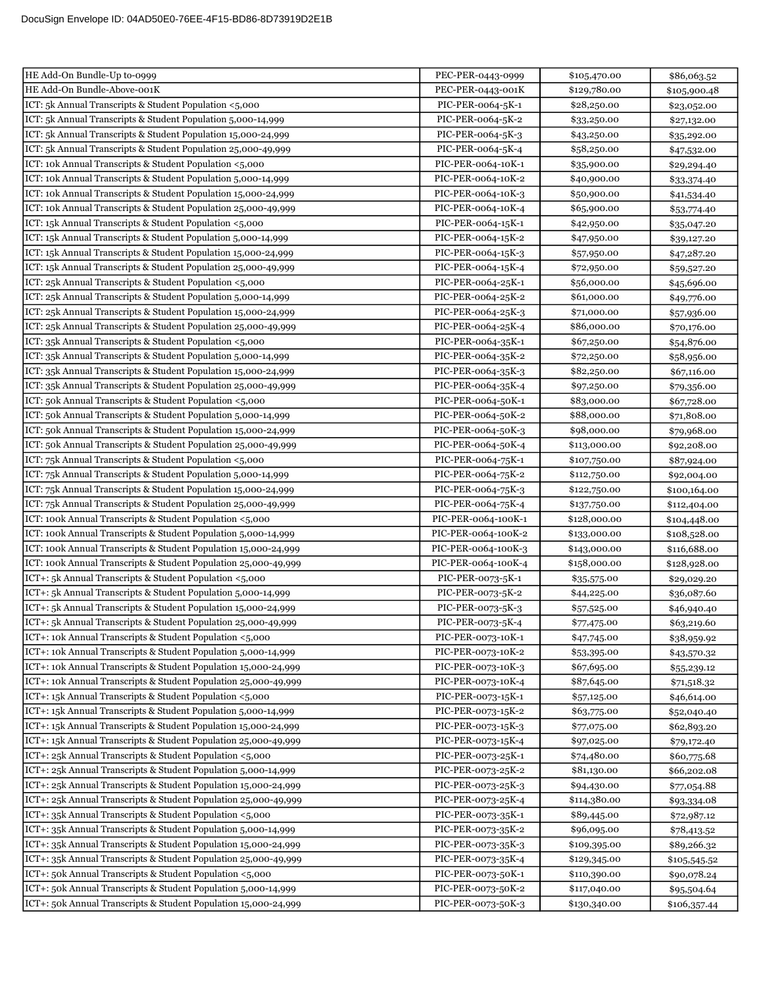| HE Add-On Bundle-Above-001K<br>PEC-PER-0443-001K<br>\$129,780.00<br>\$105,900.48<br>ICT: 5k Annual Transcripts & Student Population <5,000<br>PIC-PER-0064-5K-1<br>\$28,250.00<br>\$23,052.00<br>ICT: 5k Annual Transcripts & Student Population 5,000-14,999<br>PIC-PER-0064-5K-2<br>\$33,250.00<br>\$27,132.00<br>ICT: 5k Annual Transcripts & Student Population 15,000-24,999<br>PIC-PER-0064-5K-3<br>\$43,250.00<br>\$35,292.00<br>ICT: 5k Annual Transcripts & Student Population 25,000-49,999<br>PIC-PER-0064-5K-4<br>\$58,250.00<br>\$47,532.00<br>ICT: 10k Annual Transcripts & Student Population <5,000<br>PIC-PER-0064-10K-1<br>\$35,900.00<br>\$29,294.40<br>ICT: 10k Annual Transcripts & Student Population 5,000-14,999<br>PIC-PER-0064-10K-2<br>\$40,900.00<br>\$33,374.40<br>ICT: 10k Annual Transcripts & Student Population 15,000-24,999<br>PIC-PER-0064-10K-3<br>\$50,900.00<br>\$41,534.40<br>ICT: 10k Annual Transcripts & Student Population 25,000-49,999<br>PIC-PER-0064-10K-4<br>\$65,900.00<br>\$53,774.40<br>ICT: 15k Annual Transcripts & Student Population <5,000<br>PIC-PER-0064-15K-1<br>\$42,950.00<br>\$35,047.20<br>PIC-PER-0064-15K-2<br>\$47,950.00<br>\$39,127.20<br>PIC-PER-0064-15K-3<br>\$57,950.00<br>\$47,287.20<br>ICT: 15k Annual Transcripts & Student Population 25,000-49,999<br>PIC-PER-0064-15K-4<br>\$72,950.00<br>\$59,527.20<br>ICT: 25k Annual Transcripts & Student Population <5,000<br>PIC-PER-0064-25K-1<br>\$56,000.00<br>\$45,696.00<br>PIC-PER-0064-25K-2<br>\$61,000.00<br>\$49,776.00<br>ICT: 25k Annual Transcripts & Student Population 15,000-24,999<br>PIC-PER-0064-25K-3<br>\$71,000.00<br>\$57,936.00<br>PIC-PER-0064-25K-4<br>\$86,000.00<br>\$70,176.00<br>ICT: 35k Annual Transcripts & Student Population <5,000<br>PIC-PER-0064-35K-1<br>\$67,250.00<br>\$54,876.00<br>ICT: 35k Annual Transcripts & Student Population 5,000-14,999<br>PIC-PER-0064-35K-2<br>\$72,250.00<br>\$58,956.00<br>ICT: 35k Annual Transcripts & Student Population 15,000-24,999<br>PIC-PER-0064-35K-3<br>\$82,250.00<br>\$67,116.00<br>ICT: 35k Annual Transcripts & Student Population 25,000-49,999<br>PIC-PER-0064-35K-4<br>\$97,250.00<br>\$79,356.00<br>ICT: 50k Annual Transcripts & Student Population <5,000<br>PIC-PER-0064-50K-1<br>\$83,000.00<br>\$67,728.00<br>ICT: 50k Annual Transcripts & Student Population 5,000-14,999<br>PIC-PER-0064-50K-2<br>\$88,000.00<br>\$71,808.00<br>ICT: 50k Annual Transcripts & Student Population 15,000-24,999<br>PIC-PER-0064-50K-3<br>\$98,000.00<br>\$79,968.00<br>ICT: 50k Annual Transcripts & Student Population 25,000-49,999<br>PIC-PER-0064-50K-4<br>\$113,000.00<br>\$92,208.00<br>PIC-PER-0064-75K-1<br>\$107,750.00<br>\$87,924.00<br>PIC-PER-0064-75K-2<br>\$112,750.00<br>\$92,004.00<br>ICT: 75k Annual Transcripts & Student Population 15,000-24,999<br>PIC-PER-0064-75K-3<br>\$122,750.00<br>\$100,164.00<br>ICT: 75k Annual Transcripts & Student Population 25,000-49,999<br>PIC-PER-0064-75K-4<br>\$137,750.00<br>\$112,404.00<br>ICT: 100k Annual Transcripts & Student Population <5,000<br>PIC-PER-0064-100K-1<br>\$128,000.00<br>\$104,448.00<br>ICT: 100k Annual Transcripts & Student Population 5,000-14,999<br>PIC-PER-0064-100K-2<br>\$133,000.00<br>\$108,528.00<br>ICT: 100k Annual Transcripts & Student Population 15,000-24,999<br>PIC-PER-0064-100K-3<br>\$143,000.00<br>\$116,688.00<br>ICT: 100k Annual Transcripts & Student Population 25,000-49,999<br>PIC-PER-0064-100K-4<br>\$158,000.00<br>\$128,928.00<br>ICT+: 5k Annual Transcripts & Student Population <5,000<br>PIC-PER-0073-5K-1<br>\$35,575.00<br>\$29,029.20<br>ICT+: 5k Annual Transcripts & Student Population 5,000-14,999<br>PIC-PER-0073-5K-2<br>\$44,225.00<br>\$36,087.60<br>ICT+: 5k Annual Transcripts & Student Population 15,000-24,999<br>PIC-PER-0073-5K-3<br>\$57,525.00<br>\$46,940.40<br>ICT+: 5k Annual Transcripts & Student Population 25,000-49,999<br>PIC-PER-0073-5K-4<br>\$63,219.60<br>\$77,475.00<br>ICT+: 10k Annual Transcripts & Student Population <5,000<br>PIC-PER-0073-10K-1<br>\$47,745.00<br>\$38,959.92<br>ICT+: 10k Annual Transcripts & Student Population 5,000-14,999<br>PIC-PER-0073-10K-2<br>\$53,395.00<br>\$43,570.32<br>ICT+: 10k Annual Transcripts & Student Population 15,000-24,999<br>PIC-PER-0073-10K-3<br>\$67,695.00<br>\$55,239.12<br>ICT+: 10k Annual Transcripts & Student Population 25,000-49,999<br>PIC-PER-0073-10K-4<br>\$87,645.00<br>\$71,518.32<br>ICT+: 15k Annual Transcripts & Student Population <5,000<br>PIC-PER-0073-15K-1<br>\$57,125.00<br>\$46,614.00<br>ICT+: 15k Annual Transcripts & Student Population 5,000-14,999<br>PIC-PER-0073-15K-2<br>\$63,775.00<br>\$52,040.40<br>ICT+: 15k Annual Transcripts & Student Population 15,000-24,999<br>PIC-PER-0073-15K-3<br>\$77,075.00<br>\$62,893.20<br>ICT+: 15k Annual Transcripts & Student Population 25,000-49,999<br>PIC-PER-0073-15K-4<br>\$97,025.00<br>\$79,172.40<br>ICT+: 25k Annual Transcripts & Student Population <5,000<br>PIC-PER-0073-25K-1<br>\$74,480.00<br>\$60,775.68<br>ICT+: 25k Annual Transcripts & Student Population 5,000-14,999<br>PIC-PER-0073-25K-2<br>\$81,130.00<br>\$66,202.08<br>ICT+: 25k Annual Transcripts & Student Population 15,000-24,999<br>PIC-PER-0073-25K-3<br>\$94,430.00<br>\$77,054.88<br>ICT+: 25k Annual Transcripts & Student Population 25,000-49,999<br>PIC-PER-0073-25K-4<br>\$114,380.00<br>\$93,334.08<br>ICT+: 35k Annual Transcripts & Student Population <5,000<br>PIC-PER-0073-35K-1<br>\$89,445.00<br>\$72,987.12<br>ICT+: 35k Annual Transcripts & Student Population 5,000-14,999<br>PIC-PER-0073-35K-2<br>\$96,095.00<br>\$78,413.52<br>ICT+: 35k Annual Transcripts & Student Population 15,000-24,999<br>PIC-PER-0073-35K-3<br>\$109,395.00<br>\$89,266.32<br>ICT+: 35k Annual Transcripts & Student Population 25,000-49,999<br>PIC-PER-0073-35K-4<br>\$129,345.00<br>\$105,545.52<br>ICT+: 50k Annual Transcripts & Student Population <5,000<br>PIC-PER-0073-50K-1<br>\$110,390.00<br>\$90,078.24<br>ICT+: 50k Annual Transcripts & Student Population 5,000-14,999<br>PIC-PER-0073-50K-2<br>\$117,040.00<br>\$95,504.64<br>ICT+: 50k Annual Transcripts & Student Population 15,000-24,999<br>PIC-PER-0073-50K-3<br>\$130,340.00<br>\$106,357.44 | HE Add-On Bundle-Up to-0999                                    | PEC-PER-0443-0999 | \$105,470.00 | \$86,063.52 |
|----------------------------------------------------------------------------------------------------------------------------------------------------------------------------------------------------------------------------------------------------------------------------------------------------------------------------------------------------------------------------------------------------------------------------------------------------------------------------------------------------------------------------------------------------------------------------------------------------------------------------------------------------------------------------------------------------------------------------------------------------------------------------------------------------------------------------------------------------------------------------------------------------------------------------------------------------------------------------------------------------------------------------------------------------------------------------------------------------------------------------------------------------------------------------------------------------------------------------------------------------------------------------------------------------------------------------------------------------------------------------------------------------------------------------------------------------------------------------------------------------------------------------------------------------------------------------------------------------------------------------------------------------------------------------------------------------------------------------------------------------------------------------------------------------------------------------------------------------------------------------------------------------------------------------------------------------------------------------------------------------------------------------------------------------------------------------------------------------------------------------------------------------------------------------------------------------------------------------------------------------------------------------------------------------------------------------------------------------------------------------------------------------------------------------------------------------------------------------------------------------------------------------------------------------------------------------------------------------------------------------------------------------------------------------------------------------------------------------------------------------------------------------------------------------------------------------------------------------------------------------------------------------------------------------------------------------------------------------------------------------------------------------------------------------------------------------------------------------------------------------------------------------------------------------------------------------------------------------------------------------------------------------------------------------------------------------------------------------------------------------------------------------------------------------------------------------------------------------------------------------------------------------------------------------------------------------------------------------------------------------------------------------------------------------------------------------------------------------------------------------------------------------------------------------------------------------------------------------------------------------------------------------------------------------------------------------------------------------------------------------------------------------------------------------------------------------------------------------------------------------------------------------------------------------------------------------------------------------------------------------------------------------------------------------------------------------------------------------------------------------------------------------------------------------------------------------------------------------------------------------------------------------------------------------------------------------------------------------------------------------------------------------------------------------------------------------------------------------------------------------------------------------------------------------------------------------------------------------------------------------------------------------------------------------------------------------------------------------------------------------------------------------------------------------------------------------------------------------------------------------------------------------------------------------------------------------------------------------------------------------------------------------------------------------------------------------------------------------------------------------------------------------------------------------------------------------------------------------------------------------------------------------------------------------------------------------------------------------------------------------------------------------------------------------------------------------------------------------------------------------------------------------------------------------------------------------------------------------------------------------------------------------------------------------------------------------------------------------------------------------------------------------------------------------------------------------------------------------------------------------------------------------------------------------------------------------------------------------------------------------------------------------------------------------------------------------------------------------------------|----------------------------------------------------------------|-------------------|--------------|-------------|
|                                                                                                                                                                                                                                                                                                                                                                                                                                                                                                                                                                                                                                                                                                                                                                                                                                                                                                                                                                                                                                                                                                                                                                                                                                                                                                                                                                                                                                                                                                                                                                                                                                                                                                                                                                                                                                                                                                                                                                                                                                                                                                                                                                                                                                                                                                                                                                                                                                                                                                                                                                                                                                                                                                                                                                                                                                                                                                                                                                                                                                                                                                                                                                                                                                                                                                                                                                                                                                                                                                                                                                                                                                                                                                                                                                                                                                                                                                                                                                                                                                                                                                                                                                                                                                                                                                                                                                                                                                                                                                                                                                                                                                                                                                                                                                                                                                                                                                                                                                                                                                                                                                                                                                                                                                                                                                                                                                                                                                                                                                                                                                                                                                                                                                                                                                                                                                                                                                                                                                                                                                                                                                                                                                                                                                                                                                                                                                |                                                                |                   |              |             |
|                                                                                                                                                                                                                                                                                                                                                                                                                                                                                                                                                                                                                                                                                                                                                                                                                                                                                                                                                                                                                                                                                                                                                                                                                                                                                                                                                                                                                                                                                                                                                                                                                                                                                                                                                                                                                                                                                                                                                                                                                                                                                                                                                                                                                                                                                                                                                                                                                                                                                                                                                                                                                                                                                                                                                                                                                                                                                                                                                                                                                                                                                                                                                                                                                                                                                                                                                                                                                                                                                                                                                                                                                                                                                                                                                                                                                                                                                                                                                                                                                                                                                                                                                                                                                                                                                                                                                                                                                                                                                                                                                                                                                                                                                                                                                                                                                                                                                                                                                                                                                                                                                                                                                                                                                                                                                                                                                                                                                                                                                                                                                                                                                                                                                                                                                                                                                                                                                                                                                                                                                                                                                                                                                                                                                                                                                                                                                                |                                                                |                   |              |             |
|                                                                                                                                                                                                                                                                                                                                                                                                                                                                                                                                                                                                                                                                                                                                                                                                                                                                                                                                                                                                                                                                                                                                                                                                                                                                                                                                                                                                                                                                                                                                                                                                                                                                                                                                                                                                                                                                                                                                                                                                                                                                                                                                                                                                                                                                                                                                                                                                                                                                                                                                                                                                                                                                                                                                                                                                                                                                                                                                                                                                                                                                                                                                                                                                                                                                                                                                                                                                                                                                                                                                                                                                                                                                                                                                                                                                                                                                                                                                                                                                                                                                                                                                                                                                                                                                                                                                                                                                                                                                                                                                                                                                                                                                                                                                                                                                                                                                                                                                                                                                                                                                                                                                                                                                                                                                                                                                                                                                                                                                                                                                                                                                                                                                                                                                                                                                                                                                                                                                                                                                                                                                                                                                                                                                                                                                                                                                                                |                                                                |                   |              |             |
|                                                                                                                                                                                                                                                                                                                                                                                                                                                                                                                                                                                                                                                                                                                                                                                                                                                                                                                                                                                                                                                                                                                                                                                                                                                                                                                                                                                                                                                                                                                                                                                                                                                                                                                                                                                                                                                                                                                                                                                                                                                                                                                                                                                                                                                                                                                                                                                                                                                                                                                                                                                                                                                                                                                                                                                                                                                                                                                                                                                                                                                                                                                                                                                                                                                                                                                                                                                                                                                                                                                                                                                                                                                                                                                                                                                                                                                                                                                                                                                                                                                                                                                                                                                                                                                                                                                                                                                                                                                                                                                                                                                                                                                                                                                                                                                                                                                                                                                                                                                                                                                                                                                                                                                                                                                                                                                                                                                                                                                                                                                                                                                                                                                                                                                                                                                                                                                                                                                                                                                                                                                                                                                                                                                                                                                                                                                                                                |                                                                |                   |              |             |
|                                                                                                                                                                                                                                                                                                                                                                                                                                                                                                                                                                                                                                                                                                                                                                                                                                                                                                                                                                                                                                                                                                                                                                                                                                                                                                                                                                                                                                                                                                                                                                                                                                                                                                                                                                                                                                                                                                                                                                                                                                                                                                                                                                                                                                                                                                                                                                                                                                                                                                                                                                                                                                                                                                                                                                                                                                                                                                                                                                                                                                                                                                                                                                                                                                                                                                                                                                                                                                                                                                                                                                                                                                                                                                                                                                                                                                                                                                                                                                                                                                                                                                                                                                                                                                                                                                                                                                                                                                                                                                                                                                                                                                                                                                                                                                                                                                                                                                                                                                                                                                                                                                                                                                                                                                                                                                                                                                                                                                                                                                                                                                                                                                                                                                                                                                                                                                                                                                                                                                                                                                                                                                                                                                                                                                                                                                                                                                |                                                                |                   |              |             |
|                                                                                                                                                                                                                                                                                                                                                                                                                                                                                                                                                                                                                                                                                                                                                                                                                                                                                                                                                                                                                                                                                                                                                                                                                                                                                                                                                                                                                                                                                                                                                                                                                                                                                                                                                                                                                                                                                                                                                                                                                                                                                                                                                                                                                                                                                                                                                                                                                                                                                                                                                                                                                                                                                                                                                                                                                                                                                                                                                                                                                                                                                                                                                                                                                                                                                                                                                                                                                                                                                                                                                                                                                                                                                                                                                                                                                                                                                                                                                                                                                                                                                                                                                                                                                                                                                                                                                                                                                                                                                                                                                                                                                                                                                                                                                                                                                                                                                                                                                                                                                                                                                                                                                                                                                                                                                                                                                                                                                                                                                                                                                                                                                                                                                                                                                                                                                                                                                                                                                                                                                                                                                                                                                                                                                                                                                                                                                                |                                                                |                   |              |             |
|                                                                                                                                                                                                                                                                                                                                                                                                                                                                                                                                                                                                                                                                                                                                                                                                                                                                                                                                                                                                                                                                                                                                                                                                                                                                                                                                                                                                                                                                                                                                                                                                                                                                                                                                                                                                                                                                                                                                                                                                                                                                                                                                                                                                                                                                                                                                                                                                                                                                                                                                                                                                                                                                                                                                                                                                                                                                                                                                                                                                                                                                                                                                                                                                                                                                                                                                                                                                                                                                                                                                                                                                                                                                                                                                                                                                                                                                                                                                                                                                                                                                                                                                                                                                                                                                                                                                                                                                                                                                                                                                                                                                                                                                                                                                                                                                                                                                                                                                                                                                                                                                                                                                                                                                                                                                                                                                                                                                                                                                                                                                                                                                                                                                                                                                                                                                                                                                                                                                                                                                                                                                                                                                                                                                                                                                                                                                                                |                                                                |                   |              |             |
|                                                                                                                                                                                                                                                                                                                                                                                                                                                                                                                                                                                                                                                                                                                                                                                                                                                                                                                                                                                                                                                                                                                                                                                                                                                                                                                                                                                                                                                                                                                                                                                                                                                                                                                                                                                                                                                                                                                                                                                                                                                                                                                                                                                                                                                                                                                                                                                                                                                                                                                                                                                                                                                                                                                                                                                                                                                                                                                                                                                                                                                                                                                                                                                                                                                                                                                                                                                                                                                                                                                                                                                                                                                                                                                                                                                                                                                                                                                                                                                                                                                                                                                                                                                                                                                                                                                                                                                                                                                                                                                                                                                                                                                                                                                                                                                                                                                                                                                                                                                                                                                                                                                                                                                                                                                                                                                                                                                                                                                                                                                                                                                                                                                                                                                                                                                                                                                                                                                                                                                                                                                                                                                                                                                                                                                                                                                                                                |                                                                |                   |              |             |
|                                                                                                                                                                                                                                                                                                                                                                                                                                                                                                                                                                                                                                                                                                                                                                                                                                                                                                                                                                                                                                                                                                                                                                                                                                                                                                                                                                                                                                                                                                                                                                                                                                                                                                                                                                                                                                                                                                                                                                                                                                                                                                                                                                                                                                                                                                                                                                                                                                                                                                                                                                                                                                                                                                                                                                                                                                                                                                                                                                                                                                                                                                                                                                                                                                                                                                                                                                                                                                                                                                                                                                                                                                                                                                                                                                                                                                                                                                                                                                                                                                                                                                                                                                                                                                                                                                                                                                                                                                                                                                                                                                                                                                                                                                                                                                                                                                                                                                                                                                                                                                                                                                                                                                                                                                                                                                                                                                                                                                                                                                                                                                                                                                                                                                                                                                                                                                                                                                                                                                                                                                                                                                                                                                                                                                                                                                                                                                |                                                                |                   |              |             |
|                                                                                                                                                                                                                                                                                                                                                                                                                                                                                                                                                                                                                                                                                                                                                                                                                                                                                                                                                                                                                                                                                                                                                                                                                                                                                                                                                                                                                                                                                                                                                                                                                                                                                                                                                                                                                                                                                                                                                                                                                                                                                                                                                                                                                                                                                                                                                                                                                                                                                                                                                                                                                                                                                                                                                                                                                                                                                                                                                                                                                                                                                                                                                                                                                                                                                                                                                                                                                                                                                                                                                                                                                                                                                                                                                                                                                                                                                                                                                                                                                                                                                                                                                                                                                                                                                                                                                                                                                                                                                                                                                                                                                                                                                                                                                                                                                                                                                                                                                                                                                                                                                                                                                                                                                                                                                                                                                                                                                                                                                                                                                                                                                                                                                                                                                                                                                                                                                                                                                                                                                                                                                                                                                                                                                                                                                                                                                                |                                                                |                   |              |             |
|                                                                                                                                                                                                                                                                                                                                                                                                                                                                                                                                                                                                                                                                                                                                                                                                                                                                                                                                                                                                                                                                                                                                                                                                                                                                                                                                                                                                                                                                                                                                                                                                                                                                                                                                                                                                                                                                                                                                                                                                                                                                                                                                                                                                                                                                                                                                                                                                                                                                                                                                                                                                                                                                                                                                                                                                                                                                                                                                                                                                                                                                                                                                                                                                                                                                                                                                                                                                                                                                                                                                                                                                                                                                                                                                                                                                                                                                                                                                                                                                                                                                                                                                                                                                                                                                                                                                                                                                                                                                                                                                                                                                                                                                                                                                                                                                                                                                                                                                                                                                                                                                                                                                                                                                                                                                                                                                                                                                                                                                                                                                                                                                                                                                                                                                                                                                                                                                                                                                                                                                                                                                                                                                                                                                                                                                                                                                                                | ICT: 15k Annual Transcripts & Student Population 5,000-14,999  |                   |              |             |
|                                                                                                                                                                                                                                                                                                                                                                                                                                                                                                                                                                                                                                                                                                                                                                                                                                                                                                                                                                                                                                                                                                                                                                                                                                                                                                                                                                                                                                                                                                                                                                                                                                                                                                                                                                                                                                                                                                                                                                                                                                                                                                                                                                                                                                                                                                                                                                                                                                                                                                                                                                                                                                                                                                                                                                                                                                                                                                                                                                                                                                                                                                                                                                                                                                                                                                                                                                                                                                                                                                                                                                                                                                                                                                                                                                                                                                                                                                                                                                                                                                                                                                                                                                                                                                                                                                                                                                                                                                                                                                                                                                                                                                                                                                                                                                                                                                                                                                                                                                                                                                                                                                                                                                                                                                                                                                                                                                                                                                                                                                                                                                                                                                                                                                                                                                                                                                                                                                                                                                                                                                                                                                                                                                                                                                                                                                                                                                | ICT: 15k Annual Transcripts & Student Population 15,000-24,999 |                   |              |             |
|                                                                                                                                                                                                                                                                                                                                                                                                                                                                                                                                                                                                                                                                                                                                                                                                                                                                                                                                                                                                                                                                                                                                                                                                                                                                                                                                                                                                                                                                                                                                                                                                                                                                                                                                                                                                                                                                                                                                                                                                                                                                                                                                                                                                                                                                                                                                                                                                                                                                                                                                                                                                                                                                                                                                                                                                                                                                                                                                                                                                                                                                                                                                                                                                                                                                                                                                                                                                                                                                                                                                                                                                                                                                                                                                                                                                                                                                                                                                                                                                                                                                                                                                                                                                                                                                                                                                                                                                                                                                                                                                                                                                                                                                                                                                                                                                                                                                                                                                                                                                                                                                                                                                                                                                                                                                                                                                                                                                                                                                                                                                                                                                                                                                                                                                                                                                                                                                                                                                                                                                                                                                                                                                                                                                                                                                                                                                                                |                                                                |                   |              |             |
|                                                                                                                                                                                                                                                                                                                                                                                                                                                                                                                                                                                                                                                                                                                                                                                                                                                                                                                                                                                                                                                                                                                                                                                                                                                                                                                                                                                                                                                                                                                                                                                                                                                                                                                                                                                                                                                                                                                                                                                                                                                                                                                                                                                                                                                                                                                                                                                                                                                                                                                                                                                                                                                                                                                                                                                                                                                                                                                                                                                                                                                                                                                                                                                                                                                                                                                                                                                                                                                                                                                                                                                                                                                                                                                                                                                                                                                                                                                                                                                                                                                                                                                                                                                                                                                                                                                                                                                                                                                                                                                                                                                                                                                                                                                                                                                                                                                                                                                                                                                                                                                                                                                                                                                                                                                                                                                                                                                                                                                                                                                                                                                                                                                                                                                                                                                                                                                                                                                                                                                                                                                                                                                                                                                                                                                                                                                                                                |                                                                |                   |              |             |
|                                                                                                                                                                                                                                                                                                                                                                                                                                                                                                                                                                                                                                                                                                                                                                                                                                                                                                                                                                                                                                                                                                                                                                                                                                                                                                                                                                                                                                                                                                                                                                                                                                                                                                                                                                                                                                                                                                                                                                                                                                                                                                                                                                                                                                                                                                                                                                                                                                                                                                                                                                                                                                                                                                                                                                                                                                                                                                                                                                                                                                                                                                                                                                                                                                                                                                                                                                                                                                                                                                                                                                                                                                                                                                                                                                                                                                                                                                                                                                                                                                                                                                                                                                                                                                                                                                                                                                                                                                                                                                                                                                                                                                                                                                                                                                                                                                                                                                                                                                                                                                                                                                                                                                                                                                                                                                                                                                                                                                                                                                                                                                                                                                                                                                                                                                                                                                                                                                                                                                                                                                                                                                                                                                                                                                                                                                                                                                | ICT: 25k Annual Transcripts & Student Population 5,000-14,999  |                   |              |             |
|                                                                                                                                                                                                                                                                                                                                                                                                                                                                                                                                                                                                                                                                                                                                                                                                                                                                                                                                                                                                                                                                                                                                                                                                                                                                                                                                                                                                                                                                                                                                                                                                                                                                                                                                                                                                                                                                                                                                                                                                                                                                                                                                                                                                                                                                                                                                                                                                                                                                                                                                                                                                                                                                                                                                                                                                                                                                                                                                                                                                                                                                                                                                                                                                                                                                                                                                                                                                                                                                                                                                                                                                                                                                                                                                                                                                                                                                                                                                                                                                                                                                                                                                                                                                                                                                                                                                                                                                                                                                                                                                                                                                                                                                                                                                                                                                                                                                                                                                                                                                                                                                                                                                                                                                                                                                                                                                                                                                                                                                                                                                                                                                                                                                                                                                                                                                                                                                                                                                                                                                                                                                                                                                                                                                                                                                                                                                                                |                                                                |                   |              |             |
|                                                                                                                                                                                                                                                                                                                                                                                                                                                                                                                                                                                                                                                                                                                                                                                                                                                                                                                                                                                                                                                                                                                                                                                                                                                                                                                                                                                                                                                                                                                                                                                                                                                                                                                                                                                                                                                                                                                                                                                                                                                                                                                                                                                                                                                                                                                                                                                                                                                                                                                                                                                                                                                                                                                                                                                                                                                                                                                                                                                                                                                                                                                                                                                                                                                                                                                                                                                                                                                                                                                                                                                                                                                                                                                                                                                                                                                                                                                                                                                                                                                                                                                                                                                                                                                                                                                                                                                                                                                                                                                                                                                                                                                                                                                                                                                                                                                                                                                                                                                                                                                                                                                                                                                                                                                                                                                                                                                                                                                                                                                                                                                                                                                                                                                                                                                                                                                                                                                                                                                                                                                                                                                                                                                                                                                                                                                                                                | ICT: 25k Annual Transcripts & Student Population 25,000-49,999 |                   |              |             |
|                                                                                                                                                                                                                                                                                                                                                                                                                                                                                                                                                                                                                                                                                                                                                                                                                                                                                                                                                                                                                                                                                                                                                                                                                                                                                                                                                                                                                                                                                                                                                                                                                                                                                                                                                                                                                                                                                                                                                                                                                                                                                                                                                                                                                                                                                                                                                                                                                                                                                                                                                                                                                                                                                                                                                                                                                                                                                                                                                                                                                                                                                                                                                                                                                                                                                                                                                                                                                                                                                                                                                                                                                                                                                                                                                                                                                                                                                                                                                                                                                                                                                                                                                                                                                                                                                                                                                                                                                                                                                                                                                                                                                                                                                                                                                                                                                                                                                                                                                                                                                                                                                                                                                                                                                                                                                                                                                                                                                                                                                                                                                                                                                                                                                                                                                                                                                                                                                                                                                                                                                                                                                                                                                                                                                                                                                                                                                                |                                                                |                   |              |             |
|                                                                                                                                                                                                                                                                                                                                                                                                                                                                                                                                                                                                                                                                                                                                                                                                                                                                                                                                                                                                                                                                                                                                                                                                                                                                                                                                                                                                                                                                                                                                                                                                                                                                                                                                                                                                                                                                                                                                                                                                                                                                                                                                                                                                                                                                                                                                                                                                                                                                                                                                                                                                                                                                                                                                                                                                                                                                                                                                                                                                                                                                                                                                                                                                                                                                                                                                                                                                                                                                                                                                                                                                                                                                                                                                                                                                                                                                                                                                                                                                                                                                                                                                                                                                                                                                                                                                                                                                                                                                                                                                                                                                                                                                                                                                                                                                                                                                                                                                                                                                                                                                                                                                                                                                                                                                                                                                                                                                                                                                                                                                                                                                                                                                                                                                                                                                                                                                                                                                                                                                                                                                                                                                                                                                                                                                                                                                                                |                                                                |                   |              |             |
|                                                                                                                                                                                                                                                                                                                                                                                                                                                                                                                                                                                                                                                                                                                                                                                                                                                                                                                                                                                                                                                                                                                                                                                                                                                                                                                                                                                                                                                                                                                                                                                                                                                                                                                                                                                                                                                                                                                                                                                                                                                                                                                                                                                                                                                                                                                                                                                                                                                                                                                                                                                                                                                                                                                                                                                                                                                                                                                                                                                                                                                                                                                                                                                                                                                                                                                                                                                                                                                                                                                                                                                                                                                                                                                                                                                                                                                                                                                                                                                                                                                                                                                                                                                                                                                                                                                                                                                                                                                                                                                                                                                                                                                                                                                                                                                                                                                                                                                                                                                                                                                                                                                                                                                                                                                                                                                                                                                                                                                                                                                                                                                                                                                                                                                                                                                                                                                                                                                                                                                                                                                                                                                                                                                                                                                                                                                                                                |                                                                |                   |              |             |
|                                                                                                                                                                                                                                                                                                                                                                                                                                                                                                                                                                                                                                                                                                                                                                                                                                                                                                                                                                                                                                                                                                                                                                                                                                                                                                                                                                                                                                                                                                                                                                                                                                                                                                                                                                                                                                                                                                                                                                                                                                                                                                                                                                                                                                                                                                                                                                                                                                                                                                                                                                                                                                                                                                                                                                                                                                                                                                                                                                                                                                                                                                                                                                                                                                                                                                                                                                                                                                                                                                                                                                                                                                                                                                                                                                                                                                                                                                                                                                                                                                                                                                                                                                                                                                                                                                                                                                                                                                                                                                                                                                                                                                                                                                                                                                                                                                                                                                                                                                                                                                                                                                                                                                                                                                                                                                                                                                                                                                                                                                                                                                                                                                                                                                                                                                                                                                                                                                                                                                                                                                                                                                                                                                                                                                                                                                                                                                |                                                                |                   |              |             |
|                                                                                                                                                                                                                                                                                                                                                                                                                                                                                                                                                                                                                                                                                                                                                                                                                                                                                                                                                                                                                                                                                                                                                                                                                                                                                                                                                                                                                                                                                                                                                                                                                                                                                                                                                                                                                                                                                                                                                                                                                                                                                                                                                                                                                                                                                                                                                                                                                                                                                                                                                                                                                                                                                                                                                                                                                                                                                                                                                                                                                                                                                                                                                                                                                                                                                                                                                                                                                                                                                                                                                                                                                                                                                                                                                                                                                                                                                                                                                                                                                                                                                                                                                                                                                                                                                                                                                                                                                                                                                                                                                                                                                                                                                                                                                                                                                                                                                                                                                                                                                                                                                                                                                                                                                                                                                                                                                                                                                                                                                                                                                                                                                                                                                                                                                                                                                                                                                                                                                                                                                                                                                                                                                                                                                                                                                                                                                                |                                                                |                   |              |             |
|                                                                                                                                                                                                                                                                                                                                                                                                                                                                                                                                                                                                                                                                                                                                                                                                                                                                                                                                                                                                                                                                                                                                                                                                                                                                                                                                                                                                                                                                                                                                                                                                                                                                                                                                                                                                                                                                                                                                                                                                                                                                                                                                                                                                                                                                                                                                                                                                                                                                                                                                                                                                                                                                                                                                                                                                                                                                                                                                                                                                                                                                                                                                                                                                                                                                                                                                                                                                                                                                                                                                                                                                                                                                                                                                                                                                                                                                                                                                                                                                                                                                                                                                                                                                                                                                                                                                                                                                                                                                                                                                                                                                                                                                                                                                                                                                                                                                                                                                                                                                                                                                                                                                                                                                                                                                                                                                                                                                                                                                                                                                                                                                                                                                                                                                                                                                                                                                                                                                                                                                                                                                                                                                                                                                                                                                                                                                                                |                                                                |                   |              |             |
|                                                                                                                                                                                                                                                                                                                                                                                                                                                                                                                                                                                                                                                                                                                                                                                                                                                                                                                                                                                                                                                                                                                                                                                                                                                                                                                                                                                                                                                                                                                                                                                                                                                                                                                                                                                                                                                                                                                                                                                                                                                                                                                                                                                                                                                                                                                                                                                                                                                                                                                                                                                                                                                                                                                                                                                                                                                                                                                                                                                                                                                                                                                                                                                                                                                                                                                                                                                                                                                                                                                                                                                                                                                                                                                                                                                                                                                                                                                                                                                                                                                                                                                                                                                                                                                                                                                                                                                                                                                                                                                                                                                                                                                                                                                                                                                                                                                                                                                                                                                                                                                                                                                                                                                                                                                                                                                                                                                                                                                                                                                                                                                                                                                                                                                                                                                                                                                                                                                                                                                                                                                                                                                                                                                                                                                                                                                                                                |                                                                |                   |              |             |
|                                                                                                                                                                                                                                                                                                                                                                                                                                                                                                                                                                                                                                                                                                                                                                                                                                                                                                                                                                                                                                                                                                                                                                                                                                                                                                                                                                                                                                                                                                                                                                                                                                                                                                                                                                                                                                                                                                                                                                                                                                                                                                                                                                                                                                                                                                                                                                                                                                                                                                                                                                                                                                                                                                                                                                                                                                                                                                                                                                                                                                                                                                                                                                                                                                                                                                                                                                                                                                                                                                                                                                                                                                                                                                                                                                                                                                                                                                                                                                                                                                                                                                                                                                                                                                                                                                                                                                                                                                                                                                                                                                                                                                                                                                                                                                                                                                                                                                                                                                                                                                                                                                                                                                                                                                                                                                                                                                                                                                                                                                                                                                                                                                                                                                                                                                                                                                                                                                                                                                                                                                                                                                                                                                                                                                                                                                                                                                |                                                                |                   |              |             |
|                                                                                                                                                                                                                                                                                                                                                                                                                                                                                                                                                                                                                                                                                                                                                                                                                                                                                                                                                                                                                                                                                                                                                                                                                                                                                                                                                                                                                                                                                                                                                                                                                                                                                                                                                                                                                                                                                                                                                                                                                                                                                                                                                                                                                                                                                                                                                                                                                                                                                                                                                                                                                                                                                                                                                                                                                                                                                                                                                                                                                                                                                                                                                                                                                                                                                                                                                                                                                                                                                                                                                                                                                                                                                                                                                                                                                                                                                                                                                                                                                                                                                                                                                                                                                                                                                                                                                                                                                                                                                                                                                                                                                                                                                                                                                                                                                                                                                                                                                                                                                                                                                                                                                                                                                                                                                                                                                                                                                                                                                                                                                                                                                                                                                                                                                                                                                                                                                                                                                                                                                                                                                                                                                                                                                                                                                                                                                                | ICT: 75k Annual Transcripts & Student Population <5,000        |                   |              |             |
|                                                                                                                                                                                                                                                                                                                                                                                                                                                                                                                                                                                                                                                                                                                                                                                                                                                                                                                                                                                                                                                                                                                                                                                                                                                                                                                                                                                                                                                                                                                                                                                                                                                                                                                                                                                                                                                                                                                                                                                                                                                                                                                                                                                                                                                                                                                                                                                                                                                                                                                                                                                                                                                                                                                                                                                                                                                                                                                                                                                                                                                                                                                                                                                                                                                                                                                                                                                                                                                                                                                                                                                                                                                                                                                                                                                                                                                                                                                                                                                                                                                                                                                                                                                                                                                                                                                                                                                                                                                                                                                                                                                                                                                                                                                                                                                                                                                                                                                                                                                                                                                                                                                                                                                                                                                                                                                                                                                                                                                                                                                                                                                                                                                                                                                                                                                                                                                                                                                                                                                                                                                                                                                                                                                                                                                                                                                                                                | ICT: 75k Annual Transcripts & Student Population 5,000-14,999  |                   |              |             |
|                                                                                                                                                                                                                                                                                                                                                                                                                                                                                                                                                                                                                                                                                                                                                                                                                                                                                                                                                                                                                                                                                                                                                                                                                                                                                                                                                                                                                                                                                                                                                                                                                                                                                                                                                                                                                                                                                                                                                                                                                                                                                                                                                                                                                                                                                                                                                                                                                                                                                                                                                                                                                                                                                                                                                                                                                                                                                                                                                                                                                                                                                                                                                                                                                                                                                                                                                                                                                                                                                                                                                                                                                                                                                                                                                                                                                                                                                                                                                                                                                                                                                                                                                                                                                                                                                                                                                                                                                                                                                                                                                                                                                                                                                                                                                                                                                                                                                                                                                                                                                                                                                                                                                                                                                                                                                                                                                                                                                                                                                                                                                                                                                                                                                                                                                                                                                                                                                                                                                                                                                                                                                                                                                                                                                                                                                                                                                                |                                                                |                   |              |             |
|                                                                                                                                                                                                                                                                                                                                                                                                                                                                                                                                                                                                                                                                                                                                                                                                                                                                                                                                                                                                                                                                                                                                                                                                                                                                                                                                                                                                                                                                                                                                                                                                                                                                                                                                                                                                                                                                                                                                                                                                                                                                                                                                                                                                                                                                                                                                                                                                                                                                                                                                                                                                                                                                                                                                                                                                                                                                                                                                                                                                                                                                                                                                                                                                                                                                                                                                                                                                                                                                                                                                                                                                                                                                                                                                                                                                                                                                                                                                                                                                                                                                                                                                                                                                                                                                                                                                                                                                                                                                                                                                                                                                                                                                                                                                                                                                                                                                                                                                                                                                                                                                                                                                                                                                                                                                                                                                                                                                                                                                                                                                                                                                                                                                                                                                                                                                                                                                                                                                                                                                                                                                                                                                                                                                                                                                                                                                                                |                                                                |                   |              |             |
|                                                                                                                                                                                                                                                                                                                                                                                                                                                                                                                                                                                                                                                                                                                                                                                                                                                                                                                                                                                                                                                                                                                                                                                                                                                                                                                                                                                                                                                                                                                                                                                                                                                                                                                                                                                                                                                                                                                                                                                                                                                                                                                                                                                                                                                                                                                                                                                                                                                                                                                                                                                                                                                                                                                                                                                                                                                                                                                                                                                                                                                                                                                                                                                                                                                                                                                                                                                                                                                                                                                                                                                                                                                                                                                                                                                                                                                                                                                                                                                                                                                                                                                                                                                                                                                                                                                                                                                                                                                                                                                                                                                                                                                                                                                                                                                                                                                                                                                                                                                                                                                                                                                                                                                                                                                                                                                                                                                                                                                                                                                                                                                                                                                                                                                                                                                                                                                                                                                                                                                                                                                                                                                                                                                                                                                                                                                                                                |                                                                |                   |              |             |
|                                                                                                                                                                                                                                                                                                                                                                                                                                                                                                                                                                                                                                                                                                                                                                                                                                                                                                                                                                                                                                                                                                                                                                                                                                                                                                                                                                                                                                                                                                                                                                                                                                                                                                                                                                                                                                                                                                                                                                                                                                                                                                                                                                                                                                                                                                                                                                                                                                                                                                                                                                                                                                                                                                                                                                                                                                                                                                                                                                                                                                                                                                                                                                                                                                                                                                                                                                                                                                                                                                                                                                                                                                                                                                                                                                                                                                                                                                                                                                                                                                                                                                                                                                                                                                                                                                                                                                                                                                                                                                                                                                                                                                                                                                                                                                                                                                                                                                                                                                                                                                                                                                                                                                                                                                                                                                                                                                                                                                                                                                                                                                                                                                                                                                                                                                                                                                                                                                                                                                                                                                                                                                                                                                                                                                                                                                                                                                |                                                                |                   |              |             |
|                                                                                                                                                                                                                                                                                                                                                                                                                                                                                                                                                                                                                                                                                                                                                                                                                                                                                                                                                                                                                                                                                                                                                                                                                                                                                                                                                                                                                                                                                                                                                                                                                                                                                                                                                                                                                                                                                                                                                                                                                                                                                                                                                                                                                                                                                                                                                                                                                                                                                                                                                                                                                                                                                                                                                                                                                                                                                                                                                                                                                                                                                                                                                                                                                                                                                                                                                                                                                                                                                                                                                                                                                                                                                                                                                                                                                                                                                                                                                                                                                                                                                                                                                                                                                                                                                                                                                                                                                                                                                                                                                                                                                                                                                                                                                                                                                                                                                                                                                                                                                                                                                                                                                                                                                                                                                                                                                                                                                                                                                                                                                                                                                                                                                                                                                                                                                                                                                                                                                                                                                                                                                                                                                                                                                                                                                                                                                                |                                                                |                   |              |             |
|                                                                                                                                                                                                                                                                                                                                                                                                                                                                                                                                                                                                                                                                                                                                                                                                                                                                                                                                                                                                                                                                                                                                                                                                                                                                                                                                                                                                                                                                                                                                                                                                                                                                                                                                                                                                                                                                                                                                                                                                                                                                                                                                                                                                                                                                                                                                                                                                                                                                                                                                                                                                                                                                                                                                                                                                                                                                                                                                                                                                                                                                                                                                                                                                                                                                                                                                                                                                                                                                                                                                                                                                                                                                                                                                                                                                                                                                                                                                                                                                                                                                                                                                                                                                                                                                                                                                                                                                                                                                                                                                                                                                                                                                                                                                                                                                                                                                                                                                                                                                                                                                                                                                                                                                                                                                                                                                                                                                                                                                                                                                                                                                                                                                                                                                                                                                                                                                                                                                                                                                                                                                                                                                                                                                                                                                                                                                                                |                                                                |                   |              |             |
|                                                                                                                                                                                                                                                                                                                                                                                                                                                                                                                                                                                                                                                                                                                                                                                                                                                                                                                                                                                                                                                                                                                                                                                                                                                                                                                                                                                                                                                                                                                                                                                                                                                                                                                                                                                                                                                                                                                                                                                                                                                                                                                                                                                                                                                                                                                                                                                                                                                                                                                                                                                                                                                                                                                                                                                                                                                                                                                                                                                                                                                                                                                                                                                                                                                                                                                                                                                                                                                                                                                                                                                                                                                                                                                                                                                                                                                                                                                                                                                                                                                                                                                                                                                                                                                                                                                                                                                                                                                                                                                                                                                                                                                                                                                                                                                                                                                                                                                                                                                                                                                                                                                                                                                                                                                                                                                                                                                                                                                                                                                                                                                                                                                                                                                                                                                                                                                                                                                                                                                                                                                                                                                                                                                                                                                                                                                                                                |                                                                |                   |              |             |
|                                                                                                                                                                                                                                                                                                                                                                                                                                                                                                                                                                                                                                                                                                                                                                                                                                                                                                                                                                                                                                                                                                                                                                                                                                                                                                                                                                                                                                                                                                                                                                                                                                                                                                                                                                                                                                                                                                                                                                                                                                                                                                                                                                                                                                                                                                                                                                                                                                                                                                                                                                                                                                                                                                                                                                                                                                                                                                                                                                                                                                                                                                                                                                                                                                                                                                                                                                                                                                                                                                                                                                                                                                                                                                                                                                                                                                                                                                                                                                                                                                                                                                                                                                                                                                                                                                                                                                                                                                                                                                                                                                                                                                                                                                                                                                                                                                                                                                                                                                                                                                                                                                                                                                                                                                                                                                                                                                                                                                                                                                                                                                                                                                                                                                                                                                                                                                                                                                                                                                                                                                                                                                                                                                                                                                                                                                                                                                |                                                                |                   |              |             |
|                                                                                                                                                                                                                                                                                                                                                                                                                                                                                                                                                                                                                                                                                                                                                                                                                                                                                                                                                                                                                                                                                                                                                                                                                                                                                                                                                                                                                                                                                                                                                                                                                                                                                                                                                                                                                                                                                                                                                                                                                                                                                                                                                                                                                                                                                                                                                                                                                                                                                                                                                                                                                                                                                                                                                                                                                                                                                                                                                                                                                                                                                                                                                                                                                                                                                                                                                                                                                                                                                                                                                                                                                                                                                                                                                                                                                                                                                                                                                                                                                                                                                                                                                                                                                                                                                                                                                                                                                                                                                                                                                                                                                                                                                                                                                                                                                                                                                                                                                                                                                                                                                                                                                                                                                                                                                                                                                                                                                                                                                                                                                                                                                                                                                                                                                                                                                                                                                                                                                                                                                                                                                                                                                                                                                                                                                                                                                                |                                                                |                   |              |             |
|                                                                                                                                                                                                                                                                                                                                                                                                                                                                                                                                                                                                                                                                                                                                                                                                                                                                                                                                                                                                                                                                                                                                                                                                                                                                                                                                                                                                                                                                                                                                                                                                                                                                                                                                                                                                                                                                                                                                                                                                                                                                                                                                                                                                                                                                                                                                                                                                                                                                                                                                                                                                                                                                                                                                                                                                                                                                                                                                                                                                                                                                                                                                                                                                                                                                                                                                                                                                                                                                                                                                                                                                                                                                                                                                                                                                                                                                                                                                                                                                                                                                                                                                                                                                                                                                                                                                                                                                                                                                                                                                                                                                                                                                                                                                                                                                                                                                                                                                                                                                                                                                                                                                                                                                                                                                                                                                                                                                                                                                                                                                                                                                                                                                                                                                                                                                                                                                                                                                                                                                                                                                                                                                                                                                                                                                                                                                                                |                                                                |                   |              |             |
|                                                                                                                                                                                                                                                                                                                                                                                                                                                                                                                                                                                                                                                                                                                                                                                                                                                                                                                                                                                                                                                                                                                                                                                                                                                                                                                                                                                                                                                                                                                                                                                                                                                                                                                                                                                                                                                                                                                                                                                                                                                                                                                                                                                                                                                                                                                                                                                                                                                                                                                                                                                                                                                                                                                                                                                                                                                                                                                                                                                                                                                                                                                                                                                                                                                                                                                                                                                                                                                                                                                                                                                                                                                                                                                                                                                                                                                                                                                                                                                                                                                                                                                                                                                                                                                                                                                                                                                                                                                                                                                                                                                                                                                                                                                                                                                                                                                                                                                                                                                                                                                                                                                                                                                                                                                                                                                                                                                                                                                                                                                                                                                                                                                                                                                                                                                                                                                                                                                                                                                                                                                                                                                                                                                                                                                                                                                                                                |                                                                |                   |              |             |
|                                                                                                                                                                                                                                                                                                                                                                                                                                                                                                                                                                                                                                                                                                                                                                                                                                                                                                                                                                                                                                                                                                                                                                                                                                                                                                                                                                                                                                                                                                                                                                                                                                                                                                                                                                                                                                                                                                                                                                                                                                                                                                                                                                                                                                                                                                                                                                                                                                                                                                                                                                                                                                                                                                                                                                                                                                                                                                                                                                                                                                                                                                                                                                                                                                                                                                                                                                                                                                                                                                                                                                                                                                                                                                                                                                                                                                                                                                                                                                                                                                                                                                                                                                                                                                                                                                                                                                                                                                                                                                                                                                                                                                                                                                                                                                                                                                                                                                                                                                                                                                                                                                                                                                                                                                                                                                                                                                                                                                                                                                                                                                                                                                                                                                                                                                                                                                                                                                                                                                                                                                                                                                                                                                                                                                                                                                                                                                |                                                                |                   |              |             |
|                                                                                                                                                                                                                                                                                                                                                                                                                                                                                                                                                                                                                                                                                                                                                                                                                                                                                                                                                                                                                                                                                                                                                                                                                                                                                                                                                                                                                                                                                                                                                                                                                                                                                                                                                                                                                                                                                                                                                                                                                                                                                                                                                                                                                                                                                                                                                                                                                                                                                                                                                                                                                                                                                                                                                                                                                                                                                                                                                                                                                                                                                                                                                                                                                                                                                                                                                                                                                                                                                                                                                                                                                                                                                                                                                                                                                                                                                                                                                                                                                                                                                                                                                                                                                                                                                                                                                                                                                                                                                                                                                                                                                                                                                                                                                                                                                                                                                                                                                                                                                                                                                                                                                                                                                                                                                                                                                                                                                                                                                                                                                                                                                                                                                                                                                                                                                                                                                                                                                                                                                                                                                                                                                                                                                                                                                                                                                                |                                                                |                   |              |             |
|                                                                                                                                                                                                                                                                                                                                                                                                                                                                                                                                                                                                                                                                                                                                                                                                                                                                                                                                                                                                                                                                                                                                                                                                                                                                                                                                                                                                                                                                                                                                                                                                                                                                                                                                                                                                                                                                                                                                                                                                                                                                                                                                                                                                                                                                                                                                                                                                                                                                                                                                                                                                                                                                                                                                                                                                                                                                                                                                                                                                                                                                                                                                                                                                                                                                                                                                                                                                                                                                                                                                                                                                                                                                                                                                                                                                                                                                                                                                                                                                                                                                                                                                                                                                                                                                                                                                                                                                                                                                                                                                                                                                                                                                                                                                                                                                                                                                                                                                                                                                                                                                                                                                                                                                                                                                                                                                                                                                                                                                                                                                                                                                                                                                                                                                                                                                                                                                                                                                                                                                                                                                                                                                                                                                                                                                                                                                                                |                                                                |                   |              |             |
|                                                                                                                                                                                                                                                                                                                                                                                                                                                                                                                                                                                                                                                                                                                                                                                                                                                                                                                                                                                                                                                                                                                                                                                                                                                                                                                                                                                                                                                                                                                                                                                                                                                                                                                                                                                                                                                                                                                                                                                                                                                                                                                                                                                                                                                                                                                                                                                                                                                                                                                                                                                                                                                                                                                                                                                                                                                                                                                                                                                                                                                                                                                                                                                                                                                                                                                                                                                                                                                                                                                                                                                                                                                                                                                                                                                                                                                                                                                                                                                                                                                                                                                                                                                                                                                                                                                                                                                                                                                                                                                                                                                                                                                                                                                                                                                                                                                                                                                                                                                                                                                                                                                                                                                                                                                                                                                                                                                                                                                                                                                                                                                                                                                                                                                                                                                                                                                                                                                                                                                                                                                                                                                                                                                                                                                                                                                                                                |                                                                |                   |              |             |
|                                                                                                                                                                                                                                                                                                                                                                                                                                                                                                                                                                                                                                                                                                                                                                                                                                                                                                                                                                                                                                                                                                                                                                                                                                                                                                                                                                                                                                                                                                                                                                                                                                                                                                                                                                                                                                                                                                                                                                                                                                                                                                                                                                                                                                                                                                                                                                                                                                                                                                                                                                                                                                                                                                                                                                                                                                                                                                                                                                                                                                                                                                                                                                                                                                                                                                                                                                                                                                                                                                                                                                                                                                                                                                                                                                                                                                                                                                                                                                                                                                                                                                                                                                                                                                                                                                                                                                                                                                                                                                                                                                                                                                                                                                                                                                                                                                                                                                                                                                                                                                                                                                                                                                                                                                                                                                                                                                                                                                                                                                                                                                                                                                                                                                                                                                                                                                                                                                                                                                                                                                                                                                                                                                                                                                                                                                                                                                |                                                                |                   |              |             |
|                                                                                                                                                                                                                                                                                                                                                                                                                                                                                                                                                                                                                                                                                                                                                                                                                                                                                                                                                                                                                                                                                                                                                                                                                                                                                                                                                                                                                                                                                                                                                                                                                                                                                                                                                                                                                                                                                                                                                                                                                                                                                                                                                                                                                                                                                                                                                                                                                                                                                                                                                                                                                                                                                                                                                                                                                                                                                                                                                                                                                                                                                                                                                                                                                                                                                                                                                                                                                                                                                                                                                                                                                                                                                                                                                                                                                                                                                                                                                                                                                                                                                                                                                                                                                                                                                                                                                                                                                                                                                                                                                                                                                                                                                                                                                                                                                                                                                                                                                                                                                                                                                                                                                                                                                                                                                                                                                                                                                                                                                                                                                                                                                                                                                                                                                                                                                                                                                                                                                                                                                                                                                                                                                                                                                                                                                                                                                                |                                                                |                   |              |             |
|                                                                                                                                                                                                                                                                                                                                                                                                                                                                                                                                                                                                                                                                                                                                                                                                                                                                                                                                                                                                                                                                                                                                                                                                                                                                                                                                                                                                                                                                                                                                                                                                                                                                                                                                                                                                                                                                                                                                                                                                                                                                                                                                                                                                                                                                                                                                                                                                                                                                                                                                                                                                                                                                                                                                                                                                                                                                                                                                                                                                                                                                                                                                                                                                                                                                                                                                                                                                                                                                                                                                                                                                                                                                                                                                                                                                                                                                                                                                                                                                                                                                                                                                                                                                                                                                                                                                                                                                                                                                                                                                                                                                                                                                                                                                                                                                                                                                                                                                                                                                                                                                                                                                                                                                                                                                                                                                                                                                                                                                                                                                                                                                                                                                                                                                                                                                                                                                                                                                                                                                                                                                                                                                                                                                                                                                                                                                                                |                                                                |                   |              |             |
|                                                                                                                                                                                                                                                                                                                                                                                                                                                                                                                                                                                                                                                                                                                                                                                                                                                                                                                                                                                                                                                                                                                                                                                                                                                                                                                                                                                                                                                                                                                                                                                                                                                                                                                                                                                                                                                                                                                                                                                                                                                                                                                                                                                                                                                                                                                                                                                                                                                                                                                                                                                                                                                                                                                                                                                                                                                                                                                                                                                                                                                                                                                                                                                                                                                                                                                                                                                                                                                                                                                                                                                                                                                                                                                                                                                                                                                                                                                                                                                                                                                                                                                                                                                                                                                                                                                                                                                                                                                                                                                                                                                                                                                                                                                                                                                                                                                                                                                                                                                                                                                                                                                                                                                                                                                                                                                                                                                                                                                                                                                                                                                                                                                                                                                                                                                                                                                                                                                                                                                                                                                                                                                                                                                                                                                                                                                                                                |                                                                |                   |              |             |
|                                                                                                                                                                                                                                                                                                                                                                                                                                                                                                                                                                                                                                                                                                                                                                                                                                                                                                                                                                                                                                                                                                                                                                                                                                                                                                                                                                                                                                                                                                                                                                                                                                                                                                                                                                                                                                                                                                                                                                                                                                                                                                                                                                                                                                                                                                                                                                                                                                                                                                                                                                                                                                                                                                                                                                                                                                                                                                                                                                                                                                                                                                                                                                                                                                                                                                                                                                                                                                                                                                                                                                                                                                                                                                                                                                                                                                                                                                                                                                                                                                                                                                                                                                                                                                                                                                                                                                                                                                                                                                                                                                                                                                                                                                                                                                                                                                                                                                                                                                                                                                                                                                                                                                                                                                                                                                                                                                                                                                                                                                                                                                                                                                                                                                                                                                                                                                                                                                                                                                                                                                                                                                                                                                                                                                                                                                                                                                |                                                                |                   |              |             |
|                                                                                                                                                                                                                                                                                                                                                                                                                                                                                                                                                                                                                                                                                                                                                                                                                                                                                                                                                                                                                                                                                                                                                                                                                                                                                                                                                                                                                                                                                                                                                                                                                                                                                                                                                                                                                                                                                                                                                                                                                                                                                                                                                                                                                                                                                                                                                                                                                                                                                                                                                                                                                                                                                                                                                                                                                                                                                                                                                                                                                                                                                                                                                                                                                                                                                                                                                                                                                                                                                                                                                                                                                                                                                                                                                                                                                                                                                                                                                                                                                                                                                                                                                                                                                                                                                                                                                                                                                                                                                                                                                                                                                                                                                                                                                                                                                                                                                                                                                                                                                                                                                                                                                                                                                                                                                                                                                                                                                                                                                                                                                                                                                                                                                                                                                                                                                                                                                                                                                                                                                                                                                                                                                                                                                                                                                                                                                                |                                                                |                   |              |             |
|                                                                                                                                                                                                                                                                                                                                                                                                                                                                                                                                                                                                                                                                                                                                                                                                                                                                                                                                                                                                                                                                                                                                                                                                                                                                                                                                                                                                                                                                                                                                                                                                                                                                                                                                                                                                                                                                                                                                                                                                                                                                                                                                                                                                                                                                                                                                                                                                                                                                                                                                                                                                                                                                                                                                                                                                                                                                                                                                                                                                                                                                                                                                                                                                                                                                                                                                                                                                                                                                                                                                                                                                                                                                                                                                                                                                                                                                                                                                                                                                                                                                                                                                                                                                                                                                                                                                                                                                                                                                                                                                                                                                                                                                                                                                                                                                                                                                                                                                                                                                                                                                                                                                                                                                                                                                                                                                                                                                                                                                                                                                                                                                                                                                                                                                                                                                                                                                                                                                                                                                                                                                                                                                                                                                                                                                                                                                                                |                                                                |                   |              |             |
|                                                                                                                                                                                                                                                                                                                                                                                                                                                                                                                                                                                                                                                                                                                                                                                                                                                                                                                                                                                                                                                                                                                                                                                                                                                                                                                                                                                                                                                                                                                                                                                                                                                                                                                                                                                                                                                                                                                                                                                                                                                                                                                                                                                                                                                                                                                                                                                                                                                                                                                                                                                                                                                                                                                                                                                                                                                                                                                                                                                                                                                                                                                                                                                                                                                                                                                                                                                                                                                                                                                                                                                                                                                                                                                                                                                                                                                                                                                                                                                                                                                                                                                                                                                                                                                                                                                                                                                                                                                                                                                                                                                                                                                                                                                                                                                                                                                                                                                                                                                                                                                                                                                                                                                                                                                                                                                                                                                                                                                                                                                                                                                                                                                                                                                                                                                                                                                                                                                                                                                                                                                                                                                                                                                                                                                                                                                                                                |                                                                |                   |              |             |
|                                                                                                                                                                                                                                                                                                                                                                                                                                                                                                                                                                                                                                                                                                                                                                                                                                                                                                                                                                                                                                                                                                                                                                                                                                                                                                                                                                                                                                                                                                                                                                                                                                                                                                                                                                                                                                                                                                                                                                                                                                                                                                                                                                                                                                                                                                                                                                                                                                                                                                                                                                                                                                                                                                                                                                                                                                                                                                                                                                                                                                                                                                                                                                                                                                                                                                                                                                                                                                                                                                                                                                                                                                                                                                                                                                                                                                                                                                                                                                                                                                                                                                                                                                                                                                                                                                                                                                                                                                                                                                                                                                                                                                                                                                                                                                                                                                                                                                                                                                                                                                                                                                                                                                                                                                                                                                                                                                                                                                                                                                                                                                                                                                                                                                                                                                                                                                                                                                                                                                                                                                                                                                                                                                                                                                                                                                                                                                |                                                                |                   |              |             |
|                                                                                                                                                                                                                                                                                                                                                                                                                                                                                                                                                                                                                                                                                                                                                                                                                                                                                                                                                                                                                                                                                                                                                                                                                                                                                                                                                                                                                                                                                                                                                                                                                                                                                                                                                                                                                                                                                                                                                                                                                                                                                                                                                                                                                                                                                                                                                                                                                                                                                                                                                                                                                                                                                                                                                                                                                                                                                                                                                                                                                                                                                                                                                                                                                                                                                                                                                                                                                                                                                                                                                                                                                                                                                                                                                                                                                                                                                                                                                                                                                                                                                                                                                                                                                                                                                                                                                                                                                                                                                                                                                                                                                                                                                                                                                                                                                                                                                                                                                                                                                                                                                                                                                                                                                                                                                                                                                                                                                                                                                                                                                                                                                                                                                                                                                                                                                                                                                                                                                                                                                                                                                                                                                                                                                                                                                                                                                                |                                                                |                   |              |             |
|                                                                                                                                                                                                                                                                                                                                                                                                                                                                                                                                                                                                                                                                                                                                                                                                                                                                                                                                                                                                                                                                                                                                                                                                                                                                                                                                                                                                                                                                                                                                                                                                                                                                                                                                                                                                                                                                                                                                                                                                                                                                                                                                                                                                                                                                                                                                                                                                                                                                                                                                                                                                                                                                                                                                                                                                                                                                                                                                                                                                                                                                                                                                                                                                                                                                                                                                                                                                                                                                                                                                                                                                                                                                                                                                                                                                                                                                                                                                                                                                                                                                                                                                                                                                                                                                                                                                                                                                                                                                                                                                                                                                                                                                                                                                                                                                                                                                                                                                                                                                                                                                                                                                                                                                                                                                                                                                                                                                                                                                                                                                                                                                                                                                                                                                                                                                                                                                                                                                                                                                                                                                                                                                                                                                                                                                                                                                                                |                                                                |                   |              |             |
|                                                                                                                                                                                                                                                                                                                                                                                                                                                                                                                                                                                                                                                                                                                                                                                                                                                                                                                                                                                                                                                                                                                                                                                                                                                                                                                                                                                                                                                                                                                                                                                                                                                                                                                                                                                                                                                                                                                                                                                                                                                                                                                                                                                                                                                                                                                                                                                                                                                                                                                                                                                                                                                                                                                                                                                                                                                                                                                                                                                                                                                                                                                                                                                                                                                                                                                                                                                                                                                                                                                                                                                                                                                                                                                                                                                                                                                                                                                                                                                                                                                                                                                                                                                                                                                                                                                                                                                                                                                                                                                                                                                                                                                                                                                                                                                                                                                                                                                                                                                                                                                                                                                                                                                                                                                                                                                                                                                                                                                                                                                                                                                                                                                                                                                                                                                                                                                                                                                                                                                                                                                                                                                                                                                                                                                                                                                                                                |                                                                |                   |              |             |
|                                                                                                                                                                                                                                                                                                                                                                                                                                                                                                                                                                                                                                                                                                                                                                                                                                                                                                                                                                                                                                                                                                                                                                                                                                                                                                                                                                                                                                                                                                                                                                                                                                                                                                                                                                                                                                                                                                                                                                                                                                                                                                                                                                                                                                                                                                                                                                                                                                                                                                                                                                                                                                                                                                                                                                                                                                                                                                                                                                                                                                                                                                                                                                                                                                                                                                                                                                                                                                                                                                                                                                                                                                                                                                                                                                                                                                                                                                                                                                                                                                                                                                                                                                                                                                                                                                                                                                                                                                                                                                                                                                                                                                                                                                                                                                                                                                                                                                                                                                                                                                                                                                                                                                                                                                                                                                                                                                                                                                                                                                                                                                                                                                                                                                                                                                                                                                                                                                                                                                                                                                                                                                                                                                                                                                                                                                                                                                |                                                                |                   |              |             |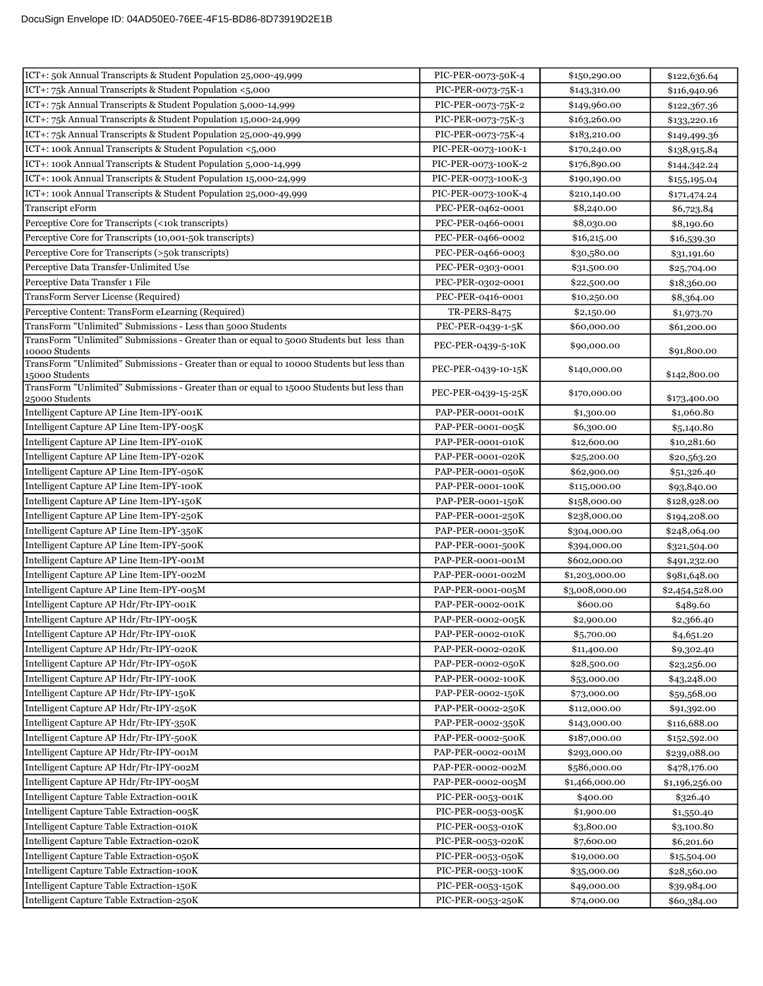| ICT+: 50k Annual Transcripts & Student Population 25,000-49,999                                             | PIC-PER-0073-50K-4  | \$150,290.00   | \$122,636.64   |
|-------------------------------------------------------------------------------------------------------------|---------------------|----------------|----------------|
| ICT+: 75k Annual Transcripts & Student Population <5,000                                                    | PIC-PER-0073-75K-1  | \$143,310.00   | \$116,940.96   |
| ICT+: 75k Annual Transcripts & Student Population 5,000-14,999                                              | PIC-PER-0073-75K-2  | \$149,960.00   | \$122,367.36   |
| ICT+: 75k Annual Transcripts & Student Population 15,000-24,999                                             | PIC-PER-0073-75K-3  | \$163,260.00   | \$133,220.16   |
| ICT+: 75k Annual Transcripts & Student Population 25,000-49,999                                             | PIC-PER-0073-75K-4  | \$183,210.00   | \$149,499.36   |
| ICT+: 100k Annual Transcripts & Student Population <5,000                                                   | PIC-PER-0073-100K-1 | \$170,240.00   | \$138,915.84   |
| ICT+: 100k Annual Transcripts & Student Population 5,000-14,999                                             | PIC-PER-0073-100K-2 | \$176,890.00   | \$144,342.24   |
| ICT+: 100k Annual Transcripts & Student Population 15,000-24,999                                            | PIC-PER-0073-100K-3 | \$190,190.00   | \$155,195.04   |
| ICT+: 100k Annual Transcripts & Student Population 25,000-49,999                                            | PIC-PER-0073-100K-4 | \$210,140.00   | \$171,474.24   |
| Transcript eForm                                                                                            | PEC-PER-0462-0001   | \$8,240.00     | \$6,723.84     |
| Perceptive Core for Transcripts (<10k transcripts)                                                          | PEC-PER-0466-0001   | \$8,030.00     | \$8,190.60     |
| Perceptive Core for Transcripts (10,001-50k transcripts)                                                    | PEC-PER-0466-0002   | \$16,215.00    | \$16,539.30    |
| Perceptive Core for Transcripts (>50k transcripts)                                                          | PEC-PER-0466-0003   | \$30,580.00    | \$31,191.60    |
| Perceptive Data Transfer-Unlimited Use                                                                      | PEC-PER-0303-0001   | \$31,500.00    | \$25,704.00    |
| Perceptive Data Transfer 1 File                                                                             | PEC-PER-0302-0001   | \$22,500.00    | \$18,360.00    |
| TransForm Server License (Required)                                                                         | PEC-PER-0416-0001   | \$10,250.00    | \$8,364.00     |
| Perceptive Content: TransForm eLearning (Required)                                                          | <b>TR-PERS-8475</b> | \$2,150.00     | \$1,973.70     |
| TransForm "Unlimited" Submissions - Less than 5000 Students                                                 | PEC-PER-0439-1-5K   | \$60,000.00    | \$61,200.00    |
| TransForm "Unlimited" Submissions - Greater than or equal to 5000 Students but less than                    |                     |                |                |
| 10000 Students                                                                                              | PEC-PER-0439-5-10K  | \$90,000.00    | \$91,800.00    |
| TransForm "Unlimited" Submissions - Greater than or equal to 10000 Students but less than<br>15000 Students | PEC-PER-0439-10-15K | \$140,000.00   | \$142,800.00   |
| TransForm "Unlimited" Submissions - Greater than or equal to 15000 Students but less than<br>25000 Students | PEC-PER-0439-15-25K | \$170,000.00   | \$173,400.00   |
| Intelligent Capture AP Line Item-IPY-001K                                                                   | PAP-PER-0001-001K   | \$1,300.00     | \$1,060.80     |
| Intelligent Capture AP Line Item-IPY-005K                                                                   | PAP-PER-0001-005K   | \$6,300.00     | \$5,140.80     |
| Intelligent Capture AP Line Item-IPY-010K                                                                   | PAP-PER-0001-010K   | \$12,600.00    | \$10,281.60    |
| Intelligent Capture AP Line Item-IPY-020K                                                                   | PAP-PER-0001-020K   | \$25,200.00    | \$20,563.20    |
| Intelligent Capture AP Line Item-IPY-050K                                                                   | PAP-PER-0001-050K   | \$62,900.00    | \$51,326.40    |
| Intelligent Capture AP Line Item-IPY-100K                                                                   | PAP-PER-0001-100K   | \$115,000.00   | \$93,840.00    |
| Intelligent Capture AP Line Item-IPY-150K                                                                   | PAP-PER-0001-150K   | \$158,000.00   | \$128,928.00   |
| Intelligent Capture AP Line Item-IPY-250K                                                                   | PAP-PER-0001-250K   | \$238,000.00   | \$194,208.00   |
| Intelligent Capture AP Line Item-IPY-350K                                                                   | PAP-PER-0001-350K   | \$304,000.00   | \$248,064.00   |
| Intelligent Capture AP Line Item-IPY-500K                                                                   | PAP-PER-0001-500K   | \$394,000.00   | \$321,504.00   |
| Intelligent Capture AP Line Item-IPY-001M                                                                   | PAP-PER-0001-001M   | \$602,000.00   | \$491,232.00   |
| Intelligent Capture AP Line Item-IPY-002M                                                                   | PAP-PER-0001-002M   | \$1,203,000.00 | \$981,648.00   |
| Intelligent Capture AP Line Item-IPY-005M                                                                   | PAP-PER-0001-005M   | \$3,008,000.00 | \$2,454,528.00 |
| Intelligent Capture AP Hdr/Ftr-IPY-001K                                                                     | PAP-PER-0002-001K   | \$600.00       | \$489.60       |
| Intelligent Capture AP Hdr/Ftr-IPY-005K                                                                     | PAP-PER-0002-005K   | \$2,900.00     | \$2,366.40     |
| Intelligent Capture AP Hdr/Ftr-IPY-010K                                                                     | PAP-PER-0002-010K   | \$5,700.00     | \$4,651.20     |
| Intelligent Capture AP Hdr/Ftr-IPY-020K                                                                     | PAP-PER-0002-020K   | \$11,400.00    | \$9,302.40     |
| Intelligent Capture AP Hdr/Ftr-IPY-050K                                                                     | PAP-PER-0002-050K   | \$28,500.00    | \$23,256.00    |
| Intelligent Capture AP Hdr/Ftr-IPY-100K                                                                     | PAP-PER-0002-100K   | \$53,000.00    | \$43,248.00    |
| Intelligent Capture AP Hdr/Ftr-IPY-150K                                                                     | PAP-PER-0002-150K   | \$73,000.00    | \$59,568.00    |
| Intelligent Capture AP Hdr/Ftr-IPY-250K                                                                     | PAP-PER-0002-250K   | \$112,000.00   | \$91,392.00    |
| Intelligent Capture AP Hdr/Ftr-IPY-350K                                                                     | PAP-PER-0002-350K   | \$143,000.00   | \$116,688.00   |
| Intelligent Capture AP Hdr/Ftr-IPY-500K                                                                     | PAP-PER-0002-500K   | \$187,000.00   | \$152,592.00   |
| Intelligent Capture AP Hdr/Ftr-IPY-001M                                                                     | PAP-PER-0002-001M   | \$293,000.00   | \$239,088.00   |
| Intelligent Capture AP Hdr/Ftr-IPY-002M                                                                     | PAP-PER-0002-002M   | \$586,000.00   | \$478,176.00   |
| Intelligent Capture AP Hdr/Ftr-IPY-005M                                                                     | PAP-PER-0002-005M   | \$1,466,000.00 | \$1,196,256.00 |
| Intelligent Capture Table Extraction-001K                                                                   | PIC-PER-0053-001K   | \$400.00       | \$326.40       |
| Intelligent Capture Table Extraction-005K                                                                   | PIC-PER-0053-005K   | \$1,900.00     | \$1,550.40     |
| Intelligent Capture Table Extraction-010K                                                                   | PIC-PER-0053-010K   | \$3,800.00     | \$3,100.80     |
| Intelligent Capture Table Extraction-020K                                                                   | PIC-PER-0053-020K   | \$7,600.00     | \$6,201.60     |
| Intelligent Capture Table Extraction-050K                                                                   | PIC-PER-0053-050K   | \$19,000.00    | \$15,504.00    |
| Intelligent Capture Table Extraction-100K                                                                   | PIC-PER-0053-100K   | \$35,000.00    | \$28,560.00    |
| Intelligent Capture Table Extraction-150K                                                                   | PIC-PER-0053-150K   | \$49,000.00    | \$39,984.00    |
| Intelligent Capture Table Extraction-250K                                                                   | PIC-PER-0053-250K   | \$74,000.00    | \$60,384.00    |
|                                                                                                             |                     |                |                |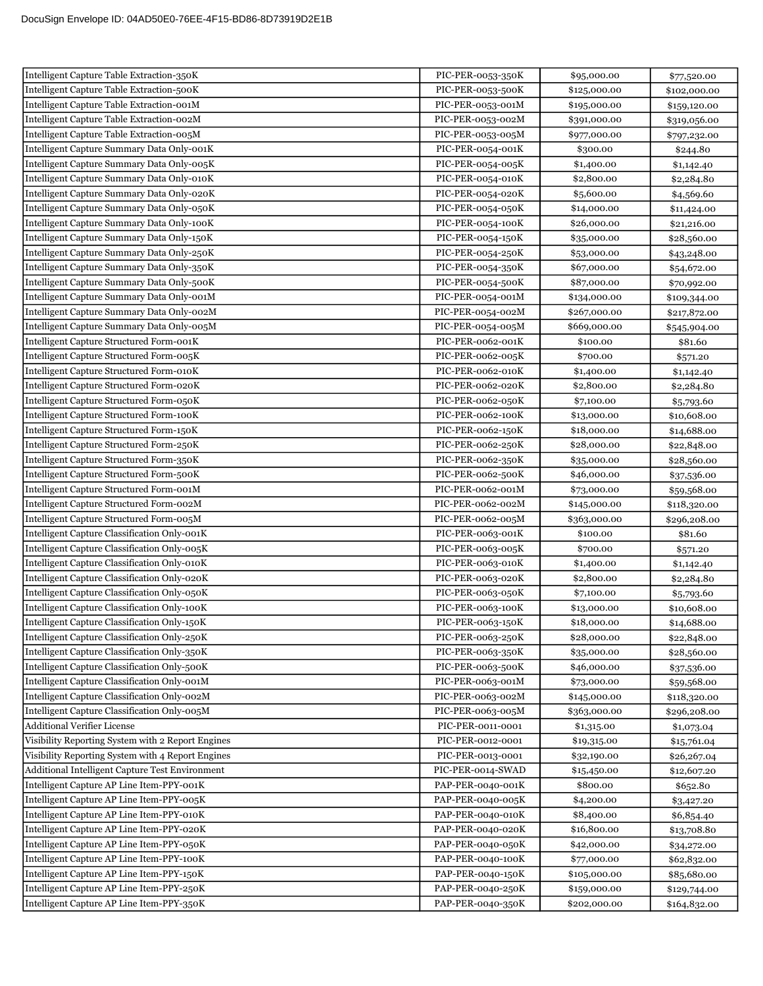| Intelligent Capture Table Extraction-350K         | PIC-PER-0053-350K | \$95,000.00  | \$77,520.00  |
|---------------------------------------------------|-------------------|--------------|--------------|
| Intelligent Capture Table Extraction-500K         | PIC-PER-0053-500K | \$125,000.00 | \$102,000.00 |
| Intelligent Capture Table Extraction-001M         | PIC-PER-0053-001M | \$195,000.00 | \$159,120.00 |
| Intelligent Capture Table Extraction-002M         | PIC-PER-0053-002M | \$391,000.00 | \$319,056.00 |
| Intelligent Capture Table Extraction-005M         | PIC-PER-0053-005M | \$977,000.00 | \$797,232.00 |
| Intelligent Capture Summary Data Only-001K        | PIC-PER-0054-001K | \$300.00     | \$244.80     |
| Intelligent Capture Summary Data Only-005K        | PIC-PER-0054-005K | \$1,400.00   | \$1,142.40   |
| Intelligent Capture Summary Data Only-010K        | PIC-PER-0054-010K | \$2,800.00   | \$2,284.80   |
| Intelligent Capture Summary Data Only-020K        | PIC-PER-0054-020K | \$5,600.00   | \$4,569.60   |
| Intelligent Capture Summary Data Only-050K        | PIC-PER-0054-050K | \$14,000.00  | \$11,424.00  |
| Intelligent Capture Summary Data Only-100K        | PIC-PER-0054-100K | \$26,000.00  | \$21,216.00  |
| Intelligent Capture Summary Data Only-150K        | PIC-PER-0054-150K | \$35,000.00  | \$28,560.00  |
| Intelligent Capture Summary Data Only-250K        | PIC-PER-0054-250K | \$53,000.00  | \$43,248.00  |
| Intelligent Capture Summary Data Only-350K        | PIC-PER-0054-350K | \$67,000.00  | \$54,672.00  |
| Intelligent Capture Summary Data Only-500K        | PIC-PER-0054-500K | \$87,000.00  | \$70,992.00  |
| Intelligent Capture Summary Data Only-001M        | PIC-PER-0054-001M | \$134,000.00 | \$109,344.00 |
| Intelligent Capture Summary Data Only-002M        | PIC-PER-0054-002M | \$267,000.00 | \$217,872.00 |
| Intelligent Capture Summary Data Only-005M        | PIC-PER-0054-005M | \$669,000.00 | \$545,904.00 |
| Intelligent Capture Structured Form-001K          | PIC-PER-0062-001K | \$100.00     | \$81.60      |
| Intelligent Capture Structured Form-005K          | PIC-PER-0062-005K | \$700.00     | \$571.20     |
| Intelligent Capture Structured Form-010K          | PIC-PER-0062-010K | \$1,400.00   | \$1,142.40   |
| Intelligent Capture Structured Form-020K          | PIC-PER-0062-020K | \$2,800.00   | \$2,284.80   |
| Intelligent Capture Structured Form-050K          | PIC-PER-0062-050K | \$7,100.00   | \$5,793.60   |
| Intelligent Capture Structured Form-100K          | PIC-PER-0062-100K | \$13,000.00  | \$10,608.00  |
| Intelligent Capture Structured Form-150K          | PIC-PER-0062-150K | \$18,000.00  | \$14,688.00  |
| Intelligent Capture Structured Form-250K          | PIC-PER-0062-250K | \$28,000.00  | \$22,848.00  |
| Intelligent Capture Structured Form-350K          | PIC-PER-0062-350K | \$35,000.00  | \$28,560.00  |
| Intelligent Capture Structured Form-500K          | PIC-PER-0062-500K | \$46,000.00  | \$37,536.00  |
| Intelligent Capture Structured Form-001M          | PIC-PER-0062-001M | \$73,000.00  | \$59,568.00  |
| Intelligent Capture Structured Form-002M          | PIC-PER-0062-002M | \$145,000.00 | \$118,320.00 |
| Intelligent Capture Structured Form-005M          | PIC-PER-0062-005M | \$363,000.00 | \$296,208.00 |
| Intelligent Capture Classification Only-001K      | PIC-PER-0063-001K | \$100.00     | \$81.60      |
| Intelligent Capture Classification Only-005K      | PIC-PER-0063-005K | \$700.00     | \$571.20     |
| Intelligent Capture Classification Only-010K      | PIC-PER-0063-010K | \$1,400.00   | \$1,142.40   |
| Intelligent Capture Classification Only-020K      | PIC-PER-0063-020K | \$2,800.00   | \$2,284.80   |
| Intelligent Capture Classification Only-050K      | PIC-PER-0063-050K | \$7,100.00   | \$5,793.60   |
| Intelligent Capture Classification Only-100K      | PIC-PER-0063-100K | \$13,000.00  | \$10,608.00  |
| Intelligent Capture Classification Only-150K      | PIC-PER-0063-150K | \$18,000.00  | \$14,688.00  |
| Intelligent Capture Classification Only-250K      | PIC-PER-0063-250K | \$28,000.00  | \$22,848.00  |
| Intelligent Capture Classification Only-350K      | PIC-PER-0063-350K | \$35,000.00  | \$28,560.00  |
| Intelligent Capture Classification Only-500K      | PIC-PER-0063-500K | \$46,000.00  | \$37,536.00  |
| Intelligent Capture Classification Only-001M      | PIC-PER-0063-001M | \$73,000.00  | \$59,568.00  |
| Intelligent Capture Classification Only-002M      | PIC-PER-0063-002M | \$145,000.00 | \$118,320.00 |
| Intelligent Capture Classification Only-005M      | PIC-PER-0063-005M | \$363,000.00 | \$296,208.00 |
| <b>Additional Verifier License</b>                | PIC-PER-0011-0001 | \$1,315.00   | \$1,073.04   |
| Visibility Reporting System with 2 Report Engines | PIC-PER-0012-0001 | \$19,315.00  | \$15,761.04  |
| Visibility Reporting System with 4 Report Engines | PIC-PER-0013-0001 | \$32,190.00  | \$26,267.04  |
| Additional Intelligent Capture Test Environment   | PIC-PER-0014-SWAD | \$15,450.00  | \$12,607.20  |
| Intelligent Capture AP Line Item-PPY-001K         | PAP-PER-0040-001K | \$800.00     | \$652.80     |
| Intelligent Capture AP Line Item-PPY-005K         | PAP-PER-0040-005K | \$4,200.00   | \$3,427.20   |
| Intelligent Capture AP Line Item-PPY-010K         | PAP-PER-0040-010K | \$8,400.00   | \$6,854.40   |
| Intelligent Capture AP Line Item-PPY-020K         | PAP-PER-0040-020K | \$16,800.00  | \$13,708.80  |
| Intelligent Capture AP Line Item-PPY-050K         | PAP-PER-0040-050K | \$42,000.00  | \$34,272.00  |
| Intelligent Capture AP Line Item-PPY-100K         | PAP-PER-0040-100K | \$77,000.00  | \$62,832.00  |
| Intelligent Capture AP Line Item-PPY-150K         | PAP-PER-0040-150K | \$105,000.00 | \$85,680.00  |
| Intelligent Capture AP Line Item-PPY-250K         | PAP-PER-0040-250K | \$159,000.00 | \$129,744.00 |
| Intelligent Capture AP Line Item-PPY-350K         | PAP-PER-0040-350K | \$202,000.00 | \$164,832.00 |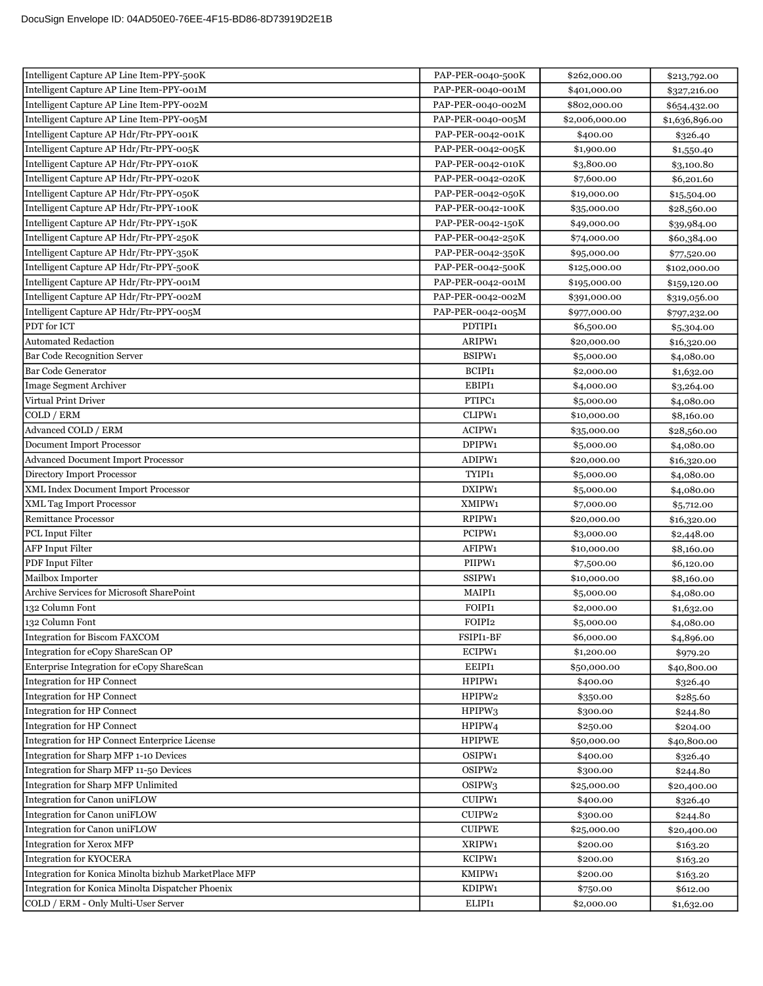| Intelligent Capture AP Line Item-PPY-500K             | PAP-PER-0040-500K  | \$262,000.00   | \$213,792.00   |
|-------------------------------------------------------|--------------------|----------------|----------------|
| Intelligent Capture AP Line Item-PPY-001M             | PAP-PER-0040-001M  | \$401,000.00   | \$327,216.00   |
| Intelligent Capture AP Line Item-PPY-002M             | PAP-PER-0040-002M  | \$802,000.00   | \$654,432.00   |
| Intelligent Capture AP Line Item-PPY-005M             | PAP-PER-0040-005M  | \$2,006,000.00 | \$1,636,896.00 |
| Intelligent Capture AP Hdr/Ftr-PPY-001K               | PAP-PER-0042-001K  | \$400.00       | \$326.40       |
| Intelligent Capture AP Hdr/Ftr-PPY-005K               | PAP-PER-0042-005K  | \$1,900.00     | \$1,550.40     |
| Intelligent Capture AP Hdr/Ftr-PPY-010K               | PAP-PER-0042-010K  | \$3,800.00     | \$3,100.80     |
| Intelligent Capture AP Hdr/Ftr-PPY-020K               | PAP-PER-0042-020K  | \$7,600.00     | \$6,201.60     |
| Intelligent Capture AP Hdr/Ftr-PPY-050K               | PAP-PER-0042-050K  | \$19,000.00    | \$15,504.00    |
| Intelligent Capture AP Hdr/Ftr-PPY-100K               | PAP-PER-0042-100K  | \$35,000.00    | \$28,560.00    |
| Intelligent Capture AP Hdr/Ftr-PPY-150K               | PAP-PER-0042-150K  | \$49,000.00    | \$39,984.00    |
| Intelligent Capture AP Hdr/Ftr-PPY-250K               | PAP-PER-0042-250K  | \$74,000.00    | \$60,384.00    |
| Intelligent Capture AP Hdr/Ftr-PPY-350K               | PAP-PER-0042-350K  | \$95,000.00    | \$77,520.00    |
| Intelligent Capture AP Hdr/Ftr-PPY-500K               | PAP-PER-0042-500K  | \$125,000.00   | \$102,000.00   |
| Intelligent Capture AP Hdr/Ftr-PPY-001M               | PAP-PER-0042-001M  | \$195,000.00   | \$159,120.00   |
| Intelligent Capture AP Hdr/Ftr-PPY-002M               | PAP-PER-0042-002M  | \$391,000.00   | \$319,056.00   |
| Intelligent Capture AP Hdr/Ftr-PPY-005M               | PAP-PER-0042-005M  | \$977,000.00   | \$797,232.00   |
| PDT for ICT                                           | PDTIPI1            | \$6,500.00     | \$5,304.00     |
| <b>Automated Redaction</b>                            | ARIPW1             | \$20,000.00    | \$16,320.00    |
| <b>Bar Code Recognition Server</b>                    | BSIPW1             | \$5,000.00     | \$4,080.00     |
| <b>Bar Code Generator</b>                             | BCIPI1             | \$2,000.00     | \$1,632.00     |
| Image Segment Archiver                                | EBIPI1             | \$4,000.00     | \$3,264.00     |
| Virtual Print Driver                                  | PTIPC1             | \$5,000.00     | \$4,080.00     |
| COLD / ERM                                            | CLIPW1             | \$10,000.00    | \$8,160.00     |
| Advanced COLD / ERM                                   | ACIPW1             | \$35,000.00    | \$28,560.00    |
| Document Import Processor                             | DPIPW1             | \$5,000.00     | \$4,080.00     |
| <b>Advanced Document Import Processor</b>             | ADIPW1             | \$20,000.00    | \$16,320.00    |
| Directory Import Processor                            | TYIPI1             | \$5,000.00     | \$4,080.00     |
| XML Index Document Import Processor                   | DXIPW1             | \$5,000.00     | \$4,080.00     |
| <b>XML Tag Import Processor</b>                       | XMIPW1             | \$7,000.00     | \$5,712.00     |
| <b>Remittance Processor</b>                           | RPIPW1             | \$20,000.00    | \$16,320.00    |
| <b>PCL</b> Input Filter                               | PCIPW1             | \$3,000.00     | \$2,448.00     |
| <b>AFP</b> Input Filter                               | AFIPW1             | \$10,000.00    | \$8,160.00     |
| <b>PDF</b> Input Filter                               | PIIPW1             | \$7,500.00     | \$6,120.00     |
| Mailbox Importer                                      | SSIPW1             | \$10,000.00    | \$8,160.00     |
| Archive Services for Microsoft SharePoint             | MAIPI1             | \$5,000.00     | \$4,080.00     |
| 132 Column Font                                       | FOIPI1             | \$2,000.00     | \$1,632.00     |
| 132 Column Font                                       | FOIPI2             | \$5,000.00     | \$4,080.00     |
| Integration for Biscom FAXCOM                         | FSIPI1-BF          | \$6,000.00     | \$4,896.00     |
| Integration for eCopy ShareScan OP                    | ECIPW1             | \$1,200.00     | \$979.20       |
| Enterprise Integration for eCopy ShareScan            | EEIPI1             | \$50,000.00    | \$40,800.00    |
| Integration for HP Connect                            | HPIPW1             | \$400.00       | \$326.40       |
| Integration for HP Connect                            | HPIPW2             | \$350.00       | \$285.60       |
| Integration for HP Connect                            | HPIPW3             | \$300.00       | \$244.80       |
| Integration for HP Connect                            | HPIPW4             | \$250.00       | \$204.00       |
| Integration for HP Connect Enterprice License         | <b>HPIPWE</b>      | \$50,000.00    | \$40,800.00    |
| Integration for Sharp MFP 1-10 Devices                | OSIPW1             | \$400.00       | \$326.40       |
| Integration for Sharp MFP 11-50 Devices               | OSIPW2             | \$300.00       | \$244.80       |
| Integration for Sharp MFP Unlimited                   | OSIPW <sub>3</sub> | \$25,000.00    | \$20,400.00    |
| Integration for Canon uniFLOW                         | CUIPW1             | \$400.00       | \$326.40       |
| Integration for Canon uniFLOW                         | CUIPW2             | \$300.00       | \$244.80       |
| Integration for Canon uniFLOW                         | <b>CUIPWE</b>      | \$25,000.00    | \$20,400.00    |
| <b>Integration for Xerox MFP</b>                      | XRIPW1             | \$200.00       | \$163.20       |
| <b>Integration for KYOCERA</b>                        | KCIPW1             | \$200.00       | \$163.20       |
| Integration for Konica Minolta bizhub MarketPlace MFP | KMIPW1             | \$200.00       | \$163.20       |
| Integration for Konica Minolta Dispatcher Phoenix     | KDIPW1             | \$750.00       | \$612.00       |
| COLD / ERM - Only Multi-User Server                   | ELIPI1             | \$2,000.00     | \$1,632.00     |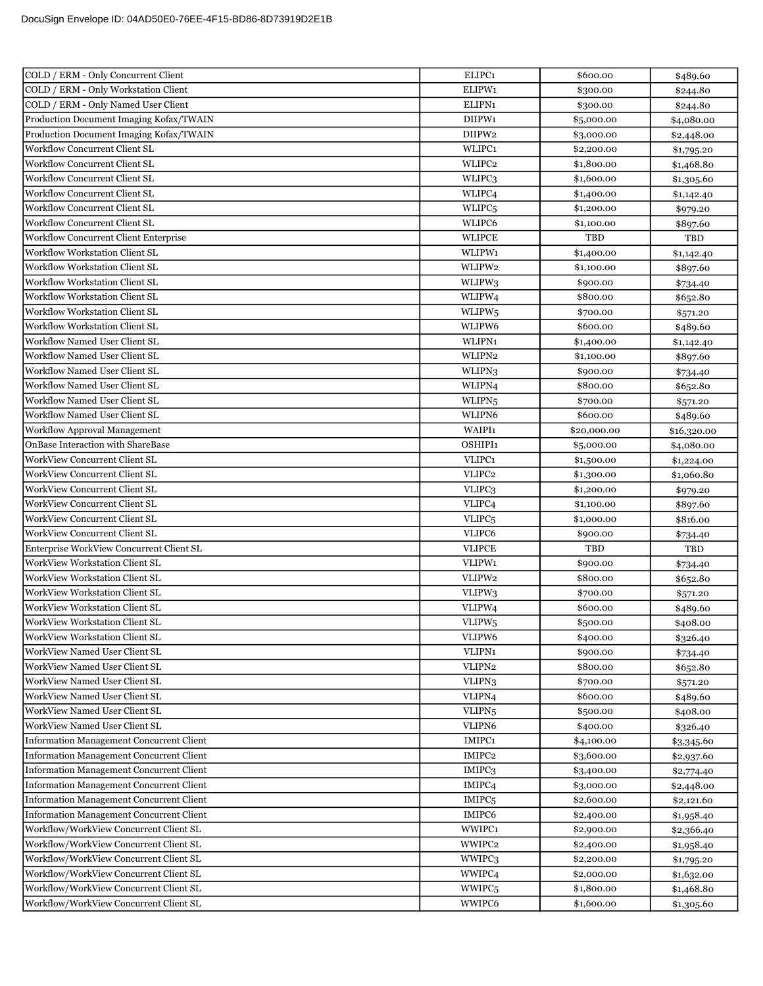| COLD / ERM - Only Concurrent Client                            | ELIPC1                       | \$600.00                 | \$489.60                 |
|----------------------------------------------------------------|------------------------------|--------------------------|--------------------------|
| COLD / ERM - Only Workstation Client                           | ELIPW1                       | \$300.00                 | \$244.80                 |
| COLD / ERM - Only Named User Client                            | ELIPN1                       | \$300.00                 | \$244.80                 |
| Production Document Imaging Kofax/TWAIN                        | DIIPW1                       | \$5,000.00               | \$4,080.00               |
| Production Document Imaging Kofax/TWAIN                        | DIIPW2                       | \$3,000.00               | \$2,448.00               |
| Workflow Concurrent Client SL                                  | WLIPC1                       | \$2,200.00               | \$1,795.20               |
| Workflow Concurrent Client SL                                  | WLIPC2                       | \$1,800.00               | \$1,468.80               |
| Workflow Concurrent Client SL                                  | WLIPC3                       | \$1,600.00               | \$1,305.60               |
| Workflow Concurrent Client SL                                  | WLIPC4                       | \$1,400.00               | \$1,142.40               |
| Workflow Concurrent Client SL                                  | WLIPC <sub>5</sub>           | \$1,200.00               | \$979.20                 |
| <b>Workflow Concurrent Client SL</b>                           | WLIPC6                       | \$1,100.00               | \$897.60                 |
| Workflow Concurrent Client Enterprise                          | <b>WLIPCE</b>                | TBD                      | TBD                      |
| Workflow Workstation Client SL                                 | WLIPW1                       | \$1,400.00               | \$1,142.40               |
| <b>Workflow Workstation Client SL</b>                          | WLIPW2                       | \$1,100.00               | \$897.60                 |
| Workflow Workstation Client SL                                 | WLIPW3                       | \$900.00                 | \$734.40                 |
| Workflow Workstation Client SL                                 | WLIPW4                       | \$800.00                 | \$652.80                 |
| <b>Workflow Workstation Client SL</b>                          | WLIPW <sub>5</sub>           | \$700.00                 | \$571.20                 |
| Workflow Workstation Client SL                                 | WLIPW6                       | \$600.00                 | \$489.60                 |
| Workflow Named User Client SL                                  | WLIPN1                       | \$1,400.00               | \$1,142.40               |
| Workflow Named User Client SL                                  | WLIPN2                       | \$1,100.00               | \$897.60                 |
| Workflow Named User Client SL                                  | WLIPN <sub>3</sub>           | \$900.00                 | \$734.40                 |
| Workflow Named User Client SL                                  | WLIPN <sub>4</sub>           | \$800.00                 | \$652.80                 |
| Workflow Named User Client SL                                  | WLIPN <sub>5</sub>           | \$700.00                 | \$571.20                 |
| Workflow Named User Client SL                                  | WLIPN6                       | \$600.00                 | \$489.60                 |
| <b>Workflow Approval Management</b>                            | WAIPI1                       | \$20,000.00              | \$16,320.00              |
| OnBase Interaction with ShareBase                              | OSHIPI1                      | \$5,000.00               | \$4,080.00               |
| <b>WorkView Concurrent Client SL</b>                           | VLIPC1                       | \$1,500.00               | \$1,224.00               |
| <b>WorkView Concurrent Client SL</b>                           | VLIPC2                       | \$1,300.00               | \$1,060.80               |
| WorkView Concurrent Client SL                                  | VLIPC3                       | \$1,200.00               | \$979.20                 |
| <b>WorkView Concurrent Client SL</b>                           | VLIPC <sub>4</sub>           | \$1,100.00               | \$897.60                 |
| <b>WorkView Concurrent Client SL</b>                           | VLIPC <sub>5</sub>           | \$1,000.00               | \$816.00                 |
| <b>WorkView Concurrent Client SL</b>                           | VLIPC6                       | \$900.00                 | \$734.40                 |
| Enterprise WorkView Concurrent Client SL                       | <b>VLIPCE</b>                | <b>TBD</b>               | TBD                      |
| WorkView Workstation Client SL                                 | VLIPW1                       | \$900.00                 | \$734.40                 |
| WorkView Workstation Client SL                                 | VLIPW2                       | \$800.00                 | \$652.80                 |
| WorkView Workstation Client SL                                 | VLIPW3                       | \$700.00                 | \$571.20                 |
| <b>WorkView Workstation Client SL</b>                          | VLIPW4                       | \$600.00                 | \$489.60                 |
| <b>WorkView Workstation Client SL</b>                          | VLIPW <sub>5</sub>           | \$500.00                 | \$408.00                 |
| WorkView Workstation Client SL                                 | VLIPW6                       | \$400.00                 | \$326.40                 |
| WorkView Named User Client SL                                  | VLIPN1                       | \$900.00                 | \$734.40                 |
| WorkView Named User Client SL<br>WorkView Named User Client SL | VLIPN2                       | \$800.00                 | \$652.80                 |
|                                                                | VLIPN <sub>3</sub>           | \$700.00                 | \$571.20                 |
| WorkView Named User Client SL<br>WorkView Named User Client SL | VLIPN4<br>VLIPN <sub>5</sub> | \$600.00                 | \$489.60                 |
| WorkView Named User Client SL                                  | VLIPN6                       | \$500.00                 | \$408.00                 |
| Information Management Concurrent Client                       | IMIPC1                       | \$400.00                 | \$326.40                 |
| Information Management Concurrent Client                       | IMIPC2                       | \$4,100.00<br>\$3,600.00 | \$3,345.60               |
| Information Management Concurrent Client                       | IMIPC3                       | \$3,400.00               | \$2,937.60               |
| Information Management Concurrent Client                       | IMIPC <sub>4</sub>           | \$3,000.00               | \$2,774.40               |
| Information Management Concurrent Client                       | $IMIPC_5$                    | \$2,600.00               | \$2,448.00<br>\$2,121.60 |
| Information Management Concurrent Client                       | IMIPC6                       | \$2,400.00               | \$1,958.40               |
| Workflow/WorkView Concurrent Client SL                         | WWIPC1                       | \$2,900.00               | \$2,366.40               |
| Workflow/WorkView Concurrent Client SL                         | WWIPC2                       | \$2,400.00               | \$1,958.40               |
| Workflow/WorkView Concurrent Client SL                         | WWIPC3                       | \$2,200.00               | \$1,795.20               |
| Workflow/WorkView Concurrent Client SL                         | WWIPC4                       | \$2,000.00               | \$1,632.00               |
| Workflow/WorkView Concurrent Client SL                         | WWIPC <sub>5</sub>           | \$1,800.00               | \$1,468.80               |
| Workflow/WorkView Concurrent Client SL                         | WWIPC6                       | \$1,600.00               | \$1,305.60               |
|                                                                |                              |                          |                          |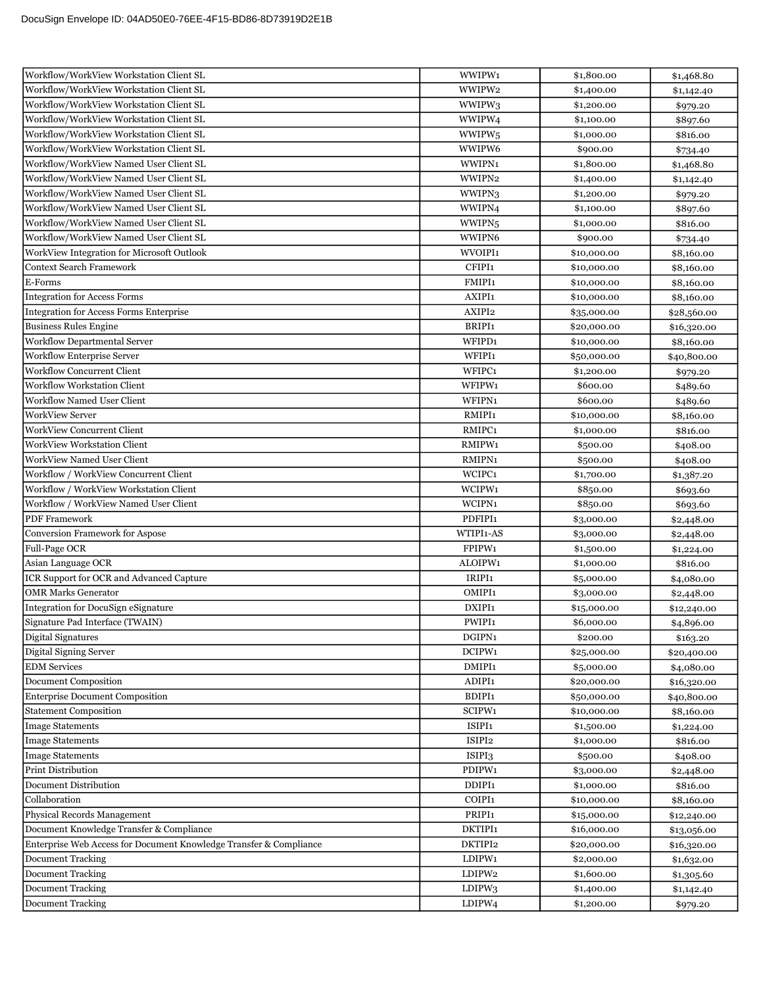| Workflow/WorkView Workstation Client SL                            | WWIPW1             | \$1,800.00  | \$1,468.80  |
|--------------------------------------------------------------------|--------------------|-------------|-------------|
| Workflow/WorkView Workstation Client SL                            | WWIPW2             | \$1,400.00  | \$1,142.40  |
| Workflow/WorkView Workstation Client SL                            | WWIPW3             | \$1,200.00  | \$979.20    |
| Workflow/WorkView Workstation Client SL                            | WWIPW4             | \$1,100.00  | \$897.60    |
| Workflow/WorkView Workstation Client SL                            | WWIPW5             | \$1,000.00  | \$816.00    |
| Workflow/WorkView Workstation Client SL                            | WWIPW6             | \$900.00    | \$734.40    |
| Workflow/WorkView Named User Client SL                             | WWIPN1             | \$1,800.00  | \$1,468.80  |
| Workflow/WorkView Named User Client SL                             | WWIPN2             | \$1,400.00  | \$1,142.40  |
| Workflow/WorkView Named User Client SL                             | WWIPN3             | \$1,200.00  | \$979.20    |
| Workflow/WorkView Named User Client SL                             | WWIPN4             | \$1,100.00  | \$897.60    |
| Workflow/WorkView Named User Client SL                             | WWIPN <sub>5</sub> | \$1,000.00  | \$816.00    |
| Workflow/WorkView Named User Client SL                             | WWIPN6             | \$900.00    | \$734.40    |
| WorkView Integration for Microsoft Outlook                         | WVOIPI1            | \$10,000.00 | \$8,160.00  |
| <b>Context Search Framework</b>                                    | CFIPI1             | \$10,000.00 | \$8,160.00  |
| E-Forms                                                            | FMIPI1             | \$10,000.00 | \$8,160.00  |
| <b>Integration for Access Forms</b>                                | AXIPI1             | \$10,000.00 | \$8,160.00  |
| <b>Integration for Access Forms Enterprise</b>                     | AXIPI2             | \$35,000.00 | \$28,560.00 |
| <b>Business Rules Engine</b>                                       | BRIPI1             | \$20,000.00 | \$16,320.00 |
| Workflow Departmental Server                                       | WFIPD1             | \$10,000.00 | \$8,160.00  |
| <b>Workflow Enterprise Server</b>                                  | WFIPI <sub>1</sub> | \$50,000.00 | \$40,800.00 |
| <b>Workflow Concurrent Client</b>                                  | WFIPC1             | \$1,200.00  | \$979.20    |
| <b>Workflow Workstation Client</b>                                 | WFIPW1             | \$600.00    | \$489.60    |
| <b>Workflow Named User Client</b>                                  | WFIPN1             | \$600.00    | \$489.60    |
| <b>WorkView Server</b>                                             | RMIPI1             | \$10,000.00 | \$8,160.00  |
| <b>WorkView Concurrent Client</b>                                  | RMIPC1             | \$1,000.00  | \$816.00    |
| <b>WorkView Workstation Client</b>                                 | RMIPW1             | \$500.00    | \$408.00    |
| <b>WorkView Named User Client</b>                                  | RMIPN1             | \$500.00    | \$408.00    |
| Workflow / WorkView Concurrent Client                              | WCIPC1             | \$1,700.00  | \$1,387.20  |
| Workflow / WorkView Workstation Client                             | WCIPW1             | \$850.00    | \$693.60    |
| Workflow / WorkView Named User Client                              | WCIPN1             | \$850.00    | \$693.60    |
| <b>PDF</b> Framework                                               | PDFIPI1            | \$3,000.00  | \$2,448.00  |
| Conversion Framework for Aspose                                    | WTIPI1-AS          | \$3,000.00  | \$2,448.00  |
| Full-Page OCR                                                      | FPIPW1             | \$1,500.00  | \$1,224.00  |
| Asian Language OCR                                                 | ALOIPW1            | \$1,000.00  | \$816.00    |
| ICR Support for OCR and Advanced Capture                           | IRIPI1             | \$5,000.00  | \$4,080.00  |
| <b>OMR Marks Generator</b>                                         | OMIPI1             | \$3,000.00  | \$2,448.00  |
| Integration for DocuSign eSignature                                | DXIPI1             | \$15,000.00 | \$12,240.00 |
| Signature Pad Interface (TWAIN)                                    | PWIPI1             | \$6,000.00  | \$4,896.00  |
| Digital Signatures                                                 | DGIPN1             | \$200.00    | \$163.20    |
| Digital Signing Server                                             | DCIPW1             | \$25,000.00 | \$20,400.00 |
| <b>EDM</b> Services                                                | DMIPI1             | \$5,000.00  | \$4,080.00  |
| <b>Document Composition</b>                                        | ADIPI1             | \$20,000.00 | \$16,320.00 |
| <b>Enterprise Document Composition</b>                             | BDIPI1             | \$50,000.00 | \$40,800.00 |
| <b>Statement Composition</b>                                       | SCIPW1             | \$10,000.00 | \$8,160.00  |
| <b>Image Statements</b>                                            | ISIPI1             | \$1,500.00  | \$1,224.00  |
| <b>Image Statements</b>                                            | ISIPI2             | \$1,000.00  | \$816.00    |
| <b>Image Statements</b>                                            | ISIPI3             | \$500.00    | \$408.00    |
| Print Distribution                                                 | PDIPW1             | \$3,000.00  | \$2,448.00  |
| Document Distribution                                              | DDIPI1             | \$1,000.00  | \$816.00    |
| Collaboration                                                      | COIPI1             | \$10,000.00 | \$8,160.00  |
| Physical Records Management                                        | PRIPI1             | \$15,000.00 | \$12,240.00 |
| Document Knowledge Transfer & Compliance                           | DKTIPI1            | \$16,000.00 | \$13,056.00 |
| Enterprise Web Access for Document Knowledge Transfer & Compliance | DKTIPI2            | \$20,000.00 | \$16,320.00 |
| <b>Document Tracking</b>                                           | LDIPW1             | \$2,000.00  | \$1,632.00  |
| Document Tracking<br>Document Tracking                             | LDIPW2             | \$1,600.00  | \$1,305.60  |
| <b>Document Tracking</b>                                           | LDIPW3             | \$1,400.00  | \$1,142.40  |
|                                                                    | LDIPW4             | \$1,200.00  | \$979.20    |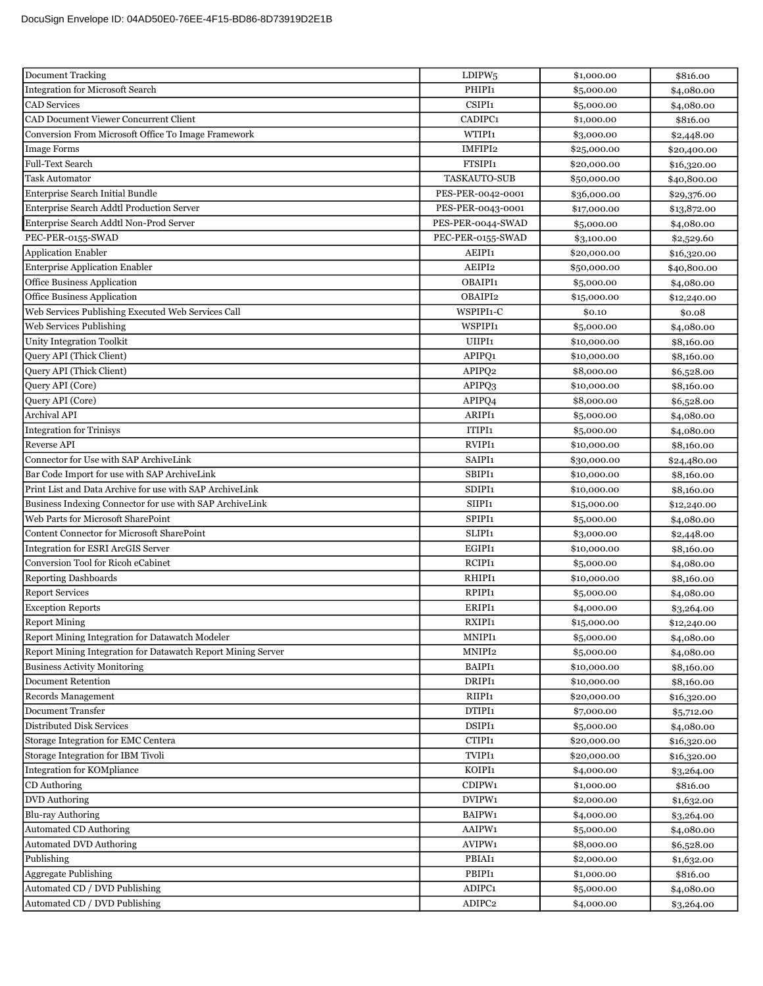| <b>Document Tracking</b>                                     | LDIPW <sub>5</sub> | \$1,000.00  | \$816.00    |
|--------------------------------------------------------------|--------------------|-------------|-------------|
| <b>Integration for Microsoft Search</b>                      | PHIPI1             | \$5,000.00  | \$4,080.00  |
| <b>CAD</b> Services                                          | CSIPI1             | \$5,000.00  | \$4,080.00  |
| CAD Document Viewer Concurrent Client                        | CADIPC1            | \$1,000.00  | \$816.00    |
| Conversion From Microsoft Office To Image Framework          | WTIPI1             | \$3,000.00  | \$2,448.00  |
| <b>Image Forms</b>                                           | IMFIPI2            | \$25,000.00 | \$20,400.00 |
| <b>Full-Text Search</b>                                      | FTSIPI1            | \$20,000.00 | \$16,320.00 |
| <b>Task Automator</b>                                        | TASKAUTO-SUB       | \$50,000.00 | \$40,800.00 |
| Enterprise Search Initial Bundle                             | PES-PER-0042-0001  | \$36,000.00 | \$29,376.00 |
| Enterprise Search Addtl Production Server                    | PES-PER-0043-0001  | \$17,000.00 | \$13,872.00 |
| Enterprise Search Addtl Non-Prod Server                      | PES-PER-0044-SWAD  | \$5,000.00  | \$4,080.00  |
| PEC-PER-0155-SWAD                                            | PEC-PER-0155-SWAD  | \$3,100.00  | \$2,529.60  |
| Application Enabler                                          | AEIPI1             | \$20,000.00 | \$16,320.00 |
| <b>Enterprise Application Enabler</b>                        | AEIPI2             | \$50,000.00 | \$40,800.00 |
| Office Business Application                                  | OBAIPI1            | \$5,000.00  | \$4,080.00  |
| Office Business Application                                  | OBAIPI2            | \$15,000.00 | \$12,240.00 |
| Web Services Publishing Executed Web Services Call           | WSPIPI1-C          | \$0.10      | \$0.08      |
| <b>Web Services Publishing</b>                               | <b>WSPIPI1</b>     | \$5,000.00  | \$4,080.00  |
| <b>Unity Integration Toolkit</b>                             | UIIPI1             | \$10,000.00 | \$8,160.00  |
| Query API (Thick Client)                                     | APIPQ1             | \$10,000.00 | \$8,160.00  |
| Query API (Thick Client)                                     | APIPQ2             | \$8,000.00  | \$6,528.00  |
| Query API (Core)                                             | APIPQ3             | \$10,000.00 | \$8,160.00  |
| Query API (Core)                                             | APIPQ4             | \$8,000.00  | \$6,528.00  |
| Archival API                                                 | ARIPI1             | \$5,000.00  | \$4,080.00  |
| <b>Integration for Trinisys</b>                              | ITIPI1             | \$5,000.00  | \$4,080.00  |
| <b>Reverse API</b>                                           | RVIPI1             | \$10,000.00 | \$8,160.00  |
| Connector for Use with SAP ArchiveLink                       | SAIPI1             | \$30,000.00 | \$24,480.00 |
| Bar Code Import for use with SAP ArchiveLink                 | SBIPI1             | \$10,000.00 | \$8,160.00  |
| Print List and Data Archive for use with SAP ArchiveLink     | SDIPI1             | \$10,000.00 | \$8,160.00  |
| Business Indexing Connector for use with SAP ArchiveLink     | SIIPI1             | \$15,000.00 | \$12,240.00 |
| Web Parts for Microsoft SharePoint                           | SPIPI1             | \$5,000.00  | \$4,080.00  |
| Content Connector for Microsoft SharePoint                   | SLIPI1             | \$3,000.00  | \$2,448.00  |
| <b>Integration for ESRI ArcGIS Server</b>                    | EGIPI1             | \$10,000.00 | \$8,160.00  |
| Conversion Tool for Ricoh eCabinet                           | RCIPI1             | \$5,000.00  | \$4,080.00  |
| <b>Reporting Dashboards</b>                                  | RHIPI1             | \$10,000.00 | \$8,160.00  |
| <b>Report Services</b>                                       | RPIPI1             | \$5,000.00  | \$4,080.00  |
| <b>Exception Reports</b>                                     | ERIPI1             | \$4,000.00  | \$3,264.00  |
| <b>Report Mining</b>                                         | RXIPI1             | \$15,000.00 | \$12,240.00 |
| Report Mining Integration for Datawatch Modeler              | MNIPI1             | \$5,000.00  | \$4,080.00  |
| Report Mining Integration for Datawatch Report Mining Server | MNIPI2             | \$5,000.00  | \$4,080.00  |
| <b>Business Activity Monitoring</b>                          | BAIPI1             | \$10,000.00 | \$8,160.00  |
| Document Retention                                           | DRIPI <sub>1</sub> | \$10,000.00 | \$8,160.00  |
| Records Management                                           | RIIPI1             | \$20,000.00 | \$16,320.00 |
| Document Transfer                                            | DTIPI1             | \$7,000.00  | \$5,712.00  |
| Distributed Disk Services                                    | DSIPI1             | \$5,000.00  | \$4,080.00  |
| Storage Integration for EMC Centera                          | CTIPI1             | \$20,000.00 | \$16,320.00 |
| Storage Integration for IBM Tivoli                           | TVIPI1             | \$20,000.00 | \$16,320.00 |
| Integration for KOMpliance                                   | KOIPI1             | \$4,000.00  | \$3,264.00  |
| CD Authoring                                                 | CDIPW1             | \$1,000.00  | \$816.00    |
| <b>DVD</b> Authoring                                         | DVIPW1             | \$2,000.00  | \$1,632.00  |
| <b>Blu-ray Authoring</b>                                     | BAIPW1             | \$4,000.00  | \$3,264.00  |
| Automated CD Authoring                                       | AAIPW1             | \$5,000.00  | \$4,080.00  |
| <b>Automated DVD Authoring</b>                               | AVIPW1             | \$8,000.00  | \$6,528.00  |
| Publishing                                                   | PBIAI1             | \$2,000.00  | \$1,632.00  |
| <b>Aggregate Publishing</b>                                  | PBIPI1             | \$1,000.00  | \$816.00    |
| Automated CD / DVD Publishing                                | ADIPC1             | \$5,000.00  | \$4,080.00  |
| Automated CD / DVD Publishing                                | ADIPC2             | \$4,000.00  | \$3,264.00  |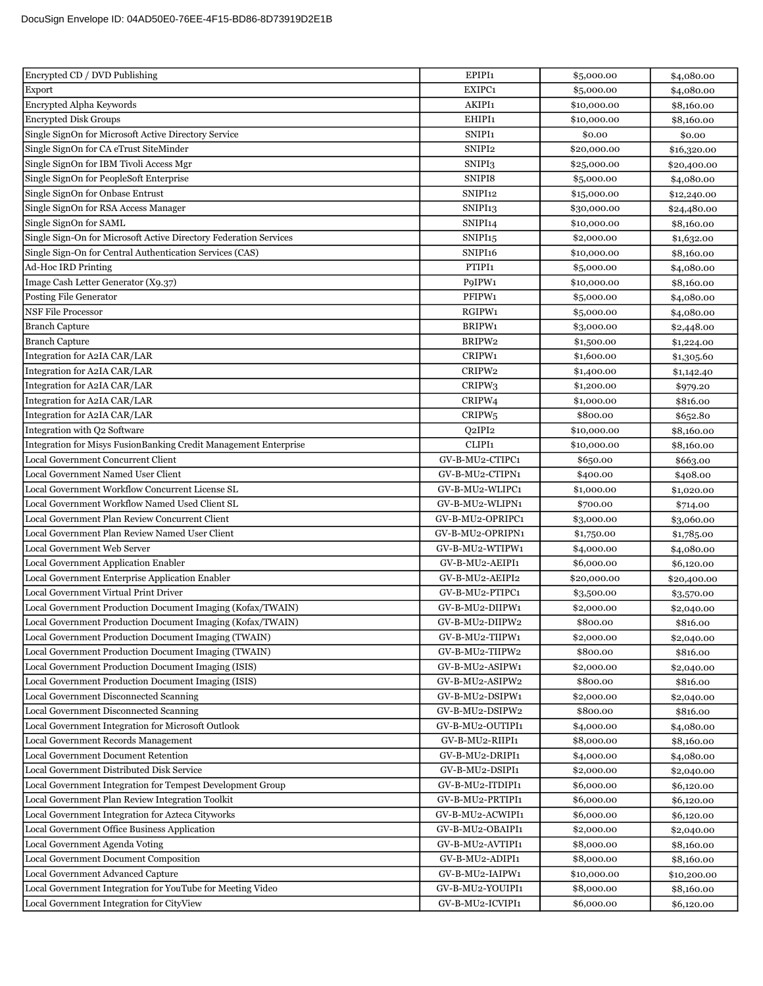| Encrypted CD / DVD Publishing                                     | EPIPI1              | \$5,000.00  | \$4,080.00  |
|-------------------------------------------------------------------|---------------------|-------------|-------------|
| Export                                                            | EXIPC1              | \$5,000.00  | \$4,080.00  |
| Encrypted Alpha Keywords                                          | AKIPI1              | \$10,000.00 | \$8,160.00  |
| <b>Encrypted Disk Groups</b>                                      | EHIPI1              | \$10,000.00 | \$8,160.00  |
| Single SignOn for Microsoft Active Directory Service              | SNIPI1              | \$0.00      | \$0.00      |
| Single SignOn for CA eTrust SiteMinder                            | SNIPI2              | \$20,000.00 | \$16,320.00 |
| Single SignOn for IBM Tivoli Access Mgr                           | SNIPI3              | \$25,000.00 | \$20,400.00 |
| Single SignOn for PeopleSoft Enterprise                           | SNIPI8              | \$5,000.00  | \$4,080.00  |
| Single SignOn for Onbase Entrust                                  | SNIPI <sub>12</sub> | \$15,000.00 | \$12,240.00 |
| Single SignOn for RSA Access Manager                              | SNIPI <sub>13</sub> | \$30,000.00 | \$24,480.00 |
| Single SignOn for SAML                                            | SNIPI <sub>14</sub> | \$10,000.00 | \$8,160.00  |
| Single Sign-On for Microsoft Active Directory Federation Services | SNIPI <sub>15</sub> | \$2,000.00  | \$1,632.00  |
| Single Sign-On for Central Authentication Services (CAS)          | SNIPI16             | \$10,000.00 | \$8,160.00  |
| <b>Ad-Hoc IRD Printing</b>                                        | PTIPI1              | \$5,000.00  | \$4,080.00  |
| Image Cash Letter Generator (X9.37)                               | P9IPW1              | \$10,000.00 | \$8,160.00  |
| Posting File Generator                                            | PFIPW1              | \$5,000.00  | \$4,080.00  |
| <b>NSF File Processor</b>                                         | RGIPW1              | \$5,000.00  | \$4,080.00  |
| <b>Branch Capture</b>                                             | BRIPW1              | \$3,000.00  | \$2,448.00  |
| <b>Branch Capture</b>                                             | BRIPW2              | \$1,500.00  | \$1,224.00  |
| Integration for A2IA CAR/LAR                                      | CRIPW1              | \$1,600.00  | \$1,305.60  |
| Integration for A2IA CAR/LAR                                      | CRIPW2              | \$1,400.00  | \$1,142.40  |
| Integration for A2IA CAR/LAR                                      | CRIPW3              | \$1,200.00  | \$979.20    |
| Integration for A2IA CAR/LAR                                      | CRIPW4              | \$1,000.00  | \$816.00    |
| Integration for A2IA CAR/LAR                                      | CRIPW <sub>5</sub>  | \$800.00    | \$652.80    |
| Integration with Q2 Software                                      | Q2IPI2              | \$10,000.00 | \$8,160.00  |
| Integration for Misys FusionBanking Credit Management Enterprise  | CLIPI1              | \$10,000.00 | \$8,160.00  |
| Local Government Concurrent Client                                | GV-B-MU2-CTIPC1     | \$650.00    | \$663.00    |
| Local Government Named User Client                                | GV-B-MU2-CTIPN1     | \$400.00    | \$408.00    |
| Local Government Workflow Concurrent License SL                   | GV-B-MU2-WLIPC1     | \$1,000.00  | \$1,020.00  |
| Local Government Workflow Named Used Client SL                    | GV-B-MU2-WLIPN1     | \$700.00    | \$714.00    |
| Local Government Plan Review Concurrent Client                    | GV-B-MU2-OPRIPC1    | \$3,000.00  | \$3,060.00  |
| Local Government Plan Review Named User Client                    | GV-B-MU2-OPRIPN1    | \$1,750.00  | \$1,785.00  |
| Local Government Web Server                                       | GV-B-MU2-WTIPW1     | \$4,000.00  | \$4,080.00  |
| Local Government Application Enabler                              | GV-B-MU2-AEIPI1     | \$6,000.00  | \$6,120.00  |
| Local Government Enterprise Application Enabler                   | GV-B-MU2-AEIPI2     | \$20,000.00 | \$20,400.00 |
| <b>Local Government Virtual Print Driver</b>                      | GV-B-MU2-PTIPC1     | \$3,500.00  | \$3,570.00  |
| Local Government Production Document Imaging (Kofax/TWAIN)        | GV-B-MU2-DIIPW1     | \$2,000.00  | \$2,040.00  |
| Local Government Production Document Imaging (Kofax/TWAIN)        | GV-B-MU2-DIIPW2     | \$800.00    | \$816.00    |
| Local Government Production Document Imaging (TWAIN)              | GV-B-MU2-TIIPW1     | \$2,000.00  | \$2,040.00  |
| Local Government Production Document Imaging (TWAIN)              | GV-B-MU2-TIIPW2     | \$800.00    | \$816.00    |
| Local Government Production Document Imaging (ISIS)               | GV-B-MU2-ASIPW1     | \$2,000.00  | \$2,040.00  |
| Local Government Production Document Imaging (ISIS)               | GV-B-MU2-ASIPW2     | \$800.00    | \$816.00    |
| Local Government Disconnected Scanning                            | GV-B-MU2-DSIPW1     | \$2,000.00  | \$2,040.00  |
| Local Government Disconnected Scanning                            | GV-B-MU2-DSIPW2     | \$800.00    | \$816.00    |
| Local Government Integration for Microsoft Outlook                | GV-B-MU2-OUTIPI1    | \$4,000.00  | \$4,080.00  |
| Local Government Records Management                               | GV-B-MU2-RIIPI1     | \$8,000.00  | \$8,160.00  |
| <b>Local Government Document Retention</b>                        | GV-B-MU2-DRIPI1     | \$4,000.00  | \$4,080.00  |
| Local Government Distributed Disk Service                         | GV-B-MU2-DSIPI1     | \$2,000.00  | \$2,040.00  |
| Local Government Integration for Tempest Development Group        | GV-B-MU2-ITDIPI1    | \$6,000.00  | \$6,120.00  |
| Local Government Plan Review Integration Toolkit                  | GV-B-MU2-PRTIPI1    | \$6,000.00  | \$6,120.00  |
| Local Government Integration for Azteca Cityworks                 | GV-B-MU2-ACWIPI1    | \$6,000.00  | \$6,120.00  |
| Local Government Office Business Application                      | GV-B-MU2-OBAIPI1    | \$2,000.00  | \$2,040.00  |
| Local Government Agenda Voting                                    | GV-B-MU2-AVTIPI1    | \$8,000.00  | \$8,160.00  |
| Local Government Document Composition                             | GV-B-MU2-ADIPI1     | \$8,000.00  | \$8,160.00  |
| Local Government Advanced Capture                                 | GV-B-MU2-IAIPW1     | \$10,000.00 | \$10,200.00 |
| Local Government Integration for YouTube for Meeting Video        | GV-B-MU2-YOUIPI1    | \$8,000.00  | \$8,160.00  |
| Local Government Integration for CityView                         | GV-B-MU2-ICVIPI1    | \$6,000.00  | \$6,120.00  |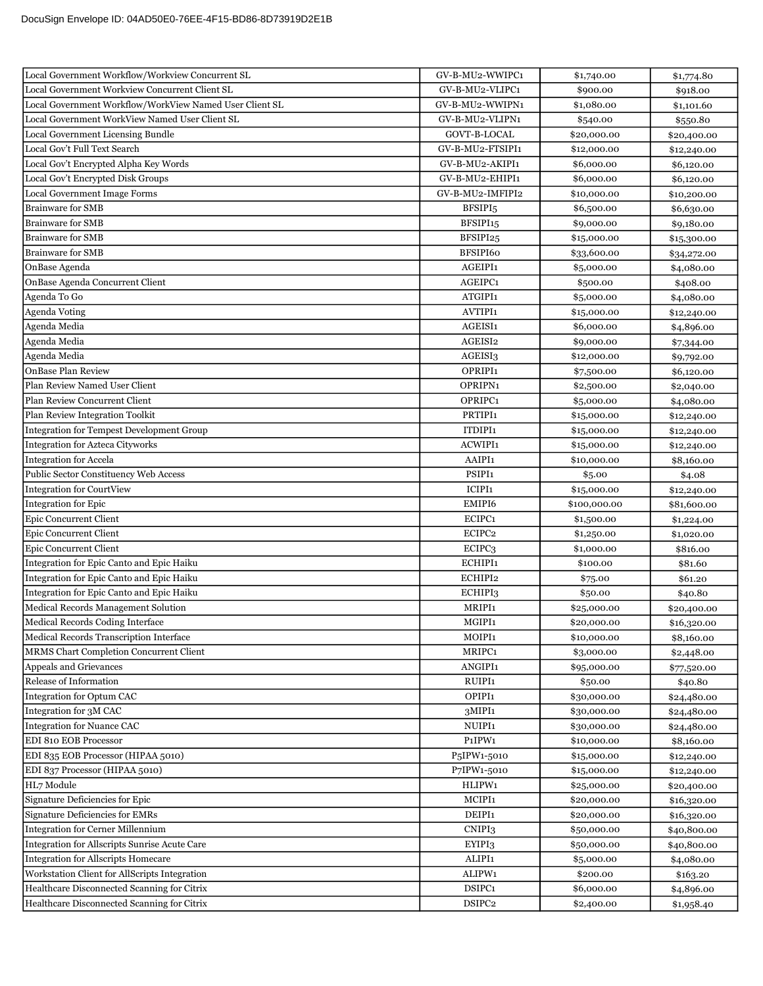| Local Government Workflow/Workview Concurrent SL        | GV-B-MU2-WWIPC1          | \$1,740.00   | \$1,774.80  |
|---------------------------------------------------------|--------------------------|--------------|-------------|
| Local Government Workview Concurrent Client SL          | GV-B-MU2-VLIPC1          | \$900.00     | \$918.00    |
| Local Government Workflow/WorkView Named User Client SL | GV-B-MU2-WWIPN1          | \$1,080.00   | \$1,101.60  |
| Local Government WorkView Named User Client SL          | GV-B-MU2-VLIPN1          | \$540.00     | \$550.80    |
| <b>Local Government Licensing Bundle</b>                | GOVT-B-LOCAL             | \$20,000.00  | \$20,400.00 |
| Local Gov't Full Text Search                            | GV-B-MU2-FTSIPI1         | \$12,000.00  | \$12,240.00 |
| Local Gov't Encrypted Alpha Key Words                   | GV-B-MU2-AKIPI1          | \$6,000.00   | \$6,120.00  |
| Local Gov't Encrypted Disk Groups                       | GV-B-MU2-EHIPI1          | \$6,000.00   | \$6,120.00  |
| Local Government Image Forms                            | GV-B-MU2-IMFIPI2         | \$10,000.00  | \$10,200.00 |
| <b>Brainware for SMB</b>                                | BFSIPI <sub>5</sub>      | \$6,500.00   | \$6,630.00  |
| <b>Brainware for SMB</b>                                | BFSIPI <sub>15</sub>     | \$9,000.00   | \$9,180.00  |
| <b>Brainware for SMB</b>                                | BFSIPI25                 | \$15,000.00  | \$15,300.00 |
| <b>Brainware for SMB</b>                                | BFSIPI60                 | \$33,600.00  | \$34,272.00 |
| OnBase Agenda                                           | AGEIPI1                  | \$5,000.00   | \$4,080.00  |
| OnBase Agenda Concurrent Client                         | AGEIPC1                  | \$500.00     | \$408.00    |
| Agenda To Go                                            | ATGIPI1                  | \$5,000.00   | \$4,080.00  |
| Agenda Voting                                           | AVTIPI1                  | \$15,000.00  | \$12,240.00 |
| Agenda Media                                            | AGEISI1                  | \$6,000.00   | \$4,896.00  |
| Agenda Media                                            | AGEISI2                  | \$9,000.00   | \$7,344.00  |
| Agenda Media                                            | AGEISI3                  | \$12,000.00  | \$9,792.00  |
| OnBase Plan Review                                      | OPRIPI1                  | \$7,500.00   | \$6,120.00  |
| Plan Review Named User Client                           | OPRIPN1                  | \$2,500.00   | \$2,040.00  |
| Plan Review Concurrent Client                           | OPRIPC1                  | \$5,000.00   | \$4,080.00  |
| Plan Review Integration Toolkit                         | PRTIPI1                  | \$15,000.00  | \$12,240.00 |
| Integration for Tempest Development Group               | ITDIPI1                  | \$15,000.00  | \$12,240.00 |
| Integration for Azteca Cityworks                        | <b>ACWIPI1</b>           | \$15,000.00  | \$12,240.00 |
| <b>Integration for Accela</b>                           | AAIPI1                   | \$10,000.00  | \$8,160.00  |
| Public Sector Constituency Web Access                   | PSIPI1                   | \$5.00       | \$4.08      |
| <b>Integration for CourtView</b>                        | ICIPI1                   | \$15,000.00  | \$12,240.00 |
| Integration for Epic                                    | EMIPI6                   | \$100,000.00 | \$81,600.00 |
| <b>Epic Concurrent Client</b>                           | ECIPC1                   | \$1,500.00   | \$1,224.00  |
| <b>Epic Concurrent Client</b>                           | ECIPC2                   | \$1,250.00   | \$1,020.00  |
| <b>Epic Concurrent Client</b>                           | ECIPC <sub>3</sub>       | \$1,000.00   | \$816.00    |
| Integration for Epic Canto and Epic Haiku               | ECHIPI1                  | \$100.00     | \$81.60     |
| Integration for Epic Canto and Epic Haiku               | ECHIPI2                  | \$75.00      | \$61.20     |
| Integration for Epic Canto and Epic Haiku               | ECHIPI3                  | \$50.00      | \$40.80     |
| Medical Records Management Solution                     | MRIPI1                   | \$25,000.00  | \$20,400.00 |
| Medical Records Coding Interface                        | MGIPI1                   | \$20,000.00  | \$16,320.00 |
| Medical Records Transcription Interface                 | MOIPI1                   | \$10,000.00  | \$8,160.00  |
| MRMS Chart Completion Concurrent Client                 | MRIPC1                   | \$3,000.00   | \$2,448.00  |
| Appeals and Grievances                                  | ANGIPI1                  | \$95,000.00  | \$77,520.00 |
| Release of Information                                  | RUIPI1                   | \$50.00      | \$40.80     |
| Integration for Optum CAC                               | OPIPI1                   | \$30,000.00  | \$24,480.00 |
| Integration for 3M CAC                                  | 3MIPI1                   | \$30,000.00  | \$24,480.00 |
| <b>Integration for Nuance CAC</b>                       | NUIPI1                   | \$30,000.00  | \$24,480.00 |
| EDI 810 EOB Processor                                   | P1IPW1                   | \$10,000.00  | \$8,160.00  |
| EDI 835 EOB Processor (HIPAA 5010)                      | P <sub>5</sub> IPW1-5010 | \$15,000.00  | \$12,240.00 |
| EDI 837 Processor (HIPAA 5010)                          | P7IPW1-5010              | \$15,000.00  | \$12,240.00 |
| HL7 Module                                              | HLIPW1                   | \$25,000.00  | \$20,400.00 |
| Signature Deficiencies for Epic                         | MCIPI1                   | \$20,000.00  | \$16,320.00 |
| Signature Deficiencies for EMRs                         | DEIPI1                   | \$20,000.00  | \$16,320.00 |
| <b>Integration for Cerner Millennium</b>                | CNIPI3                   | \$50,000.00  | \$40,800.00 |
| Integration for Allscripts Sunrise Acute Care           | EYIPI3                   | \$50,000.00  | \$40,800.00 |
| <b>Integration for Allscripts Homecare</b>              | ALIPI1                   | \$5,000.00   | \$4,080.00  |
| Workstation Client for AllScripts Integration           | ALIPW1                   | \$200.00     | \$163.20    |
| Healthcare Disconnected Scanning for Citrix             | DSIPC1                   | \$6,000.00   | \$4,896.00  |
| Healthcare Disconnected Scanning for Citrix             | DSIPC2                   | \$2,400.00   | \$1,958.40  |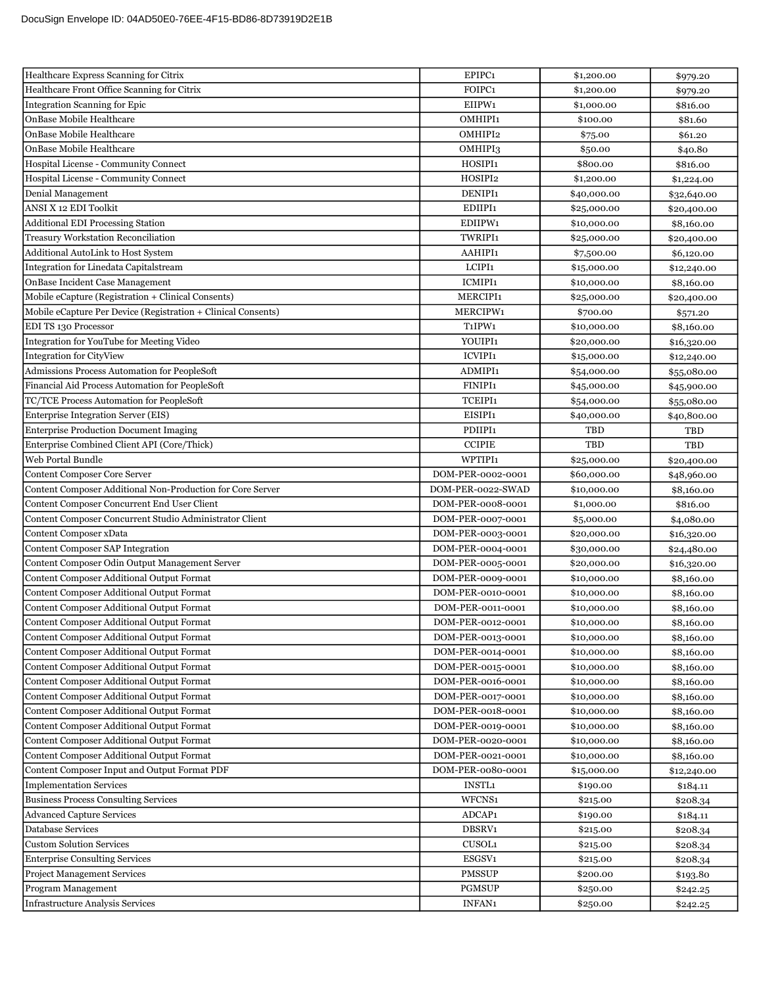| Healthcare Express Scanning for Citrix                        | EPIPC1                          | \$1,200.00  | \$979.20    |
|---------------------------------------------------------------|---------------------------------|-------------|-------------|
| Healthcare Front Office Scanning for Citrix                   | FOIPC1                          | \$1,200.00  | \$979.20    |
| Integration Scanning for Epic                                 | EIIPW1                          | \$1,000.00  | \$816.00    |
| OnBase Mobile Healthcare                                      | OMHIPI1                         | \$100.00    | \$81.60     |
| OnBase Mobile Healthcare                                      | OMHIPI2                         | \$75.00     | \$61.20     |
| OnBase Mobile Healthcare                                      | OMHIPI3                         | \$50.00     | \$40.80     |
| Hospital License - Community Connect                          | HOSIPI1                         | \$800.00    | \$816.00    |
| Hospital License - Community Connect                          | HOSIPI2                         | \$1,200.00  | \$1,224.00  |
| Denial Management                                             | DENIPI1                         | \$40,000.00 | \$32,640.00 |
| ANSI X 12 EDI Toolkit                                         | EDIIPI1                         | \$25,000.00 | \$20,400.00 |
| <b>Additional EDI Processing Station</b>                      | EDIIPW1                         | \$10,000.00 | \$8,160.00  |
| <b>Treasury Workstation Reconciliation</b>                    | TWRIPI1                         | \$25,000.00 | \$20,400.00 |
| Additional AutoLink to Host System                            | AAHIPI1                         | \$7,500.00  | \$6,120.00  |
| Integration for Linedata Capitalstream                        | LCIPI1                          | \$15,000.00 | \$12,240.00 |
| OnBase Incident Case Management                               | ICMIPI1                         | \$10,000.00 | \$8,160.00  |
| Mobile eCapture (Registration + Clinical Consents)            | MERCIPI1                        | \$25,000.00 | \$20,400.00 |
| Mobile eCapture Per Device (Registration + Clinical Consents) | MERCIPW1                        | \$700.00    | \$571.20    |
| EDI TS 130 Processor                                          | T <sub>1</sub> IPW <sub>1</sub> | \$10,000.00 | \$8,160.00  |
| Integration for YouTube for Meeting Video                     | YOUIPI1                         | \$20,000.00 | \$16,320.00 |
| <b>Integration for CityView</b>                               | <b>ICVIPI1</b>                  | \$15,000.00 | \$12,240.00 |
| Admissions Process Automation for PeopleSoft                  | <b>ADMIPI1</b>                  | \$54,000.00 | \$55,080.00 |
| Financial Aid Process Automation for PeopleSoft               | FINIPI1                         | \$45,000.00 | \$45,900.00 |
| TC/TCE Process Automation for PeopleSoft                      | <b>TCEIPI1</b>                  | \$54,000.00 | \$55,080.00 |
| Enterprise Integration Server (EIS)                           | EISIPI1                         | \$40,000.00 | \$40,800.00 |
| <b>Enterprise Production Document Imaging</b>                 | PDIIPI1                         | TBD         | TBD         |
| Enterprise Combined Client API (Core/Thick)                   | <b>CCIPIE</b>                   | <b>TBD</b>  | TBD         |
| Web Portal Bundle                                             | <b>WPTIPI1</b>                  | \$25,000.00 | \$20,400.00 |
| Content Composer Core Server                                  | DOM-PER-0002-0001               | \$60,000.00 | \$48,960.00 |
| Content Composer Additional Non-Production for Core Server    | DOM-PER-0022-SWAD               | \$10,000.00 | \$8,160.00  |
| Content Composer Concurrent End User Client                   | DOM-PER-0008-0001               | \$1,000.00  | \$816.00    |
| Content Composer Concurrent Studio Administrator Client       | DOM-PER-0007-0001               | \$5,000.00  | \$4,080.00  |
| Content Composer xData                                        | DOM-PER-0003-0001               | \$20,000.00 | \$16,320.00 |
| Content Composer SAP Integration                              | DOM-PER-0004-0001               | \$30,000.00 | \$24,480.00 |
| Content Composer Odin Output Management Server                | DOM-PER-0005-0001               | \$20,000.00 | \$16,320.00 |
| Content Composer Additional Output Format                     | DOM-PER-0009-0001               | \$10,000.00 | \$8,160.00  |
| Content Composer Additional Output Format                     | DOM-PER-0010-0001               | \$10,000.00 | \$8,160.00  |
| Content Composer Additional Output Format                     | DOM-PER-0011-0001               | \$10,000.00 | \$8,160.00  |
| Content Composer Additional Output Format                     | DOM-PER-0012-0001               | \$10,000.00 | \$8,160.00  |
| Content Composer Additional Output Format                     | DOM-PER-0013-0001               | \$10,000.00 | \$8,160.00  |
| <b>Content Composer Additional Output Format</b>              | DOM-PER-0014-0001               | \$10,000.00 | \$8,160.00  |
| Content Composer Additional Output Format                     | DOM-PER-0015-0001               | \$10,000.00 | \$8,160.00  |
| Content Composer Additional Output Format                     | DOM-PER-0016-0001               | \$10,000.00 | \$8,160.00  |
| Content Composer Additional Output Format                     | DOM-PER-0017-0001               | \$10,000.00 | \$8,160.00  |
| Content Composer Additional Output Format                     | DOM-PER-0018-0001               | \$10,000.00 | \$8,160.00  |
| Content Composer Additional Output Format                     | DOM-PER-0019-0001               | \$10,000.00 | \$8,160.00  |
| Content Composer Additional Output Format                     | DOM-PER-0020-0001               | \$10,000.00 | \$8,160.00  |
| Content Composer Additional Output Format                     | DOM-PER-0021-0001               | \$10,000.00 | \$8,160.00  |
| Content Composer Input and Output Format PDF                  | DOM-PER-0080-0001               | \$15,000.00 | \$12,240.00 |
| <b>Implementation Services</b>                                | <b>INSTL1</b>                   | \$190.00    | \$184.11    |
| <b>Business Process Consulting Services</b>                   | WFCNS1                          | \$215.00    | \$208.34    |
| <b>Advanced Capture Services</b>                              | ADCAP1                          | \$190.00    | \$184.11    |
| Database Services                                             | DBSRV1                          | \$215.00    | \$208.34    |
| <b>Custom Solution Services</b>                               | CUSOL1                          | \$215.00    | \$208.34    |
| <b>Enterprise Consulting Services</b>                         | ESGSV1                          | \$215.00    | \$208.34    |
| <b>Project Management Services</b>                            | <b>PMSSUP</b>                   | \$200.00    | \$193.80    |
| Program Management                                            | <b>PGMSUP</b>                   | \$250.00    | \$242.25    |
| <b>Infrastructure Analysis Services</b>                       | INFAN1                          | \$250.00    | \$242.25    |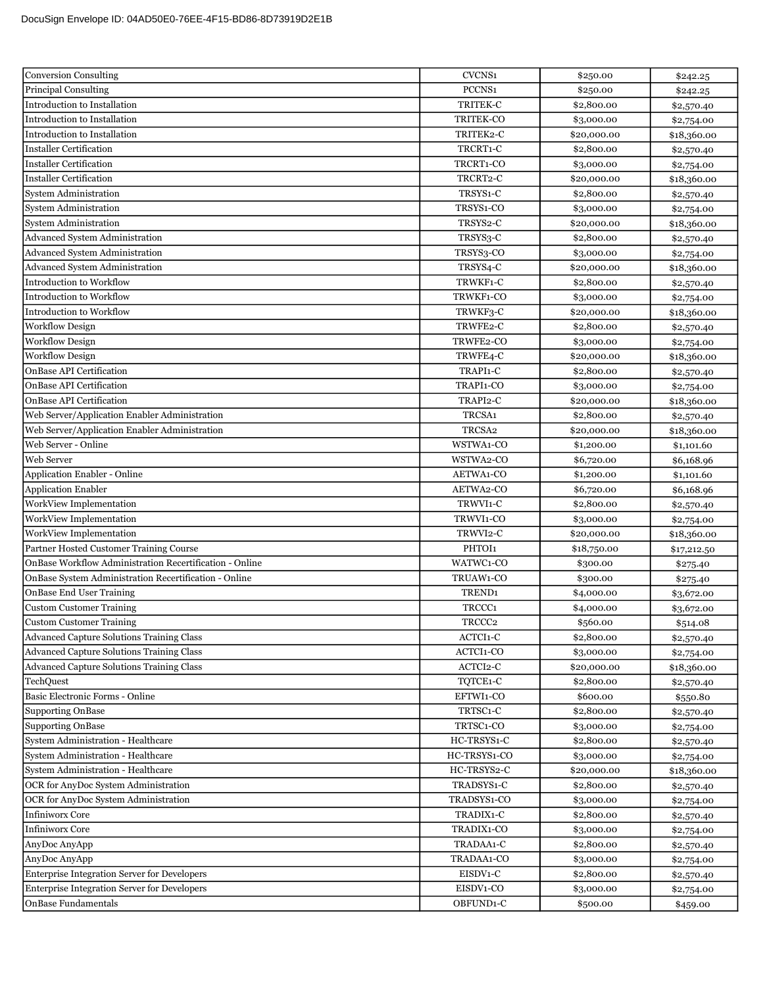| Conversion Consulting                                   | CVCNS1                | \$250.00    | \$242.25    |
|---------------------------------------------------------|-----------------------|-------------|-------------|
| <b>Principal Consulting</b>                             | PCCNS1                | \$250.00    | \$242.25    |
| Introduction to Installation                            | TRITEK-C              | \$2,800.00  | \$2,570.40  |
| Introduction to Installation                            | TRITEK-CO             | \$3,000.00  | \$2,754.00  |
| Introduction to Installation                            | TRITEK2-C             | \$20,000.00 | \$18,360.00 |
| <b>Installer Certification</b>                          | TRCRT1-C              | \$2,800.00  | \$2,570.40  |
| <b>Installer Certification</b>                          | TRCRT1-CO             | \$3,000.00  | \$2,754.00  |
| <b>Installer Certification</b>                          | TRCRT2-C              | \$20,000.00 | \$18,360.00 |
| <b>System Administration</b>                            | TRSYS1-C              | \$2,800.00  | \$2,570.40  |
| <b>System Administration</b>                            | TRSYS1-CO             | \$3,000.00  | \$2,754.00  |
| <b>System Administration</b>                            | TRSYS <sub>2</sub> -C | \$20,000.00 | \$18,360.00 |
| <b>Advanced System Administration</b>                   | TRSYS3-C              | \$2,800.00  | \$2,570.40  |
| Advanced System Administration                          | TRSYS3-CO             | \$3,000.00  | \$2,754.00  |
| <b>Advanced System Administration</b>                   | TRSYS4-C              | \$20,000.00 | \$18,360.00 |
| <b>Introduction to Workflow</b>                         | TRWKF1-C              | \$2,800.00  | \$2,570.40  |
| Introduction to Workflow                                | TRWKF1-CO             | \$3,000.00  | \$2,754.00  |
| Introduction to Workflow                                | TRWKF3-C              | \$20,000.00 | \$18,360.00 |
| <b>Workflow Design</b>                                  | TRWFE2-C              | \$2,800.00  | \$2,570.40  |
| <b>Workflow Design</b>                                  | TRWFE2-CO             | \$3,000.00  | \$2,754.00  |
| <b>Workflow Design</b>                                  | TRWFE4-C              | \$20,000.00 | \$18,360.00 |
| OnBase API Certification                                | TRAPI1-C              | \$2,800.00  | \$2,570.40  |
| OnBase API Certification                                | TRAPI1-CO             | \$3,000.00  | \$2,754.00  |
| OnBase API Certification                                | TRAPI2-C              | \$20,000.00 | \$18,360.00 |
| Web Server/Application Enabler Administration           | TRCSA1                | \$2,800.00  | \$2,570.40  |
| Web Server/Application Enabler Administration           | TRCSA <sub>2</sub>    | \$20,000.00 | \$18,360.00 |
| Web Server - Online                                     | WSTWA1-CO             | \$1,200.00  | \$1,101.60  |
| Web Server                                              | WSTWA2-CO             | \$6,720.00  | \$6,168.96  |
| Application Enabler - Online                            | AETWA1-CO             | \$1,200.00  | \$1,101.60  |
| Application Enabler                                     | AETWA2-CO             | \$6,720.00  | \$6,168.96  |
| WorkView Implementation                                 | TRWVI1-C              | \$2,800.00  | \$2,570.40  |
| WorkView Implementation                                 | TRWVI1-CO             | \$3,000.00  | \$2,754.00  |
| WorkView Implementation                                 | TRWVI2-C              | \$20,000.00 | \$18,360.00 |
| Partner Hosted Customer Training Course                 | PHTOI1                | \$18,750.00 | \$17,212.50 |
| OnBase Workflow Administration Recertification - Online | WATWC1-CO             | \$300.00    | \$275.40    |
| OnBase System Administration Recertification - Online   | TRUAW1-CO             | \$300.00    | \$275.40    |
| <b>OnBase End User Training</b>                         | TREND <sub>1</sub>    | \$4,000.00  | \$3,672.00  |
| <b>Custom Customer Training</b>                         | TRCCC <sub>1</sub>    | \$4,000.00  | \$3,672.00  |
| Custom Customer Training                                | TRCCC <sub>2</sub>    | \$560.00    | \$514.08    |
| <b>Advanced Capture Solutions Training Class</b>        | ACTCI1-C              | \$2,800.00  | \$2,570.40  |
| <b>Advanced Capture Solutions Training Class</b>        | ACTCI1-CO             | \$3,000.00  | \$2,754.00  |
| <b>Advanced Capture Solutions Training Class</b>        | ACTCI2-C              | \$20,000.00 | \$18,360.00 |
| TechQuest                                               | TQTCE1-C              | \$2,800.00  | \$2,570.40  |
| Basic Electronic Forms - Online                         | EFTWI1-CO             | \$600.00    | \$550.80    |
| Supporting OnBase                                       | TRTSC1-C              | \$2,800.00  | \$2,570.40  |
| <b>Supporting OnBase</b>                                | TRTSC1-CO             | \$3,000.00  | \$2,754.00  |
| System Administration - Healthcare                      | HC-TRSYS1-C           | \$2,800.00  | \$2,570.40  |
| System Administration - Healthcare                      | HC-TRSYS1-CO          | \$3,000.00  | \$2,754.00  |
| System Administration - Healthcare                      | HC-TRSYS2-C           | \$20,000.00 | \$18,360.00 |
| OCR for AnyDoc System Administration                    | TRADSYS1-C            | \$2,800.00  | \$2,570.40  |
| OCR for AnyDoc System Administration                    | TRADSYS1-CO           | \$3,000.00  | \$2,754.00  |
| <b>Infiniworx Core</b>                                  | TRADIX1-C             | \$2,800.00  | \$2,570.40  |
| <b>Infiniworx Core</b>                                  | TRADIX1-CO            | \$3,000.00  | \$2,754.00  |
| AnyDoc AnyApp                                           | TRADAA1-C             | \$2,800.00  | \$2,570.40  |
| AnyDoc AnyApp                                           | TRADAA1-CO            | \$3,000.00  | \$2,754.00  |
| Enterprise Integration Server for Developers            | EISDV1-C              | \$2,800.00  | \$2,570.40  |
| Enterprise Integration Server for Developers            | EISDV1-CO             | \$3,000.00  | \$2,754.00  |
| OnBase Fundamentals                                     | OBFUND1-C             | \$500.00    | \$459.00    |
|                                                         |                       |             |             |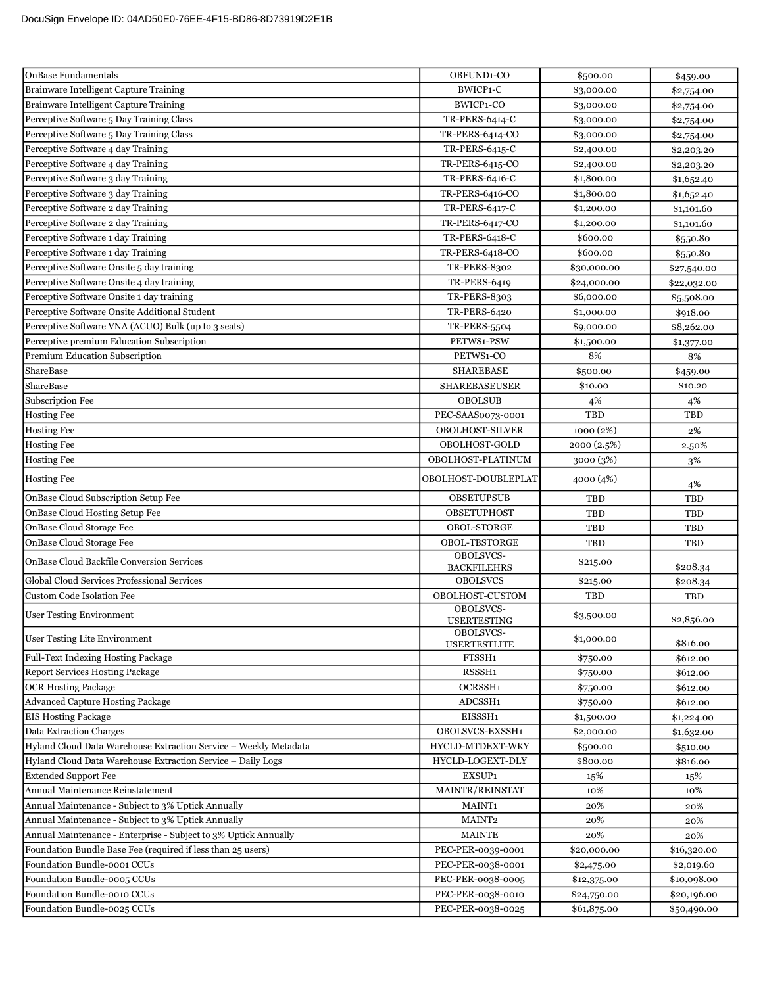| <b>OnBase Fundamentals</b>                                       | OBFUND1-CO                      | \$500.00    | \$459.00    |
|------------------------------------------------------------------|---------------------------------|-------------|-------------|
| Brainware Intelligent Capture Training                           | BWICP1-C                        | \$3,000.00  | \$2,754.00  |
| Brainware Intelligent Capture Training                           | BWICP1-CO                       | \$3,000.00  | \$2,754.00  |
| Perceptive Software 5 Day Training Class                         | TR-PERS-6414-C                  | \$3,000.00  | \$2,754.00  |
| Perceptive Software 5 Day Training Class                         | TR-PERS-6414-CO                 | \$3,000.00  | \$2,754.00  |
| Perceptive Software 4 day Training                               | TR-PERS-6415-C                  | \$2,400.00  | \$2,203.20  |
| Perceptive Software 4 day Training                               | TR-PERS-6415-CO                 | \$2,400.00  | \$2,203.20  |
| Perceptive Software 3 day Training                               | TR-PERS-6416-C                  | \$1,800.00  | \$1,652.40  |
| Perceptive Software 3 day Training                               | TR-PERS-6416-CO                 | \$1,800.00  | \$1,652.40  |
| Perceptive Software 2 day Training                               | TR-PERS-6417-C                  | \$1,200.00  | \$1,101.60  |
| Perceptive Software 2 day Training                               | TR-PERS-6417-CO                 | \$1,200.00  | \$1,101.60  |
| Perceptive Software 1 day Training                               | TR-PERS-6418-C                  | \$600.00    | \$550.80    |
| Perceptive Software 1 day Training                               | TR-PERS-6418-CO                 | \$600.00    | \$550.80    |
| Perceptive Software Onsite 5 day training                        | <b>TR-PERS-8302</b>             | \$30,000.00 | \$27,540.00 |
| Perceptive Software Onsite 4 day training                        | <b>TR-PERS-6419</b>             | \$24,000.00 | \$22,032.00 |
| Perceptive Software Onsite 1 day training                        | <b>TR-PERS-8303</b>             | \$6,000.00  | \$5,508.00  |
| Perceptive Software Onsite Additional Student                    | <b>TR-PERS-6420</b>             | \$1,000.00  | \$918.00    |
| Perceptive Software VNA (ACUO) Bulk (up to 3 seats)              | <b>TR-PERS-5504</b>             | \$9,000.00  | \$8,262.00  |
| Perceptive premium Education Subscription                        | PETWS1-PSW                      | \$1,500.00  | \$1,377.00  |
| Premium Education Subscription                                   | PETWS1-CO                       | 8%          | 8%          |
| ShareBase                                                        | <b>SHAREBASE</b>                | \$500.00    | \$459.00    |
| <b>ShareBase</b>                                                 | <b>SHAREBASEUSER</b>            | \$10.00     | \$10.20     |
| Subscription Fee                                                 | <b>OBOLSUB</b>                  | 4%          | 4%          |
| <b>Hosting Fee</b>                                               | PEC-SAAS0073-0001               | <b>TBD</b>  | TBD         |
| <b>Hosting Fee</b>                                               | <b>OBOLHOST-SILVER</b>          | 1000 (2%)   | 2%          |
| <b>Hosting Fee</b>                                               | OBOLHOST-GOLD                   | 2000(2.5%)  | 2.50%       |
| <b>Hosting Fee</b>                                               | OBOLHOST-PLATINUM               | 3000 (3%)   | 3%          |
| <b>Hosting Fee</b>                                               | OBOLHOST-DOUBLEPLAT             |             |             |
|                                                                  |                                 | 4000 (4%)   | 4%          |
| OnBase Cloud Subscription Setup Fee                              | <b>OBSETUPSUB</b>               | TBD         | TBD         |
| OnBase Cloud Hosting Setup Fee                                   | <b>OBSETUPHOST</b>              | TBD         | TBD         |
| OnBase Cloud Storage Fee                                         | <b>OBOL-STORGE</b>              | TBD         | TBD         |
| OnBase Cloud Storage Fee                                         | <b>OBOL-TBSTORGE</b>            | TBD         | TBD         |
| <b>OnBase Cloud Backfile Conversion Services</b>                 | OBOLSVCS-<br><b>BACKFILEHRS</b> | \$215.00    | \$208.34    |
| Global Cloud Services Professional Services                      | <b>OBOLSVCS</b>                 | \$215.00    | \$208.34    |
| Custom Code Isolation Fee                                        | OBOLHOST-CUSTOM                 | <b>TBD</b>  | <b>TBD</b>  |
| <b>User Testing Environment</b>                                  | OBOLSVCS-<br><b>USERTESTING</b> | \$3,500.00  | \$2,856.00  |
| <b>User Testing Lite Environment</b>                             | OBOLSVCS-                       | \$1,000.00  |             |
|                                                                  | <b>USERTESTLITE</b>             |             | \$816.00    |
| Full-Text Indexing Hosting Package                               | FTSSH <sub>1</sub>              | \$750.00    | \$612.00    |
| Report Services Hosting Package                                  | RSSSH1                          | \$750.00    | \$612.00    |
| <b>OCR Hosting Package</b>                                       | OCRSSH1                         | \$750.00    | \$612.00    |
| Advanced Capture Hosting Package                                 | ADCSSH1                         | \$750.00    | \$612.00    |
| <b>EIS Hosting Package</b>                                       | EISSSH1                         | \$1,500.00  | \$1,224.00  |
| Data Extraction Charges                                          | OBOLSVCS-EXSSH1                 | \$2,000.00  | \$1,632.00  |
| Hyland Cloud Data Warehouse Extraction Service - Weekly Metadata | HYCLD-MTDEXT-WKY                | \$500.00    | \$510.00    |
| Hyland Cloud Data Warehouse Extraction Service - Daily Logs      | HYCLD-LOGEXT-DLY                | \$800.00    | \$816.00    |
| <b>Extended Support Fee</b>                                      | EXSUP1                          | 15%         | 15%         |
| Annual Maintenance Reinstatement                                 | MAINTR/REINSTAT                 | 10%         | 10%         |
| Annual Maintenance - Subject to 3% Uptick Annually               | MAINT <sub>1</sub>              | 20%         | 20%         |
| Annual Maintenance - Subject to 3% Uptick Annually               | MAINT2                          | 20%         | 20%         |
| Annual Maintenance - Enterprise - Subject to 3% Uptick Annually  | <b>MAINTE</b>                   | 20%         | 20%         |
| Foundation Bundle Base Fee (required if less than 25 users)      | PEC-PER-0039-0001               | \$20,000.00 | \$16,320.00 |
| Foundation Bundle-0001 CCUs                                      | PEC-PER-0038-0001               | \$2,475.00  | \$2,019.60  |
| Foundation Bundle-0005 CCUs                                      | PEC-PER-0038-0005               | \$12,375.00 | \$10,098.00 |
| Foundation Bundle-0010 CCUs                                      | PEC-PER-0038-0010               | \$24,750.00 | \$20,196.00 |
| Foundation Bundle-0025 CCUs                                      | PEC-PER-0038-0025               | \$61,875.00 | \$50,490.00 |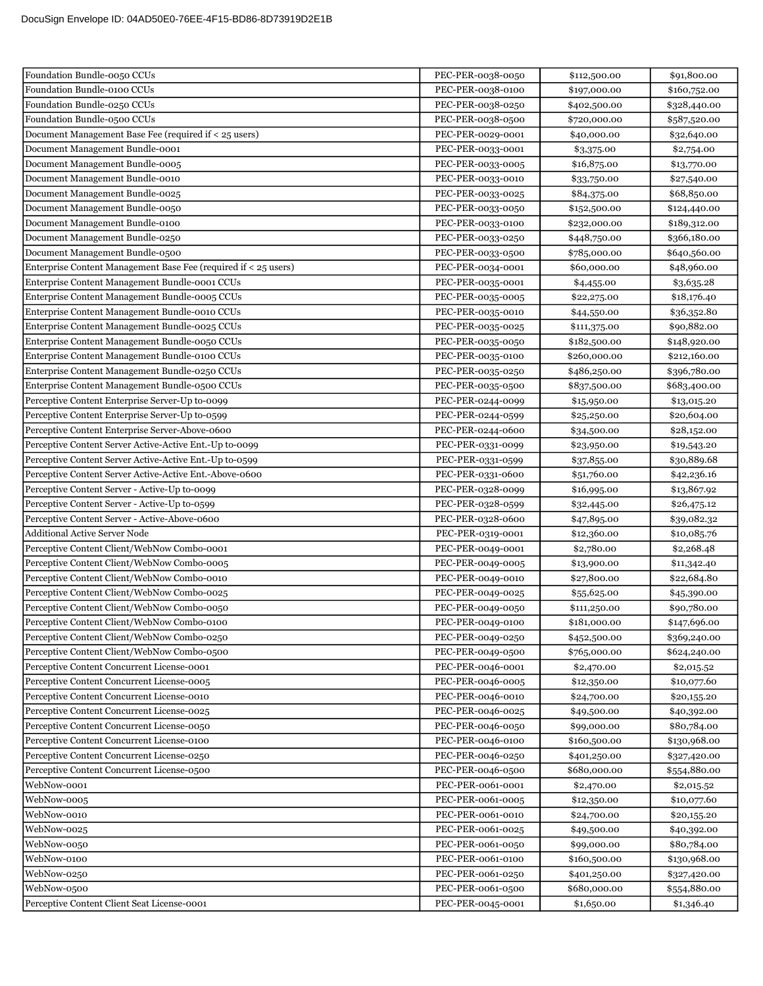| Foundation Bundle-0050 CCUs                                     | PEC-PER-0038-0050                      | \$112,500.00                 | \$91,800.00  |
|-----------------------------------------------------------------|----------------------------------------|------------------------------|--------------|
| Foundation Bundle-0100 CCUs                                     | PEC-PER-0038-0100                      | \$197,000.00                 | \$160,752.00 |
| Foundation Bundle-0250 CCUs                                     | PEC-PER-0038-0250                      | \$402,500.00                 | \$328,440.00 |
| Foundation Bundle-0500 CCUs                                     | PEC-PER-0038-0500                      | \$720,000.00                 | \$587,520.00 |
| Document Management Base Fee (required if < 25 users)           | PEC-PER-0029-0001                      | \$40,000.00                  | \$32,640.00  |
| Document Management Bundle-0001                                 | PEC-PER-0033-0001                      | \$3,375.00                   | \$2,754.00   |
| Document Management Bundle-0005                                 | PEC-PER-0033-0005                      | \$16,875.00                  | \$13,770.00  |
| Document Management Bundle-0010                                 | PEC-PER-0033-0010                      | \$33,750.00                  | \$27,540.00  |
| Document Management Bundle-0025                                 | PEC-PER-0033-0025                      | \$84,375.00                  | \$68,850.00  |
| Document Management Bundle-0050                                 | PEC-PER-0033-0050                      | \$152,500.00                 | \$124,440.00 |
| Document Management Bundle-0100                                 | PEC-PER-0033-0100                      | \$232,000.00                 | \$189,312.00 |
| Document Management Bundle-0250                                 | PEC-PER-0033-0250                      | \$448,750.00                 | \$366,180.00 |
| Document Management Bundle-0500                                 | PEC-PER-0033-0500                      | \$785,000.00                 | \$640,560.00 |
| Enterprise Content Management Base Fee (required if < 25 users) | PEC-PER-0034-0001                      | \$60,000.00                  | \$48,960.00  |
| Enterprise Content Management Bundle-0001 CCUs                  | PEC-PER-0035-0001                      | \$4,455.00                   | \$3,635.28   |
| Enterprise Content Management Bundle-0005 CCUs                  | PEC-PER-0035-0005                      | \$22,275.00                  | \$18,176.40  |
| Enterprise Content Management Bundle-0010 CCUs                  | PEC-PER-0035-0010                      | \$44,550.00                  | \$36,352.80  |
| Enterprise Content Management Bundle-0025 CCUs                  | PEC-PER-0035-0025                      | \$111,375.00                 | \$90,882.00  |
| Enterprise Content Management Bundle-0050 CCUs                  | PEC-PER-0035-0050                      | \$182,500.00                 | \$148,920.00 |
| Enterprise Content Management Bundle-0100 CCUs                  | PEC-PER-0035-0100                      | \$260,000.00                 | \$212,160.00 |
| Enterprise Content Management Bundle-0250 CCUs                  | PEC-PER-0035-0250                      | \$486,250.00                 | \$396,780.00 |
| Enterprise Content Management Bundle-0500 CCUs                  | PEC-PER-0035-0500                      | \$837,500.00                 | \$683,400.00 |
| Perceptive Content Enterprise Server-Up to-0099                 | PEC-PER-0244-0099                      | \$15,950.00                  | \$13,015.20  |
| Perceptive Content Enterprise Server-Up to-0599                 | PEC-PER-0244-0599                      | \$25,250.00                  | \$20,604.00  |
| Perceptive Content Enterprise Server-Above-0600                 | PEC-PER-0244-0600                      | \$34,500.00                  | \$28,152.00  |
| Perceptive Content Server Active-Active Ent.-Up to-0099         | PEC-PER-0331-0099                      | \$23,950.00                  | \$19,543.20  |
| Perceptive Content Server Active-Active Ent.-Up to-0599         | PEC-PER-0331-0599                      | \$37,855.00                  | \$30,889.68  |
| Perceptive Content Server Active-Active Ent.-Above-0600         | PEC-PER-0331-0600                      | \$51,760.00                  | \$42,236.16  |
| Perceptive Content Server - Active-Up to-0099                   | PEC-PER-0328-0099                      | \$16,995.00                  | \$13,867.92  |
| Perceptive Content Server - Active-Up to-0599                   | PEC-PER-0328-0599                      | \$32,445.00                  | \$26,475.12  |
| Perceptive Content Server - Active-Above-0600                   | PEC-PER-0328-0600                      | \$47,895.00                  | \$39,082.32  |
| <b>Additional Active Server Node</b>                            | PEC-PER-0319-0001                      | \$12,360.00                  | \$10,085.76  |
| Perceptive Content Client/WebNow Combo-0001                     | PEC-PER-0049-0001                      | \$2,780.00                   | \$2,268.48   |
| Perceptive Content Client/WebNow Combo-0005                     | PEC-PER-0049-0005                      | \$13,900.00                  | \$11,342.40  |
| Perceptive Content Client/WebNow Combo-0010                     | PEC-PER-0049-0010                      | \$27,800.00                  | \$22,684.80  |
| Perceptive Content Client/WebNow Combo-0025                     | PEC-PER-0049-0025                      | \$55,625.00                  | \$45,390.00  |
| Perceptive Content Client/WebNow Combo-0050                     | PEC-PER-0049-0050                      | \$111,250.00                 | \$90,780.00  |
| Perceptive Content Client/WebNow Combo-0100                     | PEC-PER-0049-0100                      | \$181,000.00                 | \$147,696.00 |
| Perceptive Content Client/WebNow Combo-0250                     | PEC-PER-0049-0250                      | \$452,500.00                 | \$369,240.00 |
| Perceptive Content Client/WebNow Combo-0500                     | PEC-PER-0049-0500                      | \$765,000.00                 | \$624,240.00 |
| Perceptive Content Concurrent License-0001                      | PEC-PER-0046-0001                      | \$2,470.00                   | \$2,015.52   |
| Perceptive Content Concurrent License-0005                      | PEC-PER-0046-0005                      | \$12,350.00                  | \$10,077.60  |
| Perceptive Content Concurrent License-0010                      | PEC-PER-0046-0010                      | \$24,700.00                  | \$20,155.20  |
| Perceptive Content Concurrent License-0025                      | PEC-PER-0046-0025                      | \$49,500.00                  | \$40,392.00  |
| Perceptive Content Concurrent License-0050                      | PEC-PER-0046-0050                      | \$99,000.00                  | \$80,784.00  |
| Perceptive Content Concurrent License-0100                      | PEC-PER-0046-0100                      | \$160,500.00                 | \$130,968.00 |
| Perceptive Content Concurrent License-0250                      | PEC-PER-0046-0250                      | \$401,250.00                 | \$327,420.00 |
| Perceptive Content Concurrent License-0500                      | PEC-PER-0046-0500                      | \$680,000.00                 | \$554,880.00 |
| WebNow-0001                                                     | PEC-PER-0061-0001                      | \$2,470.00                   | \$2,015.52   |
| WebNow-0005                                                     | PEC-PER-0061-0005                      | \$12,350.00                  | \$10,077.60  |
| WebNow-0010                                                     | PEC-PER-0061-0010                      | \$24,700.00                  | \$20,155.20  |
| WebNow-0025                                                     | PEC-PER-0061-0025                      | \$49,500.00                  | \$40,392.00  |
| WebNow-0050                                                     | PEC-PER-0061-0050                      | \$99,000.00                  | \$80,784.00  |
| WebNow-0100<br>WebNow-0250                                      | PEC-PER-0061-0100                      | \$160,500.00                 | \$130,968.00 |
| WebNow-0500                                                     | PEC-PER-0061-0250<br>PEC-PER-0061-0500 | \$401,250.00<br>\$680,000.00 | \$327,420.00 |
| Perceptive Content Client Seat License-0001                     |                                        |                              | \$554,880.00 |
|                                                                 | PEC-PER-0045-0001                      | \$1,650.00                   | \$1,346.40   |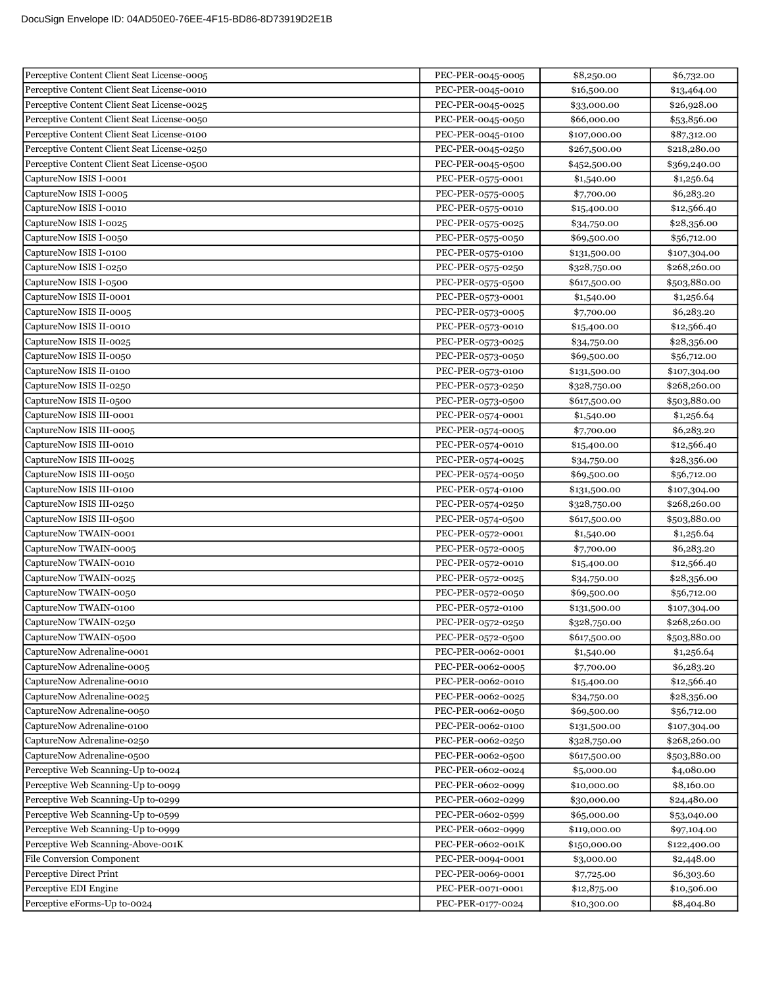| Perceptive Content Client Seat License-0005                              | PEC-PER-0045-0005                      | \$8,250.00                   | \$6,732.00                  |
|--------------------------------------------------------------------------|----------------------------------------|------------------------------|-----------------------------|
| Perceptive Content Client Seat License-0010                              | PEC-PER-0045-0010                      | \$16,500.00                  | \$13,464.00                 |
| Perceptive Content Client Seat License-0025                              | PEC-PER-0045-0025                      | \$33,000.00                  | \$26,928.00                 |
| Perceptive Content Client Seat License-0050                              | PEC-PER-0045-0050                      | \$66,000.00                  | \$53,856.00                 |
| Perceptive Content Client Seat License-0100                              | PEC-PER-0045-0100                      | \$107,000.00                 | \$87,312.00                 |
| Perceptive Content Client Seat License-0250                              | PEC-PER-0045-0250                      | \$267,500.00                 | \$218,280.00                |
| Perceptive Content Client Seat License-0500                              | PEC-PER-0045-0500                      | \$452,500.00                 | \$369,240.00                |
| CaptureNow ISIS I-0001                                                   | PEC-PER-0575-0001                      | \$1,540.00                   | \$1,256.64                  |
| CaptureNow ISIS I-0005                                                   | PEC-PER-0575-0005                      | \$7,700.00                   | \$6,283.20                  |
| CaptureNow ISIS I-0010                                                   | PEC-PER-0575-0010                      | \$15,400.00                  | \$12,566.40                 |
| CaptureNow ISIS I-0025                                                   | PEC-PER-0575-0025                      | \$34,750.00                  | \$28,356.00                 |
| CaptureNow ISIS I-0050                                                   | PEC-PER-0575-0050                      | \$69,500.00                  | \$56,712.00                 |
| CaptureNow ISIS I-0100                                                   | PEC-PER-0575-0100                      | \$131,500.00                 | \$107,304.00                |
| CaptureNow ISIS I-0250                                                   | PEC-PER-0575-0250                      | \$328,750.00                 | \$268,260.00                |
| CaptureNow ISIS I-0500                                                   | PEC-PER-0575-0500                      | \$617,500.00                 | \$503,880.00                |
| CaptureNow ISIS II-0001                                                  | PEC-PER-0573-0001                      | \$1,540.00                   | \$1,256.64                  |
| CaptureNow ISIS II-0005                                                  | PEC-PER-0573-0005                      | \$7,700.00                   | \$6,283.20                  |
| CaptureNow ISIS II-0010                                                  | PEC-PER-0573-0010                      | \$15,400.00                  | \$12,566.40                 |
| CaptureNow ISIS II-0025                                                  | PEC-PER-0573-0025                      | \$34,750.00                  | \$28,356.00                 |
| CaptureNow ISIS II-0050                                                  | PEC-PER-0573-0050                      | \$69,500.00                  | \$56,712.00                 |
| CaptureNow ISIS II-0100                                                  | PEC-PER-0573-0100                      | \$131,500.00                 | \$107,304.00                |
| CaptureNow ISIS II-0250                                                  | PEC-PER-0573-0250                      | \$328,750.00                 | \$268,260.00                |
| CaptureNow ISIS II-0500                                                  | PEC-PER-0573-0500                      | \$617,500.00                 | \$503,880.00                |
| CaptureNow ISIS III-0001                                                 | PEC-PER-0574-0001                      | \$1,540.00                   | \$1,256.64                  |
| CaptureNow ISIS III-0005                                                 | PEC-PER-0574-0005                      | \$7,700.00                   | \$6,283.20                  |
| CaptureNow ISIS III-0010                                                 | PEC-PER-0574-0010                      | \$15,400.00                  | \$12,566.40                 |
| CaptureNow ISIS III-0025                                                 | PEC-PER-0574-0025                      | \$34,750.00                  | \$28,356.00                 |
| CaptureNow ISIS III-0050                                                 | PEC-PER-0574-0050                      | \$69,500.00                  | \$56,712.00                 |
| CaptureNow ISIS III-0100                                                 | PEC-PER-0574-0100                      | \$131,500.00                 | \$107,304.00                |
| CaptureNow ISIS III-0250                                                 | PEC-PER-0574-0250                      | \$328,750.00                 | \$268,260.00                |
| CaptureNow ISIS III-0500                                                 | PEC-PER-0574-0500                      | \$617,500.00                 | \$503,880.00                |
| CaptureNow TWAIN-0001                                                    | PEC-PER-0572-0001                      | \$1,540.00                   | \$1,256.64                  |
| CaptureNow TWAIN-0005                                                    | PEC-PER-0572-0005                      | \$7,700.00                   | \$6,283.20                  |
| CaptureNow TWAIN-0010                                                    | PEC-PER-0572-0010                      | \$15,400.00                  | \$12,566.40                 |
| CaptureNow TWAIN-0025                                                    | PEC-PER-0572-0025                      | \$34,750.00                  | \$28,356.00                 |
| CaptureNow TWAIN-0050                                                    | PEC-PER-0572-0050                      | \$69,500.00                  | \$56,712.00                 |
| CaptureNow TWAIN-0100                                                    | PEC-PER-0572-0100                      | \$131,500.00                 | \$107,304.00                |
| CaptureNow TWAIN-0250                                                    | PEC-PER-0572-0250                      | \$328,750.00                 | \$268,260.00                |
| CaptureNow TWAIN-0500                                                    | PEC-PER-0572-0500                      | \$617,500.00                 | \$503,880.00                |
| CaptureNow Adrenaline-0001                                               | PEC-PER-0062-0001                      | \$1,540.00                   | \$1,256.64                  |
| CaptureNow Adrenaline-0005                                               | PEC-PER-0062-0005                      | \$7,700.00                   | \$6,283.20                  |
| CaptureNow Adrenaline-0010                                               | PEC-PER-0062-0010                      | \$15,400.00                  | \$12,566.40                 |
| CaptureNow Adrenaline-0025                                               | PEC-PER-0062-0025                      | \$34,750.00                  | \$28,356.00                 |
| CaptureNow Adrenaline-0050                                               | PEC-PER-0062-0050                      | \$69,500.00                  | \$56,712.00                 |
| CaptureNow Adrenaline-0100                                               | PEC-PER-0062-0100                      | \$131,500.00                 | \$107,304.00                |
| CaptureNow Adrenaline-0250                                               | PEC-PER-0062-0250                      | \$328,750.00                 | \$268,260.00                |
| CaptureNow Adrenaline-0500                                               | PEC-PER-0062-0500                      | \$617,500.00                 | \$503,880.00                |
| Perceptive Web Scanning-Up to-0024                                       | PEC-PER-0602-0024                      | \$5,000.00                   | \$4,080.00                  |
| Perceptive Web Scanning-Up to-0099<br>Perceptive Web Scanning-Up to-0299 | PEC-PER-0602-0099<br>PEC-PER-0602-0299 | \$10,000.00                  | \$8,160.00                  |
| Perceptive Web Scanning-Up to-0599                                       | PEC-PER-0602-0599                      | \$30,000.00                  | \$24,480.00                 |
| Perceptive Web Scanning-Up to-0999                                       | PEC-PER-0602-0999                      | \$65,000.00                  | \$53,040.00                 |
| Perceptive Web Scanning-Above-001K                                       | PEC-PER-0602-001K                      | \$119,000.00<br>\$150,000.00 | \$97,104.00<br>\$122,400.00 |
| File Conversion Component                                                | PEC-PER-0094-0001                      | \$3,000.00                   | \$2,448.00                  |
| Perceptive Direct Print                                                  | PEC-PER-0069-0001                      | \$7,725.00                   | \$6,303.60                  |
| Perceptive EDI Engine                                                    | PEC-PER-0071-0001                      | \$12,875.00                  | \$10,506.00                 |
| Perceptive eForms-Up to-0024                                             | PEC-PER-0177-0024                      | \$10,300.00                  | \$8,404.80                  |
|                                                                          |                                        |                              |                             |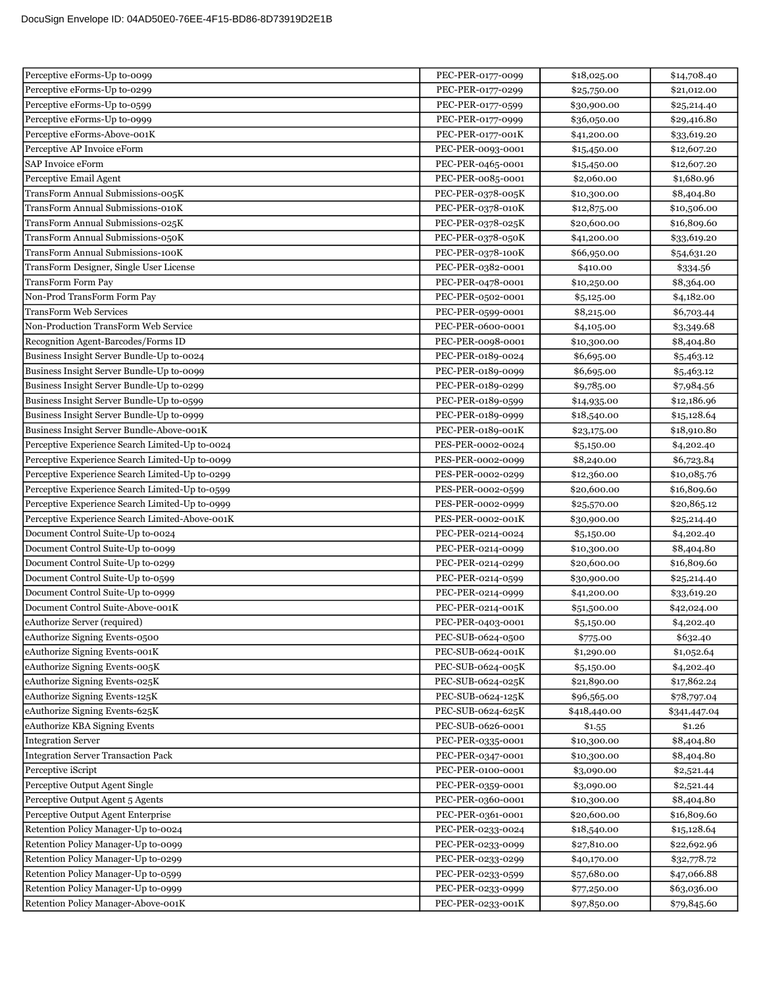| Perceptive eForms-Up to-0099                    | PEC-PER-0177-0099 | \$18,025.00  | \$14,708.40  |
|-------------------------------------------------|-------------------|--------------|--------------|
| Perceptive eForms-Up to-0299                    | PEC-PER-0177-0299 | \$25,750.00  | \$21,012.00  |
| Perceptive eForms-Up to-0599                    | PEC-PER-0177-0599 | \$30,900.00  | \$25,214.40  |
| Perceptive eForms-Up to-0999                    | PEC-PER-0177-0999 | \$36,050.00  | \$29,416.80  |
| Perceptive eForms-Above-001K                    | PEC-PER-0177-001K | \$41,200.00  | \$33,619.20  |
| Perceptive AP Invoice eForm                     | PEC-PER-0093-0001 | \$15,450.00  | \$12,607.20  |
| SAP Invoice eForm                               | PEC-PER-0465-0001 | \$15,450.00  | \$12,607.20  |
| Perceptive Email Agent                          | PEC-PER-0085-0001 | \$2,060.00   | \$1,680.96   |
| TransForm Annual Submissions-005K               | PEC-PER-0378-005K | \$10,300.00  | \$8,404.80   |
| TransForm Annual Submissions-010K               | PEC-PER-0378-010K | \$12,875.00  | \$10,506.00  |
| TransForm Annual Submissions-025K               | PEC-PER-0378-025K | \$20,600.00  | \$16,809.60  |
| TransForm Annual Submissions-050K               | PEC-PER-0378-050K | \$41,200.00  | \$33,619.20  |
| TransForm Annual Submissions-100K               | PEC-PER-0378-100K | \$66,950.00  | \$54,631.20  |
| TransForm Designer, Single User License         | PEC-PER-0382-0001 | \$410.00     | \$334.56     |
| <b>TransForm Form Pay</b>                       | PEC-PER-0478-0001 | \$10,250.00  | \$8,364.00   |
| Non-Prod TransForm Form Pay                     | PEC-PER-0502-0001 | \$5,125.00   | \$4,182.00   |
| <b>TransForm Web Services</b>                   | PEC-PER-0599-0001 | \$8,215.00   | \$6,703.44   |
| Non-Production TransForm Web Service            | PEC-PER-0600-0001 | \$4,105.00   | \$3,349.68   |
| Recognition Agent-Barcodes/Forms ID             | PEC-PER-0098-0001 | \$10,300.00  | \$8,404.80   |
| Business Insight Server Bundle-Up to-0024       | PEC-PER-0189-0024 | \$6,695.00   | \$5,463.12   |
| Business Insight Server Bundle-Up to-0099       | PEC-PER-0189-0099 | \$6,695.00   | \$5,463.12   |
| Business Insight Server Bundle-Up to-0299       | PEC-PER-0189-0299 | \$9,785.00   | \$7,984.56   |
| Business Insight Server Bundle-Up to-0599       | PEC-PER-0189-0599 | \$14,935.00  | \$12,186.96  |
| Business Insight Server Bundle-Up to-0999       | PEC-PER-0189-0999 | \$18,540.00  | \$15,128.64  |
| Business Insight Server Bundle-Above-001K       | PEC-PER-0189-001K | \$23,175.00  | \$18,910.80  |
| Perceptive Experience Search Limited-Up to-0024 | PES-PER-0002-0024 | \$5,150.00   | \$4,202.40   |
| Perceptive Experience Search Limited-Up to-0099 | PES-PER-0002-0099 | \$8,240.00   | \$6,723.84   |
| Perceptive Experience Search Limited-Up to-0299 | PES-PER-0002-0299 | \$12,360.00  | \$10,085.76  |
| Perceptive Experience Search Limited-Up to-0599 | PES-PER-0002-0599 | \$20,600.00  | \$16,809.60  |
| Perceptive Experience Search Limited-Up to-0999 | PES-PER-0002-0999 | \$25,570.00  | \$20,865.12  |
| Perceptive Experience Search Limited-Above-001K | PES-PER-0002-001K | \$30,900.00  | \$25,214.40  |
| Document Control Suite-Up to-0024               | PEC-PER-0214-0024 | \$5,150.00   | \$4,202.40   |
| Document Control Suite-Up to-0099               | PEC-PER-0214-0099 | \$10,300.00  | \$8,404.80   |
| Document Control Suite-Up to-0299               | PEC-PER-0214-0299 | \$20,600.00  | \$16,809.60  |
| Document Control Suite-Up to-0599               | PEC-PER-0214-0599 | \$30,900.00  | \$25,214.40  |
| Document Control Suite-Up to-0999               | PEC-PER-0214-0999 | \$41,200.00  | \$33,619.20  |
| Document Control Suite-Above-001K               | PEC-PER-0214-001K | \$51,500.00  | \$42,024.00  |
| eAuthorize Server (required)                    | PEC-PER-0403-0001 | \$5,150.00   | \$4,202.40   |
| eAuthorize Signing Events-0500                  | PEC-SUB-0624-0500 | \$775.00     | \$632.40     |
| eAuthorize Signing Events-001K                  | PEC-SUB-0624-001K | \$1,290.00   | \$1,052.64   |
| eAuthorize Signing Events-005K                  | PEC-SUB-0624-005K | \$5,150.00   | \$4,202.40   |
| eAuthorize Signing Events-025K                  | PEC-SUB-0624-025K | \$21,890.00  | \$17,862.24  |
| eAuthorize Signing Events-125K                  | PEC-SUB-0624-125K | \$96,565.00  | \$78,797.04  |
| eAuthorize Signing Events-625K                  | PEC-SUB-0624-625K | \$418,440.00 | \$341,447.04 |
| eAuthorize KBA Signing Events                   | PEC-SUB-0626-0001 | \$1.55       | \$1.26       |
| <b>Integration Server</b>                       | PEC-PER-0335-0001 | \$10,300.00  | \$8,404.80   |
| <b>Integration Server Transaction Pack</b>      | PEC-PER-0347-0001 | \$10,300.00  | \$8,404.80   |
| Perceptive iScript                              | PEC-PER-0100-0001 | \$3,090.00   | \$2,521.44   |
| Perceptive Output Agent Single                  | PEC-PER-0359-0001 | \$3,090.00   | \$2,521.44   |
| Perceptive Output Agent 5 Agents                | PEC-PER-0360-0001 | \$10,300.00  | \$8,404.80   |
| Perceptive Output Agent Enterprise              | PEC-PER-0361-0001 | \$20,600.00  | \$16,809.60  |
| Retention Policy Manager-Up to-0024             | PEC-PER-0233-0024 | \$18,540.00  | \$15,128.64  |
| Retention Policy Manager-Up to-0099             | PEC-PER-0233-0099 | \$27,810.00  | \$22,692.96  |
| Retention Policy Manager-Up to-0299             | PEC-PER-0233-0299 | \$40,170.00  | \$32,778.72  |
| Retention Policy Manager-Up to-0599             | PEC-PER-0233-0599 | \$57,680.00  | \$47,066.88  |
| Retention Policy Manager-Up to-0999             | PEC-PER-0233-0999 | \$77,250.00  | \$63,036.00  |
| Retention Policy Manager-Above-001K             | PEC-PER-0233-001K | \$97,850.00  | \$79,845.60  |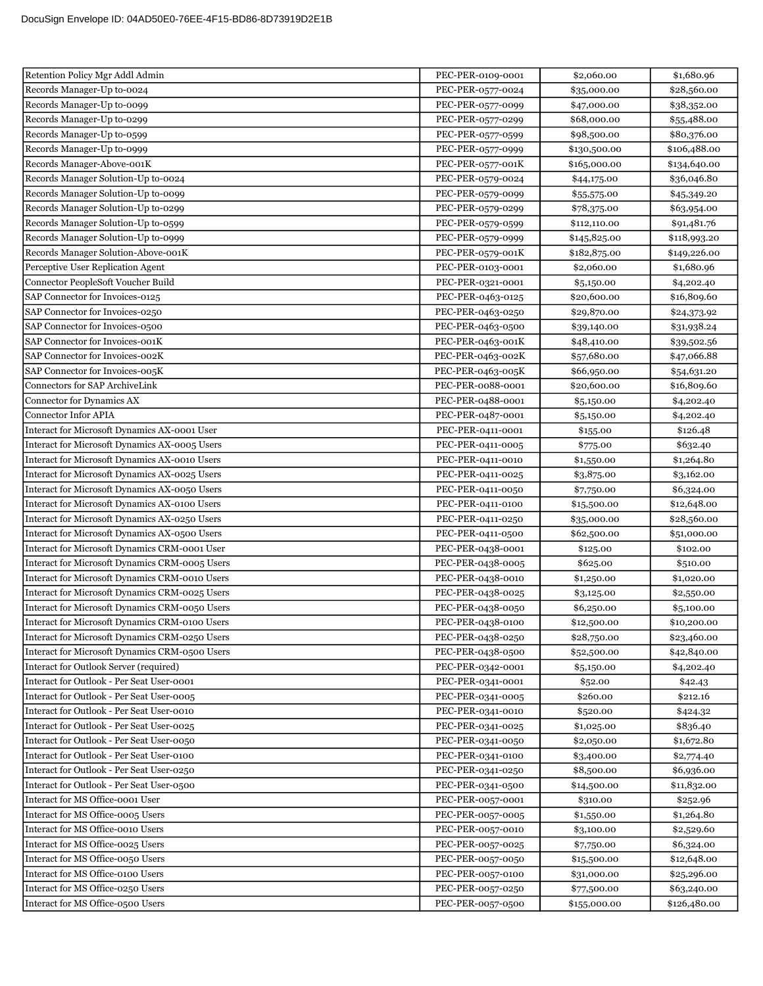| Retention Policy Mgr Addl Admin                | PEC-PER-0109-0001 | \$2,060.00   | \$1,680.96   |
|------------------------------------------------|-------------------|--------------|--------------|
| Records Manager-Up to-0024                     | PEC-PER-0577-0024 | \$35,000.00  | \$28,560.00  |
| Records Manager-Up to-0099                     | PEC-PER-0577-0099 | \$47,000.00  | \$38,352.00  |
| Records Manager-Up to-0299                     | PEC-PER-0577-0299 | \$68,000.00  | \$55,488.00  |
| Records Manager-Up to-0599                     | PEC-PER-0577-0599 | \$98,500.00  | \$80,376.00  |
| Records Manager-Up to-0999                     | PEC-PER-0577-0999 | \$130,500.00 | \$106,488.00 |
| Records Manager-Above-001K                     | PEC-PER-0577-001K | \$165,000.00 | \$134,640.00 |
| Records Manager Solution-Up to-0024            | PEC-PER-0579-0024 | \$44,175.00  | \$36,046.80  |
| Records Manager Solution-Up to-0099            | PEC-PER-0579-0099 | \$55,575.00  | \$45,349.20  |
| Records Manager Solution-Up to-0299            | PEC-PER-0579-0299 | \$78,375.00  | \$63,954.00  |
| Records Manager Solution-Up to-0599            | PEC-PER-0579-0599 | \$112,110.00 | \$91,481.76  |
| Records Manager Solution-Up to-0999            | PEC-PER-0579-0999 | \$145,825.00 | \$118,993.20 |
| Records Manager Solution-Above-001K            | PEC-PER-0579-001K | \$182,875.00 | \$149,226.00 |
| Perceptive User Replication Agent              | PEC-PER-0103-0001 | \$2,060.00   | \$1,680.96   |
| Connector PeopleSoft Voucher Build             | PEC-PER-0321-0001 | \$5,150.00   | \$4,202.40   |
| SAP Connector for Invoices-0125                | PEC-PER-0463-0125 | \$20,600.00  | \$16,809.60  |
| SAP Connector for Invoices-0250                | PEC-PER-0463-0250 | \$29,870.00  | \$24,373.92  |
| SAP Connector for Invoices-0500                | PEC-PER-0463-0500 | \$39,140.00  | \$31,938.24  |
| SAP Connector for Invoices-001K                | PEC-PER-0463-001K | \$48,410.00  | \$39,502.56  |
| SAP Connector for Invoices-002K                | PEC-PER-0463-002K | \$57,680.00  | \$47,066.88  |
| SAP Connector for Invoices-005K                | PEC-PER-0463-005K | \$66,950.00  | \$54,631.20  |
| Connectors for SAP ArchiveLink                 | PEC-PER-0088-0001 | \$20,600.00  | \$16,809.60  |
| Connector for Dynamics AX                      | PEC-PER-0488-0001 | \$5,150.00   | \$4,202.40   |
| <b>Connector Infor APIA</b>                    | PEC-PER-0487-0001 | \$5,150.00   | \$4,202.40   |
| Interact for Microsoft Dynamics AX-0001 User   | PEC-PER-0411-0001 | \$155.00     | \$126.48     |
| Interact for Microsoft Dynamics AX-0005 Users  | PEC-PER-0411-0005 | \$775.00     | \$632.40     |
| Interact for Microsoft Dynamics AX-0010 Users  | PEC-PER-0411-0010 | \$1,550.00   | \$1,264.80   |
| Interact for Microsoft Dynamics AX-0025 Users  | PEC-PER-0411-0025 | \$3,875.00   | \$3,162.00   |
| Interact for Microsoft Dynamics AX-0050 Users  | PEC-PER-0411-0050 | \$7,750.00   | \$6,324.00   |
| Interact for Microsoft Dynamics AX-0100 Users  | PEC-PER-0411-0100 | \$15,500.00  | \$12,648.00  |
| Interact for Microsoft Dynamics AX-0250 Users  | PEC-PER-0411-0250 | \$35,000.00  | \$28,560.00  |
| Interact for Microsoft Dynamics AX-0500 Users  | PEC-PER-0411-0500 | \$62,500.00  | \$51,000.00  |
| Interact for Microsoft Dynamics CRM-0001 User  | PEC-PER-0438-0001 | \$125.00     | \$102.00     |
| Interact for Microsoft Dynamics CRM-0005 Users | PEC-PER-0438-0005 | \$625.00     | \$510.00     |
| Interact for Microsoft Dynamics CRM-0010 Users | PEC-PER-0438-0010 | \$1,250.00   | \$1,020.00   |
| Interact for Microsoft Dynamics CRM-0025 Users | PEC-PER-0438-0025 | \$3,125.00   | \$2,550.00   |
| Interact for Microsoft Dynamics CRM-0050 Users | PEC-PER-0438-0050 | \$6,250.00   | \$5,100.00   |
| Interact for Microsoft Dynamics CRM-0100 Users | PEC-PER-0438-0100 | \$12,500.00  | \$10,200.00  |
| Interact for Microsoft Dynamics CRM-0250 Users | PEC-PER-0438-0250 | \$28,750.00  | \$23,460.00  |
| Interact for Microsoft Dynamics CRM-0500 Users | PEC-PER-0438-0500 | \$52,500.00  | \$42,840.00  |
| Interact for Outlook Server (required)         | PEC-PER-0342-0001 | \$5,150.00   | \$4,202.40   |
| Interact for Outlook - Per Seat User-0001      | PEC-PER-0341-0001 | \$52.00      | \$42.43      |
| Interact for Outlook - Per Seat User-0005      | PEC-PER-0341-0005 | \$260.00     | \$212.16     |
| Interact for Outlook - Per Seat User-0010      | PEC-PER-0341-0010 | \$520.00     | \$424.32     |
| Interact for Outlook - Per Seat User-0025      | PEC-PER-0341-0025 | \$1,025.00   | \$836.40     |
| Interact for Outlook - Per Seat User-0050      | PEC-PER-0341-0050 | \$2,050.00   | \$1,672.80   |
| Interact for Outlook - Per Seat User-0100      | PEC-PER-0341-0100 | \$3,400.00   | \$2,774.40   |
| Interact for Outlook - Per Seat User-0250      | PEC-PER-0341-0250 | \$8,500.00   | \$6,936.00   |
| Interact for Outlook - Per Seat User-0500      | PEC-PER-0341-0500 | \$14,500.00  | \$11,832.00  |
| Interact for MS Office-0001 User               | PEC-PER-0057-0001 | \$310.00     | \$252.96     |
| Interact for MS Office-0005 Users              | PEC-PER-0057-0005 | \$1,550.00   | \$1,264.80   |
| Interact for MS Office-0010 Users              | PEC-PER-0057-0010 | \$3,100.00   | \$2,529.60   |
| Interact for MS Office-0025 Users              | PEC-PER-0057-0025 | \$7,750.00   | \$6,324.00   |
| Interact for MS Office-0050 Users              | PEC-PER-0057-0050 | \$15,500.00  | \$12,648.00  |
| Interact for MS Office-0100 Users              | PEC-PER-0057-0100 | \$31,000.00  | \$25,296.00  |
| Interact for MS Office-0250 Users              | PEC-PER-0057-0250 | \$77,500.00  | \$63,240.00  |
| Interact for MS Office-0500 Users              | PEC-PER-0057-0500 | \$155,000.00 | \$126,480.00 |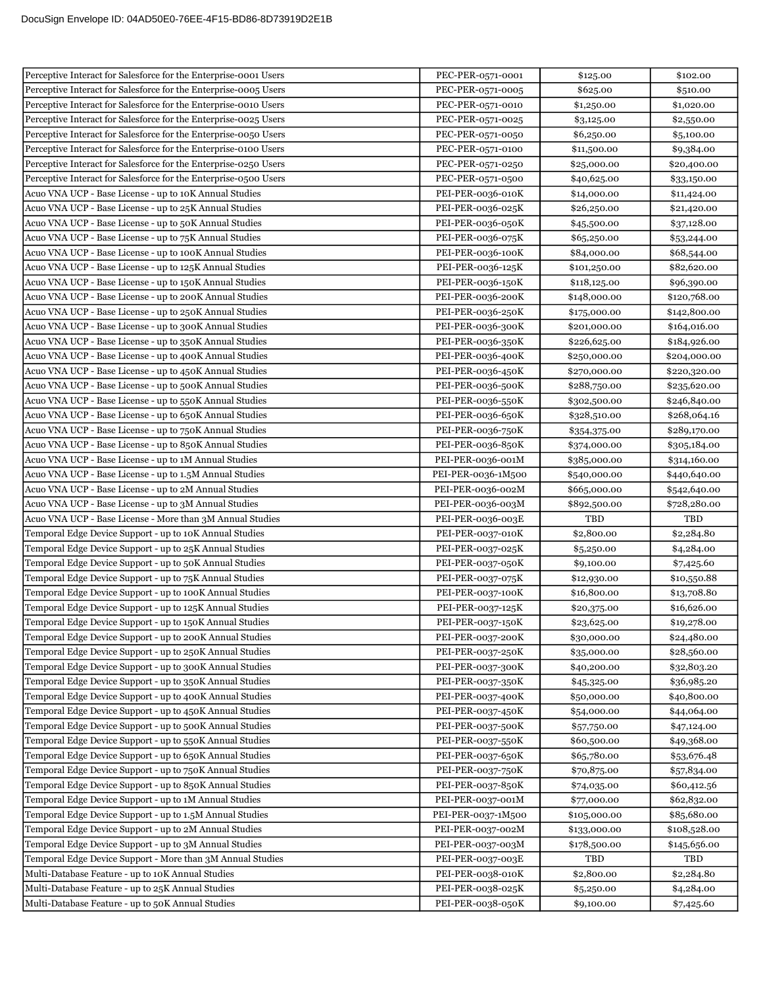| Perceptive Interact for Salesforce for the Enterprise-0001 Users | PEC-PER-0571-0001  | \$125.00     | \$102.00     |
|------------------------------------------------------------------|--------------------|--------------|--------------|
| Perceptive Interact for Salesforce for the Enterprise-0005 Users | PEC-PER-0571-0005  | \$625.00     | \$510.00     |
| Perceptive Interact for Salesforce for the Enterprise-0010 Users | PEC-PER-0571-0010  | \$1,250.00   | \$1,020.00   |
| Perceptive Interact for Salesforce for the Enterprise-0025 Users | PEC-PER-0571-0025  | \$3,125.00   | \$2,550.00   |
| Perceptive Interact for Salesforce for the Enterprise-0050 Users | PEC-PER-0571-0050  | \$6,250.00   | \$5,100.00   |
| Perceptive Interact for Salesforce for the Enterprise-0100 Users | PEC-PER-0571-0100  | \$11,500.00  | \$9,384.00   |
| Perceptive Interact for Salesforce for the Enterprise-0250 Users | PEC-PER-0571-0250  | \$25,000.00  | \$20,400.00  |
| Perceptive Interact for Salesforce for the Enterprise-0500 Users | PEC-PER-0571-0500  | \$40,625.00  | \$33,150.00  |
| Acuo VNA UCP - Base License - up to 10K Annual Studies           | PEI-PER-0036-010K  | \$14,000.00  | \$11,424.00  |
| Acuo VNA UCP - Base License - up to 25K Annual Studies           | PEI-PER-0036-025K  | \$26,250.00  | \$21,420.00  |
| Acuo VNA UCP - Base License - up to 50K Annual Studies           | PEI-PER-0036-050K  | \$45,500.00  | \$37,128.00  |
| Acuo VNA UCP - Base License - up to 75K Annual Studies           | PEI-PER-0036-075K  | \$65,250.00  | \$53,244.00  |
| Acuo VNA UCP - Base License - up to 100K Annual Studies          | PEI-PER-0036-100K  | \$84,000.00  | \$68,544.00  |
| Acuo VNA UCP - Base License - up to 125K Annual Studies          | PEI-PER-0036-125K  | \$101,250.00 | \$82,620.00  |
| Acuo VNA UCP - Base License - up to 150K Annual Studies          | PEI-PER-0036-150K  | \$118,125.00 | \$96,390.00  |
| Acuo VNA UCP - Base License - up to 200K Annual Studies          | PEI-PER-0036-200K  | \$148,000.00 | \$120,768.00 |
| Acuo VNA UCP - Base License - up to 250K Annual Studies          | PEI-PER-0036-250K  | \$175,000.00 | \$142,800.00 |
| Acuo VNA UCP - Base License - up to 300K Annual Studies          | PEI-PER-0036-300K  | \$201,000.00 | \$164,016.00 |
| Acuo VNA UCP - Base License - up to 350K Annual Studies          | PEI-PER-0036-350K  | \$226,625.00 | \$184,926.00 |
| Acuo VNA UCP - Base License - up to 400K Annual Studies          | PEI-PER-0036-400K  | \$250,000.00 | \$204,000.00 |
| Acuo VNA UCP - Base License - up to 450K Annual Studies          | PEI-PER-0036-450K  | \$270,000.00 | \$220,320.00 |
| Acuo VNA UCP - Base License - up to 500K Annual Studies          | PEI-PER-0036-500K  | \$288,750.00 | \$235,620.00 |
| Acuo VNA UCP - Base License - up to 550K Annual Studies          | PEI-PER-0036-550K  | \$302,500.00 | \$246,840.00 |
| Acuo VNA UCP - Base License - up to 650K Annual Studies          | PEI-PER-0036-650K  | \$328,510.00 | \$268,064.16 |
| Acuo VNA UCP - Base License - up to 750K Annual Studies          | PEI-PER-0036-750K  | \$354,375.00 | \$289,170.00 |
| Acuo VNA UCP - Base License - up to 850K Annual Studies          | PEI-PER-0036-850K  | \$374,000.00 | \$305,184.00 |
| Acuo VNA UCP - Base License - up to 1M Annual Studies            | PEI-PER-0036-001M  | \$385,000.00 | \$314,160.00 |
| Acuo VNA UCP - Base License - up to 1.5M Annual Studies          | PEI-PER-0036-1M500 | \$540,000.00 | \$440,640.00 |
| Acuo VNA UCP - Base License - up to 2M Annual Studies            | PEI-PER-0036-002M  | \$665,000.00 | \$542,640.00 |
| Acuo VNA UCP - Base License - up to 3M Annual Studies            | PEI-PER-0036-003M  | \$892,500.00 | \$728,280.00 |
| Acuo VNA UCP - Base License - More than 3M Annual Studies        | PEI-PER-0036-003E  | TBD          | <b>TBD</b>   |
| Temporal Edge Device Support - up to 10K Annual Studies          | PEI-PER-0037-010K  | \$2,800.00   | \$2,284.80   |
| Temporal Edge Device Support - up to 25K Annual Studies          | PEI-PER-0037-025K  | \$5,250.00   | \$4,284.00   |
| Temporal Edge Device Support - up to 50K Annual Studies          | PEI-PER-0037-050K  | \$9,100.00   | \$7,425.60   |
| Temporal Edge Device Support - up to 75K Annual Studies          | PEI-PER-0037-075K  | \$12,930.00  | \$10,550.88  |
| Temporal Edge Device Support - up to 100K Annual Studies         | PEI-PER-0037-100K  | \$16,800.00  | \$13,708.80  |
| Temporal Edge Device Support - up to 125K Annual Studies         | PEI-PER-0037-125K  | \$20,375.00  | \$16,626.00  |
| Temporal Edge Device Support - up to 150K Annual Studies         | PEI-PER-0037-150K  | \$23,625.00  | \$19,278.00  |
| Temporal Edge Device Support - up to 200K Annual Studies         | PEI-PER-0037-200K  | \$30,000.00  | \$24,480.00  |
| Temporal Edge Device Support - up to 250K Annual Studies         | PEI-PER-0037-250K  | \$35,000.00  | \$28,560.00  |
| Temporal Edge Device Support - up to 300K Annual Studies         | PEI-PER-0037-300K  | \$40,200.00  | \$32,803.20  |
| Temporal Edge Device Support - up to 350K Annual Studies         | PEI-PER-0037-350K  | \$45,325.00  | \$36,985.20  |
| Temporal Edge Device Support - up to 400K Annual Studies         | PEI-PER-0037-400K  | \$50,000.00  | \$40,800.00  |
| Temporal Edge Device Support - up to 450K Annual Studies         | PEI-PER-0037-450K  | \$54,000.00  | \$44,064.00  |
| Temporal Edge Device Support - up to 500K Annual Studies         | PEI-PER-0037-500K  | \$57,750.00  | \$47,124.00  |
| Temporal Edge Device Support - up to 550K Annual Studies         | PEI-PER-0037-550K  | \$60,500.00  | \$49,368.00  |
| Temporal Edge Device Support - up to 650K Annual Studies         | PEI-PER-0037-650K  | \$65,780.00  | \$53,676.48  |
| Temporal Edge Device Support - up to 750K Annual Studies         | PEI-PER-0037-750K  | \$70,875.00  | \$57,834.00  |
| Temporal Edge Device Support - up to 850K Annual Studies         | PEI-PER-0037-850K  | \$74,035.00  | \$60,412.56  |
| Temporal Edge Device Support - up to 1M Annual Studies           | PEI-PER-0037-001M  | \$77,000.00  | \$62,832.00  |
| Temporal Edge Device Support - up to 1.5M Annual Studies         | PEI-PER-0037-1M500 | \$105,000.00 | \$85,680.00  |
| Temporal Edge Device Support - up to 2M Annual Studies           | PEI-PER-0037-002M  | \$133,000.00 | \$108,528.00 |
| Temporal Edge Device Support - up to 3M Annual Studies           | PEI-PER-0037-003M  | \$178,500.00 | \$145,656.00 |
| Temporal Edge Device Support - More than 3M Annual Studies       | PEI-PER-0037-003E  | TBD          | TBD          |
| Multi-Database Feature - up to 10K Annual Studies                | PEI-PER-0038-010K  | \$2,800.00   | \$2,284.80   |
| Multi-Database Feature - up to 25K Annual Studies                | PEI-PER-0038-025K  | \$5,250.00   | \$4,284.00   |
| Multi-Database Feature - up to 50K Annual Studies                | PEI-PER-0038-050K  | \$9,100.00   | \$7,425.60   |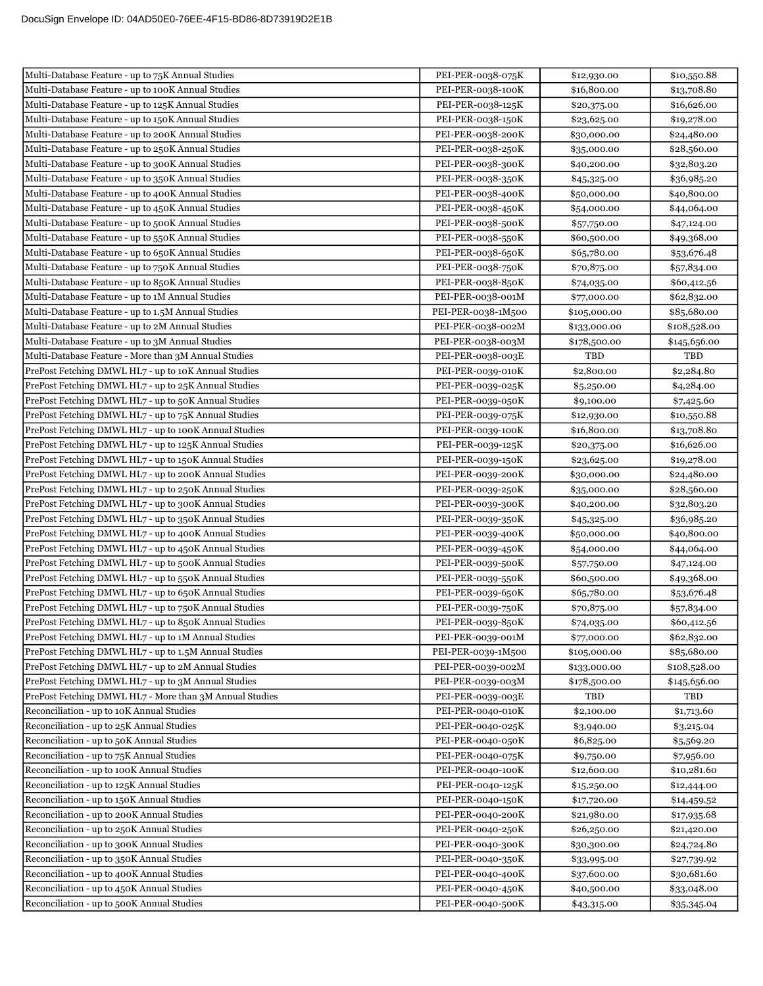| Multi-Database Feature - up to 75K Annual Studies                                      | PEI-PER-0038-075K                      | \$12,930.00                | \$10,550.88                |
|----------------------------------------------------------------------------------------|----------------------------------------|----------------------------|----------------------------|
| Multi-Database Feature - up to 100K Annual Studies                                     | PEI-PER-0038-100K                      | \$16,800.00                | \$13,708.80                |
| Multi-Database Feature - up to 125K Annual Studies                                     | PEI-PER-0038-125K                      | \$20,375.00                | \$16,626.00                |
| Multi-Database Feature - up to 150K Annual Studies                                     | PEI-PER-0038-150K                      | \$23,625.00                | \$19,278.00                |
| Multi-Database Feature - up to 200K Annual Studies                                     | PEI-PER-0038-200K                      | \$30,000.00                | \$24,480.00                |
| Multi-Database Feature - up to 250K Annual Studies                                     | PEI-PER-0038-250K                      | \$35,000.00                | \$28,560.00                |
| Multi-Database Feature - up to 300K Annual Studies                                     | PEI-PER-0038-300K                      | \$40,200.00                | \$32,803.20                |
| Multi-Database Feature - up to 350K Annual Studies                                     | PEI-PER-0038-350K                      | \$45,325.00                | \$36,985.20                |
| Multi-Database Feature - up to 400K Annual Studies                                     | PEI-PER-0038-400K                      | \$50,000.00                | \$40,800.00                |
| Multi-Database Feature - up to 450K Annual Studies                                     | PEI-PER-0038-450K                      | \$54,000.00                | \$44,064.00                |
| Multi-Database Feature - up to 500K Annual Studies                                     | PEI-PER-0038-500K                      | \$57,750.00                | \$47,124.00                |
| Multi-Database Feature - up to 550K Annual Studies                                     | PEI-PER-0038-550K                      | \$60,500.00                | \$49,368.00                |
| Multi-Database Feature - up to 650K Annual Studies                                     | PEI-PER-0038-650K                      | \$65,780.00                | \$53,676.48                |
| Multi-Database Feature - up to 750K Annual Studies                                     | PEI-PER-0038-750K                      | \$70,875.00                | \$57,834.00                |
| Multi-Database Feature - up to 850K Annual Studies                                     | PEI-PER-0038-850K                      | \$74,035.00                | \$60,412.56                |
| Multi-Database Feature - up to 1M Annual Studies                                       | PEI-PER-0038-001M                      | \$77,000.00                | \$62,832.00                |
| Multi-Database Feature - up to 1.5M Annual Studies                                     | PEI-PER-0038-1M500                     | \$105,000.00               | \$85,680.00                |
| Multi-Database Feature - up to 2M Annual Studies                                       | PEI-PER-0038-002M                      | \$133,000.00               | \$108,528.00               |
| Multi-Database Feature - up to 3M Annual Studies                                       | PEI-PER-0038-003M                      | \$178,500.00               | \$145,656.00               |
| Multi-Database Feature - More than 3M Annual Studies                                   | PEI-PER-0038-003E                      | TBD                        | <b>TBD</b>                 |
| PrePost Fetching DMWL HL7 - up to 10K Annual Studies                                   | PEI-PER-0039-010K                      | \$2,800.00                 | \$2,284.80                 |
| PrePost Fetching DMWL HL7 - up to 25K Annual Studies                                   | PEI-PER-0039-025K                      | \$5,250.00                 | \$4,284.00                 |
| PrePost Fetching DMWL HL7 - up to 50K Annual Studies                                   | PEI-PER-0039-050K                      | \$9,100.00                 | \$7,425.60                 |
| PrePost Fetching DMWL HL7 - up to 75K Annual Studies                                   | PEI-PER-0039-075K                      | \$12,930.00                | \$10,550.88                |
| PrePost Fetching DMWL HL7 - up to 100K Annual Studies                                  | PEI-PER-0039-100K                      | \$16,800.00                | \$13,708.80                |
| PrePost Fetching DMWL HL7 - up to 125K Annual Studies                                  | PEI-PER-0039-125K                      | \$20,375.00                | \$16,626.00                |
| PrePost Fetching DMWL HL7 - up to 150K Annual Studies                                  | PEI-PER-0039-150K                      | \$23,625.00                | \$19,278.00                |
| PrePost Fetching DMWL HL7 - up to 200K Annual Studies                                  | PEI-PER-0039-200K                      | \$30,000.00                | \$24,480.00                |
| PrePost Fetching DMWL HL7 - up to 250K Annual Studies                                  | PEI-PER-0039-250K                      | \$35,000.00                | \$28,560.00                |
| PrePost Fetching DMWL HL7 - up to 300K Annual Studies                                  | PEI-PER-0039-300K                      | \$40,200.00                | \$32,803.20                |
| PrePost Fetching DMWL HL7 - up to 350K Annual Studies                                  | PEI-PER-0039-350K                      | \$45,325.00                | \$36,985.20                |
| PrePost Fetching DMWL HL7 - up to 400K Annual Studies                                  | PEI-PER-0039-400K                      | \$50,000.00                | \$40,800.00                |
| PrePost Fetching DMWL HL7 - up to 450K Annual Studies                                  | PEI-PER-0039-450K                      | \$54,000.00                | \$44,064.00                |
| PrePost Fetching DMWL HL7 - up to 500K Annual Studies                                  | PEI-PER-0039-500K                      | \$57,750.00                | \$47,124.00                |
| PrePost Fetching DMWL HL7 - up to 550K Annual Studies                                  | PEI-PER-0039-550K                      | \$60,500.00                | \$49,368.00                |
| PrePost Fetching DMWL HL7 - up to 650K Annual Studies                                  | PEI-PER-0039-650K                      | \$65,780.00                | \$53,676.48                |
| PrePost Fetching DMWL HL7 - up to 750K Annual Studies                                  | PEI-PER-0039-750K                      | \$70,875.00                | \$57,834.00                |
| PrePost Fetching DMWL HL7 - up to 850K Annual Studies                                  | PEI-PER-0039-850K                      | \$74,035.00                | \$60,412.56                |
| PrePost Fetching DMWL HL7 - up to 1M Annual Studies                                    | PEI-PER-0039-001M                      | \$77,000.00                | \$62,832.00                |
| PrePost Fetching DMWL HL7 - up to 1.5M Annual Studies                                  | PEI-PER-0039-1M500                     | \$105,000.00               | \$85,680.00                |
| PrePost Fetching DMWL HL7 - up to 2M Annual Studies                                    | PEI-PER-0039-002M                      | \$133,000.00               | \$108,528.00               |
| PrePost Fetching DMWL HL7 - up to 3M Annual Studies                                    | PEI-PER-0039-003M                      | \$178,500.00               | \$145,656.00               |
| PrePost Fetching DMWL HL7 - More than 3M Annual Studies                                | PEI-PER-0039-003E                      | TBD                        | TBD                        |
| Reconciliation - up to 10K Annual Studies                                              | PEI-PER-0040-010K                      | \$2,100.00                 | \$1,713.60                 |
| Reconciliation - up to 25K Annual Studies                                              | PEI-PER-0040-025K                      | \$3,940.00                 | \$3,215.04                 |
| Reconciliation - up to 50K Annual Studies<br>Reconciliation - up to 75K Annual Studies | PEI-PER-0040-050K                      | \$6,825.00                 | \$5,569.20                 |
| Reconciliation - up to 100K Annual Studies                                             | PEI-PER-0040-075K<br>PEI-PER-0040-100K | \$9,750.00                 | \$7,956.00                 |
| Reconciliation - up to 125K Annual Studies                                             | PEI-PER-0040-125K                      | \$12,600.00                | \$10,281.60                |
| Reconciliation - up to 150K Annual Studies                                             | PEI-PER-0040-150K                      | \$15,250.00<br>\$17,720.00 | \$12,444.00                |
| Reconciliation - up to 200K Annual Studies                                             | PEI-PER-0040-200K                      | \$21,980.00                | \$14,459.52<br>\$17,935.68 |
| Reconciliation - up to 250K Annual Studies                                             | PEI-PER-0040-250K                      | \$26,250.00                | \$21,420.00                |
| Reconciliation - up to 300K Annual Studies                                             | PEI-PER-0040-300K                      | \$30,300.00                | \$24,724.80                |
| Reconciliation - up to 350K Annual Studies                                             | PEI-PER-0040-350K                      | \$33,995.00                | \$27,739.92                |
| Reconciliation - up to 400K Annual Studies                                             | PEI-PER-0040-400K                      | \$37,600.00                | \$30,681.60                |
| Reconciliation - up to 450K Annual Studies                                             | PEI-PER-0040-450K                      | \$40,500.00                | \$33,048.00                |
| Reconciliation - up to 500K Annual Studies                                             | PEI-PER-0040-500K                      | \$43,315.00                | \$35,345.04                |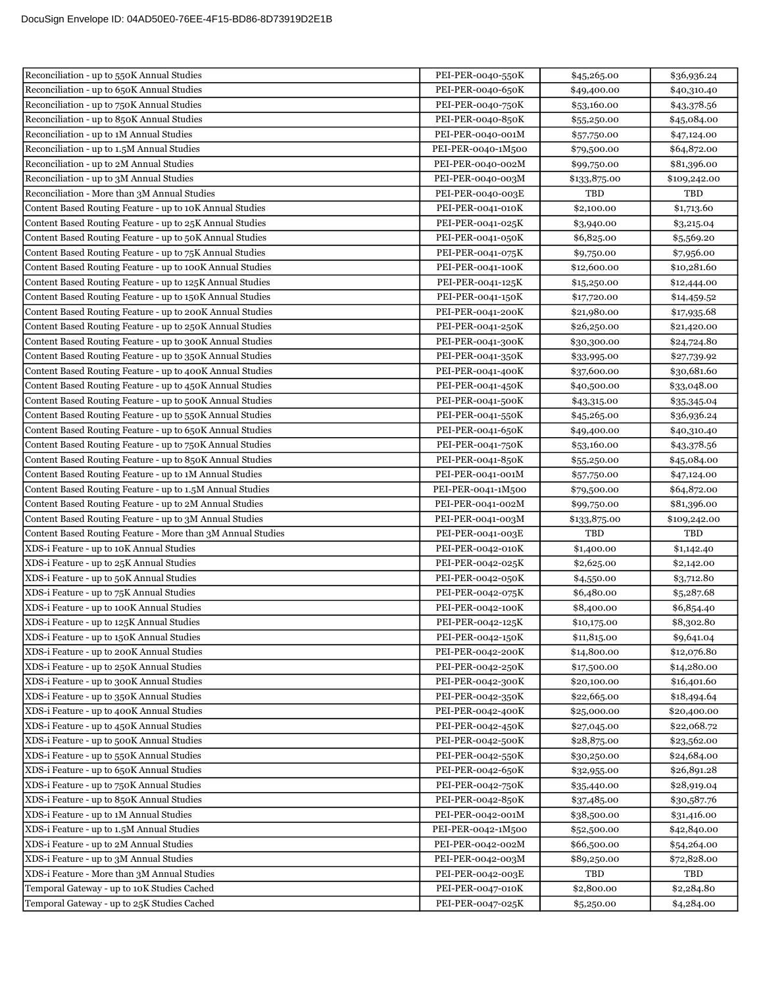| Reconciliation - up to 650K Annual Studies<br>PEI-PER-0040-650K<br>\$49,400.00<br>\$40,310.40<br>Reconciliation - up to 750K Annual Studies<br>PEI-PER-0040-750K<br>\$53,160.00<br>\$43,378.56<br>Reconciliation - up to 850K Annual Studies<br>PEI-PER-0040-850K<br>\$55,250.00<br>\$45,084.00<br>Reconciliation - up to 1M Annual Studies<br>PEI-PER-0040-001M<br>\$57,750.00<br>\$47,124.00<br>Reconciliation - up to 1.5M Annual Studies<br>PEI-PER-0040-1M500<br>\$64,872.00<br>\$79,500.00<br>Reconciliation - up to 2M Annual Studies<br>PEI-PER-0040-002M<br>\$81,396.00<br>\$99,750.00<br>Reconciliation - up to 3M Annual Studies<br>PEI-PER-0040-003M<br>\$133,875.00<br>\$109,242.00<br>Reconciliation - More than 3M Annual Studies<br>PEI-PER-0040-003E<br>TBD<br>TBD<br>PEI-PER-0041-010K<br>Content Based Routing Feature - up to 10K Annual Studies<br>\$2,100.00<br>\$1,713.60<br>Content Based Routing Feature - up to 25K Annual Studies<br>PEI-PER-0041-025K<br>\$3,940.00<br>\$3,215.04<br>Content Based Routing Feature - up to 50K Annual Studies<br>PEI-PER-0041-050K<br>\$6,825.00<br>\$5,569.20<br>Content Based Routing Feature - up to 75K Annual Studies<br>PEI-PER-0041-075K<br>\$9,750.00<br>\$7,956.00<br>Content Based Routing Feature - up to 100K Annual Studies<br>PEI-PER-0041-100K<br>\$12,600.00<br>\$10,281.60<br>Content Based Routing Feature - up to 125K Annual Studies<br>PEI-PER-0041-125K<br>\$15,250.00<br>\$12,444.00<br>Content Based Routing Feature - up to 150K Annual Studies<br>PEI-PER-0041-150K<br>\$17,720.00<br>\$14,459.52<br>Content Based Routing Feature - up to 200K Annual Studies<br>PEI-PER-0041-200K<br>\$21,980.00<br>\$17,935.68<br>Content Based Routing Feature - up to 250K Annual Studies<br>PEI-PER-0041-250K<br>\$26,250.00<br>\$21,420.00<br>Content Based Routing Feature - up to 300K Annual Studies<br>PEI-PER-0041-300K<br>\$24,724.80<br>\$30,300.00<br>Content Based Routing Feature - up to 350K Annual Studies<br>PEI-PER-0041-350K<br>\$33,995.00<br>\$27,739.92<br>Content Based Routing Feature - up to 400K Annual Studies<br>PEI-PER-0041-400K<br>\$37,600.00<br>\$30,681.60<br>Content Based Routing Feature - up to 450K Annual Studies<br>PEI-PER-0041-450K<br>\$40,500.00<br>\$33,048.00<br>Content Based Routing Feature - up to 500K Annual Studies<br>PEI-PER-0041-500K<br>\$43,315.00<br>\$35,345.04<br>Content Based Routing Feature - up to 550K Annual Studies<br>PEI-PER-0041-550K<br>\$45,265.00<br>\$36,936.24<br>Content Based Routing Feature - up to 650K Annual Studies<br>PEI-PER-0041-650K<br>\$49,400.00<br>\$40,310.40<br>Content Based Routing Feature - up to 750K Annual Studies<br>PEI-PER-0041-750K<br>\$43,378.56<br>\$53,160.00<br>Content Based Routing Feature - up to 850K Annual Studies<br>PEI-PER-0041-850K<br>\$45,084.00<br>\$55,250.00<br>Content Based Routing Feature - up to 1M Annual Studies<br>PEI-PER-0041-001M<br>\$57,750.00<br>\$47,124.00<br>Content Based Routing Feature - up to 1.5M Annual Studies<br>PEI-PER-0041-1M500<br>\$64,872.00<br>\$79,500.00<br>Content Based Routing Feature - up to 2M Annual Studies<br>PEI-PER-0041-002M<br>\$81,396.00<br>\$99,750.00<br>Content Based Routing Feature - up to 3M Annual Studies<br>PEI-PER-0041-003M<br>\$133,875.00<br>\$109,242.00<br>TBD<br>PEI-PER-0041-003E<br>TBD<br>Content Based Routing Feature - More than 3M Annual Studies<br>XDS-i Feature - up to 10K Annual Studies<br>PEI-PER-0042-010K<br>\$1,400.00<br>\$1,142.40<br>XDS-i Feature - up to 25K Annual Studies<br>PEI-PER-0042-025K<br>\$2,625.00<br>\$2,142.00<br>XDS-i Feature - up to 50K Annual Studies<br>PEI-PER-0042-050K<br>\$4,550.00<br>\$3,712.80<br>XDS-i Feature - up to 75K Annual Studies<br>PEI-PER-0042-075K<br>\$6,480.00<br>\$5,287.68<br>XDS-i Feature - up to 100K Annual Studies<br>PEI-PER-0042-100K<br>\$6,854.40<br>\$8,400.00<br>XDS-i Feature - up to 125K Annual Studies<br>PEI-PER-0042-125K<br>\$8,302.80<br>\$10,175.00<br>XDS-i Feature - up to 150K Annual Studies<br>PEI-PER-0042-150K<br>\$11,815.00<br>\$9,641.04<br>XDS-i Feature - up to 200K Annual Studies<br>PEI-PER-0042-200K<br>\$14,800.00<br>\$12,076.80<br>XDS-i Feature - up to 250K Annual Studies<br>PEI-PER-0042-250K<br>\$17,500.00<br>\$14,280.00<br>XDS-i Feature - up to 300K Annual Studies<br>PEI-PER-0042-300K<br>\$20,100.00<br>\$16,401.60<br>XDS-i Feature - up to 350K Annual Studies<br>PEI-PER-0042-350K<br>\$22,665.00<br>\$18,494.64<br>XDS-i Feature - up to 400K Annual Studies<br>PEI-PER-0042-400K<br>\$20,400.00<br>\$25,000.00<br>XDS-i Feature - up to 450K Annual Studies<br>PEI-PER-0042-450K<br>\$22,068.72<br>\$27,045.00<br>XDS-i Feature - up to 500K Annual Studies<br>PEI-PER-0042-500K<br>\$28,875.00<br>\$23,562.00<br>XDS-i Feature - up to 550K Annual Studies<br>PEI-PER-0042-550K<br>\$24,684.00<br>\$30,250.00<br>XDS-i Feature - up to 650K Annual Studies<br>PEI-PER-0042-650K<br>\$26,891.28<br>\$32,955.00<br>XDS-i Feature - up to 750K Annual Studies<br>PEI-PER-0042-750K<br>\$28,919.04<br>\$35,440.00<br>XDS-i Feature - up to 850K Annual Studies<br>PEI-PER-0042-850K<br>\$30,587.76<br>\$37,485.00<br>XDS-i Feature - up to 1M Annual Studies<br>PEI-PER-0042-001M<br>\$38,500.00<br>\$31,416.00<br>XDS-i Feature - up to 1.5M Annual Studies<br>PEI-PER-0042-1M500<br>\$42,840.00<br>\$52,500.00<br>XDS-i Feature - up to 2M Annual Studies<br>PEI-PER-0042-002M<br>\$66,500.00<br>\$54,264.00<br>XDS-i Feature - up to 3M Annual Studies<br>PEI-PER-0042-003M<br>\$89,250.00<br>\$72,828.00<br>XDS-i Feature - More than 3M Annual Studies<br>PEI-PER-0042-003E<br>TBD<br>TBD<br>Temporal Gateway - up to 10K Studies Cached<br>PEI-PER-0047-010K<br>\$2,800.00<br>\$2,284.80 | Reconciliation - up to 550K Annual Studies  | PEI-PER-0040-550K | \$45,265.00 | \$36,936.24 |
|-----------------------------------------------------------------------------------------------------------------------------------------------------------------------------------------------------------------------------------------------------------------------------------------------------------------------------------------------------------------------------------------------------------------------------------------------------------------------------------------------------------------------------------------------------------------------------------------------------------------------------------------------------------------------------------------------------------------------------------------------------------------------------------------------------------------------------------------------------------------------------------------------------------------------------------------------------------------------------------------------------------------------------------------------------------------------------------------------------------------------------------------------------------------------------------------------------------------------------------------------------------------------------------------------------------------------------------------------------------------------------------------------------------------------------------------------------------------------------------------------------------------------------------------------------------------------------------------------------------------------------------------------------------------------------------------------------------------------------------------------------------------------------------------------------------------------------------------------------------------------------------------------------------------------------------------------------------------------------------------------------------------------------------------------------------------------------------------------------------------------------------------------------------------------------------------------------------------------------------------------------------------------------------------------------------------------------------------------------------------------------------------------------------------------------------------------------------------------------------------------------------------------------------------------------------------------------------------------------------------------------------------------------------------------------------------------------------------------------------------------------------------------------------------------------------------------------------------------------------------------------------------------------------------------------------------------------------------------------------------------------------------------------------------------------------------------------------------------------------------------------------------------------------------------------------------------------------------------------------------------------------------------------------------------------------------------------------------------------------------------------------------------------------------------------------------------------------------------------------------------------------------------------------------------------------------------------------------------------------------------------------------------------------------------------------------------------------------------------------------------------------------------------------------------------------------------------------------------------------------------------------------------------------------------------------------------------------------------------------------------------------------------------------------------------------------------------------------------------------------------------------------------------------------------------------------------------------------------------------------------------------------------------------------------------------------------------------------------------------------------------------------------------------------------------------------------------------------------------------------------------------------------------------------------------------------------------------------------------------------------------------------------------------------------------------------------------------------------------------------------------------------------------------------------------------------------------------------------------------------------------------------------------------------------------------------------------------------------------------------------------------------------------------------------------------------------------------------------------------------------------------------------------------------------------------------------------------------------------------------------------------------------------------------------------------------------------------------------------------------------------------------------------------------------------------------------------------------------------------------------------------------------------------------------------------------------------------------------------------------------------------------------------------------------------------------------------------------------------------------------------------------------------------------------------|---------------------------------------------|-------------------|-------------|-------------|
|                                                                                                                                                                                                                                                                                                                                                                                                                                                                                                                                                                                                                                                                                                                                                                                                                                                                                                                                                                                                                                                                                                                                                                                                                                                                                                                                                                                                                                                                                                                                                                                                                                                                                                                                                                                                                                                                                                                                                                                                                                                                                                                                                                                                                                                                                                                                                                                                                                                                                                                                                                                                                                                                                                                                                                                                                                                                                                                                                                                                                                                                                                                                                                                                                                                                                                                                                                                                                                                                                                                                                                                                                                                                                                                                                                                                                                                                                                                                                                                                                                                                                                                                                                                                                                                                                                                                                                                                                                                                                                                                                                                                                                                                                                                                                                                                                                                                                                                                                                                                                                                                                                                                                                                                                                                                                                                                                                                                                                                                                                                                                                                                                                                                                                                                                                                                     |                                             |                   |             |             |
|                                                                                                                                                                                                                                                                                                                                                                                                                                                                                                                                                                                                                                                                                                                                                                                                                                                                                                                                                                                                                                                                                                                                                                                                                                                                                                                                                                                                                                                                                                                                                                                                                                                                                                                                                                                                                                                                                                                                                                                                                                                                                                                                                                                                                                                                                                                                                                                                                                                                                                                                                                                                                                                                                                                                                                                                                                                                                                                                                                                                                                                                                                                                                                                                                                                                                                                                                                                                                                                                                                                                                                                                                                                                                                                                                                                                                                                                                                                                                                                                                                                                                                                                                                                                                                                                                                                                                                                                                                                                                                                                                                                                                                                                                                                                                                                                                                                                                                                                                                                                                                                                                                                                                                                                                                                                                                                                                                                                                                                                                                                                                                                                                                                                                                                                                                                                     |                                             |                   |             |             |
|                                                                                                                                                                                                                                                                                                                                                                                                                                                                                                                                                                                                                                                                                                                                                                                                                                                                                                                                                                                                                                                                                                                                                                                                                                                                                                                                                                                                                                                                                                                                                                                                                                                                                                                                                                                                                                                                                                                                                                                                                                                                                                                                                                                                                                                                                                                                                                                                                                                                                                                                                                                                                                                                                                                                                                                                                                                                                                                                                                                                                                                                                                                                                                                                                                                                                                                                                                                                                                                                                                                                                                                                                                                                                                                                                                                                                                                                                                                                                                                                                                                                                                                                                                                                                                                                                                                                                                                                                                                                                                                                                                                                                                                                                                                                                                                                                                                                                                                                                                                                                                                                                                                                                                                                                                                                                                                                                                                                                                                                                                                                                                                                                                                                                                                                                                                                     |                                             |                   |             |             |
|                                                                                                                                                                                                                                                                                                                                                                                                                                                                                                                                                                                                                                                                                                                                                                                                                                                                                                                                                                                                                                                                                                                                                                                                                                                                                                                                                                                                                                                                                                                                                                                                                                                                                                                                                                                                                                                                                                                                                                                                                                                                                                                                                                                                                                                                                                                                                                                                                                                                                                                                                                                                                                                                                                                                                                                                                                                                                                                                                                                                                                                                                                                                                                                                                                                                                                                                                                                                                                                                                                                                                                                                                                                                                                                                                                                                                                                                                                                                                                                                                                                                                                                                                                                                                                                                                                                                                                                                                                                                                                                                                                                                                                                                                                                                                                                                                                                                                                                                                                                                                                                                                                                                                                                                                                                                                                                                                                                                                                                                                                                                                                                                                                                                                                                                                                                                     |                                             |                   |             |             |
|                                                                                                                                                                                                                                                                                                                                                                                                                                                                                                                                                                                                                                                                                                                                                                                                                                                                                                                                                                                                                                                                                                                                                                                                                                                                                                                                                                                                                                                                                                                                                                                                                                                                                                                                                                                                                                                                                                                                                                                                                                                                                                                                                                                                                                                                                                                                                                                                                                                                                                                                                                                                                                                                                                                                                                                                                                                                                                                                                                                                                                                                                                                                                                                                                                                                                                                                                                                                                                                                                                                                                                                                                                                                                                                                                                                                                                                                                                                                                                                                                                                                                                                                                                                                                                                                                                                                                                                                                                                                                                                                                                                                                                                                                                                                                                                                                                                                                                                                                                                                                                                                                                                                                                                                                                                                                                                                                                                                                                                                                                                                                                                                                                                                                                                                                                                                     |                                             |                   |             |             |
|                                                                                                                                                                                                                                                                                                                                                                                                                                                                                                                                                                                                                                                                                                                                                                                                                                                                                                                                                                                                                                                                                                                                                                                                                                                                                                                                                                                                                                                                                                                                                                                                                                                                                                                                                                                                                                                                                                                                                                                                                                                                                                                                                                                                                                                                                                                                                                                                                                                                                                                                                                                                                                                                                                                                                                                                                                                                                                                                                                                                                                                                                                                                                                                                                                                                                                                                                                                                                                                                                                                                                                                                                                                                                                                                                                                                                                                                                                                                                                                                                                                                                                                                                                                                                                                                                                                                                                                                                                                                                                                                                                                                                                                                                                                                                                                                                                                                                                                                                                                                                                                                                                                                                                                                                                                                                                                                                                                                                                                                                                                                                                                                                                                                                                                                                                                                     |                                             |                   |             |             |
|                                                                                                                                                                                                                                                                                                                                                                                                                                                                                                                                                                                                                                                                                                                                                                                                                                                                                                                                                                                                                                                                                                                                                                                                                                                                                                                                                                                                                                                                                                                                                                                                                                                                                                                                                                                                                                                                                                                                                                                                                                                                                                                                                                                                                                                                                                                                                                                                                                                                                                                                                                                                                                                                                                                                                                                                                                                                                                                                                                                                                                                                                                                                                                                                                                                                                                                                                                                                                                                                                                                                                                                                                                                                                                                                                                                                                                                                                                                                                                                                                                                                                                                                                                                                                                                                                                                                                                                                                                                                                                                                                                                                                                                                                                                                                                                                                                                                                                                                                                                                                                                                                                                                                                                                                                                                                                                                                                                                                                                                                                                                                                                                                                                                                                                                                                                                     |                                             |                   |             |             |
|                                                                                                                                                                                                                                                                                                                                                                                                                                                                                                                                                                                                                                                                                                                                                                                                                                                                                                                                                                                                                                                                                                                                                                                                                                                                                                                                                                                                                                                                                                                                                                                                                                                                                                                                                                                                                                                                                                                                                                                                                                                                                                                                                                                                                                                                                                                                                                                                                                                                                                                                                                                                                                                                                                                                                                                                                                                                                                                                                                                                                                                                                                                                                                                                                                                                                                                                                                                                                                                                                                                                                                                                                                                                                                                                                                                                                                                                                                                                                                                                                                                                                                                                                                                                                                                                                                                                                                                                                                                                                                                                                                                                                                                                                                                                                                                                                                                                                                                                                                                                                                                                                                                                                                                                                                                                                                                                                                                                                                                                                                                                                                                                                                                                                                                                                                                                     |                                             |                   |             |             |
|                                                                                                                                                                                                                                                                                                                                                                                                                                                                                                                                                                                                                                                                                                                                                                                                                                                                                                                                                                                                                                                                                                                                                                                                                                                                                                                                                                                                                                                                                                                                                                                                                                                                                                                                                                                                                                                                                                                                                                                                                                                                                                                                                                                                                                                                                                                                                                                                                                                                                                                                                                                                                                                                                                                                                                                                                                                                                                                                                                                                                                                                                                                                                                                                                                                                                                                                                                                                                                                                                                                                                                                                                                                                                                                                                                                                                                                                                                                                                                                                                                                                                                                                                                                                                                                                                                                                                                                                                                                                                                                                                                                                                                                                                                                                                                                                                                                                                                                                                                                                                                                                                                                                                                                                                                                                                                                                                                                                                                                                                                                                                                                                                                                                                                                                                                                                     |                                             |                   |             |             |
|                                                                                                                                                                                                                                                                                                                                                                                                                                                                                                                                                                                                                                                                                                                                                                                                                                                                                                                                                                                                                                                                                                                                                                                                                                                                                                                                                                                                                                                                                                                                                                                                                                                                                                                                                                                                                                                                                                                                                                                                                                                                                                                                                                                                                                                                                                                                                                                                                                                                                                                                                                                                                                                                                                                                                                                                                                                                                                                                                                                                                                                                                                                                                                                                                                                                                                                                                                                                                                                                                                                                                                                                                                                                                                                                                                                                                                                                                                                                                                                                                                                                                                                                                                                                                                                                                                                                                                                                                                                                                                                                                                                                                                                                                                                                                                                                                                                                                                                                                                                                                                                                                                                                                                                                                                                                                                                                                                                                                                                                                                                                                                                                                                                                                                                                                                                                     |                                             |                   |             |             |
|                                                                                                                                                                                                                                                                                                                                                                                                                                                                                                                                                                                                                                                                                                                                                                                                                                                                                                                                                                                                                                                                                                                                                                                                                                                                                                                                                                                                                                                                                                                                                                                                                                                                                                                                                                                                                                                                                                                                                                                                                                                                                                                                                                                                                                                                                                                                                                                                                                                                                                                                                                                                                                                                                                                                                                                                                                                                                                                                                                                                                                                                                                                                                                                                                                                                                                                                                                                                                                                                                                                                                                                                                                                                                                                                                                                                                                                                                                                                                                                                                                                                                                                                                                                                                                                                                                                                                                                                                                                                                                                                                                                                                                                                                                                                                                                                                                                                                                                                                                                                                                                                                                                                                                                                                                                                                                                                                                                                                                                                                                                                                                                                                                                                                                                                                                                                     |                                             |                   |             |             |
|                                                                                                                                                                                                                                                                                                                                                                                                                                                                                                                                                                                                                                                                                                                                                                                                                                                                                                                                                                                                                                                                                                                                                                                                                                                                                                                                                                                                                                                                                                                                                                                                                                                                                                                                                                                                                                                                                                                                                                                                                                                                                                                                                                                                                                                                                                                                                                                                                                                                                                                                                                                                                                                                                                                                                                                                                                                                                                                                                                                                                                                                                                                                                                                                                                                                                                                                                                                                                                                                                                                                                                                                                                                                                                                                                                                                                                                                                                                                                                                                                                                                                                                                                                                                                                                                                                                                                                                                                                                                                                                                                                                                                                                                                                                                                                                                                                                                                                                                                                                                                                                                                                                                                                                                                                                                                                                                                                                                                                                                                                                                                                                                                                                                                                                                                                                                     |                                             |                   |             |             |
|                                                                                                                                                                                                                                                                                                                                                                                                                                                                                                                                                                                                                                                                                                                                                                                                                                                                                                                                                                                                                                                                                                                                                                                                                                                                                                                                                                                                                                                                                                                                                                                                                                                                                                                                                                                                                                                                                                                                                                                                                                                                                                                                                                                                                                                                                                                                                                                                                                                                                                                                                                                                                                                                                                                                                                                                                                                                                                                                                                                                                                                                                                                                                                                                                                                                                                                                                                                                                                                                                                                                                                                                                                                                                                                                                                                                                                                                                                                                                                                                                                                                                                                                                                                                                                                                                                                                                                                                                                                                                                                                                                                                                                                                                                                                                                                                                                                                                                                                                                                                                                                                                                                                                                                                                                                                                                                                                                                                                                                                                                                                                                                                                                                                                                                                                                                                     |                                             |                   |             |             |
|                                                                                                                                                                                                                                                                                                                                                                                                                                                                                                                                                                                                                                                                                                                                                                                                                                                                                                                                                                                                                                                                                                                                                                                                                                                                                                                                                                                                                                                                                                                                                                                                                                                                                                                                                                                                                                                                                                                                                                                                                                                                                                                                                                                                                                                                                                                                                                                                                                                                                                                                                                                                                                                                                                                                                                                                                                                                                                                                                                                                                                                                                                                                                                                                                                                                                                                                                                                                                                                                                                                                                                                                                                                                                                                                                                                                                                                                                                                                                                                                                                                                                                                                                                                                                                                                                                                                                                                                                                                                                                                                                                                                                                                                                                                                                                                                                                                                                                                                                                                                                                                                                                                                                                                                                                                                                                                                                                                                                                                                                                                                                                                                                                                                                                                                                                                                     |                                             |                   |             |             |
|                                                                                                                                                                                                                                                                                                                                                                                                                                                                                                                                                                                                                                                                                                                                                                                                                                                                                                                                                                                                                                                                                                                                                                                                                                                                                                                                                                                                                                                                                                                                                                                                                                                                                                                                                                                                                                                                                                                                                                                                                                                                                                                                                                                                                                                                                                                                                                                                                                                                                                                                                                                                                                                                                                                                                                                                                                                                                                                                                                                                                                                                                                                                                                                                                                                                                                                                                                                                                                                                                                                                                                                                                                                                                                                                                                                                                                                                                                                                                                                                                                                                                                                                                                                                                                                                                                                                                                                                                                                                                                                                                                                                                                                                                                                                                                                                                                                                                                                                                                                                                                                                                                                                                                                                                                                                                                                                                                                                                                                                                                                                                                                                                                                                                                                                                                                                     |                                             |                   |             |             |
|                                                                                                                                                                                                                                                                                                                                                                                                                                                                                                                                                                                                                                                                                                                                                                                                                                                                                                                                                                                                                                                                                                                                                                                                                                                                                                                                                                                                                                                                                                                                                                                                                                                                                                                                                                                                                                                                                                                                                                                                                                                                                                                                                                                                                                                                                                                                                                                                                                                                                                                                                                                                                                                                                                                                                                                                                                                                                                                                                                                                                                                                                                                                                                                                                                                                                                                                                                                                                                                                                                                                                                                                                                                                                                                                                                                                                                                                                                                                                                                                                                                                                                                                                                                                                                                                                                                                                                                                                                                                                                                                                                                                                                                                                                                                                                                                                                                                                                                                                                                                                                                                                                                                                                                                                                                                                                                                                                                                                                                                                                                                                                                                                                                                                                                                                                                                     |                                             |                   |             |             |
|                                                                                                                                                                                                                                                                                                                                                                                                                                                                                                                                                                                                                                                                                                                                                                                                                                                                                                                                                                                                                                                                                                                                                                                                                                                                                                                                                                                                                                                                                                                                                                                                                                                                                                                                                                                                                                                                                                                                                                                                                                                                                                                                                                                                                                                                                                                                                                                                                                                                                                                                                                                                                                                                                                                                                                                                                                                                                                                                                                                                                                                                                                                                                                                                                                                                                                                                                                                                                                                                                                                                                                                                                                                                                                                                                                                                                                                                                                                                                                                                                                                                                                                                                                                                                                                                                                                                                                                                                                                                                                                                                                                                                                                                                                                                                                                                                                                                                                                                                                                                                                                                                                                                                                                                                                                                                                                                                                                                                                                                                                                                                                                                                                                                                                                                                                                                     |                                             |                   |             |             |
|                                                                                                                                                                                                                                                                                                                                                                                                                                                                                                                                                                                                                                                                                                                                                                                                                                                                                                                                                                                                                                                                                                                                                                                                                                                                                                                                                                                                                                                                                                                                                                                                                                                                                                                                                                                                                                                                                                                                                                                                                                                                                                                                                                                                                                                                                                                                                                                                                                                                                                                                                                                                                                                                                                                                                                                                                                                                                                                                                                                                                                                                                                                                                                                                                                                                                                                                                                                                                                                                                                                                                                                                                                                                                                                                                                                                                                                                                                                                                                                                                                                                                                                                                                                                                                                                                                                                                                                                                                                                                                                                                                                                                                                                                                                                                                                                                                                                                                                                                                                                                                                                                                                                                                                                                                                                                                                                                                                                                                                                                                                                                                                                                                                                                                                                                                                                     |                                             |                   |             |             |
|                                                                                                                                                                                                                                                                                                                                                                                                                                                                                                                                                                                                                                                                                                                                                                                                                                                                                                                                                                                                                                                                                                                                                                                                                                                                                                                                                                                                                                                                                                                                                                                                                                                                                                                                                                                                                                                                                                                                                                                                                                                                                                                                                                                                                                                                                                                                                                                                                                                                                                                                                                                                                                                                                                                                                                                                                                                                                                                                                                                                                                                                                                                                                                                                                                                                                                                                                                                                                                                                                                                                                                                                                                                                                                                                                                                                                                                                                                                                                                                                                                                                                                                                                                                                                                                                                                                                                                                                                                                                                                                                                                                                                                                                                                                                                                                                                                                                                                                                                                                                                                                                                                                                                                                                                                                                                                                                                                                                                                                                                                                                                                                                                                                                                                                                                                                                     |                                             |                   |             |             |
|                                                                                                                                                                                                                                                                                                                                                                                                                                                                                                                                                                                                                                                                                                                                                                                                                                                                                                                                                                                                                                                                                                                                                                                                                                                                                                                                                                                                                                                                                                                                                                                                                                                                                                                                                                                                                                                                                                                                                                                                                                                                                                                                                                                                                                                                                                                                                                                                                                                                                                                                                                                                                                                                                                                                                                                                                                                                                                                                                                                                                                                                                                                                                                                                                                                                                                                                                                                                                                                                                                                                                                                                                                                                                                                                                                                                                                                                                                                                                                                                                                                                                                                                                                                                                                                                                                                                                                                                                                                                                                                                                                                                                                                                                                                                                                                                                                                                                                                                                                                                                                                                                                                                                                                                                                                                                                                                                                                                                                                                                                                                                                                                                                                                                                                                                                                                     |                                             |                   |             |             |
|                                                                                                                                                                                                                                                                                                                                                                                                                                                                                                                                                                                                                                                                                                                                                                                                                                                                                                                                                                                                                                                                                                                                                                                                                                                                                                                                                                                                                                                                                                                                                                                                                                                                                                                                                                                                                                                                                                                                                                                                                                                                                                                                                                                                                                                                                                                                                                                                                                                                                                                                                                                                                                                                                                                                                                                                                                                                                                                                                                                                                                                                                                                                                                                                                                                                                                                                                                                                                                                                                                                                                                                                                                                                                                                                                                                                                                                                                                                                                                                                                                                                                                                                                                                                                                                                                                                                                                                                                                                                                                                                                                                                                                                                                                                                                                                                                                                                                                                                                                                                                                                                                                                                                                                                                                                                                                                                                                                                                                                                                                                                                                                                                                                                                                                                                                                                     |                                             |                   |             |             |
|                                                                                                                                                                                                                                                                                                                                                                                                                                                                                                                                                                                                                                                                                                                                                                                                                                                                                                                                                                                                                                                                                                                                                                                                                                                                                                                                                                                                                                                                                                                                                                                                                                                                                                                                                                                                                                                                                                                                                                                                                                                                                                                                                                                                                                                                                                                                                                                                                                                                                                                                                                                                                                                                                                                                                                                                                                                                                                                                                                                                                                                                                                                                                                                                                                                                                                                                                                                                                                                                                                                                                                                                                                                                                                                                                                                                                                                                                                                                                                                                                                                                                                                                                                                                                                                                                                                                                                                                                                                                                                                                                                                                                                                                                                                                                                                                                                                                                                                                                                                                                                                                                                                                                                                                                                                                                                                                                                                                                                                                                                                                                                                                                                                                                                                                                                                                     |                                             |                   |             |             |
|                                                                                                                                                                                                                                                                                                                                                                                                                                                                                                                                                                                                                                                                                                                                                                                                                                                                                                                                                                                                                                                                                                                                                                                                                                                                                                                                                                                                                                                                                                                                                                                                                                                                                                                                                                                                                                                                                                                                                                                                                                                                                                                                                                                                                                                                                                                                                                                                                                                                                                                                                                                                                                                                                                                                                                                                                                                                                                                                                                                                                                                                                                                                                                                                                                                                                                                                                                                                                                                                                                                                                                                                                                                                                                                                                                                                                                                                                                                                                                                                                                                                                                                                                                                                                                                                                                                                                                                                                                                                                                                                                                                                                                                                                                                                                                                                                                                                                                                                                                                                                                                                                                                                                                                                                                                                                                                                                                                                                                                                                                                                                                                                                                                                                                                                                                                                     |                                             |                   |             |             |
|                                                                                                                                                                                                                                                                                                                                                                                                                                                                                                                                                                                                                                                                                                                                                                                                                                                                                                                                                                                                                                                                                                                                                                                                                                                                                                                                                                                                                                                                                                                                                                                                                                                                                                                                                                                                                                                                                                                                                                                                                                                                                                                                                                                                                                                                                                                                                                                                                                                                                                                                                                                                                                                                                                                                                                                                                                                                                                                                                                                                                                                                                                                                                                                                                                                                                                                                                                                                                                                                                                                                                                                                                                                                                                                                                                                                                                                                                                                                                                                                                                                                                                                                                                                                                                                                                                                                                                                                                                                                                                                                                                                                                                                                                                                                                                                                                                                                                                                                                                                                                                                                                                                                                                                                                                                                                                                                                                                                                                                                                                                                                                                                                                                                                                                                                                                                     |                                             |                   |             |             |
|                                                                                                                                                                                                                                                                                                                                                                                                                                                                                                                                                                                                                                                                                                                                                                                                                                                                                                                                                                                                                                                                                                                                                                                                                                                                                                                                                                                                                                                                                                                                                                                                                                                                                                                                                                                                                                                                                                                                                                                                                                                                                                                                                                                                                                                                                                                                                                                                                                                                                                                                                                                                                                                                                                                                                                                                                                                                                                                                                                                                                                                                                                                                                                                                                                                                                                                                                                                                                                                                                                                                                                                                                                                                                                                                                                                                                                                                                                                                                                                                                                                                                                                                                                                                                                                                                                                                                                                                                                                                                                                                                                                                                                                                                                                                                                                                                                                                                                                                                                                                                                                                                                                                                                                                                                                                                                                                                                                                                                                                                                                                                                                                                                                                                                                                                                                                     |                                             |                   |             |             |
|                                                                                                                                                                                                                                                                                                                                                                                                                                                                                                                                                                                                                                                                                                                                                                                                                                                                                                                                                                                                                                                                                                                                                                                                                                                                                                                                                                                                                                                                                                                                                                                                                                                                                                                                                                                                                                                                                                                                                                                                                                                                                                                                                                                                                                                                                                                                                                                                                                                                                                                                                                                                                                                                                                                                                                                                                                                                                                                                                                                                                                                                                                                                                                                                                                                                                                                                                                                                                                                                                                                                                                                                                                                                                                                                                                                                                                                                                                                                                                                                                                                                                                                                                                                                                                                                                                                                                                                                                                                                                                                                                                                                                                                                                                                                                                                                                                                                                                                                                                                                                                                                                                                                                                                                                                                                                                                                                                                                                                                                                                                                                                                                                                                                                                                                                                                                     |                                             |                   |             |             |
|                                                                                                                                                                                                                                                                                                                                                                                                                                                                                                                                                                                                                                                                                                                                                                                                                                                                                                                                                                                                                                                                                                                                                                                                                                                                                                                                                                                                                                                                                                                                                                                                                                                                                                                                                                                                                                                                                                                                                                                                                                                                                                                                                                                                                                                                                                                                                                                                                                                                                                                                                                                                                                                                                                                                                                                                                                                                                                                                                                                                                                                                                                                                                                                                                                                                                                                                                                                                                                                                                                                                                                                                                                                                                                                                                                                                                                                                                                                                                                                                                                                                                                                                                                                                                                                                                                                                                                                                                                                                                                                                                                                                                                                                                                                                                                                                                                                                                                                                                                                                                                                                                                                                                                                                                                                                                                                                                                                                                                                                                                                                                                                                                                                                                                                                                                                                     |                                             |                   |             |             |
|                                                                                                                                                                                                                                                                                                                                                                                                                                                                                                                                                                                                                                                                                                                                                                                                                                                                                                                                                                                                                                                                                                                                                                                                                                                                                                                                                                                                                                                                                                                                                                                                                                                                                                                                                                                                                                                                                                                                                                                                                                                                                                                                                                                                                                                                                                                                                                                                                                                                                                                                                                                                                                                                                                                                                                                                                                                                                                                                                                                                                                                                                                                                                                                                                                                                                                                                                                                                                                                                                                                                                                                                                                                                                                                                                                                                                                                                                                                                                                                                                                                                                                                                                                                                                                                                                                                                                                                                                                                                                                                                                                                                                                                                                                                                                                                                                                                                                                                                                                                                                                                                                                                                                                                                                                                                                                                                                                                                                                                                                                                                                                                                                                                                                                                                                                                                     |                                             |                   |             |             |
|                                                                                                                                                                                                                                                                                                                                                                                                                                                                                                                                                                                                                                                                                                                                                                                                                                                                                                                                                                                                                                                                                                                                                                                                                                                                                                                                                                                                                                                                                                                                                                                                                                                                                                                                                                                                                                                                                                                                                                                                                                                                                                                                                                                                                                                                                                                                                                                                                                                                                                                                                                                                                                                                                                                                                                                                                                                                                                                                                                                                                                                                                                                                                                                                                                                                                                                                                                                                                                                                                                                                                                                                                                                                                                                                                                                                                                                                                                                                                                                                                                                                                                                                                                                                                                                                                                                                                                                                                                                                                                                                                                                                                                                                                                                                                                                                                                                                                                                                                                                                                                                                                                                                                                                                                                                                                                                                                                                                                                                                                                                                                                                                                                                                                                                                                                                                     |                                             |                   |             |             |
|                                                                                                                                                                                                                                                                                                                                                                                                                                                                                                                                                                                                                                                                                                                                                                                                                                                                                                                                                                                                                                                                                                                                                                                                                                                                                                                                                                                                                                                                                                                                                                                                                                                                                                                                                                                                                                                                                                                                                                                                                                                                                                                                                                                                                                                                                                                                                                                                                                                                                                                                                                                                                                                                                                                                                                                                                                                                                                                                                                                                                                                                                                                                                                                                                                                                                                                                                                                                                                                                                                                                                                                                                                                                                                                                                                                                                                                                                                                                                                                                                                                                                                                                                                                                                                                                                                                                                                                                                                                                                                                                                                                                                                                                                                                                                                                                                                                                                                                                                                                                                                                                                                                                                                                                                                                                                                                                                                                                                                                                                                                                                                                                                                                                                                                                                                                                     |                                             |                   |             |             |
|                                                                                                                                                                                                                                                                                                                                                                                                                                                                                                                                                                                                                                                                                                                                                                                                                                                                                                                                                                                                                                                                                                                                                                                                                                                                                                                                                                                                                                                                                                                                                                                                                                                                                                                                                                                                                                                                                                                                                                                                                                                                                                                                                                                                                                                                                                                                                                                                                                                                                                                                                                                                                                                                                                                                                                                                                                                                                                                                                                                                                                                                                                                                                                                                                                                                                                                                                                                                                                                                                                                                                                                                                                                                                                                                                                                                                                                                                                                                                                                                                                                                                                                                                                                                                                                                                                                                                                                                                                                                                                                                                                                                                                                                                                                                                                                                                                                                                                                                                                                                                                                                                                                                                                                                                                                                                                                                                                                                                                                                                                                                                                                                                                                                                                                                                                                                     |                                             |                   |             |             |
|                                                                                                                                                                                                                                                                                                                                                                                                                                                                                                                                                                                                                                                                                                                                                                                                                                                                                                                                                                                                                                                                                                                                                                                                                                                                                                                                                                                                                                                                                                                                                                                                                                                                                                                                                                                                                                                                                                                                                                                                                                                                                                                                                                                                                                                                                                                                                                                                                                                                                                                                                                                                                                                                                                                                                                                                                                                                                                                                                                                                                                                                                                                                                                                                                                                                                                                                                                                                                                                                                                                                                                                                                                                                                                                                                                                                                                                                                                                                                                                                                                                                                                                                                                                                                                                                                                                                                                                                                                                                                                                                                                                                                                                                                                                                                                                                                                                                                                                                                                                                                                                                                                                                                                                                                                                                                                                                                                                                                                                                                                                                                                                                                                                                                                                                                                                                     |                                             |                   |             |             |
|                                                                                                                                                                                                                                                                                                                                                                                                                                                                                                                                                                                                                                                                                                                                                                                                                                                                                                                                                                                                                                                                                                                                                                                                                                                                                                                                                                                                                                                                                                                                                                                                                                                                                                                                                                                                                                                                                                                                                                                                                                                                                                                                                                                                                                                                                                                                                                                                                                                                                                                                                                                                                                                                                                                                                                                                                                                                                                                                                                                                                                                                                                                                                                                                                                                                                                                                                                                                                                                                                                                                                                                                                                                                                                                                                                                                                                                                                                                                                                                                                                                                                                                                                                                                                                                                                                                                                                                                                                                                                                                                                                                                                                                                                                                                                                                                                                                                                                                                                                                                                                                                                                                                                                                                                                                                                                                                                                                                                                                                                                                                                                                                                                                                                                                                                                                                     |                                             |                   |             |             |
|                                                                                                                                                                                                                                                                                                                                                                                                                                                                                                                                                                                                                                                                                                                                                                                                                                                                                                                                                                                                                                                                                                                                                                                                                                                                                                                                                                                                                                                                                                                                                                                                                                                                                                                                                                                                                                                                                                                                                                                                                                                                                                                                                                                                                                                                                                                                                                                                                                                                                                                                                                                                                                                                                                                                                                                                                                                                                                                                                                                                                                                                                                                                                                                                                                                                                                                                                                                                                                                                                                                                                                                                                                                                                                                                                                                                                                                                                                                                                                                                                                                                                                                                                                                                                                                                                                                                                                                                                                                                                                                                                                                                                                                                                                                                                                                                                                                                                                                                                                                                                                                                                                                                                                                                                                                                                                                                                                                                                                                                                                                                                                                                                                                                                                                                                                                                     |                                             |                   |             |             |
|                                                                                                                                                                                                                                                                                                                                                                                                                                                                                                                                                                                                                                                                                                                                                                                                                                                                                                                                                                                                                                                                                                                                                                                                                                                                                                                                                                                                                                                                                                                                                                                                                                                                                                                                                                                                                                                                                                                                                                                                                                                                                                                                                                                                                                                                                                                                                                                                                                                                                                                                                                                                                                                                                                                                                                                                                                                                                                                                                                                                                                                                                                                                                                                                                                                                                                                                                                                                                                                                                                                                                                                                                                                                                                                                                                                                                                                                                                                                                                                                                                                                                                                                                                                                                                                                                                                                                                                                                                                                                                                                                                                                                                                                                                                                                                                                                                                                                                                                                                                                                                                                                                                                                                                                                                                                                                                                                                                                                                                                                                                                                                                                                                                                                                                                                                                                     |                                             |                   |             |             |
|                                                                                                                                                                                                                                                                                                                                                                                                                                                                                                                                                                                                                                                                                                                                                                                                                                                                                                                                                                                                                                                                                                                                                                                                                                                                                                                                                                                                                                                                                                                                                                                                                                                                                                                                                                                                                                                                                                                                                                                                                                                                                                                                                                                                                                                                                                                                                                                                                                                                                                                                                                                                                                                                                                                                                                                                                                                                                                                                                                                                                                                                                                                                                                                                                                                                                                                                                                                                                                                                                                                                                                                                                                                                                                                                                                                                                                                                                                                                                                                                                                                                                                                                                                                                                                                                                                                                                                                                                                                                                                                                                                                                                                                                                                                                                                                                                                                                                                                                                                                                                                                                                                                                                                                                                                                                                                                                                                                                                                                                                                                                                                                                                                                                                                                                                                                                     |                                             |                   |             |             |
|                                                                                                                                                                                                                                                                                                                                                                                                                                                                                                                                                                                                                                                                                                                                                                                                                                                                                                                                                                                                                                                                                                                                                                                                                                                                                                                                                                                                                                                                                                                                                                                                                                                                                                                                                                                                                                                                                                                                                                                                                                                                                                                                                                                                                                                                                                                                                                                                                                                                                                                                                                                                                                                                                                                                                                                                                                                                                                                                                                                                                                                                                                                                                                                                                                                                                                                                                                                                                                                                                                                                                                                                                                                                                                                                                                                                                                                                                                                                                                                                                                                                                                                                                                                                                                                                                                                                                                                                                                                                                                                                                                                                                                                                                                                                                                                                                                                                                                                                                                                                                                                                                                                                                                                                                                                                                                                                                                                                                                                                                                                                                                                                                                                                                                                                                                                                     |                                             |                   |             |             |
|                                                                                                                                                                                                                                                                                                                                                                                                                                                                                                                                                                                                                                                                                                                                                                                                                                                                                                                                                                                                                                                                                                                                                                                                                                                                                                                                                                                                                                                                                                                                                                                                                                                                                                                                                                                                                                                                                                                                                                                                                                                                                                                                                                                                                                                                                                                                                                                                                                                                                                                                                                                                                                                                                                                                                                                                                                                                                                                                                                                                                                                                                                                                                                                                                                                                                                                                                                                                                                                                                                                                                                                                                                                                                                                                                                                                                                                                                                                                                                                                                                                                                                                                                                                                                                                                                                                                                                                                                                                                                                                                                                                                                                                                                                                                                                                                                                                                                                                                                                                                                                                                                                                                                                                                                                                                                                                                                                                                                                                                                                                                                                                                                                                                                                                                                                                                     |                                             |                   |             |             |
|                                                                                                                                                                                                                                                                                                                                                                                                                                                                                                                                                                                                                                                                                                                                                                                                                                                                                                                                                                                                                                                                                                                                                                                                                                                                                                                                                                                                                                                                                                                                                                                                                                                                                                                                                                                                                                                                                                                                                                                                                                                                                                                                                                                                                                                                                                                                                                                                                                                                                                                                                                                                                                                                                                                                                                                                                                                                                                                                                                                                                                                                                                                                                                                                                                                                                                                                                                                                                                                                                                                                                                                                                                                                                                                                                                                                                                                                                                                                                                                                                                                                                                                                                                                                                                                                                                                                                                                                                                                                                                                                                                                                                                                                                                                                                                                                                                                                                                                                                                                                                                                                                                                                                                                                                                                                                                                                                                                                                                                                                                                                                                                                                                                                                                                                                                                                     |                                             |                   |             |             |
|                                                                                                                                                                                                                                                                                                                                                                                                                                                                                                                                                                                                                                                                                                                                                                                                                                                                                                                                                                                                                                                                                                                                                                                                                                                                                                                                                                                                                                                                                                                                                                                                                                                                                                                                                                                                                                                                                                                                                                                                                                                                                                                                                                                                                                                                                                                                                                                                                                                                                                                                                                                                                                                                                                                                                                                                                                                                                                                                                                                                                                                                                                                                                                                                                                                                                                                                                                                                                                                                                                                                                                                                                                                                                                                                                                                                                                                                                                                                                                                                                                                                                                                                                                                                                                                                                                                                                                                                                                                                                                                                                                                                                                                                                                                                                                                                                                                                                                                                                                                                                                                                                                                                                                                                                                                                                                                                                                                                                                                                                                                                                                                                                                                                                                                                                                                                     |                                             |                   |             |             |
|                                                                                                                                                                                                                                                                                                                                                                                                                                                                                                                                                                                                                                                                                                                                                                                                                                                                                                                                                                                                                                                                                                                                                                                                                                                                                                                                                                                                                                                                                                                                                                                                                                                                                                                                                                                                                                                                                                                                                                                                                                                                                                                                                                                                                                                                                                                                                                                                                                                                                                                                                                                                                                                                                                                                                                                                                                                                                                                                                                                                                                                                                                                                                                                                                                                                                                                                                                                                                                                                                                                                                                                                                                                                                                                                                                                                                                                                                                                                                                                                                                                                                                                                                                                                                                                                                                                                                                                                                                                                                                                                                                                                                                                                                                                                                                                                                                                                                                                                                                                                                                                                                                                                                                                                                                                                                                                                                                                                                                                                                                                                                                                                                                                                                                                                                                                                     |                                             |                   |             |             |
|                                                                                                                                                                                                                                                                                                                                                                                                                                                                                                                                                                                                                                                                                                                                                                                                                                                                                                                                                                                                                                                                                                                                                                                                                                                                                                                                                                                                                                                                                                                                                                                                                                                                                                                                                                                                                                                                                                                                                                                                                                                                                                                                                                                                                                                                                                                                                                                                                                                                                                                                                                                                                                                                                                                                                                                                                                                                                                                                                                                                                                                                                                                                                                                                                                                                                                                                                                                                                                                                                                                                                                                                                                                                                                                                                                                                                                                                                                                                                                                                                                                                                                                                                                                                                                                                                                                                                                                                                                                                                                                                                                                                                                                                                                                                                                                                                                                                                                                                                                                                                                                                                                                                                                                                                                                                                                                                                                                                                                                                                                                                                                                                                                                                                                                                                                                                     |                                             |                   |             |             |
|                                                                                                                                                                                                                                                                                                                                                                                                                                                                                                                                                                                                                                                                                                                                                                                                                                                                                                                                                                                                                                                                                                                                                                                                                                                                                                                                                                                                                                                                                                                                                                                                                                                                                                                                                                                                                                                                                                                                                                                                                                                                                                                                                                                                                                                                                                                                                                                                                                                                                                                                                                                                                                                                                                                                                                                                                                                                                                                                                                                                                                                                                                                                                                                                                                                                                                                                                                                                                                                                                                                                                                                                                                                                                                                                                                                                                                                                                                                                                                                                                                                                                                                                                                                                                                                                                                                                                                                                                                                                                                                                                                                                                                                                                                                                                                                                                                                                                                                                                                                                                                                                                                                                                                                                                                                                                                                                                                                                                                                                                                                                                                                                                                                                                                                                                                                                     |                                             |                   |             |             |
|                                                                                                                                                                                                                                                                                                                                                                                                                                                                                                                                                                                                                                                                                                                                                                                                                                                                                                                                                                                                                                                                                                                                                                                                                                                                                                                                                                                                                                                                                                                                                                                                                                                                                                                                                                                                                                                                                                                                                                                                                                                                                                                                                                                                                                                                                                                                                                                                                                                                                                                                                                                                                                                                                                                                                                                                                                                                                                                                                                                                                                                                                                                                                                                                                                                                                                                                                                                                                                                                                                                                                                                                                                                                                                                                                                                                                                                                                                                                                                                                                                                                                                                                                                                                                                                                                                                                                                                                                                                                                                                                                                                                                                                                                                                                                                                                                                                                                                                                                                                                                                                                                                                                                                                                                                                                                                                                                                                                                                                                                                                                                                                                                                                                                                                                                                                                     |                                             |                   |             |             |
|                                                                                                                                                                                                                                                                                                                                                                                                                                                                                                                                                                                                                                                                                                                                                                                                                                                                                                                                                                                                                                                                                                                                                                                                                                                                                                                                                                                                                                                                                                                                                                                                                                                                                                                                                                                                                                                                                                                                                                                                                                                                                                                                                                                                                                                                                                                                                                                                                                                                                                                                                                                                                                                                                                                                                                                                                                                                                                                                                                                                                                                                                                                                                                                                                                                                                                                                                                                                                                                                                                                                                                                                                                                                                                                                                                                                                                                                                                                                                                                                                                                                                                                                                                                                                                                                                                                                                                                                                                                                                                                                                                                                                                                                                                                                                                                                                                                                                                                                                                                                                                                                                                                                                                                                                                                                                                                                                                                                                                                                                                                                                                                                                                                                                                                                                                                                     |                                             |                   |             |             |
|                                                                                                                                                                                                                                                                                                                                                                                                                                                                                                                                                                                                                                                                                                                                                                                                                                                                                                                                                                                                                                                                                                                                                                                                                                                                                                                                                                                                                                                                                                                                                                                                                                                                                                                                                                                                                                                                                                                                                                                                                                                                                                                                                                                                                                                                                                                                                                                                                                                                                                                                                                                                                                                                                                                                                                                                                                                                                                                                                                                                                                                                                                                                                                                                                                                                                                                                                                                                                                                                                                                                                                                                                                                                                                                                                                                                                                                                                                                                                                                                                                                                                                                                                                                                                                                                                                                                                                                                                                                                                                                                                                                                                                                                                                                                                                                                                                                                                                                                                                                                                                                                                                                                                                                                                                                                                                                                                                                                                                                                                                                                                                                                                                                                                                                                                                                                     |                                             |                   |             |             |
|                                                                                                                                                                                                                                                                                                                                                                                                                                                                                                                                                                                                                                                                                                                                                                                                                                                                                                                                                                                                                                                                                                                                                                                                                                                                                                                                                                                                                                                                                                                                                                                                                                                                                                                                                                                                                                                                                                                                                                                                                                                                                                                                                                                                                                                                                                                                                                                                                                                                                                                                                                                                                                                                                                                                                                                                                                                                                                                                                                                                                                                                                                                                                                                                                                                                                                                                                                                                                                                                                                                                                                                                                                                                                                                                                                                                                                                                                                                                                                                                                                                                                                                                                                                                                                                                                                                                                                                                                                                                                                                                                                                                                                                                                                                                                                                                                                                                                                                                                                                                                                                                                                                                                                                                                                                                                                                                                                                                                                                                                                                                                                                                                                                                                                                                                                                                     |                                             |                   |             |             |
|                                                                                                                                                                                                                                                                                                                                                                                                                                                                                                                                                                                                                                                                                                                                                                                                                                                                                                                                                                                                                                                                                                                                                                                                                                                                                                                                                                                                                                                                                                                                                                                                                                                                                                                                                                                                                                                                                                                                                                                                                                                                                                                                                                                                                                                                                                                                                                                                                                                                                                                                                                                                                                                                                                                                                                                                                                                                                                                                                                                                                                                                                                                                                                                                                                                                                                                                                                                                                                                                                                                                                                                                                                                                                                                                                                                                                                                                                                                                                                                                                                                                                                                                                                                                                                                                                                                                                                                                                                                                                                                                                                                                                                                                                                                                                                                                                                                                                                                                                                                                                                                                                                                                                                                                                                                                                                                                                                                                                                                                                                                                                                                                                                                                                                                                                                                                     |                                             |                   |             |             |
|                                                                                                                                                                                                                                                                                                                                                                                                                                                                                                                                                                                                                                                                                                                                                                                                                                                                                                                                                                                                                                                                                                                                                                                                                                                                                                                                                                                                                                                                                                                                                                                                                                                                                                                                                                                                                                                                                                                                                                                                                                                                                                                                                                                                                                                                                                                                                                                                                                                                                                                                                                                                                                                                                                                                                                                                                                                                                                                                                                                                                                                                                                                                                                                                                                                                                                                                                                                                                                                                                                                                                                                                                                                                                                                                                                                                                                                                                                                                                                                                                                                                                                                                                                                                                                                                                                                                                                                                                                                                                                                                                                                                                                                                                                                                                                                                                                                                                                                                                                                                                                                                                                                                                                                                                                                                                                                                                                                                                                                                                                                                                                                                                                                                                                                                                                                                     |                                             |                   |             |             |
|                                                                                                                                                                                                                                                                                                                                                                                                                                                                                                                                                                                                                                                                                                                                                                                                                                                                                                                                                                                                                                                                                                                                                                                                                                                                                                                                                                                                                                                                                                                                                                                                                                                                                                                                                                                                                                                                                                                                                                                                                                                                                                                                                                                                                                                                                                                                                                                                                                                                                                                                                                                                                                                                                                                                                                                                                                                                                                                                                                                                                                                                                                                                                                                                                                                                                                                                                                                                                                                                                                                                                                                                                                                                                                                                                                                                                                                                                                                                                                                                                                                                                                                                                                                                                                                                                                                                                                                                                                                                                                                                                                                                                                                                                                                                                                                                                                                                                                                                                                                                                                                                                                                                                                                                                                                                                                                                                                                                                                                                                                                                                                                                                                                                                                                                                                                                     |                                             |                   |             |             |
|                                                                                                                                                                                                                                                                                                                                                                                                                                                                                                                                                                                                                                                                                                                                                                                                                                                                                                                                                                                                                                                                                                                                                                                                                                                                                                                                                                                                                                                                                                                                                                                                                                                                                                                                                                                                                                                                                                                                                                                                                                                                                                                                                                                                                                                                                                                                                                                                                                                                                                                                                                                                                                                                                                                                                                                                                                                                                                                                                                                                                                                                                                                                                                                                                                                                                                                                                                                                                                                                                                                                                                                                                                                                                                                                                                                                                                                                                                                                                                                                                                                                                                                                                                                                                                                                                                                                                                                                                                                                                                                                                                                                                                                                                                                                                                                                                                                                                                                                                                                                                                                                                                                                                                                                                                                                                                                                                                                                                                                                                                                                                                                                                                                                                                                                                                                                     |                                             |                   |             |             |
|                                                                                                                                                                                                                                                                                                                                                                                                                                                                                                                                                                                                                                                                                                                                                                                                                                                                                                                                                                                                                                                                                                                                                                                                                                                                                                                                                                                                                                                                                                                                                                                                                                                                                                                                                                                                                                                                                                                                                                                                                                                                                                                                                                                                                                                                                                                                                                                                                                                                                                                                                                                                                                                                                                                                                                                                                                                                                                                                                                                                                                                                                                                                                                                                                                                                                                                                                                                                                                                                                                                                                                                                                                                                                                                                                                                                                                                                                                                                                                                                                                                                                                                                                                                                                                                                                                                                                                                                                                                                                                                                                                                                                                                                                                                                                                                                                                                                                                                                                                                                                                                                                                                                                                                                                                                                                                                                                                                                                                                                                                                                                                                                                                                                                                                                                                                                     |                                             |                   |             |             |
|                                                                                                                                                                                                                                                                                                                                                                                                                                                                                                                                                                                                                                                                                                                                                                                                                                                                                                                                                                                                                                                                                                                                                                                                                                                                                                                                                                                                                                                                                                                                                                                                                                                                                                                                                                                                                                                                                                                                                                                                                                                                                                                                                                                                                                                                                                                                                                                                                                                                                                                                                                                                                                                                                                                                                                                                                                                                                                                                                                                                                                                                                                                                                                                                                                                                                                                                                                                                                                                                                                                                                                                                                                                                                                                                                                                                                                                                                                                                                                                                                                                                                                                                                                                                                                                                                                                                                                                                                                                                                                                                                                                                                                                                                                                                                                                                                                                                                                                                                                                                                                                                                                                                                                                                                                                                                                                                                                                                                                                                                                                                                                                                                                                                                                                                                                                                     |                                             |                   |             |             |
|                                                                                                                                                                                                                                                                                                                                                                                                                                                                                                                                                                                                                                                                                                                                                                                                                                                                                                                                                                                                                                                                                                                                                                                                                                                                                                                                                                                                                                                                                                                                                                                                                                                                                                                                                                                                                                                                                                                                                                                                                                                                                                                                                                                                                                                                                                                                                                                                                                                                                                                                                                                                                                                                                                                                                                                                                                                                                                                                                                                                                                                                                                                                                                                                                                                                                                                                                                                                                                                                                                                                                                                                                                                                                                                                                                                                                                                                                                                                                                                                                                                                                                                                                                                                                                                                                                                                                                                                                                                                                                                                                                                                                                                                                                                                                                                                                                                                                                                                                                                                                                                                                                                                                                                                                                                                                                                                                                                                                                                                                                                                                                                                                                                                                                                                                                                                     |                                             |                   |             |             |
|                                                                                                                                                                                                                                                                                                                                                                                                                                                                                                                                                                                                                                                                                                                                                                                                                                                                                                                                                                                                                                                                                                                                                                                                                                                                                                                                                                                                                                                                                                                                                                                                                                                                                                                                                                                                                                                                                                                                                                                                                                                                                                                                                                                                                                                                                                                                                                                                                                                                                                                                                                                                                                                                                                                                                                                                                                                                                                                                                                                                                                                                                                                                                                                                                                                                                                                                                                                                                                                                                                                                                                                                                                                                                                                                                                                                                                                                                                                                                                                                                                                                                                                                                                                                                                                                                                                                                                                                                                                                                                                                                                                                                                                                                                                                                                                                                                                                                                                                                                                                                                                                                                                                                                                                                                                                                                                                                                                                                                                                                                                                                                                                                                                                                                                                                                                                     |                                             |                   |             |             |
|                                                                                                                                                                                                                                                                                                                                                                                                                                                                                                                                                                                                                                                                                                                                                                                                                                                                                                                                                                                                                                                                                                                                                                                                                                                                                                                                                                                                                                                                                                                                                                                                                                                                                                                                                                                                                                                                                                                                                                                                                                                                                                                                                                                                                                                                                                                                                                                                                                                                                                                                                                                                                                                                                                                                                                                                                                                                                                                                                                                                                                                                                                                                                                                                                                                                                                                                                                                                                                                                                                                                                                                                                                                                                                                                                                                                                                                                                                                                                                                                                                                                                                                                                                                                                                                                                                                                                                                                                                                                                                                                                                                                                                                                                                                                                                                                                                                                                                                                                                                                                                                                                                                                                                                                                                                                                                                                                                                                                                                                                                                                                                                                                                                                                                                                                                                                     | Temporal Gateway - up to 25K Studies Cached | PEI-PER-0047-025K | \$5,250.00  | \$4,284.00  |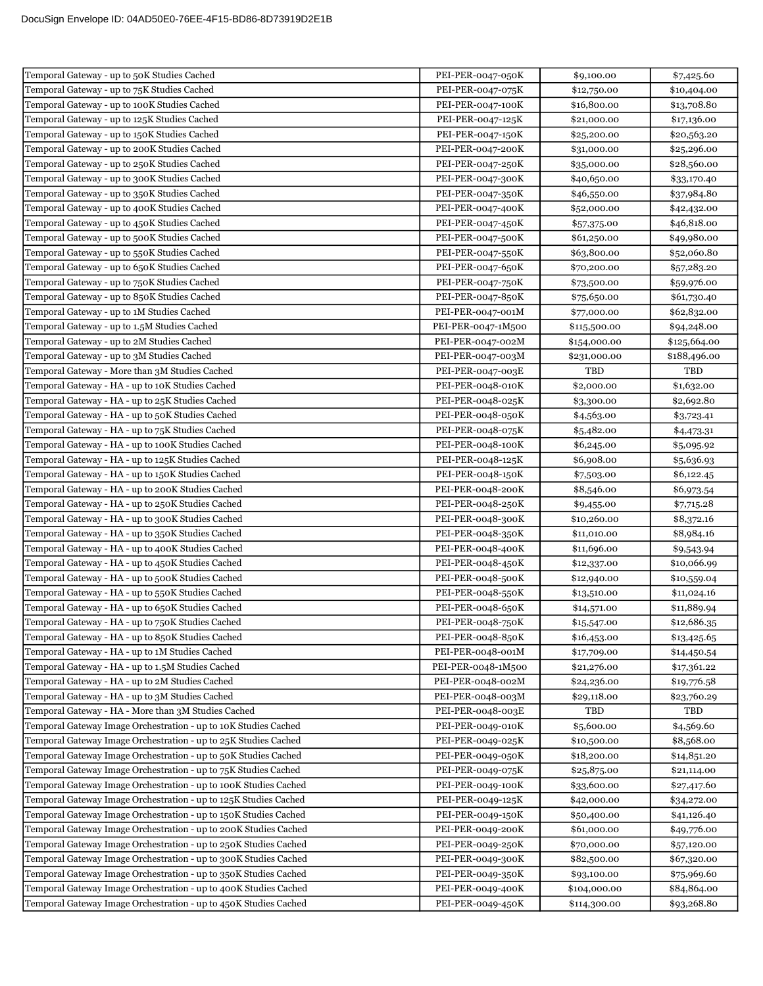| Temporal Gateway - up to 50K Studies Cached                      | PEI-PER-0047-050K  | \$9,100.00   | \$7,425.60   |
|------------------------------------------------------------------|--------------------|--------------|--------------|
| Temporal Gateway - up to 75K Studies Cached                      | PEI-PER-0047-075K  | \$12,750.00  | \$10,404.00  |
| Temporal Gateway - up to 100K Studies Cached                     | PEI-PER-0047-100K  | \$16,800.00  | \$13,708.80  |
| Temporal Gateway - up to 125K Studies Cached                     | PEI-PER-0047-125K  | \$21,000.00  | \$17,136.00  |
| Temporal Gateway - up to 150K Studies Cached                     | PEI-PER-0047-150K  | \$25,200.00  | \$20,563.20  |
| Temporal Gateway - up to 200K Studies Cached                     | PEI-PER-0047-200K  | \$31,000.00  | \$25,296.00  |
| Temporal Gateway - up to 250K Studies Cached                     | PEI-PER-0047-250K  | \$35,000.00  | \$28,560.00  |
| Temporal Gateway - up to 300K Studies Cached                     | PEI-PER-0047-300K  | \$40,650.00  | \$33,170.40  |
| Temporal Gateway - up to 350K Studies Cached                     | PEI-PER-0047-350K  | \$46,550.00  | \$37,984.80  |
| Temporal Gateway - up to 400K Studies Cached                     | PEI-PER-0047-400K  | \$52,000.00  | \$42,432.00  |
| Temporal Gateway - up to 450K Studies Cached                     | PEI-PER-0047-450K  | \$57,375.00  | \$46,818.00  |
| Temporal Gateway - up to 500K Studies Cached                     | PEI-PER-0047-500K  | \$61,250.00  | \$49,980.00  |
| Temporal Gateway - up to 550K Studies Cached                     | PEI-PER-0047-550K  | \$63,800.00  | \$52,060.80  |
| Temporal Gateway - up to 650K Studies Cached                     | PEI-PER-0047-650K  | \$70,200.00  | \$57,283.20  |
| Temporal Gateway - up to 750K Studies Cached                     | PEI-PER-0047-750K  | \$73,500.00  | \$59,976.00  |
| Temporal Gateway - up to 850K Studies Cached                     | PEI-PER-0047-850K  | \$75,650.00  | \$61,730.40  |
| Temporal Gateway - up to 1M Studies Cached                       | PEI-PER-0047-001M  | \$77,000.00  | \$62,832.00  |
| Temporal Gateway - up to 1.5M Studies Cached                     | PEI-PER-0047-1M500 | \$115,500.00 | \$94,248.00  |
| Temporal Gateway - up to 2M Studies Cached                       | PEI-PER-0047-002M  | \$154,000.00 | \$125,664.00 |
| Temporal Gateway - up to 3M Studies Cached                       | PEI-PER-0047-003M  | \$231,000.00 | \$188,496.00 |
| Temporal Gateway - More than 3M Studies Cached                   | PEI-PER-0047-003E  | TBD          | TBD          |
| Temporal Gateway - HA - up to 10K Studies Cached                 | PEI-PER-0048-010K  | \$2,000.00   | \$1,632.00   |
| Temporal Gateway - HA - up to 25K Studies Cached                 | PEI-PER-0048-025K  | \$3,300.00   | \$2,692.80   |
| Temporal Gateway - HA - up to 50K Studies Cached                 | PEI-PER-0048-050K  | \$4,563.00   | \$3,723.41   |
| Temporal Gateway - HA - up to 75K Studies Cached                 | PEI-PER-0048-075K  | \$5,482.00   | \$4,473.31   |
| Temporal Gateway - HA - up to 100K Studies Cached                | PEI-PER-0048-100K  | \$6,245.00   | \$5,095.92   |
| Temporal Gateway - HA - up to 125K Studies Cached                | PEI-PER-0048-125K  | \$6,908.00   | \$5,636.93   |
| Temporal Gateway - HA - up to 150K Studies Cached                | PEI-PER-0048-150K  | \$7,503.00   | \$6,122.45   |
| Temporal Gateway - HA - up to 200K Studies Cached                | PEI-PER-0048-200K  | \$8,546.00   | \$6,973.54   |
| Temporal Gateway - HA - up to 250K Studies Cached                | PEI-PER-0048-250K  | \$9,455.00   | \$7,715.28   |
| Temporal Gateway - HA - up to 300K Studies Cached                | PEI-PER-0048-300K  | \$10,260.00  | \$8,372.16   |
| Temporal Gateway - HA - up to 350K Studies Cached                | PEI-PER-0048-350K  | \$11,010.00  | \$8,984.16   |
| Temporal Gateway - HA - up to 400K Studies Cached                | PEI-PER-0048-400K  | \$11,696.00  | \$9,543.94   |
| Temporal Gateway - HA - up to 450K Studies Cached                | PEI-PER-0048-450K  | \$12,337.00  | \$10,066.99  |
| Temporal Gateway - HA - up to 500K Studies Cached                | PEI-PER-0048-500K  | \$12,940.00  | \$10,559.04  |
| Temporal Gateway - HA - up to 550K Studies Cached                | PEI-PER-0048-550K  | \$13,510.00  | \$11,024.16  |
| Temporal Gateway - HA - up to 650K Studies Cached                | PEI-PER-0048-650K  | \$14,571.00  | \$11,889.94  |
| Temporal Gateway - HA - up to 750K Studies Cached                | PEI-PER-0048-750K  | \$15,547.00  | \$12,686.35  |
| Temporal Gateway - HA - up to 850K Studies Cached                | PEI-PER-0048-850K  | \$16,453.00  | \$13,425.65  |
| Temporal Gateway - HA - up to 1M Studies Cached                  | PEI-PER-0048-001M  | \$17,709.00  | \$14,450.54  |
| Temporal Gateway - HA - up to 1.5M Studies Cached                | PEI-PER-0048-1M500 | \$21,276.00  | \$17,361.22  |
| Temporal Gateway - HA - up to 2M Studies Cached                  | PEI-PER-0048-002M  | \$24,236.00  | \$19,776.58  |
| Temporal Gateway - HA - up to 3M Studies Cached                  | PEI-PER-0048-003M  | \$29,118.00  | \$23,760.29  |
| Temporal Gateway - HA - More than 3M Studies Cached              | PEI-PER-0048-003E  | TBD          | TBD          |
| Temporal Gateway Image Orchestration - up to 10K Studies Cached  | PEI-PER-0049-010K  | \$5,600.00   | \$4,569.60   |
| Temporal Gateway Image Orchestration - up to 25K Studies Cached  | PEI-PER-0049-025K  | \$10,500.00  | \$8,568.00   |
| Temporal Gateway Image Orchestration - up to 50K Studies Cached  | PEI-PER-0049-050K  | \$18,200.00  | \$14,851.20  |
| Temporal Gateway Image Orchestration - up to 75K Studies Cached  | PEI-PER-0049-075K  | \$25,875.00  | \$21,114.00  |
| Temporal Gateway Image Orchestration - up to 100K Studies Cached | PEI-PER-0049-100K  | \$33,600.00  | \$27,417.60  |
| Temporal Gateway Image Orchestration - up to 125K Studies Cached | PEI-PER-0049-125K  | \$42,000.00  | \$34,272.00  |
| Temporal Gateway Image Orchestration - up to 150K Studies Cached | PEI-PER-0049-150K  | \$50,400.00  | \$41,126.40  |
| Temporal Gateway Image Orchestration - up to 200K Studies Cached | PEI-PER-0049-200K  | \$61,000.00  | \$49,776.00  |
| Temporal Gateway Image Orchestration - up to 250K Studies Cached | PEI-PER-0049-250K  | \$70,000.00  | \$57,120.00  |
| Temporal Gateway Image Orchestration - up to 300K Studies Cached | PEI-PER-0049-300K  | \$82,500.00  | \$67,320.00  |
| Temporal Gateway Image Orchestration - up to 350K Studies Cached | PEI-PER-0049-350K  | \$93,100.00  | \$75,969.60  |
| Temporal Gateway Image Orchestration - up to 400K Studies Cached | PEI-PER-0049-400K  | \$104,000.00 | \$84,864.00  |
| Temporal Gateway Image Orchestration - up to 450K Studies Cached | PEI-PER-0049-450K  | \$114,300.00 | \$93,268.80  |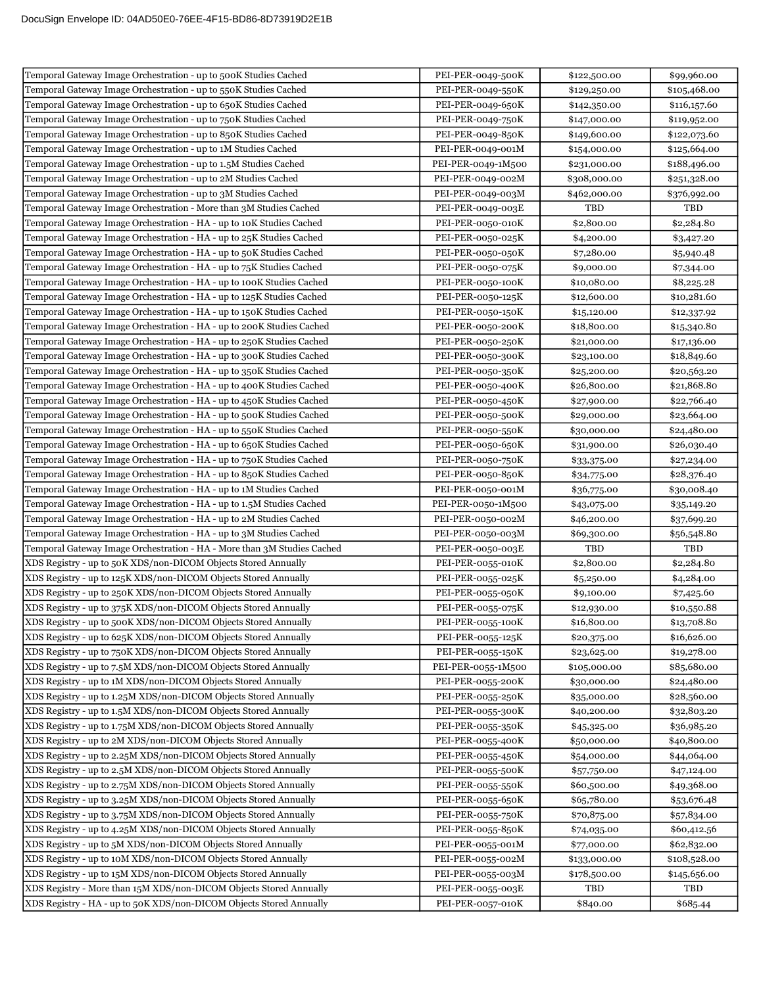| Temporal Gateway Image Orchestration - up to 500K Studies Cached        | PEI-PER-0049-500K  | \$122,500.00 | \$99,960.00  |
|-------------------------------------------------------------------------|--------------------|--------------|--------------|
| Temporal Gateway Image Orchestration - up to 550K Studies Cached        | PEI-PER-0049-550K  | \$129,250.00 | \$105,468.00 |
| Temporal Gateway Image Orchestration - up to 650K Studies Cached        | PEI-PER-0049-650K  | \$142,350.00 | \$116,157.60 |
| Temporal Gateway Image Orchestration - up to 750K Studies Cached        | PEI-PER-0049-750K  | \$147,000.00 | \$119,952.00 |
| Temporal Gateway Image Orchestration - up to 850K Studies Cached        | PEI-PER-0049-850K  | \$149,600.00 | \$122,073.60 |
| Temporal Gateway Image Orchestration - up to 1M Studies Cached          | PEI-PER-0049-001M  | \$154,000.00 | \$125,664.00 |
| Temporal Gateway Image Orchestration - up to 1.5M Studies Cached        | PEI-PER-0049-1M500 | \$231,000.00 | \$188,496.00 |
| Temporal Gateway Image Orchestration - up to 2M Studies Cached          | PEI-PER-0049-002M  | \$308,000.00 | \$251,328.00 |
| Temporal Gateway Image Orchestration - up to 3M Studies Cached          | PEI-PER-0049-003M  | \$462,000.00 | \$376,992.00 |
| Temporal Gateway Image Orchestration - More than 3M Studies Cached      | PEI-PER-0049-003E  | TBD          | TBD          |
| Temporal Gateway Image Orchestration - HA - up to 10K Studies Cached    | PEI-PER-0050-010K  | \$2,800.00   | \$2,284.80   |
| Temporal Gateway Image Orchestration - HA - up to 25K Studies Cached    | PEI-PER-0050-025K  | \$4,200.00   | \$3,427.20   |
| Temporal Gateway Image Orchestration - HA - up to 50K Studies Cached    | PEI-PER-0050-050K  | \$7,280.00   | \$5,940.48   |
| Temporal Gateway Image Orchestration - HA - up to 75K Studies Cached    | PEI-PER-0050-075K  | \$9,000.00   | \$7,344.00   |
| Temporal Gateway Image Orchestration - HA - up to 100K Studies Cached   | PEI-PER-0050-100K  | \$10,080.00  | \$8,225.28   |
| Temporal Gateway Image Orchestration - HA - up to 125K Studies Cached   | PEI-PER-0050-125K  | \$12,600.00  | \$10,281.60  |
| Temporal Gateway Image Orchestration - HA - up to 150K Studies Cached   | PEI-PER-0050-150K  | \$15,120.00  | \$12,337.92  |
| Temporal Gateway Image Orchestration - HA - up to 200K Studies Cached   | PEI-PER-0050-200K  | \$18,800.00  | \$15,340.80  |
| Temporal Gateway Image Orchestration - HA - up to 250K Studies Cached   | PEI-PER-0050-250K  | \$21,000.00  | \$17,136.00  |
| Temporal Gateway Image Orchestration - HA - up to 300K Studies Cached   | PEI-PER-0050-300K  | \$23,100.00  | \$18,849.60  |
| Temporal Gateway Image Orchestration - HA - up to 350K Studies Cached   | PEI-PER-0050-350K  | \$25,200.00  | \$20,563.20  |
| Temporal Gateway Image Orchestration - HA - up to 400K Studies Cached   | PEI-PER-0050-400K  | \$26,800.00  | \$21,868.80  |
| Temporal Gateway Image Orchestration - HA - up to 450K Studies Cached   | PEI-PER-0050-450K  | \$27,900.00  | \$22,766.40  |
| Temporal Gateway Image Orchestration - HA - up to 500K Studies Cached   | PEI-PER-0050-500K  | \$29,000.00  | \$23,664.00  |
| Temporal Gateway Image Orchestration - HA - up to 550K Studies Cached   | PEI-PER-0050-550K  | \$30,000.00  | \$24,480.00  |
| Temporal Gateway Image Orchestration - HA - up to 650K Studies Cached   | PEI-PER-0050-650K  | \$31,900.00  | \$26,030.40  |
| Temporal Gateway Image Orchestration - HA - up to 750K Studies Cached   | PEI-PER-0050-750K  | \$33,375.00  | \$27,234.00  |
| Temporal Gateway Image Orchestration - HA - up to 850K Studies Cached   | PEI-PER-0050-850K  | \$34,775.00  | \$28,376.40  |
| Temporal Gateway Image Orchestration - HA - up to 1M Studies Cached     | PEI-PER-0050-001M  | \$36,775.00  | \$30,008.40  |
| Temporal Gateway Image Orchestration - HA - up to 1.5M Studies Cached   | PEI-PER-0050-1M500 | \$43,075.00  | \$35,149.20  |
| Temporal Gateway Image Orchestration - HA - up to 2M Studies Cached     | PEI-PER-0050-002M  | \$46,200.00  | \$37,699.20  |
| Temporal Gateway Image Orchestration - HA - up to 3M Studies Cached     | PEI-PER-0050-003M  | \$69,300.00  | \$56,548.80  |
| Temporal Gateway Image Orchestration - HA - More than 3M Studies Cached | PEI-PER-0050-003E  | TBD          | TBD          |
| XDS Registry - up to 50K XDS/non-DICOM Objects Stored Annually          | PEI-PER-0055-010K  | \$2,800.00   | \$2,284.80   |
| XDS Registry - up to 125K XDS/non-DICOM Objects Stored Annually         | PEI-PER-0055-025K  | \$5,250.00   | \$4,284.00   |
| XDS Registry - up to 250K XDS/non-DICOM Objects Stored Annually         | PEI-PER-0055-050K  | \$9,100.00   | \$7,425.60   |
| XDS Registry - up to 375K XDS/non-DICOM Objects Stored Annually         | PEI-PER-0055-075K  | \$12,930.00  | \$10,550.88  |
| XDS Registry - up to 500K XDS/non-DICOM Objects Stored Annually         | PEI-PER-0055-100K  | \$16,800.00  | \$13,708.80  |
| XDS Registry - up to 625K XDS/non-DICOM Objects Stored Annually         | PEI-PER-0055-125K  | \$20,375.00  | \$16,626.00  |
| XDS Registry - up to 750K XDS/non-DICOM Objects Stored Annually         | PEI-PER-0055-150K  | \$23,625.00  | \$19,278.00  |
| XDS Registry - up to 7.5M XDS/non-DICOM Objects Stored Annually         | PEI-PER-0055-1M500 | \$105,000.00 | \$85,680.00  |
| XDS Registry - up to 1M XDS/non-DICOM Objects Stored Annually           | PEI-PER-0055-200K  | \$30,000.00  | \$24,480.00  |
| XDS Registry - up to 1.25M XDS/non-DICOM Objects Stored Annually        | PEI-PER-0055-250K  | \$35,000.00  | \$28,560.00  |
| XDS Registry - up to 1.5M XDS/non-DICOM Objects Stored Annually         | PEI-PER-0055-300K  | \$40,200.00  | \$32,803.20  |
| XDS Registry - up to 1.75M XDS/non-DICOM Objects Stored Annually        | PEI-PER-0055-350K  | \$45,325.00  | \$36,985.20  |
| XDS Registry - up to 2M XDS/non-DICOM Objects Stored Annually           | PEI-PER-0055-400K  | \$50,000.00  | \$40,800.00  |
| XDS Registry - up to 2.25M XDS/non-DICOM Objects Stored Annually        | PEI-PER-0055-450K  | \$54,000.00  | \$44,064.00  |
| XDS Registry - up to 2.5M XDS/non-DICOM Objects Stored Annually         | PEI-PER-0055-500K  | \$57,750.00  | \$47,124.00  |
| XDS Registry - up to 2.75M XDS/non-DICOM Objects Stored Annually        | PEI-PER-0055-550K  | \$60,500.00  | \$49,368.00  |
| XDS Registry - up to 3.25M XDS/non-DICOM Objects Stored Annually        | PEI-PER-0055-650K  | \$65,780.00  | \$53,676.48  |
| XDS Registry - up to 3.75M XDS/non-DICOM Objects Stored Annually        | PEI-PER-0055-750K  | \$70,875.00  | \$57,834.00  |
| XDS Registry - up to 4.25M XDS/non-DICOM Objects Stored Annually        | PEI-PER-0055-850K  | \$74,035.00  | \$60,412.56  |
| XDS Registry - up to 5M XDS/non-DICOM Objects Stored Annually           | PEI-PER-0055-001M  | \$77,000.00  | \$62,832.00  |
| XDS Registry - up to 10M XDS/non-DICOM Objects Stored Annually          | PEI-PER-0055-002M  | \$133,000.00 | \$108,528.00 |
| XDS Registry - up to 15M XDS/non-DICOM Objects Stored Annually          | PEI-PER-0055-003M  | \$178,500.00 | \$145,656.00 |
| XDS Registry - More than 15M XDS/non-DICOM Objects Stored Annually      | PEI-PER-0055-003E  | TBD          | TBD          |
| XDS Registry - HA - up to 50K XDS/non-DICOM Objects Stored Annually     | PEI-PER-0057-010K  | \$840.00     | \$685.44     |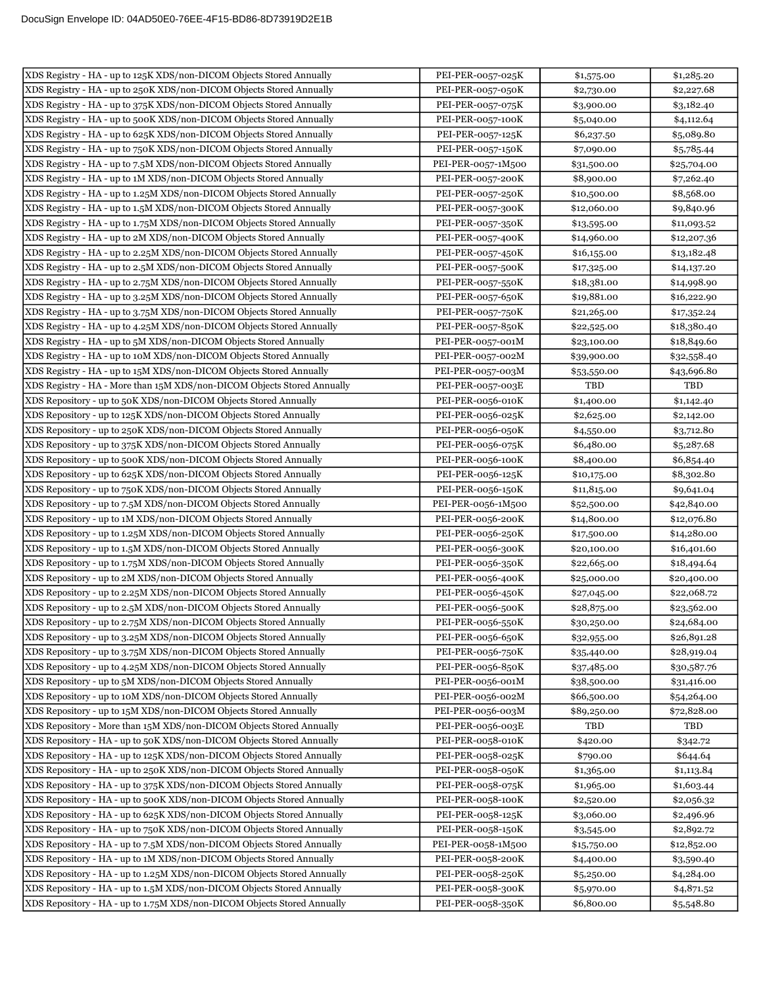| XDS Registry - HA - up to 125K XDS/non-DICOM Objects Stored Annually                                                                           | PEI-PER-0057-025K                      | \$1,575.00               | \$1,285.20               |
|------------------------------------------------------------------------------------------------------------------------------------------------|----------------------------------------|--------------------------|--------------------------|
| XDS Registry - HA - up to 250K XDS/non-DICOM Objects Stored Annually                                                                           | PEI-PER-0057-050K                      | \$2,730.00               | \$2,227.68               |
| XDS Registry - HA - up to 375K XDS/non-DICOM Objects Stored Annually                                                                           | PEI-PER-0057-075K                      | \$3,900.00               | \$3,182.40               |
| XDS Registry - HA - up to 500K XDS/non-DICOM Objects Stored Annually                                                                           | PEI-PER-0057-100K                      | \$5,040.00               | \$4,112.64               |
| XDS Registry - HA - up to 625K XDS/non-DICOM Objects Stored Annually                                                                           | PEI-PER-0057-125K                      | \$6,237.50               | \$5,089.80               |
| XDS Registry - HA - up to 750K XDS/non-DICOM Objects Stored Annually                                                                           | PEI-PER-0057-150K                      | \$7,090.00               | \$5,785.44               |
| XDS Registry - HA - up to 7.5M XDS/non-DICOM Objects Stored Annually                                                                           | PEI-PER-0057-1M500                     | \$31,500.00              | \$25,704.00              |
| XDS Registry - HA - up to 1M XDS/non-DICOM Objects Stored Annually                                                                             | PEI-PER-0057-200K                      | \$8,900.00               | \$7,262.40               |
| XDS Registry - HA - up to 1.25M XDS/non-DICOM Objects Stored Annually                                                                          | PEI-PER-0057-250K                      | \$10,500.00              | \$8,568.00               |
| XDS Registry - HA - up to 1.5M XDS/non-DICOM Objects Stored Annually                                                                           | PEI-PER-0057-300K                      | \$12,060.00              | \$9,840.96               |
| XDS Registry - HA - up to 1.75M XDS/non-DICOM Objects Stored Annually                                                                          | PEI-PER-0057-350K                      | \$13,595.00              | \$11,093.52              |
| XDS Registry - HA - up to 2M XDS/non-DICOM Objects Stored Annually                                                                             | PEI-PER-0057-400K                      | \$14,960.00              | \$12,207.36              |
| XDS Registry - HA - up to 2.25M XDS/non-DICOM Objects Stored Annually                                                                          | PEI-PER-0057-450K                      | \$16,155.00              | \$13,182.48              |
| XDS Registry - HA - up to 2.5M XDS/non-DICOM Objects Stored Annually                                                                           | PEI-PER-0057-500K                      | \$17,325.00              | \$14,137.20              |
| XDS Registry - HA - up to 2.75M XDS/non-DICOM Objects Stored Annually                                                                          | PEI-PER-0057-550K                      | \$18,381.00              | \$14,998.90              |
| XDS Registry - HA - up to 3.25M XDS/non-DICOM Objects Stored Annually                                                                          | PEI-PER-0057-650K                      | \$19,881.00              | \$16,222.90              |
| XDS Registry - HA - up to 3.75M XDS/non-DICOM Objects Stored Annually                                                                          | PEI-PER-0057-750K                      | \$21,265.00              | \$17,352.24              |
| XDS Registry - HA - up to 4.25M XDS/non-DICOM Objects Stored Annually                                                                          | PEI-PER-0057-850K                      | \$22,525.00              | \$18,380.40              |
| XDS Registry - HA - up to 5M XDS/non-DICOM Objects Stored Annually                                                                             | PEI-PER-0057-001M                      | \$23,100.00              | \$18,849.60              |
| XDS Registry - HA - up to 10M XDS/non-DICOM Objects Stored Annually                                                                            | PEI-PER-0057-002M                      | \$39,900.00              | \$32,558.40              |
| XDS Registry - HA - up to 15M XDS/non-DICOM Objects Stored Annually                                                                            | PEI-PER-0057-003M                      | \$53,550.00              | \$43,696.80              |
| XDS Registry - HA - More than 15M XDS/non-DICOM Objects Stored Annually                                                                        | PEI-PER-0057-003E                      | TBD                      | TBD                      |
| XDS Repository - up to 50K XDS/non-DICOM Objects Stored Annually                                                                               | PEI-PER-0056-010K                      | \$1,400.00               | \$1,142.40               |
| XDS Repository - up to 125K XDS/non-DICOM Objects Stored Annually                                                                              | PEI-PER-0056-025K                      | \$2,625.00               | \$2,142.00               |
| XDS Repository - up to 250K XDS/non-DICOM Objects Stored Annually                                                                              | PEI-PER-0056-050K                      | \$4,550.00               | \$3,712.80               |
| XDS Repository - up to 375K XDS/non-DICOM Objects Stored Annually                                                                              | PEI-PER-0056-075K                      | \$6,480.00               | \$5,287.68               |
| XDS Repository - up to 500K XDS/non-DICOM Objects Stored Annually                                                                              | PEI-PER-0056-100K                      | \$8,400.00               | \$6,854.40               |
| XDS Repository - up to 625K XDS/non-DICOM Objects Stored Annually                                                                              | PEI-PER-0056-125K                      | \$10,175.00              | \$8,302.80               |
| XDS Repository - up to 750K XDS/non-DICOM Objects Stored Annually                                                                              | PEI-PER-0056-150K                      | \$11,815.00              | \$9,641.04               |
| XDS Repository - up to 7.5M XDS/non-DICOM Objects Stored Annually                                                                              | PEI-PER-0056-1M500                     | \$52,500.00              | \$42,840.00              |
| XDS Repository - up to 1M XDS/non-DICOM Objects Stored Annually                                                                                | PEI-PER-0056-200K                      | \$14,800.00              | \$12,076.80              |
| XDS Repository - up to 1.25M XDS/non-DICOM Objects Stored Annually                                                                             | PEI-PER-0056-250K                      | \$17,500.00              | \$14,280.00              |
| XDS Repository - up to 1.5M XDS/non-DICOM Objects Stored Annually                                                                              | PEI-PER-0056-300K                      | \$20,100.00              | \$16,401.60              |
| XDS Repository - up to 1.75M XDS/non-DICOM Objects Stored Annually                                                                             | PEI-PER-0056-350K                      | \$22,665.00              | \$18,494.64              |
| XDS Repository - up to 2M XDS/non-DICOM Objects Stored Annually                                                                                | PEI-PER-0056-400K                      | \$25,000.00              | \$20,400.00              |
| XDS Repository - up to 2.25M XDS/non-DICOM Objects Stored Annually                                                                             | PEI-PER-0056-450K                      | \$27,045.00              | \$22,068.72              |
| XDS Repository - up to 2.5M XDS/non-DICOM Objects Stored Annually                                                                              | PEI-PER-0056-500K                      | \$28,875.00              | \$23,562.00              |
| XDS Repository - up to 2.75M XDS/non-DICOM Objects Stored Annually                                                                             | PEI-PER-0056-550K                      | \$30,250.00              | \$24,684.00              |
| XDS Repository - up to 3.25M XDS/non-DICOM Objects Stored Annually                                                                             | PEI-PER-0056-650K                      | \$32,955.00              | \$26,891.28              |
| XDS Repository - up to 3.75M XDS/non-DICOM Objects Stored Annually                                                                             | PEI-PER-0056-750K                      | \$35,440.00              | \$28,919.04              |
| XDS Repository - up to 4.25M XDS/non-DICOM Objects Stored Annually                                                                             | PEI-PER-0056-850K                      | \$37,485.00              | \$30,587.76              |
| XDS Repository - up to 5M XDS/non-DICOM Objects Stored Annually                                                                                | PEI-PER-0056-001M                      | \$38,500.00              | \$31,416.00              |
| XDS Repository - up to 10M XDS/non-DICOM Objects Stored Annually                                                                               | PEI-PER-0056-002M                      | \$66,500.00              | \$54,264.00              |
| XDS Repository - up to 15M XDS/non-DICOM Objects Stored Annually                                                                               | PEI-PER-0056-003M                      | \$89,250.00              | \$72,828.00              |
| XDS Repository - More than 15M XDS/non-DICOM Objects Stored Annually                                                                           | PEI-PER-0056-003E                      | TBD                      | TBD                      |
| XDS Repository - HA - up to 50K XDS/non-DICOM Objects Stored Annually                                                                          | PEI-PER-0058-010K                      | \$420.00                 | \$342.72                 |
| XDS Repository - HA - up to 125K XDS/non-DICOM Objects Stored Annually                                                                         | PEI-PER-0058-025K                      | \$790.00                 | \$644.64                 |
| XDS Repository - HA - up to 250K XDS/non-DICOM Objects Stored Annually                                                                         | PEI-PER-0058-050K                      | \$1,365.00               | \$1,113.84               |
| XDS Repository - HA - up to 375K XDS/non-DICOM Objects Stored Annually                                                                         | PEI-PER-0058-075K                      | \$1,965.00               | \$1,603.44               |
| XDS Repository - HA - up to 500K XDS/non-DICOM Objects Stored Annually                                                                         | PEI-PER-0058-100K                      | \$2,520.00               | \$2,056.32               |
| XDS Repository - HA - up to 625K XDS/non-DICOM Objects Stored Annually                                                                         | PEI-PER-0058-125K                      | \$3,060.00               | \$2,496.96               |
| XDS Repository - HA - up to 750K XDS/non-DICOM Objects Stored Annually                                                                         | PEI-PER-0058-150K                      | \$3,545.00               | \$2,892.72               |
| XDS Repository - HA - up to 7.5M XDS/non-DICOM Objects Stored Annually<br>XDS Repository - HA - up to 1M XDS/non-DICOM Objects Stored Annually | PEI-PER-0058-1M500                     | \$15,750.00              | \$12,852.00              |
| XDS Repository - HA - up to 1.25M XDS/non-DICOM Objects Stored Annually                                                                        | PEI-PER-0058-200K<br>PEI-PER-0058-250K | \$4,400.00               | \$3,590.40               |
| XDS Repository - HA - up to 1.5M XDS/non-DICOM Objects Stored Annually                                                                         | PEI-PER-0058-300K                      | \$5,250.00<br>\$5,970.00 | \$4,284.00<br>\$4,871.52 |
| XDS Repository - HA - up to 1.75M XDS/non-DICOM Objects Stored Annually                                                                        | PEI-PER-0058-350K                      | \$6,800.00               |                          |
|                                                                                                                                                |                                        |                          | \$5,548.80               |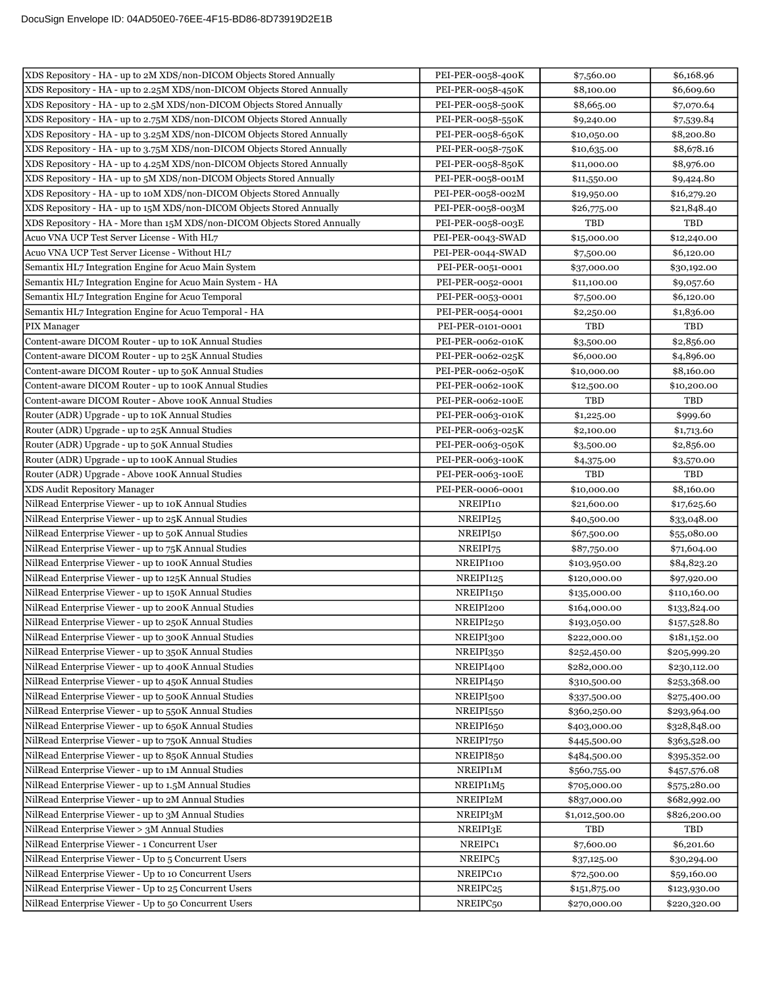| XDS Repository - HA - up to 2M XDS/non-DICOM Objects Stored Annually                                           | PEI-PER-0058-400K     | \$7,560.00                  | \$6,168.96   |
|----------------------------------------------------------------------------------------------------------------|-----------------------|-----------------------------|--------------|
| XDS Repository - HA - up to 2.25M XDS/non-DICOM Objects Stored Annually                                        | PEI-PER-0058-450K     | \$8,100.00                  | \$6,609.60   |
| XDS Repository - HA - up to 2.5M XDS/non-DICOM Objects Stored Annually                                         | PEI-PER-0058-500K     | \$8,665.00                  | \$7,070.64   |
| XDS Repository - HA - up to 2.75M XDS/non-DICOM Objects Stored Annually                                        | PEI-PER-0058-550K     | \$9,240.00                  | \$7,539.84   |
| XDS Repository - HA - up to 3.25M XDS/non-DICOM Objects Stored Annually                                        | PEI-PER-0058-650K     | \$10,050.00                 | \$8,200.80   |
| XDS Repository - HA - up to 3.75M XDS/non-DICOM Objects Stored Annually                                        | PEI-PER-0058-750K     | \$10,635.00                 | \$8,678.16   |
| XDS Repository - HA - up to 4.25M XDS/non-DICOM Objects Stored Annually                                        | PEI-PER-0058-850K     | \$11,000.00                 | \$8,976.00   |
| XDS Repository - HA - up to 5M XDS/non-DICOM Objects Stored Annually                                           | PEI-PER-0058-001M     | \$11,550.00                 | \$9,424.80   |
| XDS Repository - HA - up to 10M XDS/non-DICOM Objects Stored Annually                                          | PEI-PER-0058-002M     | \$19,950.00                 | \$16,279.20  |
| XDS Repository - HA - up to 15M XDS/non-DICOM Objects Stored Annually                                          | PEI-PER-0058-003M     | \$26,775.00                 | \$21,848.40  |
| XDS Repository - HA - More than 15M XDS/non-DICOM Objects Stored Annually                                      | PEI-PER-0058-003E     | <b>TBD</b>                  | TBD          |
| Acuo VNA UCP Test Server License - With HL7                                                                    | PEI-PER-0043-SWAD     | \$15,000.00                 | \$12,240.00  |
| Acuo VNA UCP Test Server License - Without HL7                                                                 | PEI-PER-0044-SWAD     | \$7,500.00                  | \$6,120.00   |
| Semantix HL7 Integration Engine for Acuo Main System                                                           | PEI-PER-0051-0001     | \$37,000.00                 | \$30,192.00  |
| Semantix HL7 Integration Engine for Acuo Main System - HA                                                      | PEI-PER-0052-0001     | \$11,100.00                 | \$9,057.60   |
| Semantix HL7 Integration Engine for Acuo Temporal                                                              | PEI-PER-0053-0001     | \$7,500.00                  | \$6,120.00   |
| Semantix HL7 Integration Engine for Acuo Temporal - HA                                                         | PEI-PER-0054-0001     | \$2,250.00                  | \$1,836.00   |
| PIX Manager                                                                                                    | PEI-PER-0101-0001     | TBD                         | TBD          |
| Content-aware DICOM Router - up to 10K Annual Studies                                                          | PEI-PER-0062-010K     | \$3,500.00                  | \$2,856.00   |
| Content-aware DICOM Router - up to 25K Annual Studies                                                          | PEI-PER-0062-025K     | \$6,000.00                  | \$4,896.00   |
| Content-aware DICOM Router - up to 50K Annual Studies                                                          | PEI-PER-0062-050K     | \$10,000.00                 | \$8,160.00   |
| Content-aware DICOM Router - up to 100K Annual Studies                                                         | PEI-PER-0062-100K     | \$12,500.00                 | \$10,200.00  |
| Content-aware DICOM Router - Above 100K Annual Studies                                                         | PEI-PER-0062-100E     | <b>TBD</b>                  | TBD          |
| Router (ADR) Upgrade - up to 10K Annual Studies                                                                | PEI-PER-0063-010K     | \$1,225.00                  | \$999.60     |
| Router (ADR) Upgrade - up to 25K Annual Studies                                                                | PEI-PER-0063-025K     | \$2,100.00                  | \$1,713.60   |
| Router (ADR) Upgrade - up to 50K Annual Studies                                                                | PEI-PER-0063-050K     | \$3,500.00                  | \$2,856.00   |
| Router (ADR) Upgrade - up to 100K Annual Studies                                                               | PEI-PER-0063-100K     | \$4,375.00                  | \$3,570.00   |
| Router (ADR) Upgrade - Above 100K Annual Studies                                                               | PEI-PER-0063-100E     | TBD                         | TBD          |
| XDS Audit Repository Manager                                                                                   | PEI-PER-0006-0001     | \$10,000.00                 | \$8,160.00   |
| NilRead Enterprise Viewer - up to 10K Annual Studies                                                           | NREIPI10              | \$21,600.00                 | \$17,625.60  |
| NilRead Enterprise Viewer - up to 25K Annual Studies                                                           | NREIPI25              | \$40,500.00                 | \$33,048.00  |
| NilRead Enterprise Viewer - up to 50K Annual Studies                                                           | NREIPI <sub>50</sub>  | \$67,500.00                 | \$55,080.00  |
| NilRead Enterprise Viewer - up to 75K Annual Studies                                                           | NREIPI75              |                             | \$71,604.00  |
| NilRead Enterprise Viewer - up to 100K Annual Studies                                                          | NREIPI100             | \$87,750.00<br>\$103,950.00 | \$84,823.20  |
| NilRead Enterprise Viewer - up to 125K Annual Studies                                                          | NREIPI125             | \$120,000.00                |              |
|                                                                                                                | NREIPI <sub>150</sub> | \$135,000.00                | \$97,920.00  |
| NilRead Enterprise Viewer - up to 150K Annual Studies<br>NilRead Enterprise Viewer - up to 200K Annual Studies | NREIPI200             |                             | \$110,160.00 |
|                                                                                                                |                       | \$164,000.00                | \$133,824.00 |
| NilRead Enterprise Viewer - up to 250K Annual Studies                                                          | $\rm NREIPI250$       | \$193,050.00                | \$157,528.80 |
| NilRead Enterprise Viewer - up to 300K Annual Studies                                                          | NREIPI300             | \$222,000.00                | \$181,152.00 |
| NilRead Enterprise Viewer - up to 350K Annual Studies                                                          | NREIPI350             | \$252,450.00                | \$205,999.20 |
| NilRead Enterprise Viewer - up to 400K Annual Studies                                                          | NREIPI400             | \$282,000.00                | \$230,112.00 |
| NilRead Enterprise Viewer - up to 450K Annual Studies                                                          | NREIPI450             | \$310,500.00                | \$253,368.00 |
| NilRead Enterprise Viewer - up to 500K Annual Studies                                                          | NREIPI500             | \$337,500.00                | \$275,400.00 |
| NilRead Enterprise Viewer - up to 550K Annual Studies                                                          | NREIPI550             | \$360,250.00                | \$293,964.00 |
| NilRead Enterprise Viewer - up to 650K Annual Studies                                                          | NREIPI650             | \$403,000.00                | \$328,848.00 |
| NilRead Enterprise Viewer - up to 750K Annual Studies                                                          | NREIPI750             | \$445,500.00                | \$363,528.00 |
| NilRead Enterprise Viewer - up to 850K Annual Studies                                                          | NREIPI850             | \$484,500.00                | \$395,352.00 |
| NilRead Enterprise Viewer - up to 1M Annual Studies                                                            | NREIPI1M              | \$560,755.00                | \$457,576.08 |
| NilRead Enterprise Viewer - up to 1.5M Annual Studies                                                          | NREIPI1M5             | \$705,000.00                | \$575,280.00 |
| NilRead Enterprise Viewer - up to 2M Annual Studies                                                            | NREIPI2M              | \$837,000.00                | \$682,992.00 |
| NilRead Enterprise Viewer - up to 3M Annual Studies                                                            | NREIPI3M              | \$1,012,500.00              | \$826,200.00 |
| NilRead Enterprise Viewer > 3M Annual Studies                                                                  | NREIPI3E              | TBD                         | TBD          |
| NilRead Enterprise Viewer - 1 Concurrent User                                                                  | NREIPC1               | \$7,600.00                  | \$6,201.60   |
| NilRead Enterprise Viewer - Up to 5 Concurrent Users                                                           | NREIPC <sub>5</sub>   | \$37,125.00                 | \$30,294.00  |
| NilRead Enterprise Viewer - Up to 10 Concurrent Users                                                          | NREIPC10              | \$72,500.00                 | \$59,160.00  |
| NilRead Enterprise Viewer - Up to 25 Concurrent Users                                                          | NREIPC <sub>25</sub>  | \$151,875.00                | \$123,930.00 |
| NilRead Enterprise Viewer - Up to 50 Concurrent Users                                                          | NREIPC <sub>50</sub>  | \$270,000.00                | \$220,320.00 |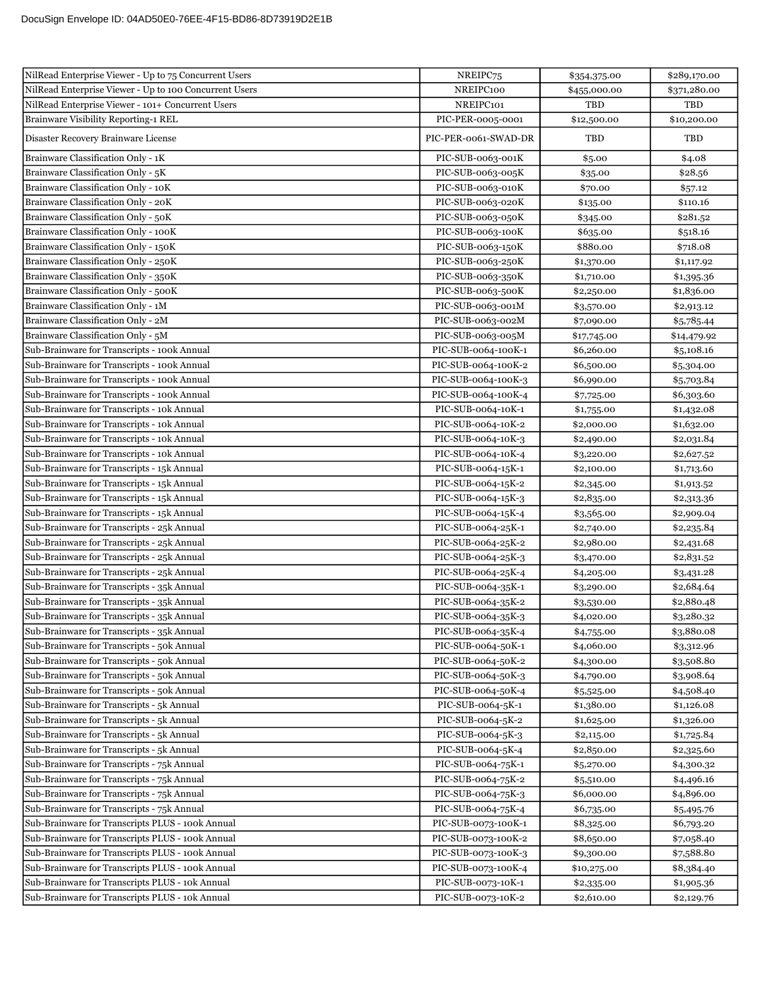| NilRead Enterprise Viewer - Up to 75 Concurrent Users  | NREIPC75             | \$354,375.00 | \$289,170.00 |
|--------------------------------------------------------|----------------------|--------------|--------------|
| NilRead Enterprise Viewer - Up to 100 Concurrent Users | NREIPC100            | \$455,000.00 | \$371,280.00 |
| NilRead Enterprise Viewer - 101+ Concurrent Users      | NREIPC101            | TBD          | TBD          |
| Brainware Visibility Reporting-1 REL                   | PIC-PER-0005-0001    | \$12,500.00  | \$10,200.00  |
| Disaster Recovery Brainware License                    | PIC-PER-0061-SWAD-DR | TBD          | TBD          |
| Brainware Classification Only - 1K                     | PIC-SUB-0063-001K    | \$5.00       | \$4.08       |
| Brainware Classification Only - 5K                     | PIC-SUB-0063-005K    | \$35.00      | \$28.56      |
| Brainware Classification Only - 10K                    | PIC-SUB-0063-010K    | \$70.00      | \$57.12      |
| Brainware Classification Only - 20K                    | PIC-SUB-0063-020K    | \$135.00     | \$110.16     |
| Brainware Classification Only - 50K                    | PIC-SUB-0063-050K    | \$345.00     | \$281.52     |
| Brainware Classification Only - 100K                   | PIC-SUB-0063-100K    | \$635.00     | \$518.16     |
| Brainware Classification Only - 150K                   | PIC-SUB-0063-150K    | \$880.00     | \$718.08     |
| Brainware Classification Only - 250K                   | PIC-SUB-0063-250K    | \$1,370.00   | \$1,117.92   |
| Brainware Classification Only - 350K                   | PIC-SUB-0063-350K    | \$1,710.00   | \$1,395.36   |
| Brainware Classification Only - 500K                   | PIC-SUB-0063-500K    | \$2,250.00   | \$1,836.00   |
| Brainware Classification Only - 1M                     | PIC-SUB-0063-001M    | \$3,570.00   | \$2,913.12   |
| Brainware Classification Only - 2M                     | PIC-SUB-0063-002M    | \$7,090.00   | \$5,785.44   |
| Brainware Classification Only - 5M                     | PIC-SUB-0063-005M    | \$17,745.00  | \$14,479.92  |
| Sub-Brainware for Transcripts - 100k Annual            | PIC-SUB-0064-100K-1  | \$6,260.00   | \$5,108.16   |
| Sub-Brainware for Transcripts - 100k Annual            | PIC-SUB-0064-100K-2  | \$6,500.00   | \$5,304.00   |
| Sub-Brainware for Transcripts - 100k Annual            | PIC-SUB-0064-100K-3  | \$6,990.00   | \$5,703.84   |
| Sub-Brainware for Transcripts - 100k Annual            | PIC-SUB-0064-100K-4  | \$7,725.00   | \$6,303.60   |
| Sub-Brainware for Transcripts - 10k Annual             | PIC-SUB-0064-10K-1   | \$1,755.00   | \$1,432.08   |
| Sub-Brainware for Transcripts - 10k Annual             | PIC-SUB-0064-10K-2   | \$2,000.00   | \$1,632.00   |
| Sub-Brainware for Transcripts - 10k Annual             | PIC-SUB-0064-10K-3   | \$2,490.00   | \$2,031.84   |
| Sub-Brainware for Transcripts - 10k Annual             | PIC-SUB-0064-10K-4   | \$3,220.00   | \$2,627.52   |
| Sub-Brainware for Transcripts - 15k Annual             | PIC-SUB-0064-15K-1   | \$2,100.00   | \$1,713.60   |
| Sub-Brainware for Transcripts - 15k Annual             | PIC-SUB-0064-15K-2   | \$2,345.00   | \$1,913.52   |
| Sub-Brainware for Transcripts - 15k Annual             | PIC-SUB-0064-15K-3   | \$2,835.00   | \$2,313.36   |
| Sub-Brainware for Transcripts - 15k Annual             | PIC-SUB-0064-15K-4   | \$3,565.00   | \$2,909.04   |
| Sub-Brainware for Transcripts - 25k Annual             | PIC-SUB-0064-25K-1   | \$2,740.00   | \$2,235.84   |
| Sub-Brainware for Transcripts - 25k Annual             | PIC-SUB-0064-25K-2   | \$2,980.00   | \$2,431.68   |
| Sub-Brainware for Transcripts - 25k Annual             | PIC-SUB-0064-25K-3   | \$3,470.00   | \$2,831.52   |
| Sub-Brainware for Transcripts - 25k Annual             | PIC-SUB-0064-25K-4   | \$4,205.00   | \$3,431.28   |
| Sub-Brainware for Transcripts - 35k Annual             | PIC-SUB-0064-35K-1   | \$3,290.00   | \$2,684.64   |
| Sub-Brainware for Transcripts - 35k Annual             | PIC-SUB-0064-35K-2   | \$3,530.00   | \$2,880.48   |
| Sub-Brainware for Transcripts - 35k Annual             | PIC-SUB-0064-35K-3   | \$4,020.00   | \$3,280.32   |
| Sub-Brainware for Transcripts - 35k Annual             | PIC-SUB-0064-35K-4   | \$4,755.00   | \$3,880.08   |
| Sub-Brainware for Transcripts - 50k Annual             | PIC-SUB-0064-50K-1   | \$4,060.00   | \$3,312.96   |
| Sub-Brainware for Transcripts - 50k Annual             | PIC-SUB-0064-50K-2   | \$4,300.00   | \$3,508.80   |
| Sub-Brainware for Transcripts - 50k Annual             | PIC-SUB-0064-50K-3   | \$4,790.00   | \$3,908.64   |
| Sub-Brainware for Transcripts - 50k Annual             | PIC-SUB-0064-50K-4   | \$5,525.00   | \$4,508.40   |
| Sub-Brainware for Transcripts - 5k Annual              | PIC-SUB-0064-5K-1    | \$1,380.00   | \$1,126.08   |
| Sub-Brainware for Transcripts - 5k Annual              | PIC-SUB-0064-5K-2    | \$1,625.00   | \$1,326.00   |
| Sub-Brainware for Transcripts - 5k Annual              | PIC-SUB-0064-5K-3    | \$2,115.00   | \$1,725.84   |
| Sub-Brainware for Transcripts - 5k Annual              | PIC-SUB-0064-5K-4    | \$2,850.00   | \$2,325.60   |
| Sub-Brainware for Transcripts - 75k Annual             | PIC-SUB-0064-75K-1   | \$5,270.00   | \$4,300.32   |
| Sub-Brainware for Transcripts - 75k Annual             | PIC-SUB-0064-75K-2   | \$5,510.00   | \$4,496.16   |
| Sub-Brainware for Transcripts - 75k Annual             | PIC-SUB-0064-75K-3   | \$6,000.00   | \$4,896.00   |
| Sub-Brainware for Transcripts - 75k Annual             | PIC-SUB-0064-75K-4   | \$6,735.00   | \$5,495.76   |
| Sub-Brainware for Transcripts PLUS - 100k Annual       | PIC-SUB-0073-100K-1  | \$8,325.00   | \$6,793.20   |
| Sub-Brainware for Transcripts PLUS - 100k Annual       | PIC-SUB-0073-100K-2  | \$8,650.00   | \$7,058.40   |
| Sub-Brainware for Transcripts PLUS - 100k Annual       | PIC-SUB-0073-100K-3  | \$9,300.00   | \$7,588.80   |
| Sub-Brainware for Transcripts PLUS - 100k Annual       | PIC-SUB-0073-100K-4  | \$10,275.00  | \$8,384.40   |
| Sub-Brainware for Transcripts PLUS - 10k Annual        | PIC-SUB-0073-10K-1   | \$2,335.00   | \$1,905.36   |
| Sub-Brainware for Transcripts PLUS - 10k Annual        | PIC-SUB-0073-10K-2   | \$2,610.00   | \$2,129.76   |
|                                                        |                      |              |              |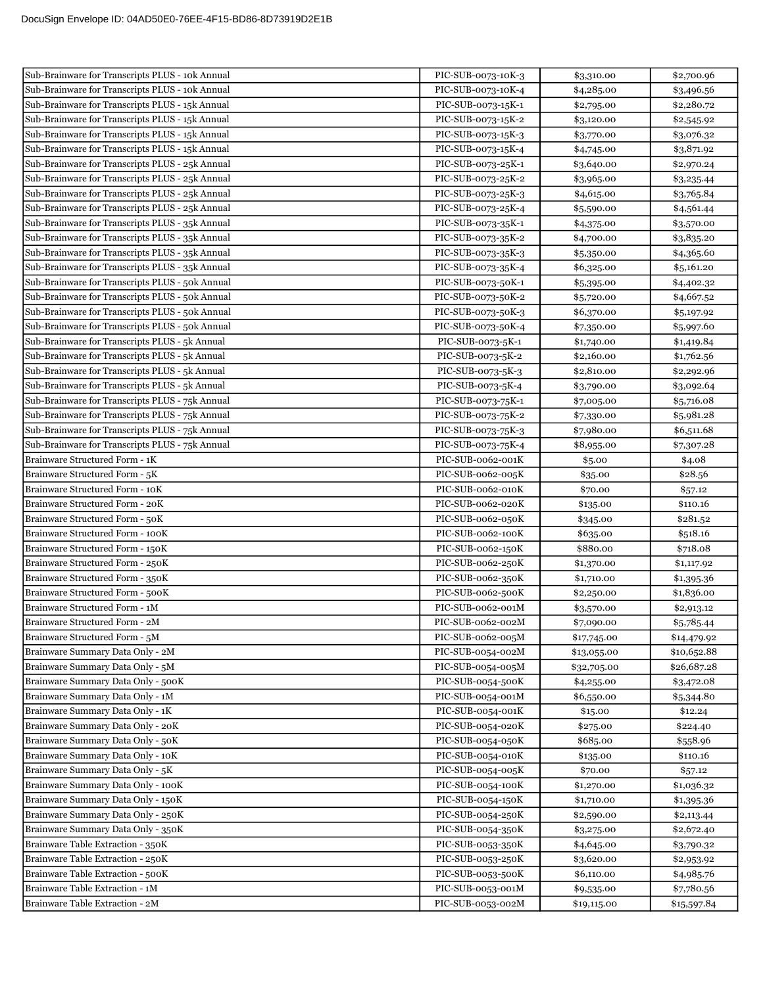| Sub-Brainware for Transcripts PLUS - 10k Annual | PIC-SUB-0073-10K-3 | \$3,310.00  | \$2,700.96  |
|-------------------------------------------------|--------------------|-------------|-------------|
| Sub-Brainware for Transcripts PLUS - 10k Annual | PIC-SUB-0073-10K-4 | \$4,285.00  | \$3,496.56  |
| Sub-Brainware for Transcripts PLUS - 15k Annual | PIC-SUB-0073-15K-1 | \$2,795.00  | \$2,280.72  |
| Sub-Brainware for Transcripts PLUS - 15k Annual | PIC-SUB-0073-15K-2 | \$3,120.00  | \$2,545.92  |
| Sub-Brainware for Transcripts PLUS - 15k Annual | PIC-SUB-0073-15K-3 | \$3,770.00  | \$3,076.32  |
| Sub-Brainware for Transcripts PLUS - 15k Annual | PIC-SUB-0073-15K-4 | \$4,745.00  | \$3,871.92  |
| Sub-Brainware for Transcripts PLUS - 25k Annual | PIC-SUB-0073-25K-1 | \$3,640.00  | \$2,970.24  |
| Sub-Brainware for Transcripts PLUS - 25k Annual | PIC-SUB-0073-25K-2 | \$3,965.00  | \$3,235.44  |
| Sub-Brainware for Transcripts PLUS - 25k Annual | PIC-SUB-0073-25K-3 | \$4,615.00  | \$3,765.84  |
| Sub-Brainware for Transcripts PLUS - 25k Annual | PIC-SUB-0073-25K-4 | \$5,590.00  | \$4,561.44  |
| Sub-Brainware for Transcripts PLUS - 35k Annual | PIC-SUB-0073-35K-1 | \$4,375.00  | \$3,570.00  |
| Sub-Brainware for Transcripts PLUS - 35k Annual | PIC-SUB-0073-35K-2 | \$4,700.00  | \$3,835.20  |
| Sub-Brainware for Transcripts PLUS - 35k Annual | PIC-SUB-0073-35K-3 | \$5,350.00  | \$4,365.60  |
| Sub-Brainware for Transcripts PLUS - 35k Annual | PIC-SUB-0073-35K-4 | \$6,325.00  | \$5,161.20  |
| Sub-Brainware for Transcripts PLUS - 50k Annual | PIC-SUB-0073-50K-1 | \$5,395.00  | \$4,402.32  |
| Sub-Brainware for Transcripts PLUS - 50k Annual | PIC-SUB-0073-50K-2 | \$5,720.00  | \$4,667.52  |
| Sub-Brainware for Transcripts PLUS - 50k Annual | PIC-SUB-0073-50K-3 | \$6,370.00  | \$5,197.92  |
| Sub-Brainware for Transcripts PLUS - 50k Annual | PIC-SUB-0073-50K-4 | \$7,350.00  | \$5,997.60  |
| Sub-Brainware for Transcripts PLUS - 5k Annual  | PIC-SUB-0073-5K-1  | \$1,740.00  | \$1,419.84  |
| Sub-Brainware for Transcripts PLUS - 5k Annual  | PIC-SUB-0073-5K-2  | \$2,160.00  | \$1,762.56  |
| Sub-Brainware for Transcripts PLUS - 5k Annual  | PIC-SUB-0073-5K-3  | \$2,810.00  | \$2,292.96  |
| Sub-Brainware for Transcripts PLUS - 5k Annual  | PIC-SUB-0073-5K-4  | \$3,790.00  | \$3,092.64  |
| Sub-Brainware for Transcripts PLUS - 75k Annual | PIC-SUB-0073-75K-1 | \$7,005.00  | \$5,716.08  |
| Sub-Brainware for Transcripts PLUS - 75k Annual | PIC-SUB-0073-75K-2 | \$7,330.00  | \$5,981.28  |
| Sub-Brainware for Transcripts PLUS - 75k Annual | PIC-SUB-0073-75K-3 | \$7,980.00  | \$6,511.68  |
| Sub-Brainware for Transcripts PLUS - 75k Annual | PIC-SUB-0073-75K-4 | \$8,955.00  | \$7,307.28  |
| Brainware Structured Form - 1K                  | PIC-SUB-0062-001K  | \$5.00      | \$4.08      |
| Brainware Structured Form - 5K                  | PIC-SUB-0062-005K  | \$35.00     | \$28.56     |
| Brainware Structured Form - 10K                 | PIC-SUB-0062-010K  | \$70.00     | \$57.12     |
| Brainware Structured Form - 20K                 | PIC-SUB-0062-020K  | \$135.00    | \$110.16    |
| Brainware Structured Form - 50K                 | PIC-SUB-0062-050K  | \$345.00    | \$281.52    |
| Brainware Structured Form - 100K                | PIC-SUB-0062-100K  | \$635.00    | \$518.16    |
| Brainware Structured Form - 150K                | PIC-SUB-0062-150K  | \$880.00    | \$718.08    |
| Brainware Structured Form - 250K                | PIC-SUB-0062-250K  | \$1,370.00  | \$1,117.92  |
| Brainware Structured Form - 350K                | PIC-SUB-0062-350K  | \$1,710.00  | \$1,395.36  |
| Brainware Structured Form - 500K                | PIC-SUB-0062-500K  | \$2,250.00  | \$1,836.00  |
| Brainware Structured Form - 1M                  | PIC-SUB-0062-001M  | \$3,570.00  | \$2,913.12  |
| Brainware Structured Form - 2M                  | PIC-SUB-0062-002M  | \$7,090.00  | \$5,785.44  |
| Brainware Structured Form - 5M                  | PIC-SUB-0062-005M  | \$17,745.00 | \$14,479.92 |
| Brainware Summary Data Only - 2M                | PIC-SUB-0054-002M  | \$13,055.00 | \$10,652.88 |
| Brainware Summary Data Only - 5M                | PIC-SUB-0054-005M  | \$32,705.00 | \$26,687.28 |
| Brainware Summary Data Only - 500K              | PIC-SUB-0054-500K  | \$4,255.00  | \$3,472.08  |
| Brainware Summary Data Only - 1M                | PIC-SUB-0054-001M  | \$6,550.00  | \$5,344.80  |
| Brainware Summary Data Only - 1K                | PIC-SUB-0054-001K  | \$15.00     | \$12.24     |
| Brainware Summary Data Only - 20K               | PIC-SUB-0054-020K  | \$275.00    | \$224.40    |
| Brainware Summary Data Only - 50K               | PIC-SUB-0054-050K  | \$685.00    | \$558.96    |
| Brainware Summary Data Only - 10K               | PIC-SUB-0054-010K  | \$135.00    | \$110.16    |
| Brainware Summary Data Only - 5K                | PIC-SUB-0054-005K  | \$70.00     | \$57.12     |
| Brainware Summary Data Only - 100K              | PIC-SUB-0054-100K  | \$1,270.00  | \$1,036.32  |
| Brainware Summary Data Only - 150K              | PIC-SUB-0054-150K  | \$1,710.00  | \$1,395.36  |
| Brainware Summary Data Only - 250K              | PIC-SUB-0054-250K  | \$2,590.00  | \$2,113.44  |
| Brainware Summary Data Only - 350K              | PIC-SUB-0054-350K  | \$3,275.00  | \$2,672.40  |
| Brainware Table Extraction - 350K               | PIC-SUB-0053-350K  | \$4,645.00  | \$3,790.32  |
| Brainware Table Extraction - 250K               | PIC-SUB-0053-250K  | \$3,620.00  | \$2,953.92  |
| Brainware Table Extraction - 500K               | PIC-SUB-0053-500K  | \$6,110.00  | \$4,985.76  |
| Brainware Table Extraction - 1M                 | PIC-SUB-0053-001M  | \$9,535.00  | \$7,780.56  |
| Brainware Table Extraction - 2M                 | PIC-SUB-0053-002M  | \$19,115.00 | \$15,597.84 |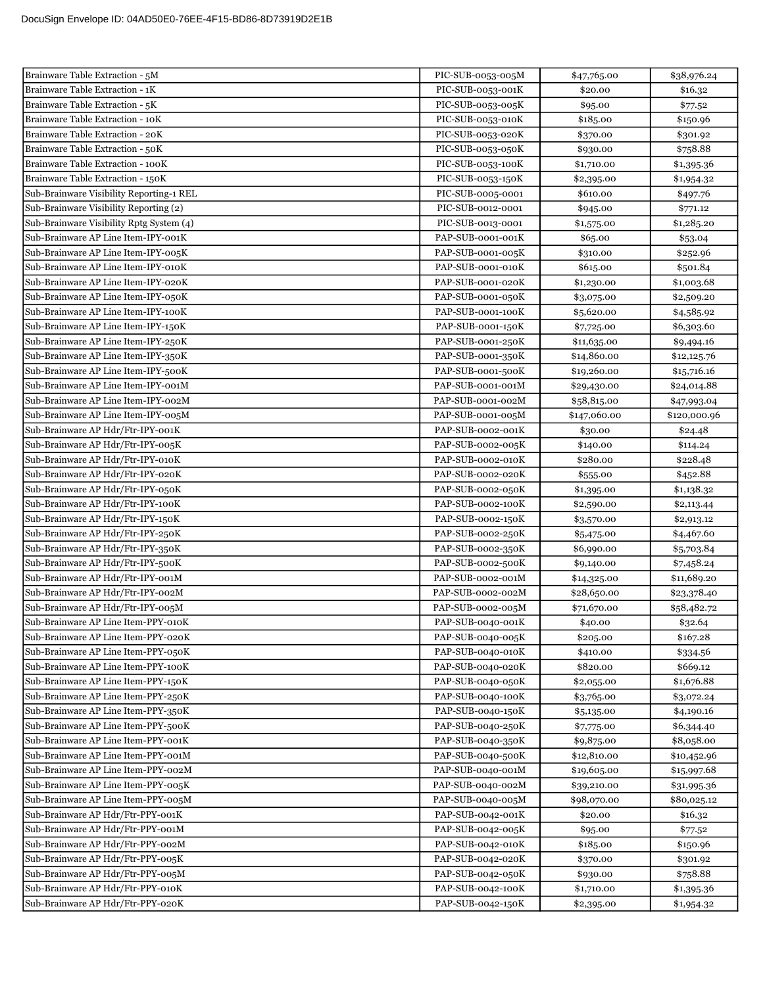| Brainware Table Extraction - 5M                                        | PIC-SUB-0053-005M                      | \$47,765.00          | \$38,976.24          |
|------------------------------------------------------------------------|----------------------------------------|----------------------|----------------------|
| Brainware Table Extraction - 1K                                        | PIC-SUB-0053-001K                      | \$20.00              | \$16.32              |
| Brainware Table Extraction - 5K                                        | PIC-SUB-0053-005K                      | \$95.00              | \$77.52              |
| Brainware Table Extraction - 10K                                       | PIC-SUB-0053-010K                      | \$185.00             | \$150.96             |
| Brainware Table Extraction - 20K                                       | PIC-SUB-0053-020K                      | \$370.00             | \$301.92             |
| Brainware Table Extraction - 50K                                       | PIC-SUB-0053-050K                      | \$930.00             | \$758.88             |
| Brainware Table Extraction - 100K                                      | PIC-SUB-0053-100K                      | \$1,710.00           | \$1,395.36           |
| Brainware Table Extraction - 150K                                      | PIC-SUB-0053-150K                      | \$2,395.00           | \$1,954.32           |
| Sub-Brainware Visibility Reporting-1 REL                               | PIC-SUB-0005-0001                      | \$610.00             | \$497.76             |
| Sub-Brainware Visibility Reporting (2)                                 | PIC-SUB-0012-0001                      | \$945.00             | \$771.12             |
| Sub-Brainware Visibility Rptg System (4)                               | PIC-SUB-0013-0001                      | \$1,575.00           | \$1,285.20           |
| Sub-Brainware AP Line Item-IPY-001K                                    | PAP-SUB-0001-001K                      | \$65.00              | \$53.04              |
| Sub-Brainware AP Line Item-IPY-005K                                    | PAP-SUB-0001-005K                      | \$310.00             | \$252.96             |
| Sub-Brainware AP Line Item-IPY-010K                                    | PAP-SUB-0001-010K                      | \$615.00             | \$501.84             |
| Sub-Brainware AP Line Item-IPY-020K                                    | PAP-SUB-0001-020K                      | \$1,230.00           | \$1,003.68           |
| Sub-Brainware AP Line Item-IPY-050K                                    | PAP-SUB-0001-050K                      | \$3,075.00           | \$2,509.20           |
| Sub-Brainware AP Line Item-IPY-100K                                    | PAP-SUB-0001-100K                      | \$5,620.00           | \$4,585.92           |
| Sub-Brainware AP Line Item-IPY-150K                                    | PAP-SUB-0001-150K                      | \$7,725.00           | \$6,303.60           |
| Sub-Brainware AP Line Item-IPY-250K                                    | PAP-SUB-0001-250K                      | \$11,635.00          | \$9,494.16           |
| Sub-Brainware AP Line Item-IPY-350K                                    | PAP-SUB-0001-350K                      | \$14,860.00          | \$12,125.76          |
| Sub-Brainware AP Line Item-IPY-500K                                    | PAP-SUB-0001-500K                      | \$19,260.00          | \$15,716.16          |
| Sub-Brainware AP Line Item-IPY-001M                                    | PAP-SUB-0001-001M                      | \$29,430.00          | \$24,014.88          |
| Sub-Brainware AP Line Item-IPY-002M                                    | PAP-SUB-0001-002M                      | \$58,815.00          | \$47,993.04          |
| Sub-Brainware AP Line Item-IPY-005M                                    | PAP-SUB-0001-005M                      | \$147,060.00         | \$120,000.96         |
| Sub-Brainware AP Hdr/Ftr-IPY-001K                                      | PAP-SUB-0002-001K                      | \$30.00              | \$24.48              |
| Sub-Brainware AP Hdr/Ftr-IPY-005K                                      | PAP-SUB-0002-005K                      | \$140.00             | \$114.24             |
| Sub-Brainware AP Hdr/Ftr-IPY-010K                                      | PAP-SUB-0002-010K                      | \$280.00             | \$228.48             |
| Sub-Brainware AP Hdr/Ftr-IPY-020K                                      | PAP-SUB-0002-020K                      | \$555.00             | \$452.88             |
| Sub-Brainware AP Hdr/Ftr-IPY-050K                                      | PAP-SUB-0002-050K                      | \$1,395.00           | \$1,138.32           |
| Sub-Brainware AP Hdr/Ftr-IPY-100K                                      | PAP-SUB-0002-100K                      | \$2,590.00           | \$2,113.44           |
| Sub-Brainware AP Hdr/Ftr-IPY-150K                                      | PAP-SUB-0002-150K                      | \$3,570.00           | \$2,913.12           |
| Sub-Brainware AP Hdr/Ftr-IPY-250K                                      | PAP-SUB-0002-250K                      | \$5,475.00           | \$4,467.60           |
| Sub-Brainware AP Hdr/Ftr-IPY-350K                                      | PAP-SUB-0002-350K                      | \$6,990.00           | \$5,703.84           |
| Sub-Brainware AP Hdr/Ftr-IPY-500K                                      | PAP-SUB-0002-500K                      | \$9,140.00           | \$7,458.24           |
| Sub-Brainware AP Hdr/Ftr-IPY-001M                                      | PAP-SUB-0002-001M<br>PAP-SUB-0002-002M | \$14,325.00          | \$11,689.20          |
| Sub-Brainware AP Hdr/Ftr-IPY-002M<br>Sub-Brainware AP Hdr/Ftr-IPY-005M | PAP-SUB-0002-005M                      | \$28,650.00          | \$23,378.40          |
| Sub-Brainware AP Line Item-PPY-010K                                    | PAP-SUB-0040-001K                      | \$71,670.00          | \$58,482.72          |
| Sub-Brainware AP Line Item-PPY-020K                                    | PAP-SUB-0040-005K                      | \$40.00              | \$32.64              |
| Sub-Brainware AP Line Item-PPY-050K                                    | PAP-SUB-0040-010K                      | \$205.00             | \$167.28             |
| Sub-Brainware AP Line Item-PPY-100K                                    | PAP-SUB-0040-020K                      | \$410.00<br>\$820.00 | \$334.56<br>\$669.12 |
| Sub-Brainware AP Line Item-PPY-150K                                    | PAP-SUB-0040-050K                      | \$2,055.00           | \$1,676.88           |
| Sub-Brainware AP Line Item-PPY-250K                                    | PAP-SUB-0040-100K                      | \$3,765.00           | \$3,072.24           |
| Sub-Brainware AP Line Item-PPY-350K                                    | PAP-SUB-0040-150K                      | \$5,135.00           | \$4,190.16           |
| Sub-Brainware AP Line Item-PPY-500K                                    | PAP-SUB-0040-250K                      | \$7,775.00           | \$6,344.40           |
| Sub-Brainware AP Line Item-PPY-001K                                    | PAP-SUB-0040-350K                      | \$9,875.00           | \$8,058.00           |
| Sub-Brainware AP Line Item-PPY-001M                                    | PAP-SUB-0040-500K                      | \$12,810.00          | \$10,452.96          |
| Sub-Brainware AP Line Item-PPY-002M                                    | PAP-SUB-0040-001M                      | \$19,605.00          | \$15,997.68          |
| Sub-Brainware AP Line Item-PPY-005K                                    | PAP-SUB-0040-002M                      | \$39,210.00          | \$31,995.36          |
| Sub-Brainware AP Line Item-PPY-005M                                    | PAP-SUB-0040-005M                      | \$98,070.00          | \$80,025.12          |
| Sub-Brainware AP Hdr/Ftr-PPY-001K                                      | PAP-SUB-0042-001K                      | \$20.00              | \$16.32              |
| Sub-Brainware AP Hdr/Ftr-PPY-001M                                      | PAP-SUB-0042-005K                      | \$95.00              | \$77.52              |
| Sub-Brainware AP Hdr/Ftr-PPY-002M                                      | PAP-SUB-0042-010K                      | \$185.00             | \$150.96             |
| Sub-Brainware AP Hdr/Ftr-PPY-005K                                      | PAP-SUB-0042-020K                      | \$370.00             | \$301.92             |
| Sub-Brainware AP Hdr/Ftr-PPY-005M                                      | PAP-SUB-0042-050K                      | \$930.00             | \$758.88             |
| Sub-Brainware AP Hdr/Ftr-PPY-010K                                      | PAP-SUB-0042-100K                      | \$1,710.00           | \$1,395.36           |
| Sub-Brainware AP Hdr/Ftr-PPY-020K                                      | PAP-SUB-0042-150K                      | \$2,395.00           | \$1,954.32           |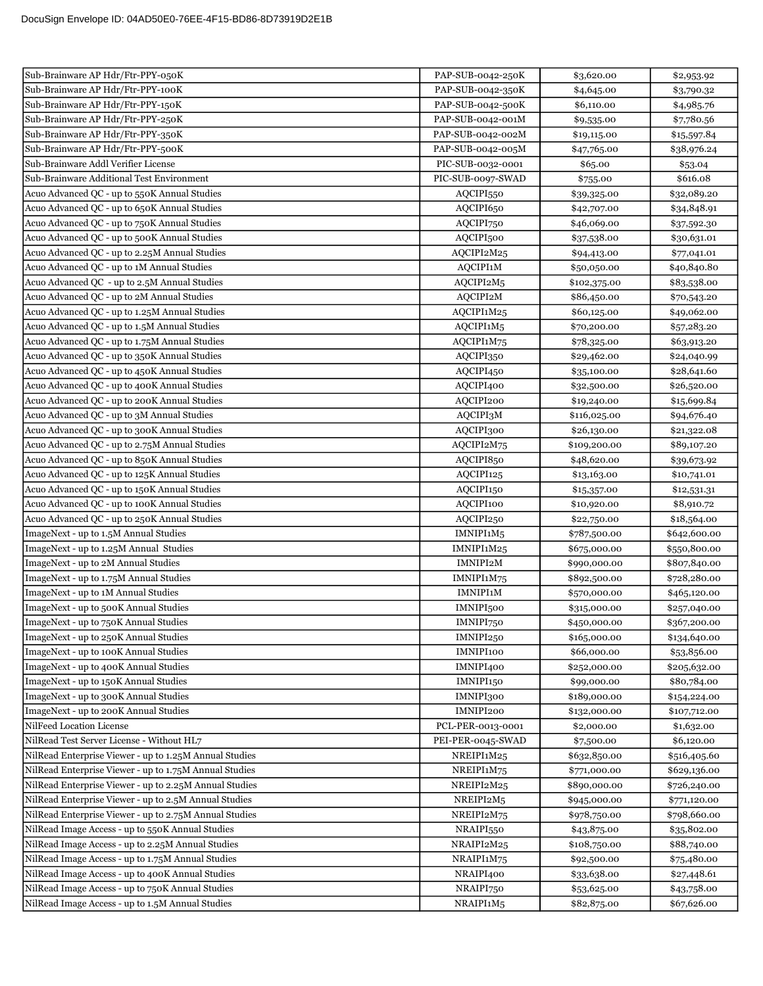| Sub-Brainware AP Hdr/Ftr-PPY-050K                      | PAP-SUB-0042-250K     | \$3,620.00   | \$2,953.92   |
|--------------------------------------------------------|-----------------------|--------------|--------------|
| Sub-Brainware AP Hdr/Ftr-PPY-100K                      | PAP-SUB-0042-350K     | \$4,645.00   | \$3,790.32   |
| Sub-Brainware AP Hdr/Ftr-PPY-150K                      | PAP-SUB-0042-500K     | \$6,110.00   | \$4,985.76   |
| Sub-Brainware AP Hdr/Ftr-PPY-250K                      | PAP-SUB-0042-001M     | \$9,535.00   | \$7,780.56   |
| Sub-Brainware AP Hdr/Ftr-PPY-350K                      | PAP-SUB-0042-002M     | \$19,115.00  | \$15,597.84  |
| Sub-Brainware AP Hdr/Ftr-PPY-500K                      | PAP-SUB-0042-005M     | \$47,765.00  | \$38,976.24  |
| Sub-Brainware Addl Verifier License                    | PIC-SUB-0032-0001     | \$65.00      | \$53.04      |
| Sub-Brainware Additional Test Environment              | PIC-SUB-0097-SWAD     | \$755.00     | \$616.08     |
| Acuo Advanced QC - up to 550K Annual Studies           | AQCIPI550             | \$39,325.00  | \$32,089.20  |
| Acuo Advanced QC - up to 650K Annual Studies           | AQCIPI650             | \$42,707.00  | \$34,848.91  |
| Acuo Advanced QC - up to 750K Annual Studies           | AQCIPI750             | \$46,069.00  | \$37,592.30  |
| Acuo Advanced QC - up to 500K Annual Studies           | AQCIPI500             | \$37,538.00  | \$30,631.01  |
| Acuo Advanced QC - up to 2.25M Annual Studies          | AQCIPI2M25            | \$94,413.00  | \$77,041.01  |
| Acuo Advanced QC - up to 1M Annual Studies             | AQCIPI1M              | \$50,050.00  | \$40,840.80  |
| Acuo Advanced QC - up to 2.5M Annual Studies           | AQCIPI2M5             | \$102,375.00 | \$83,538.00  |
| Acuo Advanced QC - up to 2M Annual Studies             | AQCIPI2M              | \$86,450.00  | \$70,543.20  |
| Acuo Advanced QC - up to 1.25M Annual Studies          | AQCIPI1M25            | \$60,125.00  | \$49,062.00  |
| Acuo Advanced QC - up to 1.5M Annual Studies           | AQCIPI1M5             | \$70,200.00  | \$57,283.20  |
| Acuo Advanced QC - up to 1.75M Annual Studies          | AQCIPI1M75            | \$78,325.00  | \$63,913.20  |
| Acuo Advanced QC - up to 350K Annual Studies           | AQCIPI350             | \$29,462.00  | \$24,040.99  |
| Acuo Advanced QC - up to 450K Annual Studies           | AQCIPI450             | \$35,100.00  | \$28,641.60  |
| Acuo Advanced QC - up to 400K Annual Studies           | AQCIPI400             | \$32,500.00  | \$26,520.00  |
| Acuo Advanced QC - up to 200K Annual Studies           | AQCIPI200             | \$19,240.00  | \$15,699.84  |
| Acuo Advanced QC - up to 3M Annual Studies             | AQCIPI3M              | \$116,025.00 | \$94,676.40  |
| Acuo Advanced QC - up to 300K Annual Studies           | AQCIPI300             | \$26,130.00  | \$21,322.08  |
| Acuo Advanced QC - up to 2.75M Annual Studies          | AQCIPI2M75            | \$109,200.00 | \$89,107.20  |
| Acuo Advanced QC - up to 850K Annual Studies           | AQCIPI850             | \$48,620.00  | \$39,673.92  |
| Acuo Advanced QC - up to 125K Annual Studies           | AQCIPI125             | \$13,163.00  | \$10,741.01  |
| Acuo Advanced QC - up to 150K Annual Studies           | AQCIPI150             | \$15,357.00  | \$12,531.31  |
| Acuo Advanced QC - up to 100K Annual Studies           | AQCIPI100             | \$10,920.00  | \$8,910.72   |
| Acuo Advanced QC - up to 250K Annual Studies           | AQCIPI250             | \$22,750.00  | \$18,564.00  |
| ImageNext - up to 1.5M Annual Studies                  | IMNIPI1M5             | \$787,500.00 | \$642,600.00 |
| ImageNext - up to 1.25M Annual Studies                 | IMNIPI1M25            | \$675,000.00 | \$550,800.00 |
| ImageNext - up to 2M Annual Studies                    | IMNIPI2M              | \$990,000.00 | \$807,840.00 |
| ImageNext - up to 1.75M Annual Studies                 | IMNIPI1M75            | \$892,500.00 | \$728,280.00 |
| ImageNext - up to 1M Annual Studies                    | <b>IMNIPI1M</b>       | \$570,000.00 | \$465,120.00 |
| ImageNext - up to 500K Annual Studies                  | IMNIPI <sub>500</sub> | \$315,000.00 | \$257,040.00 |
| ImageNext - up to 750K Annual Studies                  | IMNIPI750             | \$450,000.00 | \$367,200.00 |
| ImageNext - up to 250K Annual Studies                  | IMNIPI250             | \$165,000.00 | \$134,640.00 |
| ImageNext - up to 100K Annual Studies                  | IMNIPI100             | \$66,000.00  | \$53,856.00  |
| ImageNext - up to 400K Annual Studies                  | IMNIPI400             | \$252,000.00 | \$205,632.00 |
| ImageNext - up to 150K Annual Studies                  | IMNIPI150             | \$99,000.00  | \$80,784.00  |
| ImageNext - up to 300K Annual Studies                  | IMNIPI300             | \$189,000.00 | \$154,224.00 |
| ImageNext - up to 200K Annual Studies                  | IMNIPI200             | \$132,000.00 | \$107,712.00 |
| NilFeed Location License                               | PCL-PER-0013-0001     | \$2,000.00   | \$1,632.00   |
| NilRead Test Server License - Without HL7              | PEI-PER-0045-SWAD     | \$7,500.00   | \$6,120.00   |
| NilRead Enterprise Viewer - up to 1.25M Annual Studies | NREIPI1M25            | \$632,850.00 | \$516,405.60 |
| NilRead Enterprise Viewer - up to 1.75M Annual Studies | NREIPI1M75            | \$771,000.00 | \$629,136.00 |
| NilRead Enterprise Viewer - up to 2.25M Annual Studies | NREIPI2M25            | \$890,000.00 | \$726,240.00 |
| NilRead Enterprise Viewer - up to 2.5M Annual Studies  | NREIPI2M5             | \$945,000.00 | \$771,120.00 |
| NilRead Enterprise Viewer - up to 2.75M Annual Studies | NREIPI2M75            | \$978,750.00 | \$798,660.00 |
| NilRead Image Access - up to 550K Annual Studies       | NRAIPI550             | \$43,875.00  | \$35,802.00  |
| NilRead Image Access - up to 2.25M Annual Studies      | NRAIPI2M25            | \$108,750.00 | \$88,740.00  |
| NilRead Image Access - up to 1.75M Annual Studies      | NRAIPI1M75            | \$92,500.00  | \$75,480.00  |
| NilRead Image Access - up to 400K Annual Studies       | NRAIPI400             | \$33,638.00  | \$27,448.61  |
| NilRead Image Access - up to 750K Annual Studies       | NRAIPI750             | \$53,625.00  | \$43,758.00  |
| NilRead Image Access - up to 1.5M Annual Studies       | NRAIPI1M5             | \$82,875.00  | \$67,626.00  |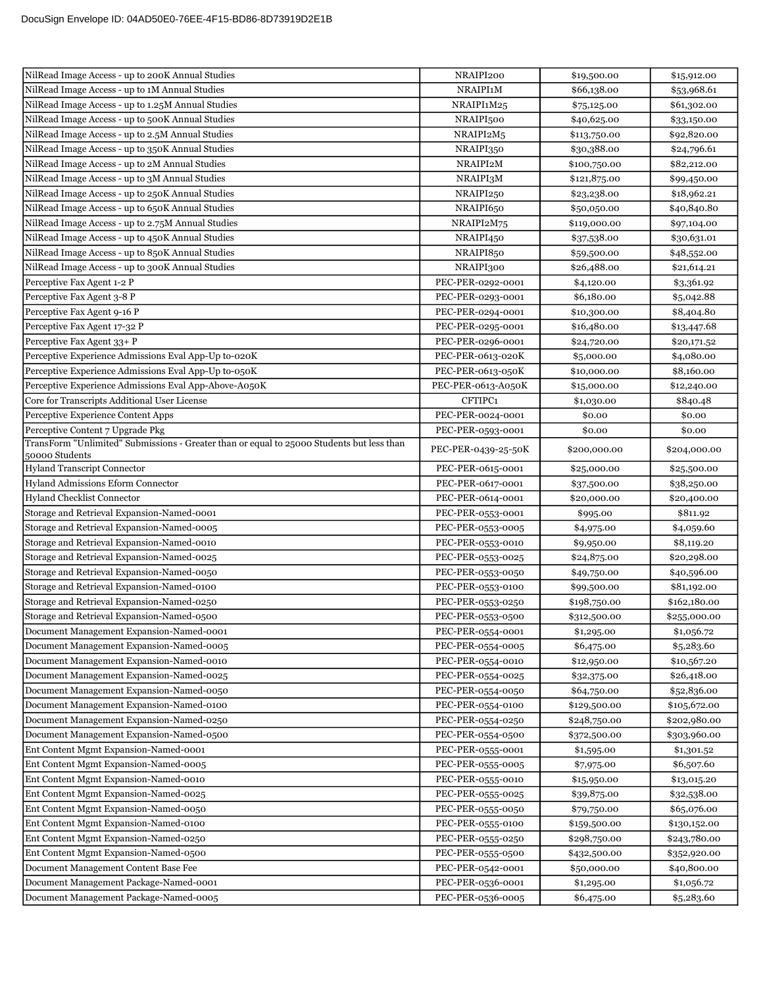| NilRead Image Access - up to 200K Annual Studies                                                            | NRAIPI200           | \$19,500.00  | \$15,912.00  |
|-------------------------------------------------------------------------------------------------------------|---------------------|--------------|--------------|
| NilRead Image Access - up to 1M Annual Studies                                                              | NRAIPI1M            | \$66,138.00  | \$53,968.61  |
| NilRead Image Access - up to 1.25M Annual Studies                                                           | NRAIPI1M25          | \$75,125.00  | \$61,302.00  |
| NilRead Image Access - up to 500K Annual Studies                                                            | NRAIPI500           | \$40,625.00  | \$33,150.00  |
| NilRead Image Access - up to 2.5M Annual Studies                                                            | NRAIPI2M5           | \$113,750.00 | \$92,820.00  |
| NilRead Image Access - up to 350K Annual Studies                                                            | NRAIPI350           | \$30,388.00  | \$24,796.61  |
| NilRead Image Access - up to 2M Annual Studies                                                              | NRAIPI2M            | \$100,750.00 | \$82,212.00  |
| NilRead Image Access - up to 3M Annual Studies                                                              | NRAIPI3M            | \$121,875.00 | \$99,450.00  |
| NilRead Image Access - up to 250K Annual Studies                                                            | NRAIPI250           | \$23,238.00  | \$18,962.21  |
| NilRead Image Access - up to 650K Annual Studies                                                            | NRAIPI650           | \$50,050.00  | \$40,840.80  |
| NilRead Image Access - up to 2.75M Annual Studies                                                           | NRAIPI2M75          | \$119,000.00 | \$97,104.00  |
| NilRead Image Access - up to 450K Annual Studies                                                            | NRAIPI450           | \$37,538.00  | \$30,631.01  |
| NilRead Image Access - up to 850K Annual Studies                                                            | NRAIPI850           | \$59,500.00  | \$48,552.00  |
| NilRead Image Access - up to 300K Annual Studies                                                            | NRAIPI300           | \$26,488.00  | \$21,614.21  |
| Perceptive Fax Agent 1-2 P                                                                                  | PEC-PER-0292-0001   | \$4,120.00   | \$3,361.92   |
| Perceptive Fax Agent 3-8 P                                                                                  | PEC-PER-0293-0001   | \$6,180.00   | \$5,042.88   |
| Perceptive Fax Agent 9-16 P                                                                                 | PEC-PER-0294-0001   | \$10,300.00  | \$8,404.80   |
| Perceptive Fax Agent 17-32 P                                                                                | PEC-PER-0295-0001   | \$16,480.00  | \$13,447.68  |
| Perceptive Fax Agent 33+ P                                                                                  | PEC-PER-0296-0001   | \$24,720.00  | \$20,171.52  |
| Perceptive Experience Admissions Eval App-Up to-020K                                                        | PEC-PER-0613-020K   | \$5,000.00   | \$4,080.00   |
| Perceptive Experience Admissions Eval App-Up to-050K                                                        | PEC-PER-0613-050K   | \$10,000.00  | \$8,160.00   |
| Perceptive Experience Admissions Eval App-Above-A050K                                                       | PEC-PER-0613-A050K  | \$15,000.00  | \$12,240.00  |
| Core for Transcripts Additional User License                                                                | CFTIPC1             | \$1,030.00   | \$840.48     |
| Perceptive Experience Content Apps                                                                          | PEC-PER-0024-0001   | \$0.00       | \$0.00       |
| Perceptive Content 7 Upgrade Pkg                                                                            | PEC-PER-0593-0001   | \$0.00       | \$0.00       |
| TransForm "Unlimited" Submissions - Greater than or equal to 25000 Students but less than<br>50000 Students | PEC-PER-0439-25-50K | \$200,000.00 | \$204,000.00 |
| <b>Hyland Transcript Connector</b>                                                                          | PEC-PER-0615-0001   | \$25,000.00  | \$25,500.00  |
| <b>Hyland Admissions Eform Connector</b>                                                                    | PEC-PER-0617-0001   | \$37,500.00  | \$38,250.00  |
| Hyland Checklist Connector                                                                                  | PEC-PER-0614-0001   | \$20,000.00  | \$20,400.00  |
| Storage and Retrieval Expansion-Named-0001                                                                  | PEC-PER-0553-0001   | \$995.00     | \$811.92     |
| Storage and Retrieval Expansion-Named-0005                                                                  | PEC-PER-0553-0005   | \$4,975.00   | \$4,059.60   |
| Storage and Retrieval Expansion-Named-0010                                                                  | PEC-PER-0553-0010   | \$9,950.00   | \$8,119.20   |
| Storage and Retrieval Expansion-Named-0025                                                                  | PEC-PER-0553-0025   | \$24,875.00  | \$20,298.00  |
| Storage and Retrieval Expansion-Named-0050                                                                  | PEC-PER-0553-0050   | \$49,750.00  | \$40,596.00  |
| Storage and Retrieval Expansion-Named-0100                                                                  | PEC-PER-0553-0100   | \$99,500.00  | \$81,192.00  |
| Storage and Retrieval Expansion-Named-0250                                                                  | PEC-PER-0553-0250   | \$198,750.00 | \$162,180.00 |
| Storage and Retrieval Expansion-Named-0500                                                                  | PEC-PER-0553-0500   | \$312,500.00 | \$255,000.00 |
| Document Management Expansion-Named-0001                                                                    | PEC-PER-0554-0001   | \$1,295.00   | \$1,056.72   |
| Document Management Expansion-Named-0005                                                                    | PEC-PER-0554-0005   | \$6,475.00   | \$5,283.60   |
| Document Management Expansion-Named-0010                                                                    | PEC-PER-0554-0010   | \$12,950.00  | \$10,567.20  |
| Document Management Expansion-Named-0025                                                                    | PEC-PER-0554-0025   | \$32,375.00  | \$26,418.00  |
| Document Management Expansion-Named-0050                                                                    | PEC-PER-0554-0050   | \$64,750.00  | \$52,836.00  |
| Document Management Expansion-Named-0100                                                                    | PEC-PER-0554-0100   | \$129,500.00 | \$105,672.00 |
| Document Management Expansion-Named-0250                                                                    | PEC-PER-0554-0250   | \$248,750.00 | \$202,980.00 |
| Document Management Expansion-Named-0500                                                                    | PEC-PER-0554-0500   | \$372,500.00 | \$303,960.00 |
| Ent Content Mgmt Expansion-Named-0001                                                                       | PEC-PER-0555-0001   | \$1,595.00   | \$1,301.52   |
| Ent Content Mgmt Expansion-Named-0005                                                                       | PEC-PER-0555-0005   | \$7,975.00   | \$6,507.60   |
| Ent Content Mgmt Expansion-Named-0010                                                                       | PEC-PER-0555-0010   | \$15,950.00  | \$13,015.20  |
| Ent Content Mgmt Expansion-Named-0025                                                                       | PEC-PER-0555-0025   | \$39,875.00  | \$32,538.00  |
| Ent Content Mgmt Expansion-Named-0050                                                                       | PEC-PER-0555-0050   | \$79,750.00  | \$65,076.00  |
| Ent Content Mgmt Expansion-Named-0100                                                                       | PEC-PER-0555-0100   | \$159,500.00 | \$130,152.00 |
| Ent Content Mgmt Expansion-Named-0250                                                                       | PEC-PER-0555-0250   | \$298,750.00 | \$243,780.00 |
| Ent Content Mgmt Expansion-Named-0500                                                                       | PEC-PER-0555-0500   | \$432,500.00 | \$352,920.00 |
| Document Management Content Base Fee                                                                        | PEC-PER-0542-0001   | \$50,000.00  | \$40,800.00  |
| Document Management Package-Named-0001                                                                      | PEC-PER-0536-0001   | \$1,295.00   | \$1,056.72   |
| Document Management Package-Named-0005                                                                      | PEC-PER-0536-0005   | \$6,475.00   | \$5,283.60   |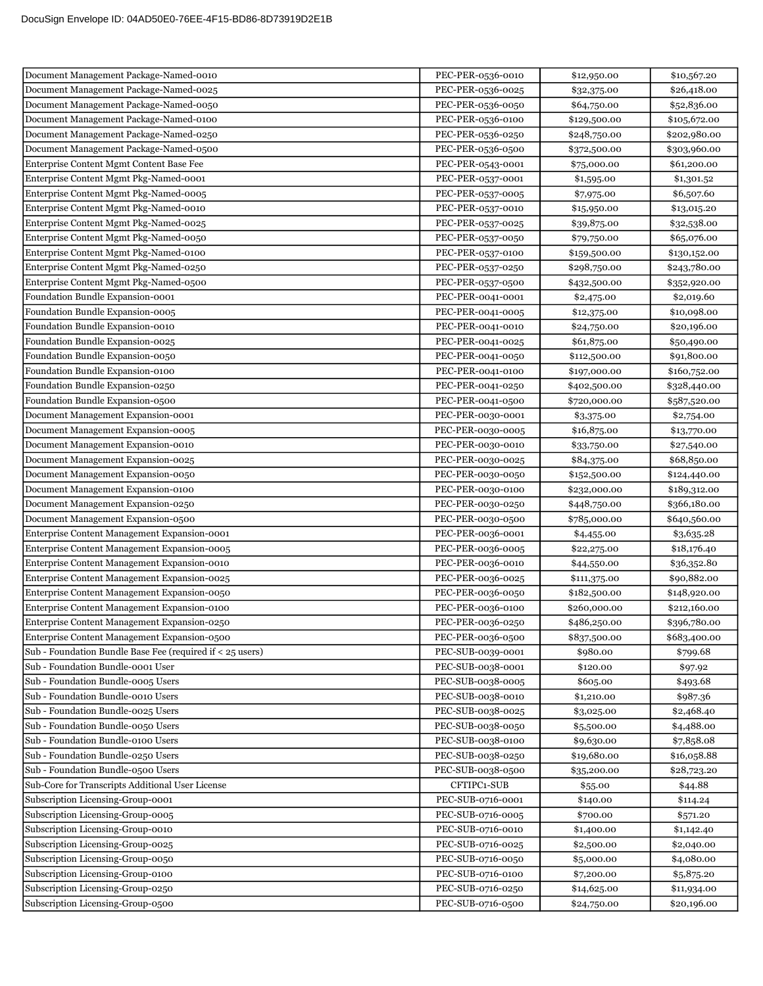| Document Management Package-Named-0010                    | PEC-PER-0536-0010 | \$12,950.00  | \$10,567.20  |
|-----------------------------------------------------------|-------------------|--------------|--------------|
| Document Management Package-Named-0025                    | PEC-PER-0536-0025 | \$32,375.00  | \$26,418.00  |
| Document Management Package-Named-0050                    | PEC-PER-0536-0050 | \$64,750.00  | \$52,836.00  |
| Document Management Package-Named-0100                    | PEC-PER-0536-0100 | \$129,500.00 | \$105,672.00 |
| Document Management Package-Named-0250                    | PEC-PER-0536-0250 | \$248,750.00 | \$202,980.00 |
| Document Management Package-Named-0500                    | PEC-PER-0536-0500 | \$372,500.00 | \$303,960.00 |
| Enterprise Content Mgmt Content Base Fee                  | PEC-PER-0543-0001 | \$75,000.00  | \$61,200.00  |
| Enterprise Content Mgmt Pkg-Named-0001                    | PEC-PER-0537-0001 | \$1,595.00   | \$1,301.52   |
| Enterprise Content Mgmt Pkg-Named-0005                    | PEC-PER-0537-0005 | \$7,975.00   | \$6,507.60   |
| Enterprise Content Mgmt Pkg-Named-0010                    | PEC-PER-0537-0010 | \$15,950.00  | \$13,015.20  |
| Enterprise Content Mgmt Pkg-Named-0025                    | PEC-PER-0537-0025 | \$39,875.00  | \$32,538.00  |
| Enterprise Content Mgmt Pkg-Named-0050                    | PEC-PER-0537-0050 | \$79,750.00  | \$65,076.00  |
| Enterprise Content Mgmt Pkg-Named-0100                    | PEC-PER-0537-0100 | \$159,500.00 | \$130,152.00 |
| Enterprise Content Mgmt Pkg-Named-0250                    | PEC-PER-0537-0250 | \$298,750.00 | \$243,780.00 |
| Enterprise Content Mgmt Pkg-Named-0500                    | PEC-PER-0537-0500 | \$432,500.00 | \$352,920.00 |
| Foundation Bundle Expansion-0001                          | PEC-PER-0041-0001 | \$2,475.00   | \$2,019.60   |
| Foundation Bundle Expansion-0005                          | PEC-PER-0041-0005 | \$12,375.00  | \$10,098.00  |
| Foundation Bundle Expansion-0010                          | PEC-PER-0041-0010 | \$24,750.00  | \$20,196.00  |
| Foundation Bundle Expansion-0025                          | PEC-PER-0041-0025 | \$61,875.00  | \$50,490.00  |
| Foundation Bundle Expansion-0050                          | PEC-PER-0041-0050 | \$112,500.00 | \$91,800.00  |
| Foundation Bundle Expansion-0100                          | PEC-PER-0041-0100 | \$197,000.00 | \$160,752.00 |
| Foundation Bundle Expansion-0250                          | PEC-PER-0041-0250 | \$402,500.00 | \$328,440.00 |
| Foundation Bundle Expansion-0500                          | PEC-PER-0041-0500 | \$720,000.00 | \$587,520.00 |
| Document Management Expansion-0001                        | PEC-PER-0030-0001 | \$3,375.00   | \$2,754.00   |
| Document Management Expansion-0005                        | PEC-PER-0030-0005 | \$16,875.00  | \$13,770.00  |
| Document Management Expansion-0010                        | PEC-PER-0030-0010 | \$33,750.00  | \$27,540.00  |
| Document Management Expansion-0025                        | PEC-PER-0030-0025 | \$84,375.00  | \$68,850.00  |
| Document Management Expansion-0050                        | PEC-PER-0030-0050 | \$152,500.00 | \$124,440.00 |
| Document Management Expansion-0100                        | PEC-PER-0030-0100 | \$232,000.00 | \$189,312.00 |
| Document Management Expansion-0250                        | PEC-PER-0030-0250 | \$448,750.00 | \$366,180.00 |
| Document Management Expansion-0500                        | PEC-PER-0030-0500 | \$785,000.00 | \$640,560.00 |
| Enterprise Content Management Expansion-0001              | PEC-PER-0036-0001 | \$4,455.00   | \$3,635.28   |
| Enterprise Content Management Expansion-0005              | PEC-PER-0036-0005 | \$22,275.00  | \$18,176.40  |
| Enterprise Content Management Expansion-0010              | PEC-PER-0036-0010 | \$44,550.00  | \$36,352.80  |
| Enterprise Content Management Expansion-0025              | PEC-PER-0036-0025 | \$111,375.00 | \$90,882.00  |
| Enterprise Content Management Expansion-0050              | PEC-PER-0036-0050 | \$182,500.00 | \$148,920.00 |
| Enterprise Content Management Expansion-0100              | PEC-PER-0036-0100 | \$260,000.00 | \$212,160.00 |
| Enterprise Content Management Expansion-0250              | PEC-PER-0036-0250 | \$486,250.00 | \$396,780.00 |
| Enterprise Content Management Expansion-0500              | PEC-PER-0036-0500 | \$837,500.00 | \$683,400.00 |
| Sub - Foundation Bundle Base Fee (required if < 25 users) | PEC-SUB-0039-0001 | \$980.00     | \$799.68     |
| Sub - Foundation Bundle-0001 User                         | PEC-SUB-0038-0001 | \$120.00     | \$97.92      |
| Sub - Foundation Bundle-0005 Users                        | PEC-SUB-0038-0005 | \$605.00     | \$493.68     |
| Sub - Foundation Bundle-0010 Users                        | PEC-SUB-0038-0010 | \$1,210.00   | \$987.36     |
| Sub - Foundation Bundle-0025 Users                        | PEC-SUB-0038-0025 | \$3,025.00   | \$2,468.40   |
| Sub - Foundation Bundle-0050 Users                        | PEC-SUB-0038-0050 | \$5,500.00   | \$4,488.00   |
| Sub - Foundation Bundle-0100 Users                        | PEC-SUB-0038-0100 | \$9,630.00   | \$7,858.08   |
| Sub - Foundation Bundle-0250 Users                        | PEC-SUB-0038-0250 | \$19,680.00  | \$16,058.88  |
| Sub - Foundation Bundle-0500 Users                        | PEC-SUB-0038-0500 | \$35,200.00  | \$28,723.20  |
| Sub-Core for Transcripts Additional User License          | CFTIPC1-SUB       | \$55.00      | \$44.88      |
| Subscription Licensing-Group-0001                         | PEC-SUB-0716-0001 | \$140.00     | \$114.24     |
| Subscription Licensing-Group-0005                         | PEC-SUB-0716-0005 | \$700.00     | \$571.20     |
| Subscription Licensing-Group-0010                         | PEC-SUB-0716-0010 | \$1,400.00   | \$1,142.40   |
| Subscription Licensing-Group-0025                         | PEC-SUB-0716-0025 | \$2,500.00   | \$2,040.00   |
| Subscription Licensing-Group-0050                         | PEC-SUB-0716-0050 | \$5,000.00   | \$4,080.00   |
| Subscription Licensing-Group-0100                         | PEC-SUB-0716-0100 | \$7,200.00   | \$5,875.20   |
| Subscription Licensing-Group-0250                         | PEC-SUB-0716-0250 | \$14,625.00  | \$11,934.00  |
| Subscription Licensing-Group-0500                         | PEC-SUB-0716-0500 | \$24,750.00  | \$20,196.00  |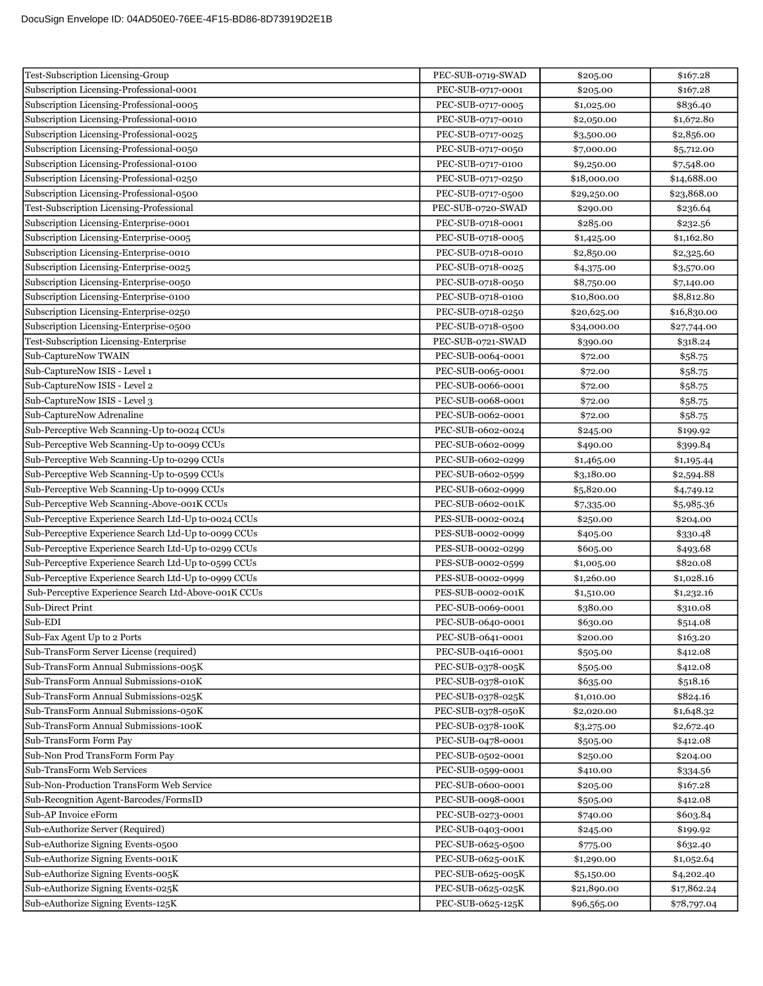| Test-Subscription Licensing-Group                    | PEC-SUB-0719-SWAD | \$205.00    | \$167.28    |
|------------------------------------------------------|-------------------|-------------|-------------|
| Subscription Licensing-Professional-0001             | PEC-SUB-0717-0001 | \$205.00    | \$167.28    |
| Subscription Licensing-Professional-0005             | PEC-SUB-0717-0005 | \$1,025.00  | \$836.40    |
| Subscription Licensing-Professional-0010             | PEC-SUB-0717-0010 | \$2,050.00  | \$1,672.80  |
| Subscription Licensing-Professional-0025             | PEC-SUB-0717-0025 | \$3,500.00  | \$2,856.00  |
| Subscription Licensing-Professional-0050             | PEC-SUB-0717-0050 | \$7,000.00  | \$5,712.00  |
| Subscription Licensing-Professional-0100             | PEC-SUB-0717-0100 | \$9,250.00  | \$7,548.00  |
| Subscription Licensing-Professional-0250             | PEC-SUB-0717-0250 | \$18,000.00 | \$14,688.00 |
| Subscription Licensing-Professional-0500             | PEC-SUB-0717-0500 | \$29,250.00 | \$23,868.00 |
| Test-Subscription Licensing-Professional             | PEC-SUB-0720-SWAD | \$290.00    | \$236.64    |
| Subscription Licensing-Enterprise-0001               | PEC-SUB-0718-0001 | \$285.00    | \$232.56    |
| Subscription Licensing-Enterprise-0005               | PEC-SUB-0718-0005 | \$1,425.00  | \$1,162.80  |
| Subscription Licensing-Enterprise-0010               | PEC-SUB-0718-0010 | \$2,850.00  | \$2,325.60  |
| Subscription Licensing-Enterprise-0025               | PEC-SUB-0718-0025 | \$4,375.00  | \$3,570.00  |
| Subscription Licensing-Enterprise-0050               | PEC-SUB-0718-0050 | \$8,750.00  | \$7,140.00  |
| Subscription Licensing-Enterprise-0100               | PEC-SUB-0718-0100 | \$10,800.00 | \$8,812.80  |
| Subscription Licensing-Enterprise-0250               | PEC-SUB-0718-0250 | \$20,625.00 | \$16,830.00 |
| Subscription Licensing-Enterprise-0500               | PEC-SUB-0718-0500 | \$34,000.00 | \$27,744.00 |
| Test-Subscription Licensing-Enterprise               | PEC-SUB-0721-SWAD | \$390.00    | \$318.24    |
| Sub-CaptureNow TWAIN                                 | PEC-SUB-0064-0001 | \$72.00     | \$58.75     |
| Sub-CaptureNow ISIS - Level 1                        | PEC-SUB-0065-0001 | \$72.00     | \$58.75     |
| Sub-CaptureNow ISIS - Level 2                        | PEC-SUB-0066-0001 | \$72.00     | \$58.75     |
| Sub-CaptureNow ISIS - Level 3                        | PEC-SUB-0068-0001 | \$72.00     | \$58.75     |
| Sub-CaptureNow Adrenaline                            | PEC-SUB-0062-0001 | \$72.00     | \$58.75     |
| Sub-Perceptive Web Scanning-Up to-0024 CCUs          | PEC-SUB-0602-0024 | \$245.00    | \$199.92    |
| Sub-Perceptive Web Scanning-Up to-0099 CCUs          | PEC-SUB-0602-0099 | \$490.00    | \$399.84    |
| Sub-Perceptive Web Scanning-Up to-0299 CCUs          | PEC-SUB-0602-0299 | \$1,465.00  | \$1,195.44  |
| Sub-Perceptive Web Scanning-Up to-0599 CCUs          | PEC-SUB-0602-0599 | \$3,180.00  | \$2,594.88  |
| Sub-Perceptive Web Scanning-Up to-0999 CCUs          | PEC-SUB-0602-0999 | \$5,820.00  | \$4,749.12  |
| Sub-Perceptive Web Scanning-Above-001K CCUs          | PEC-SUB-0602-001K | \$7,335.00  | \$5,985.36  |
| Sub-Perceptive Experience Search Ltd-Up to-0024 CCUs | PES-SUB-0002-0024 | \$250.00    | \$204.00    |
| Sub-Perceptive Experience Search Ltd-Up to-0099 CCUs | PES-SUB-0002-0099 | \$405.00    | \$330.48    |
| Sub-Perceptive Experience Search Ltd-Up to-0299 CCUs | PES-SUB-0002-0299 | \$605.00    | \$493.68    |
| Sub-Perceptive Experience Search Ltd-Up to-0599 CCUs | PES-SUB-0002-0599 | \$1,005.00  | \$820.08    |
| Sub-Perceptive Experience Search Ltd-Up to-0999 CCUs | PES-SUB-0002-0999 | \$1,260.00  | \$1,028.16  |
| Sub-Perceptive Experience Search Ltd-Above-001K CCUs | PES-SUB-0002-001K | \$1,510.00  | \$1,232.16  |
| Sub-Direct Print                                     | PEC-SUB-0069-0001 | \$380.00    | \$310.08    |
| Sub-EDI                                              | PEC-SUB-0640-0001 | \$630.00    | \$514.08    |
| Sub-Fax Agent Up to 2 Ports                          | PEC-SUB-0641-0001 | \$200.00    | \$163.20    |
| Sub-TransForm Server License (required)              | PEC-SUB-0416-0001 | \$505.00    | \$412.08    |
| Sub-TransForm Annual Submissions-005K                | PEC-SUB-0378-005K | \$505.00    | \$412.08    |
| Sub-TransForm Annual Submissions-010K                | PEC-SUB-0378-010K | \$635.00    | \$518.16    |
| Sub-TransForm Annual Submissions-025K                | PEC-SUB-0378-025K | \$1,010.00  | \$824.16    |
| Sub-TransForm Annual Submissions-050K                | PEC-SUB-0378-050K | \$2,020.00  | \$1,648.32  |
| Sub-TransForm Annual Submissions-100K                | PEC-SUB-0378-100K | \$3,275.00  | \$2,672.40  |
| Sub-TransForm Form Pay                               | PEC-SUB-0478-0001 | \$505.00    | \$412.08    |
| Sub-Non Prod TransForm Form Pay                      | PEC-SUB-0502-0001 | \$250.00    | \$204.00    |
| Sub-TransForm Web Services                           | PEC-SUB-0599-0001 | \$410.00    | \$334.56    |
| Sub-Non-Production TransForm Web Service             | PEC-SUB-0600-0001 | \$205.00    | \$167.28    |
| Sub-Recognition Agent-Barcodes/FormsID               | PEC-SUB-0098-0001 | \$505.00    | \$412.08    |
| Sub-AP Invoice eForm                                 | PEC-SUB-0273-0001 | \$740.00    | \$603.84    |
| Sub-eAuthorize Server (Required)                     | PEC-SUB-0403-0001 | \$245.00    | \$199.92    |
| Sub-eAuthorize Signing Events-0500                   | PEC-SUB-0625-0500 | \$775.00    | \$632.40    |
| Sub-eAuthorize Signing Events-001K                   | PEC-SUB-0625-001K | \$1,290.00  | \$1,052.64  |
| Sub-eAuthorize Signing Events-005K                   | PEC-SUB-0625-005K | \$5,150.00  | \$4,202.40  |
| Sub-eAuthorize Signing Events-025K                   | PEC-SUB-0625-025K | \$21,890.00 | \$17,862.24 |
| Sub-eAuthorize Signing Events-125K                   | PEC-SUB-0625-125K | \$96,565.00 | \$78,797.04 |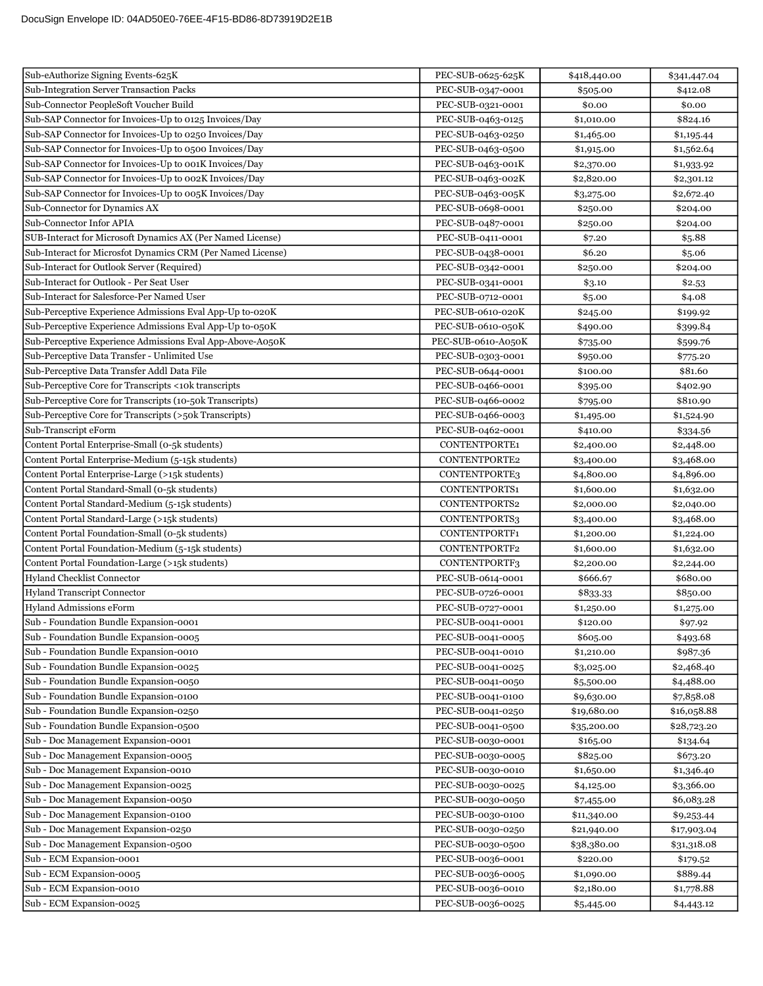| Sub-eAuthorize Signing Events-625K                          | PEC-SUB-0625-625K  | \$418,440.00 | \$341,447.04 |
|-------------------------------------------------------------|--------------------|--------------|--------------|
| <b>Sub-Integration Server Transaction Packs</b>             | PEC-SUB-0347-0001  | \$505.00     | \$412.08     |
| Sub-Connector PeopleSoft Voucher Build                      | PEC-SUB-0321-0001  | \$0.00       | \$0.00       |
| Sub-SAP Connector for Invoices-Up to 0125 Invoices/Day      | PEC-SUB-0463-0125  | \$1,010.00   | \$824.16     |
| Sub-SAP Connector for Invoices-Up to 0250 Invoices/Day      | PEC-SUB-0463-0250  | \$1,465.00   | \$1,195.44   |
| Sub-SAP Connector for Invoices-Up to 0500 Invoices/Day      | PEC-SUB-0463-0500  | \$1,915.00   | \$1,562.64   |
| Sub-SAP Connector for Invoices-Up to 001K Invoices/Day      | PEC-SUB-0463-001K  | \$2,370.00   | \$1,933.92   |
| Sub-SAP Connector for Invoices-Up to 002K Invoices/Day      | PEC-SUB-0463-002K  | \$2,820.00   | \$2,301.12   |
| Sub-SAP Connector for Invoices-Up to 005K Invoices/Day      | PEC-SUB-0463-005K  | \$3,275.00   | \$2,672.40   |
| Sub-Connector for Dynamics AX                               | PEC-SUB-0698-0001  | \$250.00     | \$204.00     |
| Sub-Connector Infor APIA                                    | PEC-SUB-0487-0001  | \$250.00     | \$204.00     |
| SUB-Interact for Microsoft Dynamics AX (Per Named License)  | PEC-SUB-0411-0001  | \$7.20       | \$5.88       |
| Sub-Interact for Microsfot Dynamics CRM (Per Named License) | PEC-SUB-0438-0001  | \$6.20       | \$5.06       |
| Sub-Interact for Outlook Server (Required)                  | PEC-SUB-0342-0001  | \$250.00     | \$204.00     |
| Sub-Interact for Outlook - Per Seat User                    | PEC-SUB-0341-0001  | \$3.10       | \$2.53       |
| Sub-Interact for Salesforce-Per Named User                  | PEC-SUB-0712-0001  | \$5.00       | \$4.08       |
| Sub-Perceptive Experience Admissions Eval App-Up to-020K    | PEC-SUB-0610-020K  | \$245.00     | \$199.92     |
| Sub-Perceptive Experience Admissions Eval App-Up to-050K    | PEC-SUB-0610-050K  | \$490.00     | \$399.84     |
| Sub-Perceptive Experience Admissions Eval App-Above-A050K   | PEC-SUB-0610-A050K | \$735.00     | \$599.76     |
| Sub-Perceptive Data Transfer - Unlimited Use                | PEC-SUB-0303-0001  | \$950.00     | \$775.20     |
| Sub-Perceptive Data Transfer Addl Data File                 | PEC-SUB-0644-0001  | \$100.00     | \$81.60      |
| Sub-Perceptive Core for Transcripts <10k transcripts        | PEC-SUB-0466-0001  | \$395.00     | \$402.90     |
| Sub-Perceptive Core for Transcripts (10-50k Transcripts)    | PEC-SUB-0466-0002  | \$795.00     | \$810.90     |
| Sub-Perceptive Core for Transcripts (>50k Transcripts)      | PEC-SUB-0466-0003  | \$1,495.00   | \$1,524.90   |
| Sub-Transcript eForm                                        | PEC-SUB-0462-0001  | \$410.00     | \$334.56     |
| Content Portal Enterprise-Small (0-5k students)             | CONTENTPORTE1      | \$2,400.00   | \$2,448.00   |
| Content Portal Enterprise-Medium (5-15k students)           | CONTENTPORTE2      | \$3,400.00   | \$3,468.00   |
| Content Portal Enterprise-Large (>15k students)             | CONTENTPORTE3      | \$4,800.00   | \$4,896.00   |
| Content Portal Standard-Small (0-5k students)               | CONTENTPORTS1      | \$1,600.00   | \$1,632.00   |
| Content Portal Standard-Medium (5-15k students)             | CONTENTPORTS2      | \$2,000.00   | \$2,040.00   |
| Content Portal Standard-Large (>15k students)               | CONTENTPORTS3      | \$3,400.00   | \$3,468.00   |
| Content Portal Foundation-Small (0-5k students)             | CONTENTPORTF1      | \$1,200.00   | \$1,224.00   |
| Content Portal Foundation-Medium (5-15k students)           | CONTENTPORTF2      | \$1,600.00   | \$1,632.00   |
| Content Portal Foundation-Large (>15k students)             | CONTENTPORTF3      | \$2,200.00   | \$2,244.00   |
| Hyland Checklist Connector                                  | PEC-SUB-0614-0001  | \$666.67     | \$680.00     |
| <b>Hyland Transcript Connector</b>                          | PEC-SUB-0726-0001  | \$833.33     | \$850.00     |
| <b>Hyland Admissions eForm</b>                              | PEC-SUB-0727-0001  | \$1,250.00   | \$1,275.00   |
| Sub - Foundation Bundle Expansion-0001                      | PEC-SUB-0041-0001  | \$120.00     | \$97.92      |
| Sub - Foundation Bundle Expansion-0005                      | PEC-SUB-0041-0005  | \$605.00     | \$493.68     |
| Sub - Foundation Bundle Expansion-0010                      | PEC-SUB-0041-0010  | \$1,210.00   | \$987.36     |
| Sub - Foundation Bundle Expansion-0025                      | PEC-SUB-0041-0025  | \$3,025.00   | \$2,468.40   |
| Sub - Foundation Bundle Expansion-0050                      | PEC-SUB-0041-0050  | \$5,500.00   | \$4,488.00   |
| Sub - Foundation Bundle Expansion-0100                      | PEC-SUB-0041-0100  | \$9,630.00   | \$7,858.08   |
| Sub - Foundation Bundle Expansion-0250                      | PEC-SUB-0041-0250  | \$19,680.00  | \$16,058.88  |
| Sub - Foundation Bundle Expansion-0500                      | PEC-SUB-0041-0500  | \$35,200.00  | \$28,723.20  |
| Sub - Doc Management Expansion-0001                         | PEC-SUB-0030-0001  | \$165.00     | \$134.64     |
| Sub - Doc Management Expansion-0005                         | PEC-SUB-0030-0005  | \$825.00     | \$673.20     |
| Sub - Doc Management Expansion-0010                         | PEC-SUB-0030-0010  | \$1,650.00   | \$1,346.40   |
| Sub - Doc Management Expansion-0025                         | PEC-SUB-0030-0025  | \$4,125.00   | \$3,366.00   |
| Sub - Doc Management Expansion-0050                         | PEC-SUB-0030-0050  | \$7,455.00   | \$6,083.28   |
| Sub - Doc Management Expansion-0100                         | PEC-SUB-0030-0100  | \$11,340.00  | \$9,253.44   |
| Sub - Doc Management Expansion-0250                         | PEC-SUB-0030-0250  | \$21,940.00  | \$17,903.04  |
| Sub - Doc Management Expansion-0500                         | PEC-SUB-0030-0500  | \$38,380.00  | \$31,318.08  |
| Sub - ECM Expansion-0001                                    | PEC-SUB-0036-0001  | \$220.00     | \$179.52     |
| Sub - ECM Expansion-0005                                    | PEC-SUB-0036-0005  | \$1,090.00   | \$889.44     |
| Sub - ECM Expansion-0010                                    | PEC-SUB-0036-0010  | \$2,180.00   | \$1,778.88   |
| Sub - ECM Expansion-0025                                    | PEC-SUB-0036-0025  | \$5,445.00   | \$4,443.12   |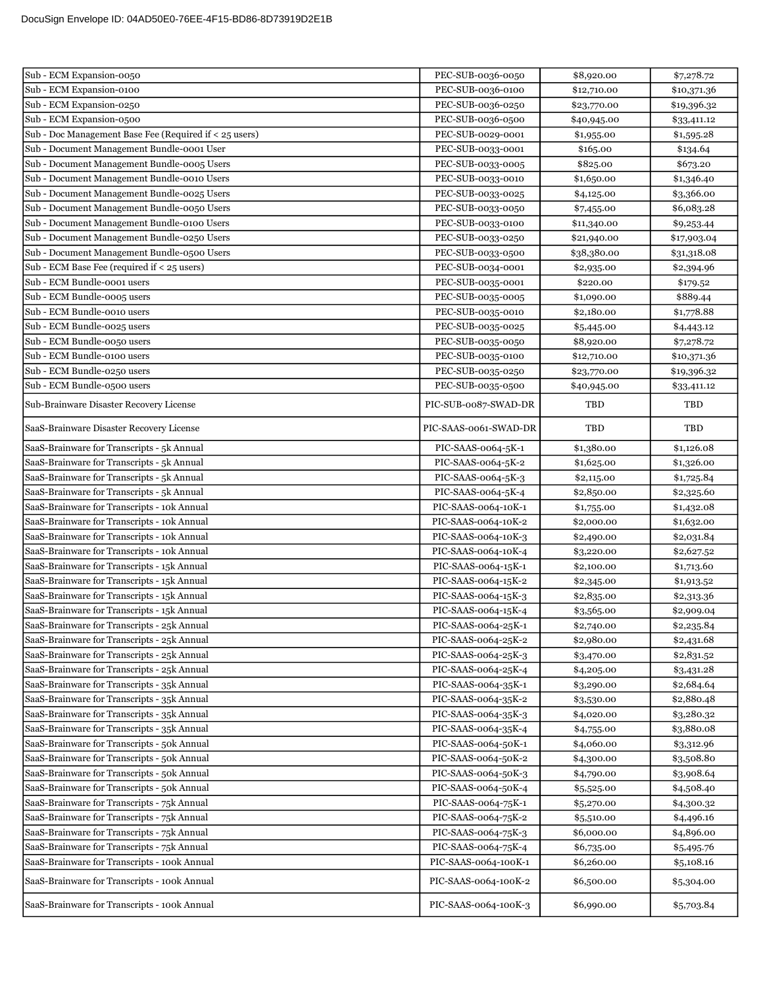| Sub - ECM Expansion-0050                               | PEC-SUB-0036-0050     | \$8,920.00  | \$7,278.72  |
|--------------------------------------------------------|-----------------------|-------------|-------------|
| Sub - ECM Expansion-0100                               | PEC-SUB-0036-0100     | \$12,710.00 | \$10,371.36 |
| Sub - ECM Expansion-0250                               | PEC-SUB-0036-0250     | \$23,770.00 | \$19,396.32 |
| Sub - ECM Expansion-0500                               | PEC-SUB-0036-0500     | \$40,945.00 | \$33,411.12 |
| Sub - Doc Management Base Fee (Required if < 25 users) | PEC-SUB-0029-0001     | \$1,955.00  | \$1,595.28  |
| Sub - Document Management Bundle-0001 User             | PEC-SUB-0033-0001     | \$165.00    | \$134.64    |
| Sub - Document Management Bundle-0005 Users            | PEC-SUB-0033-0005     | \$825.00    | \$673.20    |
| Sub - Document Management Bundle-0010 Users            | PEC-SUB-0033-0010     | \$1,650.00  | \$1,346.40  |
| Sub - Document Management Bundle-0025 Users            | PEC-SUB-0033-0025     | \$4,125.00  | \$3,366.00  |
| Sub - Document Management Bundle-0050 Users            | PEC-SUB-0033-0050     | \$7,455.00  | \$6,083.28  |
| Sub - Document Management Bundle-0100 Users            | PEC-SUB-0033-0100     | \$11,340.00 | \$9,253.44  |
| Sub - Document Management Bundle-0250 Users            | PEC-SUB-0033-0250     | \$21,940.00 | \$17,903.04 |
| Sub - Document Management Bundle-0500 Users            | PEC-SUB-0033-0500     | \$38,380.00 | \$31,318.08 |
| Sub - ECM Base Fee (required if < 25 users)            | PEC-SUB-0034-0001     | \$2,935.00  | \$2,394.96  |
| Sub - ECM Bundle-0001 users                            | PEC-SUB-0035-0001     | \$220.00    | \$179.52    |
| Sub - ECM Bundle-0005 users                            | PEC-SUB-0035-0005     | \$1,090.00  | \$889.44    |
| Sub - ECM Bundle-0010 users                            | PEC-SUB-0035-0010     | \$2,180.00  | \$1,778.88  |
| Sub - ECM Bundle-0025 users                            | PEC-SUB-0035-0025     | \$5,445.00  | \$4,443.12  |
| Sub - ECM Bundle-0050 users                            | PEC-SUB-0035-0050     | \$8,920.00  | \$7,278.72  |
| Sub - ECM Bundle-0100 users                            | PEC-SUB-0035-0100     | \$12,710.00 | \$10,371.36 |
| Sub - ECM Bundle-0250 users                            | PEC-SUB-0035-0250     | \$23,770.00 | \$19,396.32 |
| Sub - ECM Bundle-0500 users                            | PEC-SUB-0035-0500     | \$40,945.00 | \$33,411.12 |
| Sub-Brainware Disaster Recovery License                | PIC-SUB-0087-SWAD-DR  | TBD         | TBD         |
| SaaS-Brainware Disaster Recovery License               | PIC-SAAS-0061-SWAD-DR | TBD         | TBD         |
| SaaS-Brainware for Transcripts - 5k Annual             | PIC-SAAS-0064-5K-1    | \$1,380.00  | \$1,126.08  |
| SaaS-Brainware for Transcripts - 5k Annual             | PIC-SAAS-0064-5K-2    | \$1,625.00  | \$1,326.00  |
| SaaS-Brainware for Transcripts - 5k Annual             | PIC-SAAS-0064-5K-3    | \$2,115.00  | \$1,725.84  |
| SaaS-Brainware for Transcripts - 5k Annual             | PIC-SAAS-0064-5K-4    | \$2,850.00  | \$2,325.60  |
| SaaS-Brainware for Transcripts - 10k Annual            | PIC-SAAS-0064-10K-1   | \$1,755.00  | \$1,432.08  |
| SaaS-Brainware for Transcripts - 10k Annual            | PIC-SAAS-0064-10K-2   | \$2,000.00  | \$1,632.00  |
| SaaS-Brainware for Transcripts - 10k Annual            | PIC-SAAS-0064-10K-3   | \$2,490.00  | \$2,031.84  |
| SaaS-Brainware for Transcripts - 10k Annual            | PIC-SAAS-0064-10K-4   | \$3,220.00  | \$2,627.52  |
| SaaS-Brainware for Transcripts - 15k Annual            | PIC-SAAS-0064-15K-1   | \$2,100.00  | \$1,713.60  |
| SaaS-Brainware for Transcripts - 15k Annual            | PIC-SAAS-0064-15K-2   | \$2,345.00  | \$1,913.52  |
| SaaS-Brainware for Transcripts - 15k Annual            | PIC-SAAS-0064-15K-3   | \$2,835.00  | \$2,313.36  |
| SaaS-Brainware for Transcripts - 15k Annual            | PIC-SAAS-0064-15K-4   | \$3,565.00  | \$2,909.04  |
| SaaS-Brainware for Transcripts - 25k Annual            | PIC-SAAS-0064-25K-1   | \$2,740.00  | \$2,235.84  |
| SaaS-Brainware for Transcripts - 25k Annual            | PIC-SAAS-0064-25K-2   | \$2,980.00  | \$2,431.68  |
| SaaS-Brainware for Transcripts - 25k Annual            | PIC-SAAS-0064-25K-3   | \$3,470.00  | \$2,831.52  |
| SaaS-Brainware for Transcripts - 25k Annual            | PIC-SAAS-0064-25K-4   | \$4,205.00  | \$3,431.28  |
| SaaS-Brainware for Transcripts - 35k Annual            | PIC-SAAS-0064-35K-1   | \$3,290.00  | \$2,684.64  |
| SaaS-Brainware for Transcripts - 35k Annual            | PIC-SAAS-0064-35K-2   | \$3,530.00  | \$2,880.48  |
| SaaS-Brainware for Transcripts - 35k Annual            | PIC-SAAS-0064-35K-3   | \$4,020.00  | \$3,280.32  |
| SaaS-Brainware for Transcripts - 35k Annual            | PIC-SAAS-0064-35K-4   | \$4,755.00  | \$3,880.08  |
| SaaS-Brainware for Transcripts - 50k Annual            | PIC-SAAS-0064-50K-1   | \$4,060.00  | \$3,312.96  |
| SaaS-Brainware for Transcripts - 50k Annual            | PIC-SAAS-0064-50K-2   | \$4,300.00  | \$3,508.80  |
| SaaS-Brainware for Transcripts - 50k Annual            | PIC-SAAS-0064-50K-3   | \$4,790.00  | \$3,908.64  |
| SaaS-Brainware for Transcripts - 50k Annual            | PIC-SAAS-0064-50K-4   | \$5,525.00  | \$4,508.40  |
| SaaS-Brainware for Transcripts - 75k Annual            | PIC-SAAS-0064-75K-1   | \$5,270.00  | \$4,300.32  |
| SaaS-Brainware for Transcripts - 75k Annual            | PIC-SAAS-0064-75K-2   | \$5,510.00  | \$4,496.16  |
| SaaS-Brainware for Transcripts - 75k Annual            | PIC-SAAS-0064-75K-3   | \$6,000.00  | \$4,896.00  |
| SaaS-Brainware for Transcripts - 75k Annual            | PIC-SAAS-0064-75K-4   | \$6,735.00  | \$5,495.76  |
| SaaS-Brainware for Transcripts - 100k Annual           | PIC-SAAS-0064-100K-1  | \$6,260.00  | \$5,108.16  |
| SaaS-Brainware for Transcripts - 100k Annual           | PIC-SAAS-0064-100K-2  | \$6,500.00  | \$5,304.00  |
| SaaS-Brainware for Transcripts - 100k Annual           | PIC-SAAS-0064-100K-3  | \$6,990.00  | \$5,703.84  |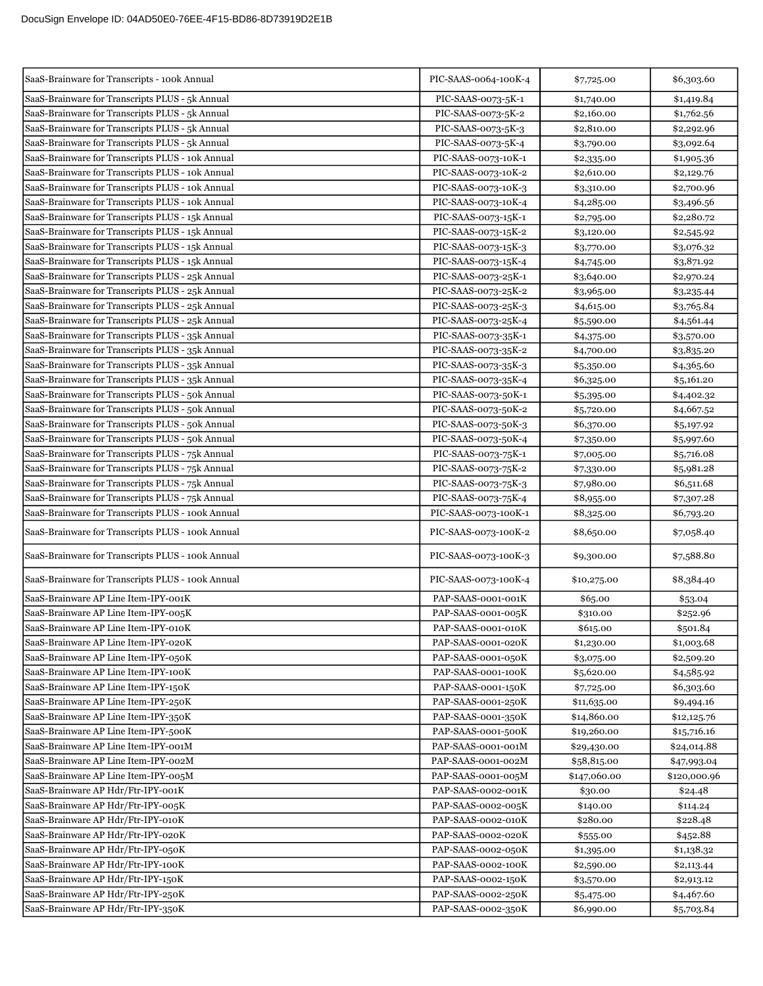| SaaS-Brainware for Transcripts - 100k Annual                                                         | PIC-SAAS-0064-100K-4 | \$7,725.00   | \$6,303.60   |
|------------------------------------------------------------------------------------------------------|----------------------|--------------|--------------|
| SaaS-Brainware for Transcripts PLUS - 5k Annual                                                      | PIC-SAAS-0073-5K-1   | \$1,740.00   | \$1,419.84   |
| SaaS-Brainware for Transcripts PLUS - 5k Annual                                                      | PIC-SAAS-0073-5K-2   | \$2,160.00   | \$1,762.56   |
| SaaS-Brainware for Transcripts PLUS - 5k Annual                                                      | PIC-SAAS-0073-5K-3   | \$2,810.00   | \$2,292.96   |
| SaaS-Brainware for Transcripts PLUS - 5k Annual                                                      | PIC-SAAS-0073-5K-4   | \$3,790.00   | \$3,092.64   |
| SaaS-Brainware for Transcripts PLUS - 10k Annual                                                     | PIC-SAAS-0073-10K-1  | \$2,335.00   | \$1,905.36   |
| SaaS-Brainware for Transcripts PLUS - 10k Annual                                                     | PIC-SAAS-0073-10K-2  | \$2,610.00   | \$2,129.76   |
| SaaS-Brainware for Transcripts PLUS - 10k Annual                                                     | PIC-SAAS-0073-10K-3  | \$3,310.00   | \$2,700.96   |
| SaaS-Brainware for Transcripts PLUS - 10k Annual                                                     | PIC-SAAS-0073-10K-4  | \$4,285.00   | \$3,496.56   |
| SaaS-Brainware for Transcripts PLUS - 15k Annual                                                     | PIC-SAAS-0073-15K-1  | \$2,795.00   | \$2,280.72   |
| SaaS-Brainware for Transcripts PLUS - 15k Annual                                                     | PIC-SAAS-0073-15K-2  | \$3,120.00   | \$2,545.92   |
| SaaS-Brainware for Transcripts PLUS - 15k Annual                                                     | PIC-SAAS-0073-15K-3  | \$3,770.00   | \$3,076.32   |
| SaaS-Brainware for Transcripts PLUS - 15k Annual                                                     | PIC-SAAS-0073-15K-4  | \$4,745.00   | \$3,871.92   |
| SaaS-Brainware for Transcripts PLUS - 25k Annual                                                     | PIC-SAAS-0073-25K-1  | \$3,640.00   | \$2,970.24   |
| SaaS-Brainware for Transcripts PLUS - 25k Annual                                                     | PIC-SAAS-0073-25K-2  | \$3,965.00   | \$3,235.44   |
| SaaS-Brainware for Transcripts PLUS - 25k Annual                                                     | PIC-SAAS-0073-25K-3  | \$4,615.00   | \$3,765.84   |
| SaaS-Brainware for Transcripts PLUS - 25k Annual                                                     | PIC-SAAS-0073-25K-4  | \$5,590.00   | \$4,561.44   |
| SaaS-Brainware for Transcripts PLUS - 35k Annual                                                     | PIC-SAAS-0073-35K-1  | \$4,375.00   |              |
| SaaS-Brainware for Transcripts PLUS - 35k Annual                                                     | PIC-SAAS-0073-35K-2  |              | \$3,570.00   |
| SaaS-Brainware for Transcripts PLUS - 35k Annual                                                     | PIC-SAAS-0073-35K-3  | \$4,700.00   | \$3,835.20   |
| SaaS-Brainware for Transcripts PLUS - 35k Annual                                                     |                      | \$5,350.00   | \$4,365.60   |
|                                                                                                      | PIC-SAAS-0073-35K-4  | \$6,325.00   | \$5,161.20   |
| SaaS-Brainware for Transcripts PLUS - 50k Annual<br>SaaS-Brainware for Transcripts PLUS - 50k Annual | PIC-SAAS-0073-50K-1  | \$5,395.00   | \$4,402.32   |
|                                                                                                      | PIC-SAAS-0073-50K-2  | \$5,720.00   | \$4,667.52   |
| SaaS-Brainware for Transcripts PLUS - 50k Annual                                                     | PIC-SAAS-0073-50K-3  | \$6,370.00   | \$5,197.92   |
| SaaS-Brainware for Transcripts PLUS - 50k Annual                                                     | PIC-SAAS-0073-50K-4  | \$7,350.00   | \$5,997.60   |
| SaaS-Brainware for Transcripts PLUS - 75k Annual                                                     | PIC-SAAS-0073-75K-1  | \$7,005.00   | \$5,716.08   |
| SaaS-Brainware for Transcripts PLUS - 75k Annual                                                     | PIC-SAAS-0073-75K-2  | \$7,330.00   | \$5,981.28   |
| SaaS-Brainware for Transcripts PLUS - 75k Annual                                                     | PIC-SAAS-0073-75K-3  | \$7,980.00   | \$6,511.68   |
| SaaS-Brainware for Transcripts PLUS - 75k Annual                                                     | PIC-SAAS-0073-75K-4  | \$8,955.00   | \$7,307.28   |
| SaaS-Brainware for Transcripts PLUS - 100k Annual                                                    | PIC-SAAS-0073-100K-1 | \$8,325.00   | \$6,793.20   |
| SaaS-Brainware for Transcripts PLUS - 100k Annual                                                    | PIC-SAAS-0073-100K-2 | \$8,650.00   | \$7,058.40   |
| SaaS-Brainware for Transcripts PLUS - 100k Annual                                                    | PIC-SAAS-0073-100K-3 | \$9,300.00   | \$7,588.80   |
| SaaS-Brainware for Transcripts PLUS - 100k Annual                                                    | PIC-SAAS-0073-100K-4 | \$10,275.00  | \$8,384.40   |
| SaaS-Brainware AP Line Item-IPY-001K                                                                 | PAP-SAAS-0001-001K   | \$65.00      | \$53.04      |
| SaaS-Brainware AP Line Item-IPY-005K                                                                 | PAP-SAAS-0001-005K   | \$310.00     | \$252.96     |
| SaaS-Brainware AP Line Item-IPY-010K                                                                 | PAP-SAAS-0001-010K   | \$615.00     | \$501.84     |
| SaaS-Brainware AP Line Item-IPY-020K                                                                 | PAP-SAAS-0001-020K   | \$1,230.00   | \$1,003.68   |
| SaaS-Brainware AP Line Item-IPY-050K                                                                 | PAP-SAAS-0001-050K   | \$3,075.00   | \$2,509.20   |
| SaaS-Brainware AP Line Item-IPY-100K                                                                 | PAP-SAAS-0001-100K   | \$5,620.00   | \$4,585.92   |
| SaaS-Brainware AP Line Item-IPY-150K                                                                 | PAP-SAAS-0001-150K   | \$7,725.00   | \$6,303.60   |
| SaaS-Brainware AP Line Item-IPY-250K                                                                 | PAP-SAAS-0001-250K   | \$11,635.00  | \$9,494.16   |
| SaaS-Brainware AP Line Item-IPY-350K                                                                 | PAP-SAAS-0001-350K   | \$14,860.00  | \$12,125.76  |
| SaaS-Brainware AP Line Item-IPY-500K                                                                 | PAP-SAAS-0001-500K   | \$19,260.00  | \$15,716.16  |
| SaaS-Brainware AP Line Item-IPY-001M                                                                 | PAP-SAAS-0001-001M   | \$29,430.00  | \$24,014.88  |
| SaaS-Brainware AP Line Item-IPY-002M                                                                 | PAP-SAAS-0001-002M   | \$58,815.00  | \$47,993.04  |
| SaaS-Brainware AP Line Item-IPY-005M                                                                 | PAP-SAAS-0001-005M   | \$147,060.00 | \$120,000.96 |
| SaaS-Brainware AP Hdr/Ftr-IPY-001K                                                                   | PAP-SAAS-0002-001K   | \$30.00      | \$24.48      |
| SaaS-Brainware AP Hdr/Ftr-IPY-005K                                                                   | PAP-SAAS-0002-005K   | \$140.00     | \$114.24     |
| SaaS-Brainware AP Hdr/Ftr-IPY-010K                                                                   | PAP-SAAS-0002-010K   | \$280.00     | \$228.48     |
| SaaS-Brainware AP Hdr/Ftr-IPY-020K                                                                   | PAP-SAAS-0002-020K   | \$555.00     | \$452.88     |
| SaaS-Brainware AP Hdr/Ftr-IPY-050K                                                                   | PAP-SAAS-0002-050K   | \$1,395.00   | \$1,138.32   |
| SaaS-Brainware AP Hdr/Ftr-IPY-100K                                                                   | PAP-SAAS-0002-100K   | \$2,590.00   | \$2,113.44   |
| SaaS-Brainware AP Hdr/Ftr-IPY-150K                                                                   | PAP-SAAS-0002-150K   | \$3,570.00   | \$2,913.12   |
| SaaS-Brainware AP Hdr/Ftr-IPY-250K                                                                   | PAP-SAAS-0002-250K   | \$5,475.00   | \$4,467.60   |
| SaaS-Brainware AP Hdr/Ftr-IPY-350K                                                                   | PAP-SAAS-0002-350K   | \$6,990.00   | \$5,703.84   |
|                                                                                                      |                      |              |              |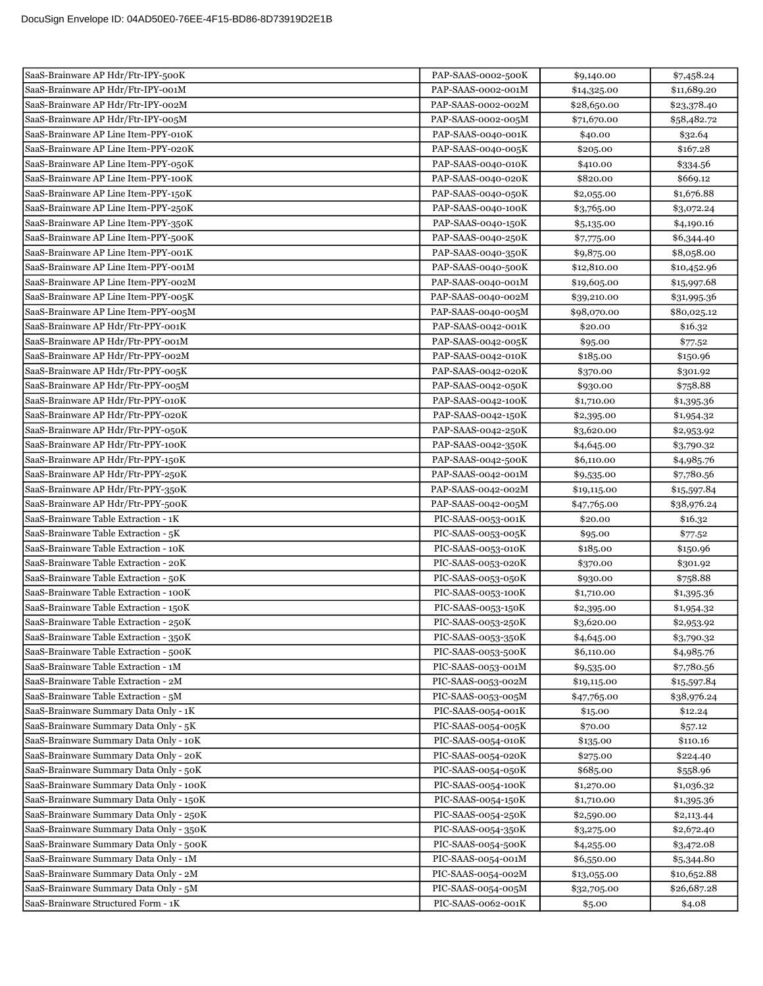| SaaS-Brainware AP Hdr/Ftr-IPY-500K      | PAP-SAAS-0002-500K | \$9,140.00  | \$7,458.24  |
|-----------------------------------------|--------------------|-------------|-------------|
| SaaS-Brainware AP Hdr/Ftr-IPY-001M      | PAP-SAAS-0002-001M | \$14,325.00 | \$11,689.20 |
| SaaS-Brainware AP Hdr/Ftr-IPY-002M      | PAP-SAAS-0002-002M | \$28,650.00 | \$23,378.40 |
| SaaS-Brainware AP Hdr/Ftr-IPY-005M      | PAP-SAAS-0002-005M | \$71,670.00 | \$58,482.72 |
| SaaS-Brainware AP Line Item-PPY-010K    | PAP-SAAS-0040-001K | \$40.00     | \$32.64     |
| SaaS-Brainware AP Line Item-PPY-020K    | PAP-SAAS-0040-005K | \$205.00    | \$167.28    |
| SaaS-Brainware AP Line Item-PPY-050K    | PAP-SAAS-0040-010K | \$410.00    | \$334.56    |
| SaaS-Brainware AP Line Item-PPY-100K    | PAP-SAAS-0040-020K | \$820.00    | \$669.12    |
| SaaS-Brainware AP Line Item-PPY-150K    | PAP-SAAS-0040-050K | \$2,055.00  | \$1,676.88  |
| SaaS-Brainware AP Line Item-PPY-250K    | PAP-SAAS-0040-100K | \$3,765.00  | \$3,072.24  |
| SaaS-Brainware AP Line Item-PPY-350K    | PAP-SAAS-0040-150K | \$5,135.00  | \$4,190.16  |
| SaaS-Brainware AP Line Item-PPY-500K    | PAP-SAAS-0040-250K | \$7,775.00  | \$6,344.40  |
| SaaS-Brainware AP Line Item-PPY-001K    | PAP-SAAS-0040-350K | \$9,875.00  | \$8,058.00  |
| SaaS-Brainware AP Line Item-PPY-001M    | PAP-SAAS-0040-500K | \$12,810.00 | \$10,452.96 |
| SaaS-Brainware AP Line Item-PPY-002M    | PAP-SAAS-0040-001M | \$19,605.00 | \$15,997.68 |
| SaaS-Brainware AP Line Item-PPY-005K    | PAP-SAAS-0040-002M | \$39,210.00 | \$31,995.36 |
| SaaS-Brainware AP Line Item-PPY-005M    | PAP-SAAS-0040-005M | \$98,070.00 | \$80,025.12 |
| SaaS-Brainware AP Hdr/Ftr-PPY-001K      | PAP-SAAS-0042-001K | \$20.00     | \$16.32     |
| SaaS-Brainware AP Hdr/Ftr-PPY-001M      | PAP-SAAS-0042-005K | \$95.00     | \$77.52     |
| SaaS-Brainware AP Hdr/Ftr-PPY-002M      | PAP-SAAS-0042-010K | \$185.00    | \$150.96    |
| SaaS-Brainware AP Hdr/Ftr-PPY-005K      | PAP-SAAS-0042-020K | \$370.00    | \$301.92    |
| SaaS-Brainware AP Hdr/Ftr-PPY-005M      | PAP-SAAS-0042-050K | \$930.00    | \$758.88    |
| SaaS-Brainware AP Hdr/Ftr-PPY-010K      | PAP-SAAS-0042-100K | \$1,710.00  | \$1,395.36  |
| SaaS-Brainware AP Hdr/Ftr-PPY-020K      | PAP-SAAS-0042-150K | \$2,395.00  | \$1,954.32  |
| SaaS-Brainware AP Hdr/Ftr-PPY-050K      | PAP-SAAS-0042-250K | \$3,620.00  | \$2,953.92  |
| SaaS-Brainware AP Hdr/Ftr-PPY-100K      | PAP-SAAS-0042-350K | \$4,645.00  | \$3,790.32  |
| SaaS-Brainware AP Hdr/Ftr-PPY-150K      | PAP-SAAS-0042-500K | \$6,110.00  | \$4,985.76  |
| SaaS-Brainware AP Hdr/Ftr-PPY-250K      | PAP-SAAS-0042-001M | \$9,535.00  | \$7,780.56  |
| SaaS-Brainware AP Hdr/Ftr-PPY-350K      | PAP-SAAS-0042-002M | \$19,115.00 | \$15,597.84 |
| SaaS-Brainware AP Hdr/Ftr-PPY-500K      | PAP-SAAS-0042-005M | \$47,765.00 | \$38,976.24 |
| SaaS-Brainware Table Extraction - 1K    | PIC-SAAS-0053-001K | \$20.00     | \$16.32     |
| SaaS-Brainware Table Extraction - 5K    | PIC-SAAS-0053-005K | \$95.00     | \$77.52     |
| SaaS-Brainware Table Extraction - 10K   | PIC-SAAS-0053-010K | \$185.00    | \$150.96    |
| SaaS-Brainware Table Extraction - 20K   | PIC-SAAS-0053-020K | \$370.00    | \$301.92    |
| SaaS-Brainware Table Extraction - 50K   | PIC-SAAS-0053-050K | \$930.00    | \$758.88    |
| SaaS-Brainware Table Extraction - 100K  | PIC-SAAS-0053-100K | \$1,710.00  | \$1,395.36  |
| SaaS-Brainware Table Extraction - 150K  | PIC-SAAS-0053-150K | \$2,395.00  | \$1,954.32  |
| SaaS-Brainware Table Extraction - 250K  | PIC-SAAS-0053-250K | \$3,620.00  | \$2,953.92  |
| SaaS-Brainware Table Extraction - 350K  | PIC-SAAS-0053-350K | \$4,645.00  | \$3,790.32  |
| SaaS-Brainware Table Extraction - 500K  | PIC-SAAS-0053-500K | \$6,110.00  | \$4,985.76  |
| SaaS-Brainware Table Extraction - 1M    | PIC-SAAS-0053-001M | \$9,535.00  | \$7,780.56  |
| SaaS-Brainware Table Extraction - 2M    | PIC-SAAS-0053-002M | \$19,115.00 | \$15,597.84 |
| SaaS-Brainware Table Extraction - 5M    | PIC-SAAS-0053-005M | \$47,765.00 | \$38,976.24 |
| SaaS-Brainware Summary Data Only - 1K   | PIC-SAAS-0054-001K | \$15.00     | \$12.24     |
| SaaS-Brainware Summary Data Only - 5K   | PIC-SAAS-0054-005K | \$70.00     | \$57.12     |
| SaaS-Brainware Summary Data Only - 10K  | PIC-SAAS-0054-010K | \$135.00    | \$110.16    |
| SaaS-Brainware Summary Data Only - 20K  | PIC-SAAS-0054-020K | \$275.00    | \$224.40    |
| SaaS-Brainware Summary Data Only - 50K  | PIC-SAAS-0054-050K | \$685.00    | \$558.96    |
| SaaS-Brainware Summary Data Only - 100K | PIC-SAAS-0054-100K | \$1,270.00  | \$1,036.32  |
| SaaS-Brainware Summary Data Only - 150K | PIC-SAAS-0054-150K | \$1,710.00  | \$1,395.36  |
| SaaS-Brainware Summary Data Only - 250K | PIC-SAAS-0054-250K | \$2,590.00  | \$2,113.44  |
| SaaS-Brainware Summary Data Only - 350K | PIC-SAAS-0054-350K | \$3,275.00  | \$2,672.40  |
| SaaS-Brainware Summary Data Only - 500K | PIC-SAAS-0054-500K | \$4,255.00  | \$3,472.08  |
| SaaS-Brainware Summary Data Only - 1M   | PIC-SAAS-0054-001M | \$6,550.00  | \$5,344.80  |
| SaaS-Brainware Summary Data Only - 2M   | PIC-SAAS-0054-002M | \$13,055.00 | \$10,652.88 |
| SaaS-Brainware Summary Data Only - 5M   | PIC-SAAS-0054-005M | \$32,705.00 | \$26,687.28 |
| SaaS-Brainware Structured Form - 1K     | PIC-SAAS-0062-001K | \$5.00      | \$4.08      |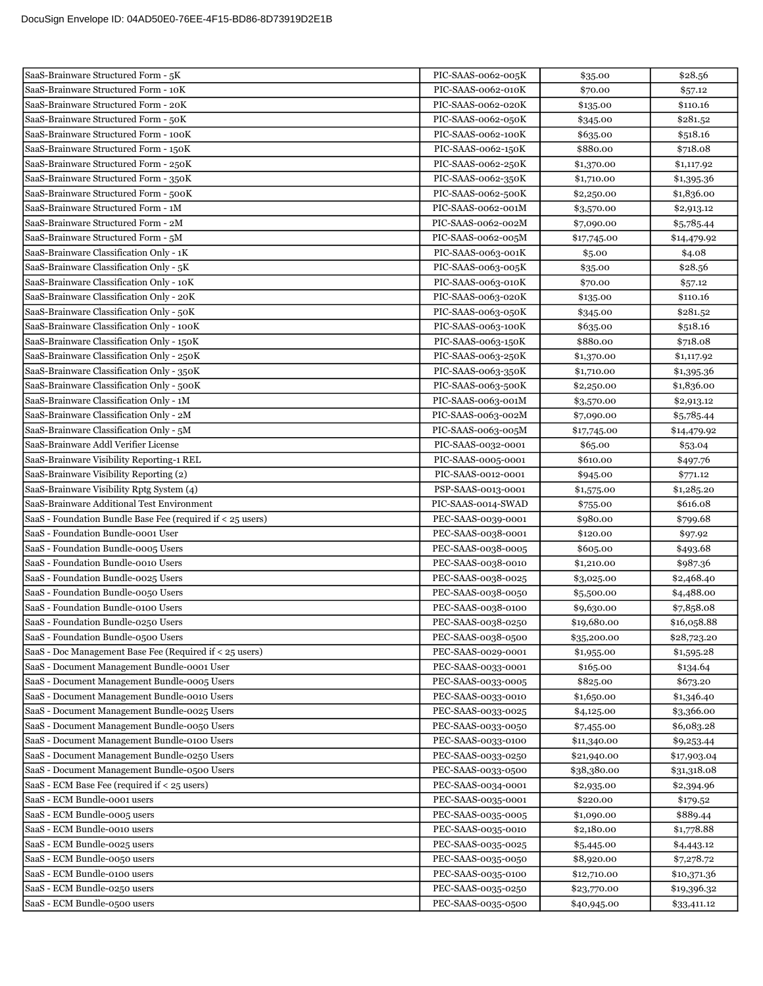| SaaS-Brainware Structured Form - 5K                                          | PIC-SAAS-0062-005K                       | \$35.00                | \$28.56                |
|------------------------------------------------------------------------------|------------------------------------------|------------------------|------------------------|
| SaaS-Brainware Structured Form - 10K                                         | PIC-SAAS-0062-010K                       | \$70.00                | \$57.12                |
| SaaS-Brainware Structured Form - 20K                                         | PIC-SAAS-0062-020K                       | \$135.00               | \$110.16               |
| SaaS-Brainware Structured Form - 50K                                         | PIC-SAAS-0062-050K                       | \$345.00               | \$281.52               |
| SaaS-Brainware Structured Form - 100K                                        | PIC-SAAS-0062-100K                       | \$635.00               | \$518.16               |
| SaaS-Brainware Structured Form - 150K                                        | PIC-SAAS-0062-150K                       | \$880.00               | \$718.08               |
| SaaS-Brainware Structured Form - 250K                                        | PIC-SAAS-0062-250K                       | \$1,370.00             | \$1,117.92             |
| SaaS-Brainware Structured Form - 350K                                        | PIC-SAAS-0062-350K                       | \$1,710.00             | \$1,395.36             |
| SaaS-Brainware Structured Form - 500K                                        | PIC-SAAS-0062-500K                       | \$2,250.00             | \$1,836.00             |
| SaaS-Brainware Structured Form - 1M                                          | PIC-SAAS-0062-001M                       | \$3,570.00             | \$2,913.12             |
| SaaS-Brainware Structured Form - 2M                                          | PIC-SAAS-0062-002M                       | \$7,090.00             | \$5,785.44             |
| SaaS-Brainware Structured Form - 5M                                          | PIC-SAAS-0062-005M                       | \$17,745.00            | \$14,479.92            |
| SaaS-Brainware Classification Only - 1K                                      | PIC-SAAS-0063-001K                       | \$5.00                 | \$4.08                 |
| SaaS-Brainware Classification Only - 5K                                      | PIC-SAAS-0063-005K                       | \$35.00                | \$28.56                |
| SaaS-Brainware Classification Only - 10K                                     | PIC-SAAS-0063-010K                       | \$70.00                | \$57.12                |
| SaaS-Brainware Classification Only - 20K                                     | PIC-SAAS-0063-020K                       | \$135.00               | \$110.16               |
| SaaS-Brainware Classification Only - 50K                                     | PIC-SAAS-0063-050K                       | \$345.00               | \$281.52               |
| SaaS-Brainware Classification Only - 100K                                    | PIC-SAAS-0063-100K                       | \$635.00               | \$518.16               |
| SaaS-Brainware Classification Only - 150K                                    | PIC-SAAS-0063-150K                       | \$880.00               | \$718.08               |
| SaaS-Brainware Classification Only - 250K                                    | PIC-SAAS-0063-250K                       | \$1,370.00             | \$1,117.92             |
| SaaS-Brainware Classification Only - 350K                                    | PIC-SAAS-0063-350K                       | \$1,710.00             | \$1,395.36             |
| SaaS-Brainware Classification Only - 500K                                    | PIC-SAAS-0063-500K                       | \$2,250.00             | \$1,836.00             |
| SaaS-Brainware Classification Only - 1M                                      | PIC-SAAS-0063-001M                       | \$3,570.00             | \$2,913.12             |
| SaaS-Brainware Classification Only - 2M                                      | PIC-SAAS-0063-002M                       | \$7,090.00             | \$5,785.44             |
| SaaS-Brainware Classification Only - 5M                                      | PIC-SAAS-0063-005M                       | \$17,745.00            | \$14,479.92            |
| SaaS-Brainware Addl Verifier License                                         | PIC-SAAS-0032-0001                       | \$65.00                | \$53.04                |
| SaaS-Brainware Visibility Reporting-1 REL                                    | PIC-SAAS-0005-0001                       | \$610.00               | \$497.76               |
| SaaS-Brainware Visibility Reporting (2)                                      | PIC-SAAS-0012-0001                       | \$945.00               | \$771.12               |
| SaaS-Brainware Visibility Rptg System (4)                                    | PSP-SAAS-0013-0001                       | \$1,575.00             | \$1,285.20             |
| SaaS-Brainware Additional Test Environment                                   | PIC-SAAS-0014-SWAD                       | \$755.00               | \$616.08               |
| SaaS - Foundation Bundle Base Fee (required if < 25 users)                   | PEC-SAAS-0039-0001                       | \$980.00               | \$799.68               |
| SaaS - Foundation Bundle-0001 User                                           | PEC-SAAS-0038-0001                       | \$120.00               | \$97.92                |
| SaaS - Foundation Bundle-0005 Users                                          | PEC-SAAS-0038-0005                       | \$605.00               | \$493.68               |
| SaaS - Foundation Bundle-0010 Users                                          | PEC-SAAS-0038-0010                       | \$1,210.00             | \$987.36               |
| SaaS - Foundation Bundle-0025 Users                                          | PEC-SAAS-0038-0025                       | \$3,025.00             | \$2,468.40             |
| SaaS - Foundation Bundle-0050 Users                                          | PEC-SAAS-0038-0050                       | \$5,500.00             | \$4,488.00             |
| SaaS - Foundation Bundle-0100 Users                                          | PEC-SAAS-0038-0100                       | \$9,630.00             | \$7,858.08             |
| SaaS - Foundation Bundle-0250 Users                                          | PEC-SAAS-0038-0250                       | \$19,680.00            | \$16,058.88            |
| SaaS - Foundation Bundle-0500 Users                                          | PEC-SAAS-0038-0500                       | \$35,200.00            | \$28,723.20            |
| SaaS - Doc Management Base Fee (Required if < 25 users)                      | PEC-SAAS-0029-0001                       | \$1,955.00             | \$1,595.28             |
| SaaS - Document Management Bundle-0001 User                                  | PEC-SAAS-0033-0001                       | \$165.00               | \$134.64               |
| SaaS - Document Management Bundle-0005 Users                                 | PEC-SAAS-0033-0005                       | \$825.00               | \$673.20               |
| SaaS - Document Management Bundle-0010 Users                                 | PEC-SAAS-0033-0010                       | \$1,650.00             | \$1,346.40             |
| SaaS - Document Management Bundle-0025 Users                                 | PEC-SAAS-0033-0025                       | \$4,125.00             | \$3,366.00             |
| SaaS - Document Management Bundle-0050 Users                                 | PEC-SAAS-0033-0050                       | \$7,455.00             | \$6,083.28             |
| SaaS - Document Management Bundle-0100 Users                                 | PEC-SAAS-0033-0100                       | \$11,340.00            | \$9,253.44             |
| SaaS - Document Management Bundle-0250 Users                                 | PEC-SAAS-0033-0250                       | \$21,940.00            | \$17,903.04            |
| SaaS - Document Management Bundle-0500 Users                                 | PEC-SAAS-0033-0500                       | \$38,380.00            | \$31,318.08            |
| SaaS - ECM Base Fee (required if < 25 users)<br>SaaS - ECM Bundle-0001 users | PEC-SAAS-0034-0001<br>PEC-SAAS-0035-0001 | \$2,935.00<br>\$220.00 | \$2,394.96             |
| SaaS - ECM Bundle-0005 users                                                 | PEC-SAAS-0035-0005                       | \$1,090.00             | \$179.52               |
| SaaS - ECM Bundle-0010 users                                                 | PEC-SAAS-0035-0010                       | \$2,180.00             | \$889.44<br>\$1,778.88 |
| SaaS - ECM Bundle-0025 users                                                 | PEC-SAAS-0035-0025                       | \$5,445.00             | \$4,443.12             |
| SaaS - ECM Bundle-0050 users                                                 | PEC-SAAS-0035-0050                       | \$8,920.00             | \$7,278.72             |
| SaaS - ECM Bundle-0100 users                                                 | PEC-SAAS-0035-0100                       | \$12,710.00            | \$10,371.36            |
| SaaS - ECM Bundle-0250 users                                                 | PEC-SAAS-0035-0250                       | \$23,770.00            | \$19,396.32            |
| SaaS - ECM Bundle-0500 users                                                 | PEC-SAAS-0035-0500                       | \$40,945.00            | \$33,411.12            |
|                                                                              |                                          |                        |                        |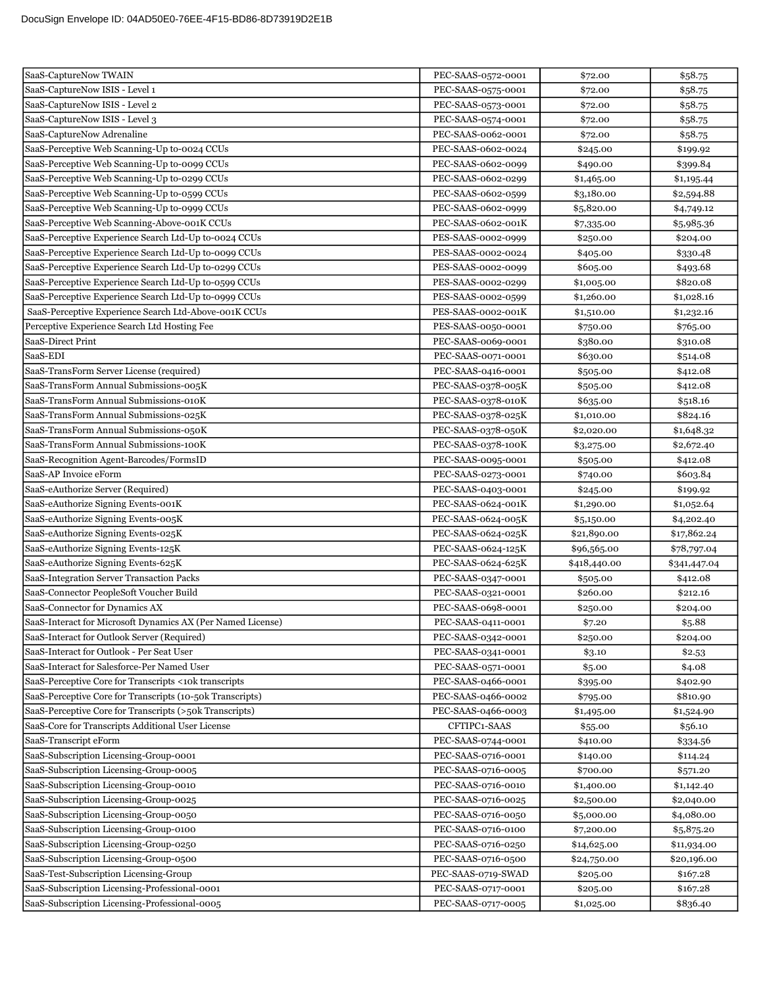| SaaS-CaptureNow TWAIN                                                            | PEC-SAAS-0572-0001                       | \$72.00                  | \$58.75                  |
|----------------------------------------------------------------------------------|------------------------------------------|--------------------------|--------------------------|
| SaaS-CaptureNow ISIS - Level 1                                                   | PEC-SAAS-0575-0001                       | \$72.00                  | \$58.75                  |
| SaaS-CaptureNow ISIS - Level 2                                                   | PEC-SAAS-0573-0001                       | \$72.00                  | \$58.75                  |
| SaaS-CaptureNow ISIS - Level 3                                                   | PEC-SAAS-0574-0001                       | \$72.00                  | \$58.75                  |
| SaaS-CaptureNow Adrenaline                                                       | PEC-SAAS-0062-0001                       | \$72.00                  | \$58.75                  |
| SaaS-Perceptive Web Scanning-Up to-0024 CCUs                                     | PEC-SAAS-0602-0024                       | \$245.00                 | \$199.92                 |
| SaaS-Perceptive Web Scanning-Up to-0099 CCUs                                     | PEC-SAAS-0602-0099                       | \$490.00                 | \$399.84                 |
| SaaS-Perceptive Web Scanning-Up to-0299 CCUs                                     | PEC-SAAS-0602-0299                       | \$1,465.00               | \$1,195.44               |
| SaaS-Perceptive Web Scanning-Up to-0599 CCUs                                     | PEC-SAAS-0602-0599                       | \$3,180.00               | \$2,594.88               |
| SaaS-Perceptive Web Scanning-Up to-0999 CCUs                                     | PEC-SAAS-0602-0999                       | \$5,820.00               | \$4,749.12               |
| SaaS-Perceptive Web Scanning-Above-001K CCUs                                     | PEC-SAAS-0602-001K                       | \$7,335.00               | \$5,985.36               |
| SaaS-Perceptive Experience Search Ltd-Up to-0024 CCUs                            | PES-SAAS-0002-0999                       | \$250.00                 | \$204.00                 |
| SaaS-Perceptive Experience Search Ltd-Up to-0099 CCUs                            | PES-SAAS-0002-0024                       | \$405.00                 | \$330.48                 |
| SaaS-Perceptive Experience Search Ltd-Up to-0299 CCUs                            | PES-SAAS-0002-0099                       | \$605.00                 | \$493.68                 |
| SaaS-Perceptive Experience Search Ltd-Up to-0599 CCUs                            | PES-SAAS-0002-0299                       | \$1,005.00               | \$820.08                 |
| SaaS-Perceptive Experience Search Ltd-Up to-0999 CCUs                            | PES-SAAS-0002-0599                       | \$1,260.00               | \$1,028.16               |
| SaaS-Perceptive Experience Search Ltd-Above-001K CCUs                            | PES-SAAS-0002-001K                       | \$1,510.00               | \$1,232.16               |
| Perceptive Experience Search Ltd Hosting Fee                                     | PES-SAAS-0050-0001                       | \$750.00                 | \$765.00                 |
| SaaS-Direct Print                                                                | PEC-SAAS-0069-0001                       | \$380.00                 | \$310.08                 |
| SaaS-EDI                                                                         | PEC-SAAS-0071-0001                       | \$630.00                 | \$514.08                 |
| SaaS-TransForm Server License (required)                                         | PEC-SAAS-0416-0001                       | \$505.00                 | \$412.08                 |
| SaaS-TransForm Annual Submissions-005K                                           | PEC-SAAS-0378-005K                       | \$505.00                 | \$412.08                 |
| SaaS-TransForm Annual Submissions-010K                                           | PEC-SAAS-0378-010K                       | \$635.00                 | \$518.16                 |
| SaaS-TransForm Annual Submissions-025K                                           | PEC-SAAS-0378-025K                       | \$1,010.00               | \$824.16                 |
| SaaS-TransForm Annual Submissions-050K                                           | PEC-SAAS-0378-050K                       | \$2,020.00               | \$1,648.32               |
| SaaS-TransForm Annual Submissions-100K                                           | PEC-SAAS-0378-100K                       | \$3,275.00               | \$2,672.40               |
| SaaS-Recognition Agent-Barcodes/FormsID                                          | PEC-SAAS-0095-0001                       | \$505.00                 | \$412.08                 |
| SaaS-AP Invoice eForm                                                            | PEC-SAAS-0273-0001                       | \$740.00                 | \$603.84                 |
| SaaS-eAuthorize Server (Required)                                                | PEC-SAAS-0403-0001                       | \$245.00                 | \$199.92                 |
| SaaS-eAuthorize Signing Events-001K                                              | PEC-SAAS-0624-001K                       | \$1,290.00               | \$1,052.64               |
| SaaS-eAuthorize Signing Events-005K                                              | PEC-SAAS-0624-005K                       | \$5,150.00               | \$4,202.40               |
| SaaS-eAuthorize Signing Events-025K                                              | PEC-SAAS-0624-025K                       | \$21,890.00              | \$17,862.24              |
| SaaS-eAuthorize Signing Events-125K                                              | PEC-SAAS-0624-125K                       | \$96,565.00              | \$78,797.04              |
| SaaS-eAuthorize Signing Events-625K                                              | PEC-SAAS-0624-625K                       | \$418,440.00             | \$341,447.04             |
| SaaS-Integration Server Transaction Packs                                        | PEC-SAAS-0347-0001                       | \$505.00                 | \$412.08                 |
| SaaS-Connector PeopleSoft Voucher Build                                          | PEC-SAAS-0321-0001                       | \$260.00                 | \$212.16                 |
| SaaS-Connector for Dynamics AX                                                   | PEC-SAAS-0698-0001                       | \$250.00                 | \$204.00                 |
| SaaS-Interact for Microsoft Dynamics AX (Per Named License)                      | PEC-SAAS-0411-0001                       | \$7.20                   | \$5.88                   |
| SaaS-Interact for Outlook Server (Required)                                      | PEC-SAAS-0342-0001                       | \$250.00                 | \$204.00                 |
| SaaS-Interact for Outlook - Per Seat User                                        | PEC-SAAS-0341-0001                       | \$3.10                   | \$2.53                   |
| SaaS-Interact for Salesforce-Per Named User                                      | PEC-SAAS-0571-0001                       | \$5.00                   | \$4.08                   |
| SaaS-Perceptive Core for Transcripts <10k transcripts                            | PEC-SAAS-0466-0001                       | \$395.00                 | \$402.90                 |
| SaaS-Perceptive Core for Transcripts (10-50k Transcripts)                        | PEC-SAAS-0466-0002                       | \$795.00                 | \$810.90                 |
| SaaS-Perceptive Core for Transcripts (>50k Transcripts)                          | PEC-SAAS-0466-0003                       | \$1,495.00               | \$1,524.90               |
| SaaS-Core for Transcripts Additional User License                                | CFTIPC1-SAAS                             | \$55.00                  | \$56.10                  |
| SaaS-Transcript eForm                                                            | PEC-SAAS-0744-0001<br>PEC-SAAS-0716-0001 | \$410.00                 | \$334.56                 |
| SaaS-Subscription Licensing-Group-0001<br>SaaS-Subscription Licensing-Group-0005 |                                          | \$140.00                 | \$114.24                 |
|                                                                                  | PEC-SAAS-0716-0005                       | \$700.00                 | \$571.20                 |
| SaaS-Subscription Licensing-Group-0010<br>SaaS-Subscription Licensing-Group-0025 | PEC-SAAS-0716-0010<br>PEC-SAAS-0716-0025 | \$1,400.00<br>\$2,500.00 | \$1,142.40<br>\$2,040.00 |
| SaaS-Subscription Licensing-Group-0050                                           | PEC-SAAS-0716-0050                       | \$5,000.00               | \$4,080.00               |
| SaaS-Subscription Licensing-Group-0100                                           | PEC-SAAS-0716-0100                       | \$7,200.00               | \$5,875.20               |
| SaaS-Subscription Licensing-Group-0250                                           | PEC-SAAS-0716-0250                       | \$14,625.00              | \$11,934.00              |
| SaaS-Subscription Licensing-Group-0500                                           | PEC-SAAS-0716-0500                       | \$24,750.00              | \$20,196.00              |
| SaaS-Test-Subscription Licensing-Group                                           | PEC-SAAS-0719-SWAD                       | \$205.00                 | \$167.28                 |
| SaaS-Subscription Licensing-Professional-0001                                    | PEC-SAAS-0717-0001                       | \$205.00                 | \$167.28                 |
| SaaS-Subscription Licensing-Professional-0005                                    | PEC-SAAS-0717-0005                       | \$1,025.00               | \$836.40                 |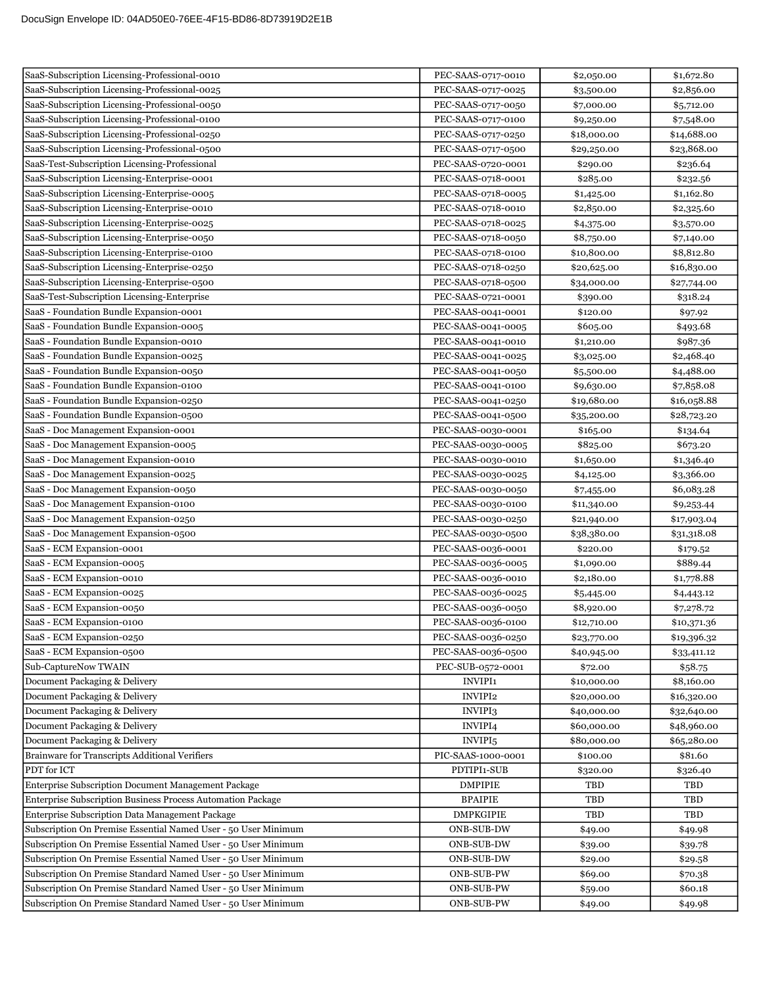| SaaS-Subscription Licensing-Professional-0010                  | PEC-SAAS-0717-0010  | \$2,050.00  | \$1,672.80  |
|----------------------------------------------------------------|---------------------|-------------|-------------|
| SaaS-Subscription Licensing-Professional-0025                  | PEC-SAAS-0717-0025  | \$3,500.00  | \$2,856.00  |
| SaaS-Subscription Licensing-Professional-0050                  | PEC-SAAS-0717-0050  | \$7,000.00  | \$5,712.00  |
| SaaS-Subscription Licensing-Professional-0100                  | PEC-SAAS-0717-0100  | \$9,250.00  | \$7,548.00  |
| SaaS-Subscription Licensing-Professional-0250                  | PEC-SAAS-0717-0250  | \$18,000.00 | \$14,688.00 |
| SaaS-Subscription Licensing-Professional-0500                  | PEC-SAAS-0717-0500  | \$29,250.00 | \$23,868.00 |
| SaaS-Test-Subscription Licensing-Professional                  | PEC-SAAS-0720-0001  | \$290.00    | \$236.64    |
| SaaS-Subscription Licensing-Enterprise-0001                    | PEC-SAAS-0718-0001  | \$285.00    | \$232.56    |
| SaaS-Subscription Licensing-Enterprise-0005                    | PEC-SAAS-0718-0005  | \$1,425.00  | \$1,162.80  |
| SaaS-Subscription Licensing-Enterprise-0010                    | PEC-SAAS-0718-0010  | \$2,850.00  | \$2,325.60  |
| SaaS-Subscription Licensing-Enterprise-0025                    | PEC-SAAS-0718-0025  | \$4,375.00  | \$3,570.00  |
| SaaS-Subscription Licensing-Enterprise-0050                    | PEC-SAAS-0718-0050  | \$8,750.00  | \$7,140.00  |
| SaaS-Subscription Licensing-Enterprise-0100                    | PEC-SAAS-0718-0100  | \$10,800.00 | \$8,812.80  |
| SaaS-Subscription Licensing-Enterprise-0250                    | PEC-SAAS-0718-0250  | \$20,625.00 | \$16,830.00 |
| SaaS-Subscription Licensing-Enterprise-0500                    | PEC-SAAS-0718-0500  | \$34,000.00 | \$27,744.00 |
| SaaS-Test-Subscription Licensing-Enterprise                    | PEC-SAAS-0721-0001  | \$390.00    | \$318.24    |
| SaaS - Foundation Bundle Expansion-0001                        | PEC-SAAS-0041-0001  | \$120.00    | \$97.92     |
| SaaS - Foundation Bundle Expansion-0005                        | PEC-SAAS-0041-0005  | \$605.00    | \$493.68    |
| SaaS - Foundation Bundle Expansion-0010                        | PEC-SAAS-0041-0010  | \$1,210.00  | \$987.36    |
| SaaS - Foundation Bundle Expansion-0025                        | PEC-SAAS-0041-0025  | \$3,025.00  | \$2,468.40  |
| SaaS - Foundation Bundle Expansion-0050                        | PEC-SAAS-0041-0050  | \$5,500.00  | \$4,488.00  |
| SaaS - Foundation Bundle Expansion-0100                        | PEC-SAAS-0041-0100  | \$9,630.00  | \$7,858.08  |
| SaaS - Foundation Bundle Expansion-0250                        | PEC-SAAS-0041-0250  | \$19,680.00 | \$16,058.88 |
| SaaS - Foundation Bundle Expansion-0500                        | PEC-SAAS-0041-0500  | \$35,200.00 | \$28,723.20 |
| SaaS - Doc Management Expansion-0001                           | PEC-SAAS-0030-0001  | \$165.00    | \$134.64    |
| SaaS - Doc Management Expansion-0005                           | PEC-SAAS-0030-0005  | \$825.00    | \$673.20    |
| SaaS - Doc Management Expansion-0010                           | PEC-SAAS-0030-0010  | \$1,650.00  | \$1,346.40  |
| SaaS - Doc Management Expansion-0025                           | PEC-SAAS-0030-0025  | \$4,125.00  | \$3,366.00  |
| SaaS - Doc Management Expansion-0050                           | PEC-SAAS-0030-0050  | \$7,455.00  | \$6,083.28  |
| SaaS - Doc Management Expansion-0100                           | PEC-SAAS-0030-0100  | \$11,340.00 | \$9,253.44  |
| SaaS - Doc Management Expansion-0250                           | PEC-SAAS-0030-0250  | \$21,940.00 | \$17,903.04 |
| SaaS - Doc Management Expansion-0500                           | PEC-SAAS-0030-0500  | \$38,380.00 | \$31,318.08 |
| SaaS - ECM Expansion-0001                                      | PEC-SAAS-0036-0001  | \$220.00    | \$179.52    |
| SaaS - ECM Expansion-0005                                      | PEC-SAAS-0036-0005  | \$1,090.00  | \$889.44    |
| SaaS - ECM Expansion-0010                                      | PEC-SAAS-0036-0010  | \$2,180.00  | \$1,778.88  |
| SaaS - ECM Expansion-0025                                      | PEC-SAAS-0036-0025  | \$5,445.00  | \$4,443.12  |
| SaaS - ECM Expansion-0050                                      | PEC-SAAS-0036-0050  | \$8,920.00  | \$7,278.72  |
| SaaS - ECM Expansion-0100                                      | PEC-SAAS-0036-0100  | \$12,710.00 | \$10,371.36 |
| SaaS - ECM Expansion-0250                                      | PEC-SAAS-0036-0250  | \$23,770.00 | \$19,396.32 |
| SaaS - ECM Expansion-0500                                      | PEC-SAAS-0036-0500  | \$40,945.00 | \$33,411.12 |
| Sub-CaptureNow TWAIN                                           | PEC-SUB-0572-0001   | \$72.00     | \$58.75     |
| Document Packaging & Delivery                                  | <b>INVIPI1</b>      | \$10,000.00 | \$8,160.00  |
| Document Packaging & Delivery                                  | INVIPI2             | \$20,000.00 | \$16,320.00 |
| Document Packaging & Delivery                                  | INVIPI3             | \$40,000.00 | \$32,640.00 |
| Document Packaging & Delivery                                  | INVIPI4             | \$60,000.00 | \$48,960.00 |
| Document Packaging & Delivery                                  | INVIPI <sub>5</sub> | \$80,000.00 | \$65,280.00 |
| Brainware for Transcripts Additional Verifiers                 | PIC-SAAS-1000-0001  | \$100.00    | \$81.60     |
| PDT for ICT                                                    | PDTIPI1-SUB         | \$320.00    | \$326.40    |
| Enterprise Subscription Document Management Package            | <b>DMPIPIE</b>      | TBD         | TBD         |
| Enterprise Subscription Business Process Automation Package    | <b>BPAIPIE</b>      | TBD         | TBD         |
| Enterprise Subscription Data Management Package                | <b>DMPKGIPIE</b>    | TBD         | TBD         |
| Subscription On Premise Essential Named User - 50 User Minimum | ONB-SUB-DW          | \$49.00     | \$49.98     |
| Subscription On Premise Essential Named User - 50 User Minimum | <b>ONB-SUB-DW</b>   | \$39.00     | \$39.78     |
| Subscription On Premise Essential Named User - 50 User Minimum | <b>ONB-SUB-DW</b>   | \$29.00     | \$29.58     |
| Subscription On Premise Standard Named User - 50 User Minimum  | <b>ONB-SUB-PW</b>   | \$69.00     | \$70.38     |
| Subscription On Premise Standard Named User - 50 User Minimum  | <b>ONB-SUB-PW</b>   | \$59.00     | \$60.18     |
| Subscription On Premise Standard Named User - 50 User Minimum  | <b>ONB-SUB-PW</b>   | \$49.00     | \$49.98     |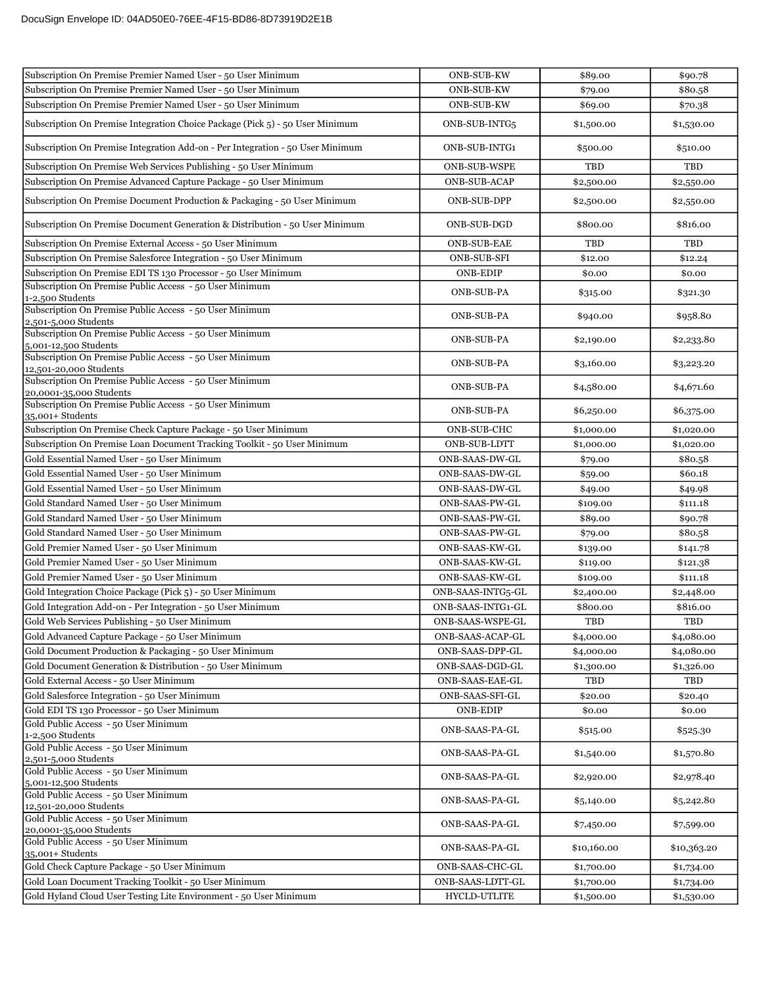| <b>ONB-SUB-KW</b><br>Subscription On Premise Premier Named User - 50 User Minimum<br>\$79.00<br>\$80.58<br>Subscription On Premise Premier Named User - 50 User Minimum<br><b>ONB-SUB-KW</b><br>\$69.00<br>\$70.38<br>Subscription On Premise Integration Choice Package (Pick 5) - 50 User Minimum<br>ONB-SUB-INTG5<br>\$1,500.00<br>\$1,530.00<br>Subscription On Premise Integration Add-on - Per Integration - 50 User Minimum<br>ONB-SUB-INTG1<br>\$500.00<br>\$510.00<br>Subscription On Premise Web Services Publishing - 50 User Minimum<br><b>ONB-SUB-WSPE</b><br>TBD<br>TBD<br>Subscription On Premise Advanced Capture Package - 50 User Minimum<br><b>ONB-SUB-ACAP</b><br>\$2,500.00<br>\$2,550.00<br>Subscription On Premise Document Production & Packaging - 50 User Minimum<br>ONB-SUB-DPP<br>\$2,500.00<br>\$2,550.00<br>Subscription On Premise Document Generation & Distribution - 50 User Minimum<br>ONB-SUB-DGD<br>\$816.00<br>\$800.00<br>Subscription On Premise External Access - 50 User Minimum<br>TBD<br>TBD<br><b>ONB-SUB-EAE</b><br>Subscription On Premise Salesforce Integration - 50 User Minimum<br><b>ONB-SUB-SFI</b><br>\$12.00<br>\$12.24<br>Subscription On Premise EDI TS 130 Processor - 50 User Minimum<br><b>ONB-EDIP</b><br>\$0.00<br>\$0.00<br>Subscription On Premise Public Access - 50 User Minimum<br><b>ONB-SUB-PA</b><br>\$315.00<br>\$321.30<br>1-2,500 Students<br>Subscription On Premise Public Access - 50 User Minimum<br><b>ONB-SUB-PA</b><br>\$958.80<br>\$940.00<br>2,501-5,000 Students<br>Subscription On Premise Public Access - 50 User Minimum<br><b>ONB-SUB-PA</b><br>\$2,233.80<br>\$2,190.00<br>5,001-12,500 Students<br>Subscription On Premise Public Access - 50 User Minimum<br><b>ONB-SUB-PA</b><br>\$3,160.00<br>\$3,223.20<br>12,501-20,000 Students<br>Subscription On Premise Public Access - 50 User Minimum<br><b>ONB-SUB-PA</b><br>\$4,580.00<br>\$4,671.60<br>20,0001-35,000 Students<br>Subscription On Premise Public Access - 50 User Minimum<br><b>ONB-SUB-PA</b><br>\$6,250.00<br>\$6,375.00<br>35,001+ Students<br>Subscription On Premise Check Capture Package - 50 User Minimum<br>ONB-SUB-CHC<br>\$1,000.00<br>\$1,020.00<br>Subscription On Premise Loan Document Tracking Toolkit - 50 User Minimum<br>ONB-SUB-LDTT<br>\$1,000.00<br>\$1,020.00<br>Gold Essential Named User - 50 User Minimum<br>ONB-SAAS-DW-GL<br>\$79.00<br>\$80.58<br>Gold Essential Named User - 50 User Minimum<br>ONB-SAAS-DW-GL<br>\$60.18<br>\$59.00<br>Gold Essential Named User - 50 User Minimum<br>ONB-SAAS-DW-GL<br>\$49.98<br>\$49.00<br>Gold Standard Named User - 50 User Minimum<br>ONB-SAAS-PW-GL<br>\$111.18<br>\$109.00<br>Gold Standard Named User - 50 User Minimum<br>ONB-SAAS-PW-GL<br>\$89.00<br>\$90.78<br>Gold Standard Named User - 50 User Minimum<br>ONB-SAAS-PW-GL<br>\$80.58<br>\$79.00<br>Gold Premier Named User - 50 User Minimum<br>ONB-SAAS-KW-GL<br>\$141.78<br>\$139.00<br>Gold Premier Named User - 50 User Minimum<br>ONB-SAAS-KW-GL<br>\$121.38<br>\$119.00<br>Gold Premier Named User - 50 User Minimum<br>ONB-SAAS-KW-GL<br>\$111.18<br>\$109.00<br>Gold Integration Choice Package (Pick 5) - 50 User Minimum<br>ONB-SAAS-INTG5-GL<br>\$2,448.00<br>\$2,400.00<br>Gold Integration Add-on - Per Integration - 50 User Minimum<br>ONB-SAAS-INTG1-GL<br>\$800.00<br>\$816.00<br>$_{\rm TBD}$<br>TBD<br>Gold Web Services Publishing - 50 User Minimum<br>ONB-SAAS-WSPE-GL<br>Gold Advanced Capture Package - 50 User Minimum<br>ONB-SAAS-ACAP-GL<br>\$4,080.00<br>\$4,000.00<br>Gold Document Production & Packaging - 50 User Minimum<br>ONB-SAAS-DPP-GL<br>\$4,000.00<br>\$4,080.00<br>Gold Document Generation & Distribution - 50 User Minimum<br>ONB-SAAS-DGD-GL<br>\$1,300.00<br>\$1,326.00<br>Gold External Access - 50 User Minimum<br>TBD<br>ONB-SAAS-EAE-GL<br>TBD<br>Gold Salesforce Integration - 50 User Minimum<br>ONB-SAAS-SFI-GL<br>\$20.00<br>\$20.40<br>Gold EDI TS 130 Processor - 50 User Minimum<br><b>ONB-EDIP</b><br>\$0.00<br>\$0.00<br>Gold Public Access - 50 User Minimum<br>ONB-SAAS-PA-GL<br>\$515.00<br>\$525.30<br>1-2,500 Students<br>Gold Public Access - 50 User Minimum<br>ONB-SAAS-PA-GL<br>\$1,570.80<br>\$1,540.00<br>2,501-5,000 Students<br>Gold Public Access - 50 User Minimum<br>ONB-SAAS-PA-GL<br>\$2,920.00<br>\$2,978.40<br>5,001-12,500 Students<br>Gold Public Access - 50 User Minimum<br>ONB-SAAS-PA-GL<br>\$5,242.80<br>\$5,140.00<br>12,501-20,000 Students<br>Gold Public Access - 50 User Minimum<br>ONB-SAAS-PA-GL<br>\$7,450.00<br>\$7,599.00<br>20,0001-35,000 Students<br>Gold Public Access - 50 User Minimum<br>ONB-SAAS-PA-GL<br>\$10,160.00<br>\$10,363.20<br>35,001+ Students<br>Gold Check Capture Package - 50 User Minimum<br>ONB-SAAS-CHC-GL<br>\$1,700.00<br>\$1,734.00<br>Gold Loan Document Tracking Toolkit - 50 User Minimum<br>ONB-SAAS-LDTT-GL<br>\$1,700.00<br>\$1,734.00<br>Gold Hyland Cloud User Testing Lite Environment - 50 User Minimum<br><b>HYCLD-UTLITE</b><br>\$1,500.00<br>\$1,530.00 | Subscription On Premise Premier Named User - 50 User Minimum | <b>ONB-SUB-KW</b> | \$89.00 | \$90.78 |
|--------------------------------------------------------------------------------------------------------------------------------------------------------------------------------------------------------------------------------------------------------------------------------------------------------------------------------------------------------------------------------------------------------------------------------------------------------------------------------------------------------------------------------------------------------------------------------------------------------------------------------------------------------------------------------------------------------------------------------------------------------------------------------------------------------------------------------------------------------------------------------------------------------------------------------------------------------------------------------------------------------------------------------------------------------------------------------------------------------------------------------------------------------------------------------------------------------------------------------------------------------------------------------------------------------------------------------------------------------------------------------------------------------------------------------------------------------------------------------------------------------------------------------------------------------------------------------------------------------------------------------------------------------------------------------------------------------------------------------------------------------------------------------------------------------------------------------------------------------------------------------------------------------------------------------------------------------------------------------------------------------------------------------------------------------------------------------------------------------------------------------------------------------------------------------------------------------------------------------------------------------------------------------------------------------------------------------------------------------------------------------------------------------------------------------------------------------------------------------------------------------------------------------------------------------------------------------------------------------------------------------------------------------------------------------------------------------------------------------------------------------------------------------------------------------------------------------------------------------------------------------------------------------------------------------------------------------------------------------------------------------------------------------------------------------------------------------------------------------------------------------------------------------------------------------------------------------------------------------------------------------------------------------------------------------------------------------------------------------------------------------------------------------------------------------------------------------------------------------------------------------------------------------------------------------------------------------------------------------------------------------------------------------------------------------------------------------------------------------------------------------------------------------------------------------------------------------------------------------------------------------------------------------------------------------------------------------------------------------------------------------------------------------------------------------------------------------------------------------------------------------------------------------------------------------------------------------------------------------------------------------------------------------------------------------------------------------------------------------------------------------------------------------------------------------------------------------------------------------------------------------------------------------------------------------------------------------------------------------------------------------------------------------------------------------------------------------------------------------------------------------------------------------------------------------------------------------------------------------------------------------------------------------------------------------------------------------------------------------------------------------------------------------------------------------------------------------------|--------------------------------------------------------------|-------------------|---------|---------|
|                                                                                                                                                                                                                                                                                                                                                                                                                                                                                                                                                                                                                                                                                                                                                                                                                                                                                                                                                                                                                                                                                                                                                                                                                                                                                                                                                                                                                                                                                                                                                                                                                                                                                                                                                                                                                                                                                                                                                                                                                                                                                                                                                                                                                                                                                                                                                                                                                                                                                                                                                                                                                                                                                                                                                                                                                                                                                                                                                                                                                                                                                                                                                                                                                                                                                                                                                                                                                                                                                                                                                                                                                                                                                                                                                                                                                                                                                                                                                                                                                                                                                                                                                                                                                                                                                                                                                                                                                                                                                                                                                                                                                                                                                                                                                                                                                                                                                                                                                                                                                                                                                      |                                                              |                   |         |         |
|                                                                                                                                                                                                                                                                                                                                                                                                                                                                                                                                                                                                                                                                                                                                                                                                                                                                                                                                                                                                                                                                                                                                                                                                                                                                                                                                                                                                                                                                                                                                                                                                                                                                                                                                                                                                                                                                                                                                                                                                                                                                                                                                                                                                                                                                                                                                                                                                                                                                                                                                                                                                                                                                                                                                                                                                                                                                                                                                                                                                                                                                                                                                                                                                                                                                                                                                                                                                                                                                                                                                                                                                                                                                                                                                                                                                                                                                                                                                                                                                                                                                                                                                                                                                                                                                                                                                                                                                                                                                                                                                                                                                                                                                                                                                                                                                                                                                                                                                                                                                                                                                                      |                                                              |                   |         |         |
|                                                                                                                                                                                                                                                                                                                                                                                                                                                                                                                                                                                                                                                                                                                                                                                                                                                                                                                                                                                                                                                                                                                                                                                                                                                                                                                                                                                                                                                                                                                                                                                                                                                                                                                                                                                                                                                                                                                                                                                                                                                                                                                                                                                                                                                                                                                                                                                                                                                                                                                                                                                                                                                                                                                                                                                                                                                                                                                                                                                                                                                                                                                                                                                                                                                                                                                                                                                                                                                                                                                                                                                                                                                                                                                                                                                                                                                                                                                                                                                                                                                                                                                                                                                                                                                                                                                                                                                                                                                                                                                                                                                                                                                                                                                                                                                                                                                                                                                                                                                                                                                                                      |                                                              |                   |         |         |
|                                                                                                                                                                                                                                                                                                                                                                                                                                                                                                                                                                                                                                                                                                                                                                                                                                                                                                                                                                                                                                                                                                                                                                                                                                                                                                                                                                                                                                                                                                                                                                                                                                                                                                                                                                                                                                                                                                                                                                                                                                                                                                                                                                                                                                                                                                                                                                                                                                                                                                                                                                                                                                                                                                                                                                                                                                                                                                                                                                                                                                                                                                                                                                                                                                                                                                                                                                                                                                                                                                                                                                                                                                                                                                                                                                                                                                                                                                                                                                                                                                                                                                                                                                                                                                                                                                                                                                                                                                                                                                                                                                                                                                                                                                                                                                                                                                                                                                                                                                                                                                                                                      |                                                              |                   |         |         |
|                                                                                                                                                                                                                                                                                                                                                                                                                                                                                                                                                                                                                                                                                                                                                                                                                                                                                                                                                                                                                                                                                                                                                                                                                                                                                                                                                                                                                                                                                                                                                                                                                                                                                                                                                                                                                                                                                                                                                                                                                                                                                                                                                                                                                                                                                                                                                                                                                                                                                                                                                                                                                                                                                                                                                                                                                                                                                                                                                                                                                                                                                                                                                                                                                                                                                                                                                                                                                                                                                                                                                                                                                                                                                                                                                                                                                                                                                                                                                                                                                                                                                                                                                                                                                                                                                                                                                                                                                                                                                                                                                                                                                                                                                                                                                                                                                                                                                                                                                                                                                                                                                      |                                                              |                   |         |         |
|                                                                                                                                                                                                                                                                                                                                                                                                                                                                                                                                                                                                                                                                                                                                                                                                                                                                                                                                                                                                                                                                                                                                                                                                                                                                                                                                                                                                                                                                                                                                                                                                                                                                                                                                                                                                                                                                                                                                                                                                                                                                                                                                                                                                                                                                                                                                                                                                                                                                                                                                                                                                                                                                                                                                                                                                                                                                                                                                                                                                                                                                                                                                                                                                                                                                                                                                                                                                                                                                                                                                                                                                                                                                                                                                                                                                                                                                                                                                                                                                                                                                                                                                                                                                                                                                                                                                                                                                                                                                                                                                                                                                                                                                                                                                                                                                                                                                                                                                                                                                                                                                                      |                                                              |                   |         |         |
|                                                                                                                                                                                                                                                                                                                                                                                                                                                                                                                                                                                                                                                                                                                                                                                                                                                                                                                                                                                                                                                                                                                                                                                                                                                                                                                                                                                                                                                                                                                                                                                                                                                                                                                                                                                                                                                                                                                                                                                                                                                                                                                                                                                                                                                                                                                                                                                                                                                                                                                                                                                                                                                                                                                                                                                                                                                                                                                                                                                                                                                                                                                                                                                                                                                                                                                                                                                                                                                                                                                                                                                                                                                                                                                                                                                                                                                                                                                                                                                                                                                                                                                                                                                                                                                                                                                                                                                                                                                                                                                                                                                                                                                                                                                                                                                                                                                                                                                                                                                                                                                                                      |                                                              |                   |         |         |
|                                                                                                                                                                                                                                                                                                                                                                                                                                                                                                                                                                                                                                                                                                                                                                                                                                                                                                                                                                                                                                                                                                                                                                                                                                                                                                                                                                                                                                                                                                                                                                                                                                                                                                                                                                                                                                                                                                                                                                                                                                                                                                                                                                                                                                                                                                                                                                                                                                                                                                                                                                                                                                                                                                                                                                                                                                                                                                                                                                                                                                                                                                                                                                                                                                                                                                                                                                                                                                                                                                                                                                                                                                                                                                                                                                                                                                                                                                                                                                                                                                                                                                                                                                                                                                                                                                                                                                                                                                                                                                                                                                                                                                                                                                                                                                                                                                                                                                                                                                                                                                                                                      |                                                              |                   |         |         |
|                                                                                                                                                                                                                                                                                                                                                                                                                                                                                                                                                                                                                                                                                                                                                                                                                                                                                                                                                                                                                                                                                                                                                                                                                                                                                                                                                                                                                                                                                                                                                                                                                                                                                                                                                                                                                                                                                                                                                                                                                                                                                                                                                                                                                                                                                                                                                                                                                                                                                                                                                                                                                                                                                                                                                                                                                                                                                                                                                                                                                                                                                                                                                                                                                                                                                                                                                                                                                                                                                                                                                                                                                                                                                                                                                                                                                                                                                                                                                                                                                                                                                                                                                                                                                                                                                                                                                                                                                                                                                                                                                                                                                                                                                                                                                                                                                                                                                                                                                                                                                                                                                      |                                                              |                   |         |         |
|                                                                                                                                                                                                                                                                                                                                                                                                                                                                                                                                                                                                                                                                                                                                                                                                                                                                                                                                                                                                                                                                                                                                                                                                                                                                                                                                                                                                                                                                                                                                                                                                                                                                                                                                                                                                                                                                                                                                                                                                                                                                                                                                                                                                                                                                                                                                                                                                                                                                                                                                                                                                                                                                                                                                                                                                                                                                                                                                                                                                                                                                                                                                                                                                                                                                                                                                                                                                                                                                                                                                                                                                                                                                                                                                                                                                                                                                                                                                                                                                                                                                                                                                                                                                                                                                                                                                                                                                                                                                                                                                                                                                                                                                                                                                                                                                                                                                                                                                                                                                                                                                                      |                                                              |                   |         |         |
|                                                                                                                                                                                                                                                                                                                                                                                                                                                                                                                                                                                                                                                                                                                                                                                                                                                                                                                                                                                                                                                                                                                                                                                                                                                                                                                                                                                                                                                                                                                                                                                                                                                                                                                                                                                                                                                                                                                                                                                                                                                                                                                                                                                                                                                                                                                                                                                                                                                                                                                                                                                                                                                                                                                                                                                                                                                                                                                                                                                                                                                                                                                                                                                                                                                                                                                                                                                                                                                                                                                                                                                                                                                                                                                                                                                                                                                                                                                                                                                                                                                                                                                                                                                                                                                                                                                                                                                                                                                                                                                                                                                                                                                                                                                                                                                                                                                                                                                                                                                                                                                                                      |                                                              |                   |         |         |
|                                                                                                                                                                                                                                                                                                                                                                                                                                                                                                                                                                                                                                                                                                                                                                                                                                                                                                                                                                                                                                                                                                                                                                                                                                                                                                                                                                                                                                                                                                                                                                                                                                                                                                                                                                                                                                                                                                                                                                                                                                                                                                                                                                                                                                                                                                                                                                                                                                                                                                                                                                                                                                                                                                                                                                                                                                                                                                                                                                                                                                                                                                                                                                                                                                                                                                                                                                                                                                                                                                                                                                                                                                                                                                                                                                                                                                                                                                                                                                                                                                                                                                                                                                                                                                                                                                                                                                                                                                                                                                                                                                                                                                                                                                                                                                                                                                                                                                                                                                                                                                                                                      |                                                              |                   |         |         |
|                                                                                                                                                                                                                                                                                                                                                                                                                                                                                                                                                                                                                                                                                                                                                                                                                                                                                                                                                                                                                                                                                                                                                                                                                                                                                                                                                                                                                                                                                                                                                                                                                                                                                                                                                                                                                                                                                                                                                                                                                                                                                                                                                                                                                                                                                                                                                                                                                                                                                                                                                                                                                                                                                                                                                                                                                                                                                                                                                                                                                                                                                                                                                                                                                                                                                                                                                                                                                                                                                                                                                                                                                                                                                                                                                                                                                                                                                                                                                                                                                                                                                                                                                                                                                                                                                                                                                                                                                                                                                                                                                                                                                                                                                                                                                                                                                                                                                                                                                                                                                                                                                      |                                                              |                   |         |         |
|                                                                                                                                                                                                                                                                                                                                                                                                                                                                                                                                                                                                                                                                                                                                                                                                                                                                                                                                                                                                                                                                                                                                                                                                                                                                                                                                                                                                                                                                                                                                                                                                                                                                                                                                                                                                                                                                                                                                                                                                                                                                                                                                                                                                                                                                                                                                                                                                                                                                                                                                                                                                                                                                                                                                                                                                                                                                                                                                                                                                                                                                                                                                                                                                                                                                                                                                                                                                                                                                                                                                                                                                                                                                                                                                                                                                                                                                                                                                                                                                                                                                                                                                                                                                                                                                                                                                                                                                                                                                                                                                                                                                                                                                                                                                                                                                                                                                                                                                                                                                                                                                                      |                                                              |                   |         |         |
|                                                                                                                                                                                                                                                                                                                                                                                                                                                                                                                                                                                                                                                                                                                                                                                                                                                                                                                                                                                                                                                                                                                                                                                                                                                                                                                                                                                                                                                                                                                                                                                                                                                                                                                                                                                                                                                                                                                                                                                                                                                                                                                                                                                                                                                                                                                                                                                                                                                                                                                                                                                                                                                                                                                                                                                                                                                                                                                                                                                                                                                                                                                                                                                                                                                                                                                                                                                                                                                                                                                                                                                                                                                                                                                                                                                                                                                                                                                                                                                                                                                                                                                                                                                                                                                                                                                                                                                                                                                                                                                                                                                                                                                                                                                                                                                                                                                                                                                                                                                                                                                                                      |                                                              |                   |         |         |
|                                                                                                                                                                                                                                                                                                                                                                                                                                                                                                                                                                                                                                                                                                                                                                                                                                                                                                                                                                                                                                                                                                                                                                                                                                                                                                                                                                                                                                                                                                                                                                                                                                                                                                                                                                                                                                                                                                                                                                                                                                                                                                                                                                                                                                                                                                                                                                                                                                                                                                                                                                                                                                                                                                                                                                                                                                                                                                                                                                                                                                                                                                                                                                                                                                                                                                                                                                                                                                                                                                                                                                                                                                                                                                                                                                                                                                                                                                                                                                                                                                                                                                                                                                                                                                                                                                                                                                                                                                                                                                                                                                                                                                                                                                                                                                                                                                                                                                                                                                                                                                                                                      |                                                              |                   |         |         |
|                                                                                                                                                                                                                                                                                                                                                                                                                                                                                                                                                                                                                                                                                                                                                                                                                                                                                                                                                                                                                                                                                                                                                                                                                                                                                                                                                                                                                                                                                                                                                                                                                                                                                                                                                                                                                                                                                                                                                                                                                                                                                                                                                                                                                                                                                                                                                                                                                                                                                                                                                                                                                                                                                                                                                                                                                                                                                                                                                                                                                                                                                                                                                                                                                                                                                                                                                                                                                                                                                                                                                                                                                                                                                                                                                                                                                                                                                                                                                                                                                                                                                                                                                                                                                                                                                                                                                                                                                                                                                                                                                                                                                                                                                                                                                                                                                                                                                                                                                                                                                                                                                      |                                                              |                   |         |         |
|                                                                                                                                                                                                                                                                                                                                                                                                                                                                                                                                                                                                                                                                                                                                                                                                                                                                                                                                                                                                                                                                                                                                                                                                                                                                                                                                                                                                                                                                                                                                                                                                                                                                                                                                                                                                                                                                                                                                                                                                                                                                                                                                                                                                                                                                                                                                                                                                                                                                                                                                                                                                                                                                                                                                                                                                                                                                                                                                                                                                                                                                                                                                                                                                                                                                                                                                                                                                                                                                                                                                                                                                                                                                                                                                                                                                                                                                                                                                                                                                                                                                                                                                                                                                                                                                                                                                                                                                                                                                                                                                                                                                                                                                                                                                                                                                                                                                                                                                                                                                                                                                                      |                                                              |                   |         |         |
|                                                                                                                                                                                                                                                                                                                                                                                                                                                                                                                                                                                                                                                                                                                                                                                                                                                                                                                                                                                                                                                                                                                                                                                                                                                                                                                                                                                                                                                                                                                                                                                                                                                                                                                                                                                                                                                                                                                                                                                                                                                                                                                                                                                                                                                                                                                                                                                                                                                                                                                                                                                                                                                                                                                                                                                                                                                                                                                                                                                                                                                                                                                                                                                                                                                                                                                                                                                                                                                                                                                                                                                                                                                                                                                                                                                                                                                                                                                                                                                                                                                                                                                                                                                                                                                                                                                                                                                                                                                                                                                                                                                                                                                                                                                                                                                                                                                                                                                                                                                                                                                                                      |                                                              |                   |         |         |
|                                                                                                                                                                                                                                                                                                                                                                                                                                                                                                                                                                                                                                                                                                                                                                                                                                                                                                                                                                                                                                                                                                                                                                                                                                                                                                                                                                                                                                                                                                                                                                                                                                                                                                                                                                                                                                                                                                                                                                                                                                                                                                                                                                                                                                                                                                                                                                                                                                                                                                                                                                                                                                                                                                                                                                                                                                                                                                                                                                                                                                                                                                                                                                                                                                                                                                                                                                                                                                                                                                                                                                                                                                                                                                                                                                                                                                                                                                                                                                                                                                                                                                                                                                                                                                                                                                                                                                                                                                                                                                                                                                                                                                                                                                                                                                                                                                                                                                                                                                                                                                                                                      |                                                              |                   |         |         |
|                                                                                                                                                                                                                                                                                                                                                                                                                                                                                                                                                                                                                                                                                                                                                                                                                                                                                                                                                                                                                                                                                                                                                                                                                                                                                                                                                                                                                                                                                                                                                                                                                                                                                                                                                                                                                                                                                                                                                                                                                                                                                                                                                                                                                                                                                                                                                                                                                                                                                                                                                                                                                                                                                                                                                                                                                                                                                                                                                                                                                                                                                                                                                                                                                                                                                                                                                                                                                                                                                                                                                                                                                                                                                                                                                                                                                                                                                                                                                                                                                                                                                                                                                                                                                                                                                                                                                                                                                                                                                                                                                                                                                                                                                                                                                                                                                                                                                                                                                                                                                                                                                      |                                                              |                   |         |         |
|                                                                                                                                                                                                                                                                                                                                                                                                                                                                                                                                                                                                                                                                                                                                                                                                                                                                                                                                                                                                                                                                                                                                                                                                                                                                                                                                                                                                                                                                                                                                                                                                                                                                                                                                                                                                                                                                                                                                                                                                                                                                                                                                                                                                                                                                                                                                                                                                                                                                                                                                                                                                                                                                                                                                                                                                                                                                                                                                                                                                                                                                                                                                                                                                                                                                                                                                                                                                                                                                                                                                                                                                                                                                                                                                                                                                                                                                                                                                                                                                                                                                                                                                                                                                                                                                                                                                                                                                                                                                                                                                                                                                                                                                                                                                                                                                                                                                                                                                                                                                                                                                                      |                                                              |                   |         |         |
|                                                                                                                                                                                                                                                                                                                                                                                                                                                                                                                                                                                                                                                                                                                                                                                                                                                                                                                                                                                                                                                                                                                                                                                                                                                                                                                                                                                                                                                                                                                                                                                                                                                                                                                                                                                                                                                                                                                                                                                                                                                                                                                                                                                                                                                                                                                                                                                                                                                                                                                                                                                                                                                                                                                                                                                                                                                                                                                                                                                                                                                                                                                                                                                                                                                                                                                                                                                                                                                                                                                                                                                                                                                                                                                                                                                                                                                                                                                                                                                                                                                                                                                                                                                                                                                                                                                                                                                                                                                                                                                                                                                                                                                                                                                                                                                                                                                                                                                                                                                                                                                                                      |                                                              |                   |         |         |
|                                                                                                                                                                                                                                                                                                                                                                                                                                                                                                                                                                                                                                                                                                                                                                                                                                                                                                                                                                                                                                                                                                                                                                                                                                                                                                                                                                                                                                                                                                                                                                                                                                                                                                                                                                                                                                                                                                                                                                                                                                                                                                                                                                                                                                                                                                                                                                                                                                                                                                                                                                                                                                                                                                                                                                                                                                                                                                                                                                                                                                                                                                                                                                                                                                                                                                                                                                                                                                                                                                                                                                                                                                                                                                                                                                                                                                                                                                                                                                                                                                                                                                                                                                                                                                                                                                                                                                                                                                                                                                                                                                                                                                                                                                                                                                                                                                                                                                                                                                                                                                                                                      |                                                              |                   |         |         |
|                                                                                                                                                                                                                                                                                                                                                                                                                                                                                                                                                                                                                                                                                                                                                                                                                                                                                                                                                                                                                                                                                                                                                                                                                                                                                                                                                                                                                                                                                                                                                                                                                                                                                                                                                                                                                                                                                                                                                                                                                                                                                                                                                                                                                                                                                                                                                                                                                                                                                                                                                                                                                                                                                                                                                                                                                                                                                                                                                                                                                                                                                                                                                                                                                                                                                                                                                                                                                                                                                                                                                                                                                                                                                                                                                                                                                                                                                                                                                                                                                                                                                                                                                                                                                                                                                                                                                                                                                                                                                                                                                                                                                                                                                                                                                                                                                                                                                                                                                                                                                                                                                      |                                                              |                   |         |         |
|                                                                                                                                                                                                                                                                                                                                                                                                                                                                                                                                                                                                                                                                                                                                                                                                                                                                                                                                                                                                                                                                                                                                                                                                                                                                                                                                                                                                                                                                                                                                                                                                                                                                                                                                                                                                                                                                                                                                                                                                                                                                                                                                                                                                                                                                                                                                                                                                                                                                                                                                                                                                                                                                                                                                                                                                                                                                                                                                                                                                                                                                                                                                                                                                                                                                                                                                                                                                                                                                                                                                                                                                                                                                                                                                                                                                                                                                                                                                                                                                                                                                                                                                                                                                                                                                                                                                                                                                                                                                                                                                                                                                                                                                                                                                                                                                                                                                                                                                                                                                                                                                                      |                                                              |                   |         |         |
|                                                                                                                                                                                                                                                                                                                                                                                                                                                                                                                                                                                                                                                                                                                                                                                                                                                                                                                                                                                                                                                                                                                                                                                                                                                                                                                                                                                                                                                                                                                                                                                                                                                                                                                                                                                                                                                                                                                                                                                                                                                                                                                                                                                                                                                                                                                                                                                                                                                                                                                                                                                                                                                                                                                                                                                                                                                                                                                                                                                                                                                                                                                                                                                                                                                                                                                                                                                                                                                                                                                                                                                                                                                                                                                                                                                                                                                                                                                                                                                                                                                                                                                                                                                                                                                                                                                                                                                                                                                                                                                                                                                                                                                                                                                                                                                                                                                                                                                                                                                                                                                                                      |                                                              |                   |         |         |
|                                                                                                                                                                                                                                                                                                                                                                                                                                                                                                                                                                                                                                                                                                                                                                                                                                                                                                                                                                                                                                                                                                                                                                                                                                                                                                                                                                                                                                                                                                                                                                                                                                                                                                                                                                                                                                                                                                                                                                                                                                                                                                                                                                                                                                                                                                                                                                                                                                                                                                                                                                                                                                                                                                                                                                                                                                                                                                                                                                                                                                                                                                                                                                                                                                                                                                                                                                                                                                                                                                                                                                                                                                                                                                                                                                                                                                                                                                                                                                                                                                                                                                                                                                                                                                                                                                                                                                                                                                                                                                                                                                                                                                                                                                                                                                                                                                                                                                                                                                                                                                                                                      |                                                              |                   |         |         |
|                                                                                                                                                                                                                                                                                                                                                                                                                                                                                                                                                                                                                                                                                                                                                                                                                                                                                                                                                                                                                                                                                                                                                                                                                                                                                                                                                                                                                                                                                                                                                                                                                                                                                                                                                                                                                                                                                                                                                                                                                                                                                                                                                                                                                                                                                                                                                                                                                                                                                                                                                                                                                                                                                                                                                                                                                                                                                                                                                                                                                                                                                                                                                                                                                                                                                                                                                                                                                                                                                                                                                                                                                                                                                                                                                                                                                                                                                                                                                                                                                                                                                                                                                                                                                                                                                                                                                                                                                                                                                                                                                                                                                                                                                                                                                                                                                                                                                                                                                                                                                                                                                      |                                                              |                   |         |         |
|                                                                                                                                                                                                                                                                                                                                                                                                                                                                                                                                                                                                                                                                                                                                                                                                                                                                                                                                                                                                                                                                                                                                                                                                                                                                                                                                                                                                                                                                                                                                                                                                                                                                                                                                                                                                                                                                                                                                                                                                                                                                                                                                                                                                                                                                                                                                                                                                                                                                                                                                                                                                                                                                                                                                                                                                                                                                                                                                                                                                                                                                                                                                                                                                                                                                                                                                                                                                                                                                                                                                                                                                                                                                                                                                                                                                                                                                                                                                                                                                                                                                                                                                                                                                                                                                                                                                                                                                                                                                                                                                                                                                                                                                                                                                                                                                                                                                                                                                                                                                                                                                                      |                                                              |                   |         |         |
|                                                                                                                                                                                                                                                                                                                                                                                                                                                                                                                                                                                                                                                                                                                                                                                                                                                                                                                                                                                                                                                                                                                                                                                                                                                                                                                                                                                                                                                                                                                                                                                                                                                                                                                                                                                                                                                                                                                                                                                                                                                                                                                                                                                                                                                                                                                                                                                                                                                                                                                                                                                                                                                                                                                                                                                                                                                                                                                                                                                                                                                                                                                                                                                                                                                                                                                                                                                                                                                                                                                                                                                                                                                                                                                                                                                                                                                                                                                                                                                                                                                                                                                                                                                                                                                                                                                                                                                                                                                                                                                                                                                                                                                                                                                                                                                                                                                                                                                                                                                                                                                                                      |                                                              |                   |         |         |
|                                                                                                                                                                                                                                                                                                                                                                                                                                                                                                                                                                                                                                                                                                                                                                                                                                                                                                                                                                                                                                                                                                                                                                                                                                                                                                                                                                                                                                                                                                                                                                                                                                                                                                                                                                                                                                                                                                                                                                                                                                                                                                                                                                                                                                                                                                                                                                                                                                                                                                                                                                                                                                                                                                                                                                                                                                                                                                                                                                                                                                                                                                                                                                                                                                                                                                                                                                                                                                                                                                                                                                                                                                                                                                                                                                                                                                                                                                                                                                                                                                                                                                                                                                                                                                                                                                                                                                                                                                                                                                                                                                                                                                                                                                                                                                                                                                                                                                                                                                                                                                                                                      |                                                              |                   |         |         |
|                                                                                                                                                                                                                                                                                                                                                                                                                                                                                                                                                                                                                                                                                                                                                                                                                                                                                                                                                                                                                                                                                                                                                                                                                                                                                                                                                                                                                                                                                                                                                                                                                                                                                                                                                                                                                                                                                                                                                                                                                                                                                                                                                                                                                                                                                                                                                                                                                                                                                                                                                                                                                                                                                                                                                                                                                                                                                                                                                                                                                                                                                                                                                                                                                                                                                                                                                                                                                                                                                                                                                                                                                                                                                                                                                                                                                                                                                                                                                                                                                                                                                                                                                                                                                                                                                                                                                                                                                                                                                                                                                                                                                                                                                                                                                                                                                                                                                                                                                                                                                                                                                      |                                                              |                   |         |         |
|                                                                                                                                                                                                                                                                                                                                                                                                                                                                                                                                                                                                                                                                                                                                                                                                                                                                                                                                                                                                                                                                                                                                                                                                                                                                                                                                                                                                                                                                                                                                                                                                                                                                                                                                                                                                                                                                                                                                                                                                                                                                                                                                                                                                                                                                                                                                                                                                                                                                                                                                                                                                                                                                                                                                                                                                                                                                                                                                                                                                                                                                                                                                                                                                                                                                                                                                                                                                                                                                                                                                                                                                                                                                                                                                                                                                                                                                                                                                                                                                                                                                                                                                                                                                                                                                                                                                                                                                                                                                                                                                                                                                                                                                                                                                                                                                                                                                                                                                                                                                                                                                                      |                                                              |                   |         |         |
|                                                                                                                                                                                                                                                                                                                                                                                                                                                                                                                                                                                                                                                                                                                                                                                                                                                                                                                                                                                                                                                                                                                                                                                                                                                                                                                                                                                                                                                                                                                                                                                                                                                                                                                                                                                                                                                                                                                                                                                                                                                                                                                                                                                                                                                                                                                                                                                                                                                                                                                                                                                                                                                                                                                                                                                                                                                                                                                                                                                                                                                                                                                                                                                                                                                                                                                                                                                                                                                                                                                                                                                                                                                                                                                                                                                                                                                                                                                                                                                                                                                                                                                                                                                                                                                                                                                                                                                                                                                                                                                                                                                                                                                                                                                                                                                                                                                                                                                                                                                                                                                                                      |                                                              |                   |         |         |
|                                                                                                                                                                                                                                                                                                                                                                                                                                                                                                                                                                                                                                                                                                                                                                                                                                                                                                                                                                                                                                                                                                                                                                                                                                                                                                                                                                                                                                                                                                                                                                                                                                                                                                                                                                                                                                                                                                                                                                                                                                                                                                                                                                                                                                                                                                                                                                                                                                                                                                                                                                                                                                                                                                                                                                                                                                                                                                                                                                                                                                                                                                                                                                                                                                                                                                                                                                                                                                                                                                                                                                                                                                                                                                                                                                                                                                                                                                                                                                                                                                                                                                                                                                                                                                                                                                                                                                                                                                                                                                                                                                                                                                                                                                                                                                                                                                                                                                                                                                                                                                                                                      |                                                              |                   |         |         |
|                                                                                                                                                                                                                                                                                                                                                                                                                                                                                                                                                                                                                                                                                                                                                                                                                                                                                                                                                                                                                                                                                                                                                                                                                                                                                                                                                                                                                                                                                                                                                                                                                                                                                                                                                                                                                                                                                                                                                                                                                                                                                                                                                                                                                                                                                                                                                                                                                                                                                                                                                                                                                                                                                                                                                                                                                                                                                                                                                                                                                                                                                                                                                                                                                                                                                                                                                                                                                                                                                                                                                                                                                                                                                                                                                                                                                                                                                                                                                                                                                                                                                                                                                                                                                                                                                                                                                                                                                                                                                                                                                                                                                                                                                                                                                                                                                                                                                                                                                                                                                                                                                      |                                                              |                   |         |         |
|                                                                                                                                                                                                                                                                                                                                                                                                                                                                                                                                                                                                                                                                                                                                                                                                                                                                                                                                                                                                                                                                                                                                                                                                                                                                                                                                                                                                                                                                                                                                                                                                                                                                                                                                                                                                                                                                                                                                                                                                                                                                                                                                                                                                                                                                                                                                                                                                                                                                                                                                                                                                                                                                                                                                                                                                                                                                                                                                                                                                                                                                                                                                                                                                                                                                                                                                                                                                                                                                                                                                                                                                                                                                                                                                                                                                                                                                                                                                                                                                                                                                                                                                                                                                                                                                                                                                                                                                                                                                                                                                                                                                                                                                                                                                                                                                                                                                                                                                                                                                                                                                                      |                                                              |                   |         |         |
|                                                                                                                                                                                                                                                                                                                                                                                                                                                                                                                                                                                                                                                                                                                                                                                                                                                                                                                                                                                                                                                                                                                                                                                                                                                                                                                                                                                                                                                                                                                                                                                                                                                                                                                                                                                                                                                                                                                                                                                                                                                                                                                                                                                                                                                                                                                                                                                                                                                                                                                                                                                                                                                                                                                                                                                                                                                                                                                                                                                                                                                                                                                                                                                                                                                                                                                                                                                                                                                                                                                                                                                                                                                                                                                                                                                                                                                                                                                                                                                                                                                                                                                                                                                                                                                                                                                                                                                                                                                                                                                                                                                                                                                                                                                                                                                                                                                                                                                                                                                                                                                                                      |                                                              |                   |         |         |
|                                                                                                                                                                                                                                                                                                                                                                                                                                                                                                                                                                                                                                                                                                                                                                                                                                                                                                                                                                                                                                                                                                                                                                                                                                                                                                                                                                                                                                                                                                                                                                                                                                                                                                                                                                                                                                                                                                                                                                                                                                                                                                                                                                                                                                                                                                                                                                                                                                                                                                                                                                                                                                                                                                                                                                                                                                                                                                                                                                                                                                                                                                                                                                                                                                                                                                                                                                                                                                                                                                                                                                                                                                                                                                                                                                                                                                                                                                                                                                                                                                                                                                                                                                                                                                                                                                                                                                                                                                                                                                                                                                                                                                                                                                                                                                                                                                                                                                                                                                                                                                                                                      |                                                              |                   |         |         |
|                                                                                                                                                                                                                                                                                                                                                                                                                                                                                                                                                                                                                                                                                                                                                                                                                                                                                                                                                                                                                                                                                                                                                                                                                                                                                                                                                                                                                                                                                                                                                                                                                                                                                                                                                                                                                                                                                                                                                                                                                                                                                                                                                                                                                                                                                                                                                                                                                                                                                                                                                                                                                                                                                                                                                                                                                                                                                                                                                                                                                                                                                                                                                                                                                                                                                                                                                                                                                                                                                                                                                                                                                                                                                                                                                                                                                                                                                                                                                                                                                                                                                                                                                                                                                                                                                                                                                                                                                                                                                                                                                                                                                                                                                                                                                                                                                                                                                                                                                                                                                                                                                      |                                                              |                   |         |         |
|                                                                                                                                                                                                                                                                                                                                                                                                                                                                                                                                                                                                                                                                                                                                                                                                                                                                                                                                                                                                                                                                                                                                                                                                                                                                                                                                                                                                                                                                                                                                                                                                                                                                                                                                                                                                                                                                                                                                                                                                                                                                                                                                                                                                                                                                                                                                                                                                                                                                                                                                                                                                                                                                                                                                                                                                                                                                                                                                                                                                                                                                                                                                                                                                                                                                                                                                                                                                                                                                                                                                                                                                                                                                                                                                                                                                                                                                                                                                                                                                                                                                                                                                                                                                                                                                                                                                                                                                                                                                                                                                                                                                                                                                                                                                                                                                                                                                                                                                                                                                                                                                                      |                                                              |                   |         |         |
|                                                                                                                                                                                                                                                                                                                                                                                                                                                                                                                                                                                                                                                                                                                                                                                                                                                                                                                                                                                                                                                                                                                                                                                                                                                                                                                                                                                                                                                                                                                                                                                                                                                                                                                                                                                                                                                                                                                                                                                                                                                                                                                                                                                                                                                                                                                                                                                                                                                                                                                                                                                                                                                                                                                                                                                                                                                                                                                                                                                                                                                                                                                                                                                                                                                                                                                                                                                                                                                                                                                                                                                                                                                                                                                                                                                                                                                                                                                                                                                                                                                                                                                                                                                                                                                                                                                                                                                                                                                                                                                                                                                                                                                                                                                                                                                                                                                                                                                                                                                                                                                                                      |                                                              |                   |         |         |
|                                                                                                                                                                                                                                                                                                                                                                                                                                                                                                                                                                                                                                                                                                                                                                                                                                                                                                                                                                                                                                                                                                                                                                                                                                                                                                                                                                                                                                                                                                                                                                                                                                                                                                                                                                                                                                                                                                                                                                                                                                                                                                                                                                                                                                                                                                                                                                                                                                                                                                                                                                                                                                                                                                                                                                                                                                                                                                                                                                                                                                                                                                                                                                                                                                                                                                                                                                                                                                                                                                                                                                                                                                                                                                                                                                                                                                                                                                                                                                                                                                                                                                                                                                                                                                                                                                                                                                                                                                                                                                                                                                                                                                                                                                                                                                                                                                                                                                                                                                                                                                                                                      |                                                              |                   |         |         |
|                                                                                                                                                                                                                                                                                                                                                                                                                                                                                                                                                                                                                                                                                                                                                                                                                                                                                                                                                                                                                                                                                                                                                                                                                                                                                                                                                                                                                                                                                                                                                                                                                                                                                                                                                                                                                                                                                                                                                                                                                                                                                                                                                                                                                                                                                                                                                                                                                                                                                                                                                                                                                                                                                                                                                                                                                                                                                                                                                                                                                                                                                                                                                                                                                                                                                                                                                                                                                                                                                                                                                                                                                                                                                                                                                                                                                                                                                                                                                                                                                                                                                                                                                                                                                                                                                                                                                                                                                                                                                                                                                                                                                                                                                                                                                                                                                                                                                                                                                                                                                                                                                      |                                                              |                   |         |         |
|                                                                                                                                                                                                                                                                                                                                                                                                                                                                                                                                                                                                                                                                                                                                                                                                                                                                                                                                                                                                                                                                                                                                                                                                                                                                                                                                                                                                                                                                                                                                                                                                                                                                                                                                                                                                                                                                                                                                                                                                                                                                                                                                                                                                                                                                                                                                                                                                                                                                                                                                                                                                                                                                                                                                                                                                                                                                                                                                                                                                                                                                                                                                                                                                                                                                                                                                                                                                                                                                                                                                                                                                                                                                                                                                                                                                                                                                                                                                                                                                                                                                                                                                                                                                                                                                                                                                                                                                                                                                                                                                                                                                                                                                                                                                                                                                                                                                                                                                                                                                                                                                                      |                                                              |                   |         |         |
|                                                                                                                                                                                                                                                                                                                                                                                                                                                                                                                                                                                                                                                                                                                                                                                                                                                                                                                                                                                                                                                                                                                                                                                                                                                                                                                                                                                                                                                                                                                                                                                                                                                                                                                                                                                                                                                                                                                                                                                                                                                                                                                                                                                                                                                                                                                                                                                                                                                                                                                                                                                                                                                                                                                                                                                                                                                                                                                                                                                                                                                                                                                                                                                                                                                                                                                                                                                                                                                                                                                                                                                                                                                                                                                                                                                                                                                                                                                                                                                                                                                                                                                                                                                                                                                                                                                                                                                                                                                                                                                                                                                                                                                                                                                                                                                                                                                                                                                                                                                                                                                                                      |                                                              |                   |         |         |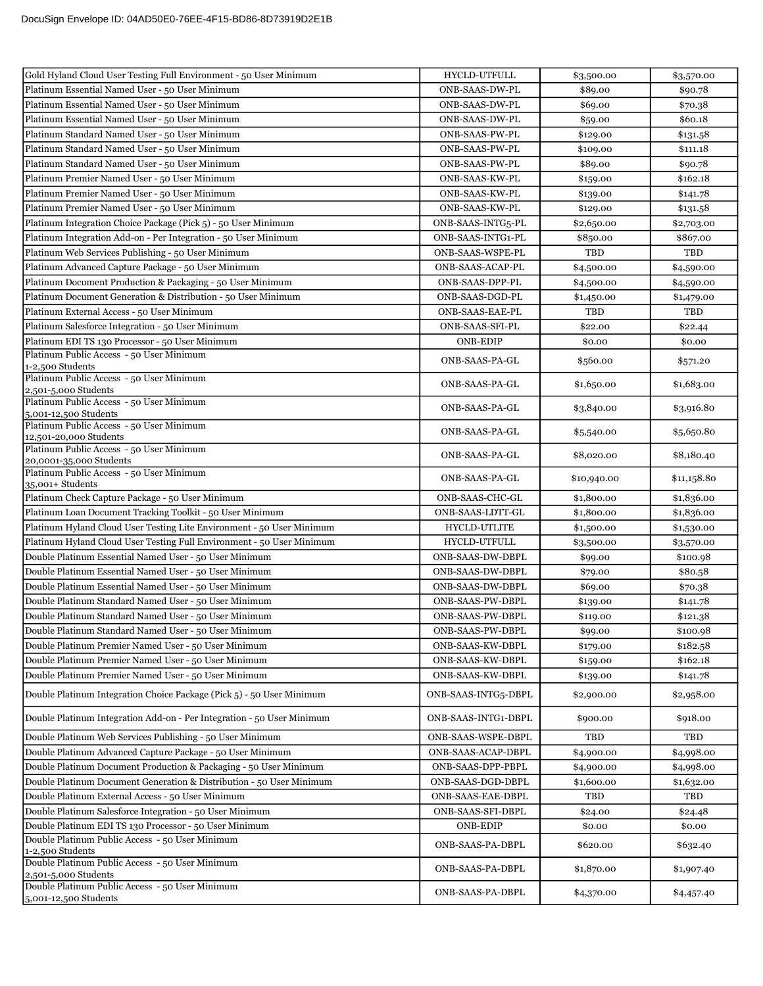| Gold Hyland Cloud User Testing Full Environment - 50 User Minimum        | HYCLD-UTFULL           | \$3,500.00  | \$3,570.00  |
|--------------------------------------------------------------------------|------------------------|-------------|-------------|
| Platinum Essential Named User - 50 User Minimum                          | ONB-SAAS-DW-PL         | \$89.00     | \$90.78     |
| Platinum Essential Named User - 50 User Minimum                          | ONB-SAAS-DW-PL         | \$69.00     | \$70.38     |
| Platinum Essential Named User - 50 User Minimum                          | ONB-SAAS-DW-PL         | \$59.00     | \$60.18     |
| Platinum Standard Named User - 50 User Minimum                           | ONB-SAAS-PW-PL         | \$129.00    | \$131.58    |
| Platinum Standard Named User - 50 User Minimum                           | ONB-SAAS-PW-PL         | \$109.00    | \$111.18    |
| Platinum Standard Named User - 50 User Minimum                           | ONB-SAAS-PW-PL         | \$89.00     | \$90.78     |
| Platinum Premier Named User - 50 User Minimum                            | ONB-SAAS-KW-PL         | \$159.00    | \$162.18    |
| Platinum Premier Named User - 50 User Minimum                            | ONB-SAAS-KW-PL         | \$139.00    | \$141.78    |
| Platinum Premier Named User - 50 User Minimum                            | ONB-SAAS-KW-PL         | \$129.00    | \$131.58    |
| Platinum Integration Choice Package (Pick 5) - 50 User Minimum           | ONB-SAAS-INTG5-PL      | \$2,650.00  | \$2,703.00  |
| Platinum Integration Add-on - Per Integration - 50 User Minimum          | ONB-SAAS-INTG1-PL      | \$850.00    | \$867.00    |
| Platinum Web Services Publishing - 50 User Minimum                       | ONB-SAAS-WSPE-PL       | TBD         | TBD         |
| Platinum Advanced Capture Package - 50 User Minimum                      | ONB-SAAS-ACAP-PL       | \$4,500.00  | \$4,590.00  |
| Platinum Document Production & Packaging - 50 User Minimum               | ONB-SAAS-DPP-PL        | \$4,500.00  | \$4,590.00  |
| Platinum Document Generation & Distribution - 50 User Minimum            | ONB-SAAS-DGD-PL        | \$1,450.00  | \$1,479.00  |
| Platinum External Access - 50 User Minimum                               | <b>ONB-SAAS-EAE-PL</b> | TBD         | TBD         |
| Platinum Salesforce Integration - 50 User Minimum                        | ONB-SAAS-SFI-PL        | \$22.00     | \$22.44     |
| Platinum EDI TS 130 Processor - 50 User Minimum                          | <b>ONB-EDIP</b>        | \$0.00      | \$0.00      |
| Platinum Public Access - 50 User Minimum                                 | ONB-SAAS-PA-GL         | \$560.00    | \$571.20    |
| 1-2,500 Students<br>Platinum Public Access - 50 User Minimum             | ONB-SAAS-PA-GL         | \$1,650.00  | \$1,683.00  |
| 2,501-5,000 Students<br>Platinum Public Access - 50 User Minimum         |                        |             |             |
| 5,001-12,500 Students                                                    | ONB-SAAS-PA-GL         | \$3,840.00  | \$3,916.80  |
| Platinum Public Access - 50 User Minimum<br>12,501-20,000 Students       | ONB-SAAS-PA-GL         | \$5,540.00  | \$5,650.80  |
| Platinum Public Access - 50 User Minimum<br>20,0001-35,000 Students      | ONB-SAAS-PA-GL         | \$8,020.00  | \$8,180.40  |
| Platinum Public Access - 50 User Minimum<br>35,001+ Students             | ONB-SAAS-PA-GL         | \$10,940.00 | \$11,158.80 |
| Platinum Check Capture Package - 50 User Minimum                         | ONB-SAAS-CHC-GL        | \$1,800.00  | \$1,836.00  |
| Platinum Loan Document Tracking Toolkit - 50 User Minimum                | ONB-SAAS-LDTT-GL       | \$1,800.00  | \$1,836.00  |
| Platinum Hyland Cloud User Testing Lite Environment - 50 User Minimum    | <b>HYCLD-UTLITE</b>    | \$1,500.00  | \$1,530.00  |
| Platinum Hyland Cloud User Testing Full Environment - 50 User Minimum    | HYCLD-UTFULL           | \$3,500.00  | \$3,570.00  |
| Double Platinum Essential Named User - 50 User Minimum                   | ONB-SAAS-DW-DBPL       | \$99.00     | \$100.98    |
| Double Platinum Essential Named User - 50 User Minimum                   | ONB-SAAS-DW-DBPL       | \$79.00     | \$80.58     |
| Double Platinum Essential Named User - 50 User Minimum                   | ONB-SAAS-DW-DBPL       | \$69.00     | \$70.38     |
| Double Platinum Standard Named User - 50 User Minimum                    | ONB-SAAS-PW-DBPL       | \$139.00    | \$141.78    |
| Double Platinum Standard Named User - 50 User Minimum                    | ONB-SAAS-PW-DBPL       | \$119.00    | \$121.38    |
| Double Platinum Standard Named User - 50 User Minimum                    | ONB-SAAS-PW-DBPL       | \$99.00     | \$100.98    |
| Double Platinum Premier Named User - 50 User Minimum                     | ONB-SAAS-KW-DBPL       | \$179.00    | \$182.58    |
| Double Platinum Premier Named User - 50 User Minimum                     | ONB-SAAS-KW-DBPL       | \$159.00    | \$162.18    |
| Double Platinum Premier Named User - 50 User Minimum                     | ONB-SAAS-KW-DBPL       | \$139.00    | \$141.78    |
| Double Platinum Integration Choice Package (Pick 5) - 50 User Minimum    | ONB-SAAS-INTG5-DBPL    | \$2,900.00  | \$2,958.00  |
| Double Platinum Integration Add-on - Per Integration - 50 User Minimum   | ONB-SAAS-INTG1-DBPL    | \$900.00    | \$918.00    |
| Double Platinum Web Services Publishing - 50 User Minimum                | ONB-SAAS-WSPE-DBPL     | TBD         | TBD         |
| Double Platinum Advanced Capture Package - 50 User Minimum               | ONB-SAAS-ACAP-DBPL     | \$4,900.00  | \$4,998.00  |
| Double Platinum Document Production & Packaging - 50 User Minimum        | ONB-SAAS-DPP-PBPL      | \$4,900.00  | \$4,998.00  |
| Double Platinum Document Generation & Distribution - 50 User Minimum     | ONB-SAAS-DGD-DBPL      | \$1,600.00  | \$1,632.00  |
| Double Platinum External Access - 50 User Minimum                        | ONB-SAAS-EAE-DBPL      | TBD         | TBD         |
| Double Platinum Salesforce Integration - 50 User Minimum                 | ONB-SAAS-SFI-DBPL      | \$24.00     | \$24.48     |
| Double Platinum EDI TS 130 Processor - 50 User Minimum                   | <b>ONB-EDIP</b>        | \$0.00      | \$0.00      |
| Double Platinum Public Access - 50 User Minimum<br>1-2,500 Students      | ONB-SAAS-PA-DBPL       | \$620.00    | \$632.40    |
| Double Platinum Public Access - 50 User Minimum<br>2,501-5,000 Students  | ONB-SAAS-PA-DBPL       | \$1,870.00  | \$1,907.40  |
| Double Platinum Public Access - 50 User Minimum<br>5,001-12,500 Students | ONB-SAAS-PA-DBPL       | \$4,370.00  | \$4,457.40  |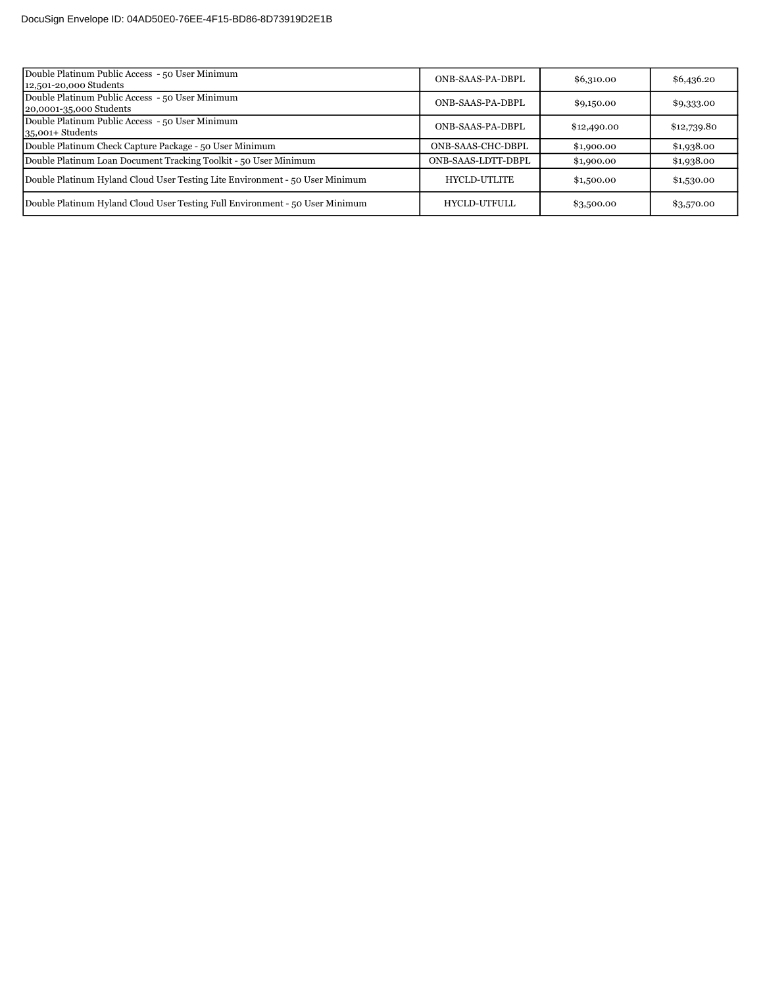| Double Platinum Public Access - 50 User Minimum                              | ONB-SAAS-PA-DBPL    |             |             |
|------------------------------------------------------------------------------|---------------------|-------------|-------------|
| 12,501-20,000 Students                                                       |                     | \$6,310.00  | \$6,436.20  |
| Double Platinum Public Access - 50 User Minimum                              | ONB-SAAS-PA-DBPL    |             |             |
| 20,0001-35,000 Students                                                      |                     | \$9,150.00  | \$9,333.00  |
| Double Platinum Public Access - 50 User Minimum                              | ONB-SAAS-PA-DBPL    |             |             |
| $35,001+$ Students                                                           |                     | \$12,490.00 | \$12,739.80 |
| Double Platinum Check Capture Package - 50 User Minimum                      | ONB-SAAS-CHC-DBPL   | \$1,900.00  | \$1,938.00  |
| Double Platinum Loan Document Tracking Toolkit - 50 User Minimum             | ONB-SAAS-LDTT-DBPL  | \$1,900.00  | \$1,938.00  |
| Double Platinum Hyland Cloud User Testing Lite Environment - 50 User Minimum | <b>HYCLD-UTLITE</b> | \$1,500.00  | \$1,530.00  |
| Double Platinum Hyland Cloud User Testing Full Environment - 50 User Minimum | HYCLD-UTFULL        | \$3,500.00  | \$3,570.00  |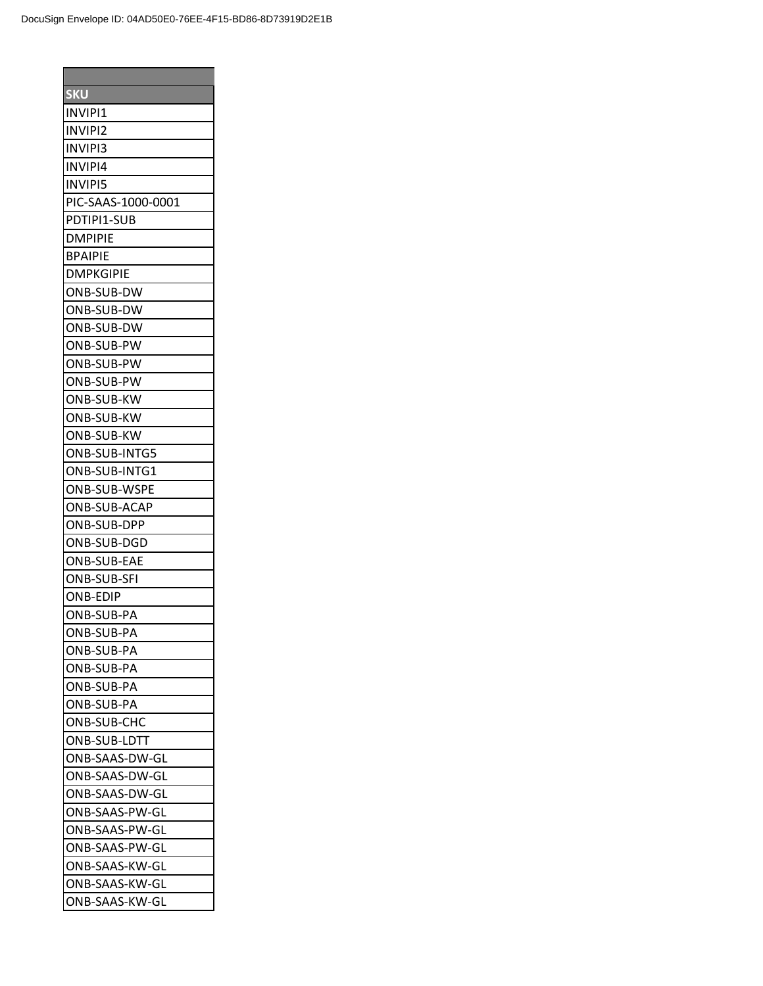| <b>SKU</b>         |
|--------------------|
| INVIPI1            |
| <b>INVIPI2</b>     |
| <b>INVIPI3</b>     |
| <b>INVIPI4</b>     |
| <b>INVIPI5</b>     |
| PIC-SAAS-1000-0001 |
| PDTIPI1-SUB        |
| DMPIPIE            |
| <b>BPAIPIE</b>     |
| <b>DMPKGIPIE</b>   |
| ONB-SUB-DW         |
| ONB-SUB-DW         |
| ONB-SUB-DW         |
| ONB-SUB-PW         |
| ONB-SUB-PW         |
| IONB-SUB-PW        |
| <b>ONB-SUB-KW</b>  |
| ONB-SUB-KW         |
| ONB-SUB-KW         |
| ONB-SUB-INTG5      |
| ONB-SUB-INTG1      |
| ONB-SUB-WSPE       |
| ONB-SUB-ACAP       |
| ONB-SUB-DPP        |
| ONB-SUB-DGD        |
| <b>ONB-SUB-EAE</b> |
| <b>ONB-SUB-SFI</b> |
| <b>ONB-EDIP</b>    |
| ONB-SUB-PA         |
|                    |
| ONB-SUB-PA         |
| IONB-SUB-PA        |
| <b>ONB-SUB-PA</b>  |
| ONB-SUB-PA         |
| ONB-SUB-PA         |
| ONB-SUB-CHC        |
| ONB-SUB-LDTT       |
| ONB-SAAS-DW-GL     |
| ONB-SAAS-DW-GL     |
| ONB-SAAS-DW-GL     |
| ONB-SAAS-PW-GL     |
| ONB-SAAS-PW-GL     |
| ONB-SAAS-PW-GL     |
| ONB-SAAS-KW-GL     |
| ONB-SAAS-KW-GL     |
| ONB-SAAS-KW-GL     |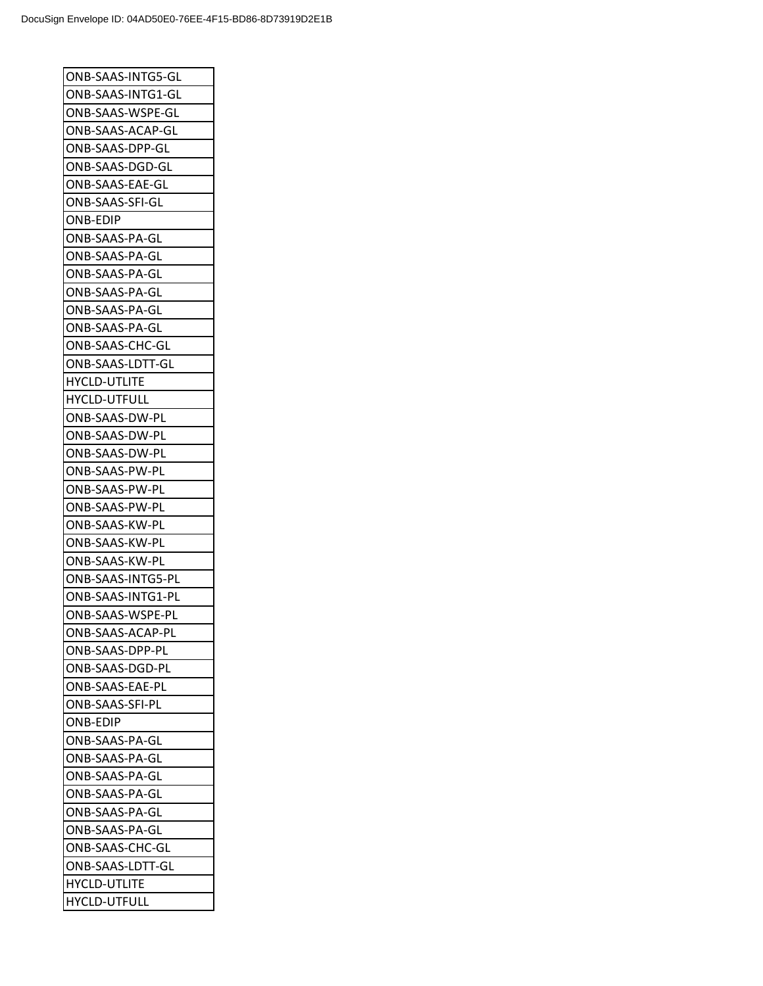| ONB-SAAS-INTG5-GL       |
|-------------------------|
| ONB-SAAS-INTG1-GL       |
| ONB-SAAS-WSPE-GL        |
| ONB-SAAS-ACAP-GL        |
| ONB-SAAS-DPP-GL         |
| ONB-SAAS-DGD-GL         |
| ONB-SAAS-EAE-GL         |
| ONB-SAAS-SFI-GL         |
| ONB-EDIP                |
| ONB-SAAS-PA-GL          |
| ONB-SAAS-PA-GL          |
| ONB-SAAS-PA-GL          |
| ONB-SAAS-PA-GL          |
| ONB-SAAS-PA-GL          |
| ONB-SAAS-PA-GL          |
| ONB-SAAS-CHC-GL         |
| ONB-SAAS-LDTT-GL        |
| <b>HYCLD-UTLITE</b>     |
| <b>HYCLD-UTFULL</b>     |
| ONB-SAAS-DW-PL          |
| ONB-SAAS-DW-PL          |
| ONB-SAAS-DW-PL          |
| ONB-SAAS-PW-PL          |
| ONB-SAAS-PW-PL          |
| ONB-SAAS-PW-PL          |
| ONB-SAAS-KW-PL          |
| ONB-SAAS-KW-PL          |
| ONB-SAAS-KW-PL          |
| ONB-SAAS-INTG5-PL       |
| ONB-SAAS-INTG1-PL       |
| ONB-SAAS-WSPE-PL        |
| <b>ONB-SAAS-ACAP-PL</b> |
| ONB-SAAS-DPP-PL         |
| ONB-SAAS-DGD-PL         |
| ONB-SAAS-EAE-PL         |
| ONB-SAAS-SFI-PL         |
| <b>ONB-EDIP</b>         |
| ONB-SAAS-PA-GL          |
| ONB-SAAS-PA-GL          |
| ONB-SAAS-PA-GL          |
| ONB-SAAS-PA-GL          |
| ONB-SAAS-PA-GL          |
| ONB-SAAS-PA-GL          |
| ONB-SAAS-CHC-GL         |
| ONB-SAAS-LDTT-GL        |
| <b>HYCLD-UTLITE</b>     |
| <b>HYCLD-UTFULL</b>     |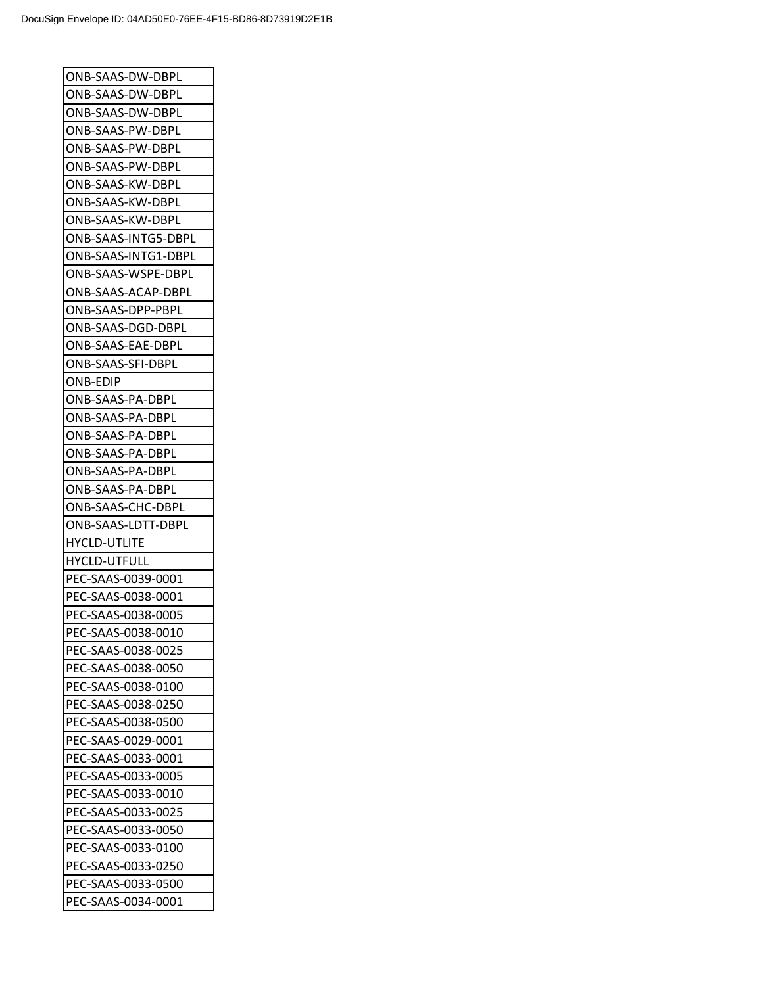| ONB-SAAS-DW-DBPL    |
|---------------------|
| ONB-SAAS-DW-DBPL    |
| ONB-SAAS-DW-DBPL    |
| ONB-SAAS-PW-DBPL    |
| ONB-SAAS-PW-DBPL    |
| ONB-SAAS-PW-DBPL    |
| ONB-SAAS-KW-DBPL    |
| ONB-SAAS-KW-DBPL    |
| ONB-SAAS-KW-DBPL    |
| ONB-SAAS-INTG5-DBPL |
| ONB-SAAS-INTG1-DBPL |
| ONB-SAAS-WSPE-DBPL  |
| ONB-SAAS-ACAP-DBPL  |
| ONB-SAAS-DPP-PBPL   |
| ONB-SAAS-DGD-DBPL   |
| ONB-SAAS-EAE-DBPL   |
| ONB-SAAS-SFI-DBPL   |
| ONB-EDIP            |
| ONB-SAAS-PA-DBPL    |
| ONB-SAAS-PA-DBPL    |
| ONB-SAAS-PA-DBPL    |
| ONB-SAAS-PA-DBPL    |
| ONB-SAAS-PA-DBPL    |
| ONB-SAAS-PA-DBPL    |
| ONB-SAAS-CHC-DBPL   |
| ONB-SAAS-LDTT-DBPL  |
| <b>HYCLD-UTLITE</b> |
| <b>HYCLD-UTFULL</b> |
| PEC-SAAS-0039-0001  |
| PEC-SAAS-0038-0001  |
| PEC-SAAS-0038-0005  |
| PEC-SAAS-0038-0010  |
| PEC-SAAS-0038-0025  |
| PEC-SAAS-0038-0050  |
| PEC-SAAS-0038-0100  |
| PEC-SAAS-0038-0250  |
| PEC-SAAS-0038-0500  |
| PEC-SAAS-0029-0001  |
|                     |
| PEC-SAAS-0033-0001  |
| PEC-SAAS-0033-0005  |
| PEC-SAAS-0033-0010  |
| PEC-SAAS-0033-0025  |
| PEC-SAAS-0033-0050  |
| PEC-SAAS-0033-0100  |
| PEC-SAAS-0033-0250  |
| PEC-SAAS-0033-0500  |
| PEC-SAAS-0034-0001  |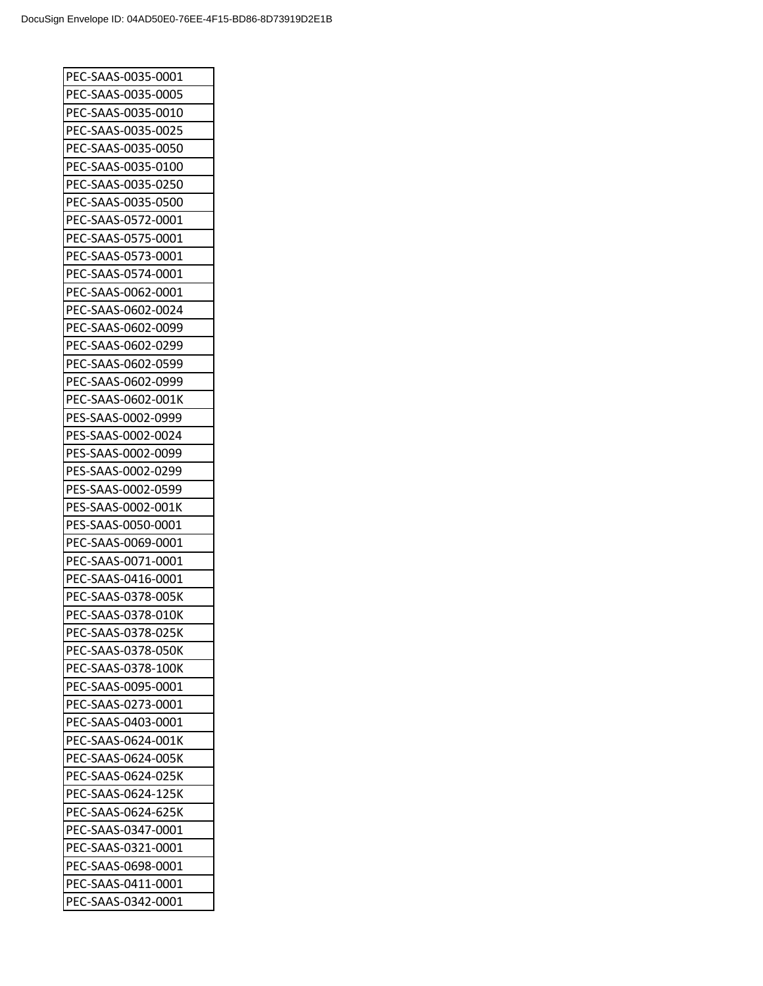| PEC-SAAS-0035-0001  |
|---------------------|
| PEC-SAAS-0035-0005  |
| PEC-SAAS-0035-0010  |
| PEC-SAAS-0035-0025  |
| PEC-SAAS-0035-0050  |
| PEC-SAAS-0035-0100  |
| PEC-SAAS-0035-0250  |
| PEC-SAAS-0035-0500  |
| PEC-SAAS-0572-0001  |
| PEC-SAAS-0575-0001  |
| PEC-SAAS-0573-0001  |
| PEC-SAAS-0574-0001  |
| PEC-SAAS-0062-0001  |
| PEC-SAAS-0602-0024  |
| PEC-SAAS-0602-0099  |
| PEC-SAAS-0602-0299  |
| PEC-SAAS-0602-0599  |
| PEC-SAAS-0602-0999  |
| PEC-SAAS-0602-001K  |
| PES-SAAS-0002-0999  |
| PES-SAAS-0002-0024  |
| PES-SAAS-0002-0099  |
| PES-SAAS-0002-0299  |
| PES-SAAS-0002-0599  |
| PES-SAAS-0002-001K  |
| PES-SAAS-0050-0001  |
| PEC-SAAS-0069-0001  |
| PEC-SAAS-0071-0001  |
|                     |
| PEC-SAAS-0416-0001  |
| PEC-SAAS-0378-005K  |
| PEC-SAAS-0378-010K  |
| PEC-SAAS-0378-025K  |
| PEC-SAAS-0378-050K  |
| IPEC-SAAS-0378-100K |
| PEC-SAAS-0095-0001  |
| PEC-SAAS-0273-0001  |
| PEC-SAAS-0403-0001  |
| PEC-SAAS-0624-001K  |
| PEC-SAAS-0624-005K  |
| PEC-SAAS-0624-025K  |
| PEC-SAAS-0624-125K  |
| PEC-SAAS-0624-625K  |
| PEC-SAAS-0347-0001  |
| PEC-SAAS-0321-0001  |
| PEC-SAAS-0698-0001  |
| PEC-SAAS-0411-0001  |
| PEC-SAAS-0342-0001  |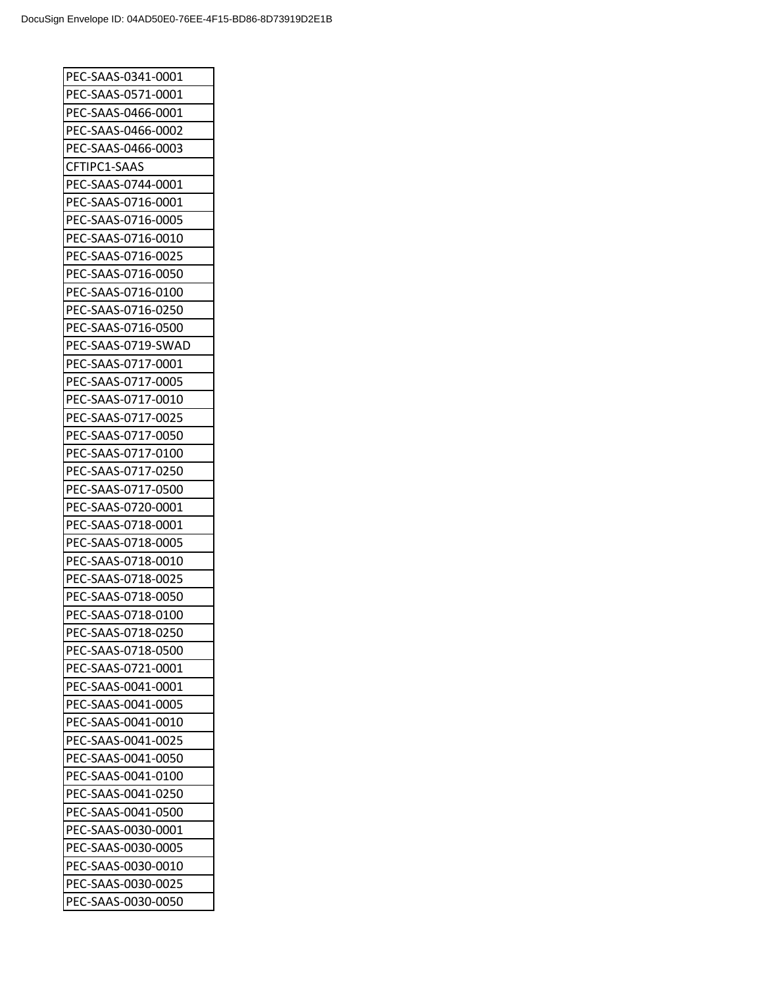| PEC-SAAS-0341-0001 |
|--------------------|
| PEC-SAAS-0571-0001 |
| PEC-SAAS-0466-0001 |
| PEC-SAAS-0466-0002 |
| PEC-SAAS-0466-0003 |
| CFTIPC1-SAAS       |
| PEC-SAAS-0744-0001 |
| PEC-SAAS-0716-0001 |
| PEC-SAAS-0716-0005 |
| PEC-SAAS-0716-0010 |
| PEC-SAAS-0716-0025 |
| PEC-SAAS-0716-0050 |
| PEC-SAAS-0716-0100 |
| PEC-SAAS-0716-0250 |
| PEC-SAAS-0716-0500 |
| PEC-SAAS-0719-SWAD |
| PEC-SAAS-0717-0001 |
| PEC-SAAS-0717-0005 |
| PEC-SAAS-0717-0010 |
| PEC-SAAS-0717-0025 |
| PEC-SAAS-0717-0050 |
| PEC-SAAS-0717-0100 |
| PEC-SAAS-0717-0250 |
| PEC-SAAS-0717-0500 |
| PEC-SAAS-0720-0001 |
| PEC-SAAS-0718-0001 |
| PEC-SAAS-0718-0005 |
| PEC-SAAS-0718-0010 |
| PEC-SAAS-0718-0025 |
| PEC-SAAS-0718-0050 |
| PEC-SAAS-0718-0100 |
| PEC-SAAS-0718-0250 |
| PEC-SAAS-0718-0500 |
| PEC-SAAS-0721-0001 |
| PEC-SAAS-0041-0001 |
| PEC-SAAS-0041-0005 |
| PEC-SAAS-0041-0010 |
| PEC-SAAS-0041-0025 |
| PEC-SAAS-0041-0050 |
| PEC-SAAS-0041-0100 |
| PEC-SAAS-0041-0250 |
| PEC-SAAS-0041-0500 |
| PEC-SAAS-0030-0001 |
| PEC-SAAS-0030-0005 |
| PEC-SAAS-0030-0010 |
|                    |
| PEC-SAAS-0030-0025 |
| PEC-SAAS-0030-0050 |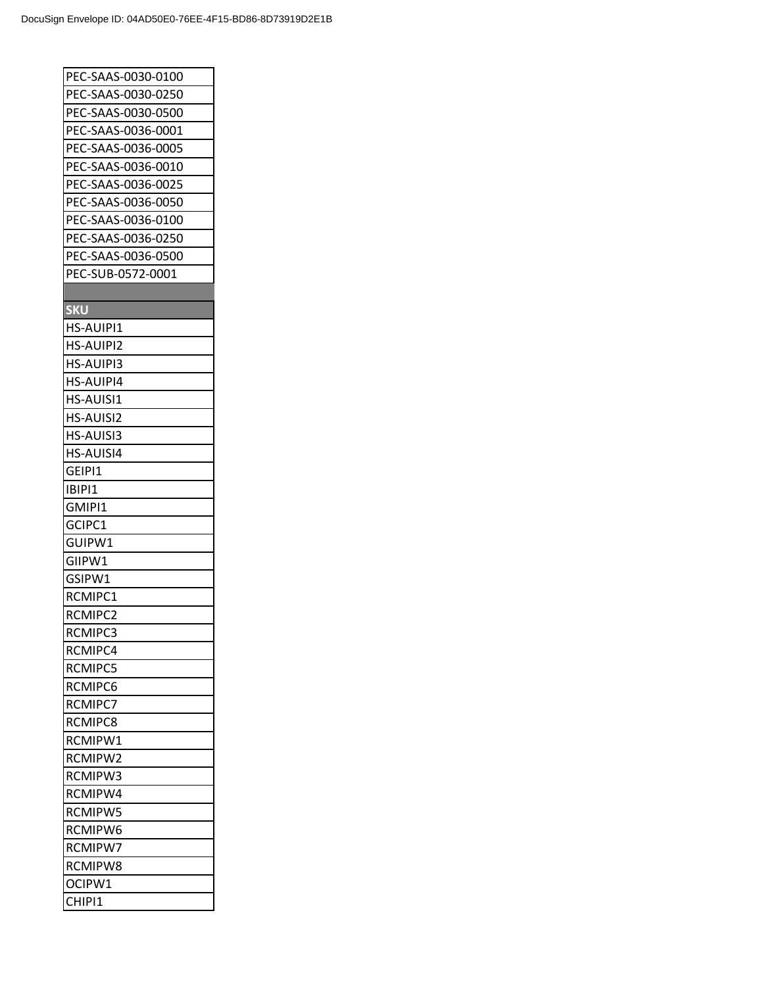| PEC-SAAS-0030-0100 |
|--------------------|
| PEC-SAAS-0030-0250 |
| PEC-SAAS-0030-0500 |
| PEC-SAAS-0036-0001 |
| PEC-SAAS-0036-0005 |
| PEC-SAAS-0036-0010 |
| PEC-SAAS-0036-0025 |
| PEC-SAAS-0036-0050 |
| PEC-SAAS-0036-0100 |
| PEC-SAAS-0036-0250 |
| PEC-SAAS-0036-0500 |
| PEC-SUB-0572-0001  |
|                    |
| <b>SKU</b>         |
| HS-AUIPI1          |
| <b>HS-AUIPI2</b>   |
| HS-AUIPI3          |
| HS-AUIPI4          |
| <b>HS-AUISI1</b>   |
| <b>HS-AUISI2</b>   |
| HS-AUISI3          |
| HS-AUISI4          |
| GEIPI1             |
| IBIPI1             |
| GMIPI1             |
| GCIPC1             |
| GUIPW1             |
| GIIPW1             |
| GSIPW1             |
| RCMIPC1            |
| RCMIPC2            |
| RCMIPC3            |
|                    |
| RCMIPC4            |
| <b>RCMIPC5</b>     |
| RCMIPC6            |
| <b>RCMIPC7</b>     |
| RCMIPC8            |
| RCMIPW1            |
| RCMIPW2            |
| RCMIPW3            |
| <b>RCMIPW4</b>     |
| RCMIPW5            |
| RCMIPW6            |
| RCMIPW7            |
| <b>RCMIPW8</b>     |
| OCIPW1             |
| CHIPI1             |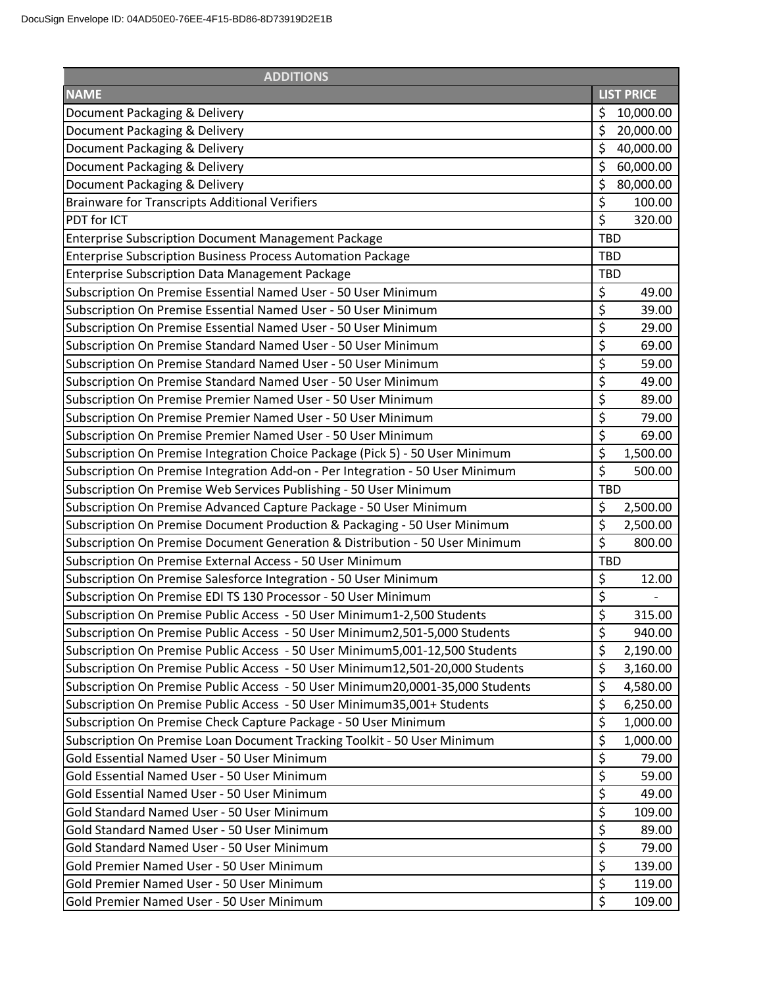| <b>ADDITIONS</b>                                                               |                   |  |  |
|--------------------------------------------------------------------------------|-------------------|--|--|
| <b>NAME</b>                                                                    | <b>LIST PRICE</b> |  |  |
| Document Packaging & Delivery                                                  | \$<br>10,000.00   |  |  |
| Document Packaging & Delivery                                                  | \$<br>20,000.00   |  |  |
| Document Packaging & Delivery                                                  | \$<br>40,000.00   |  |  |
| Document Packaging & Delivery                                                  | \$<br>60,000.00   |  |  |
| Document Packaging & Delivery                                                  | \$<br>80,000.00   |  |  |
| <b>Brainware for Transcripts Additional Verifiers</b>                          | \$<br>100.00      |  |  |
| PDT for ICT                                                                    | \$<br>320.00      |  |  |
| <b>Enterprise Subscription Document Management Package</b>                     | <b>TBD</b>        |  |  |
| <b>Enterprise Subscription Business Process Automation Package</b>             | <b>TBD</b>        |  |  |
| <b>Enterprise Subscription Data Management Package</b>                         | <b>TBD</b>        |  |  |
| Subscription On Premise Essential Named User - 50 User Minimum                 | \$<br>49.00       |  |  |
| Subscription On Premise Essential Named User - 50 User Minimum                 | \$<br>39.00       |  |  |
| Subscription On Premise Essential Named User - 50 User Minimum                 | \$<br>29.00       |  |  |
| Subscription On Premise Standard Named User - 50 User Minimum                  | \$<br>69.00       |  |  |
| Subscription On Premise Standard Named User - 50 User Minimum                  | \$<br>59.00       |  |  |
| Subscription On Premise Standard Named User - 50 User Minimum                  | \$<br>49.00       |  |  |
| Subscription On Premise Premier Named User - 50 User Minimum                   | \$<br>89.00       |  |  |
| Subscription On Premise Premier Named User - 50 User Minimum                   | \$<br>79.00       |  |  |
| Subscription On Premise Premier Named User - 50 User Minimum                   | \$<br>69.00       |  |  |
| Subscription On Premise Integration Choice Package (Pick 5) - 50 User Minimum  | \$<br>1,500.00    |  |  |
| Subscription On Premise Integration Add-on - Per Integration - 50 User Minimum | \$<br>500.00      |  |  |
| Subscription On Premise Web Services Publishing - 50 User Minimum              | <b>TBD</b>        |  |  |
| Subscription On Premise Advanced Capture Package - 50 User Minimum             | \$<br>2,500.00    |  |  |
| Subscription On Premise Document Production & Packaging - 50 User Minimum      | \$<br>2,500.00    |  |  |
| Subscription On Premise Document Generation & Distribution - 50 User Minimum   | \$<br>800.00      |  |  |
| Subscription On Premise External Access - 50 User Minimum                      | <b>TBD</b>        |  |  |
| Subscription On Premise Salesforce Integration - 50 User Minimum               | \$<br>12.00       |  |  |
| Subscription On Premise EDI TS 130 Processor - 50 User Minimum                 | \$                |  |  |
| Subscription On Premise Public Access - 50 User Minimum1-2,500 Students        | \$<br>315.00      |  |  |
| Subscription On Premise Public Access - 50 User Minimum2,501-5,000 Students    | \$<br>940.00      |  |  |
| Subscription On Premise Public Access - 50 User Minimum5,001-12,500 Students   | \$<br>2,190.00    |  |  |
| Subscription On Premise Public Access - 50 User Minimum12,501-20,000 Students  | \$<br>3,160.00    |  |  |
| Subscription On Premise Public Access - 50 User Minimum20,0001-35,000 Students | \$<br>4,580.00    |  |  |
| Subscription On Premise Public Access - 50 User Minimum35,001+ Students        | \$<br>6,250.00    |  |  |
| Subscription On Premise Check Capture Package - 50 User Minimum                | \$<br>1,000.00    |  |  |
| Subscription On Premise Loan Document Tracking Toolkit - 50 User Minimum       | \$<br>1,000.00    |  |  |
| Gold Essential Named User - 50 User Minimum                                    | \$<br>79.00       |  |  |
| Gold Essential Named User - 50 User Minimum                                    | \$<br>59.00       |  |  |
| Gold Essential Named User - 50 User Minimum                                    | \$<br>49.00       |  |  |
| Gold Standard Named User - 50 User Minimum                                     | \$<br>109.00      |  |  |
| Gold Standard Named User - 50 User Minimum                                     | \$<br>89.00       |  |  |
| Gold Standard Named User - 50 User Minimum                                     | \$<br>79.00       |  |  |
| Gold Premier Named User - 50 User Minimum                                      | \$<br>139.00      |  |  |
| Gold Premier Named User - 50 User Minimum                                      | \$<br>119.00      |  |  |
| Gold Premier Named User - 50 User Minimum                                      | \$<br>109.00      |  |  |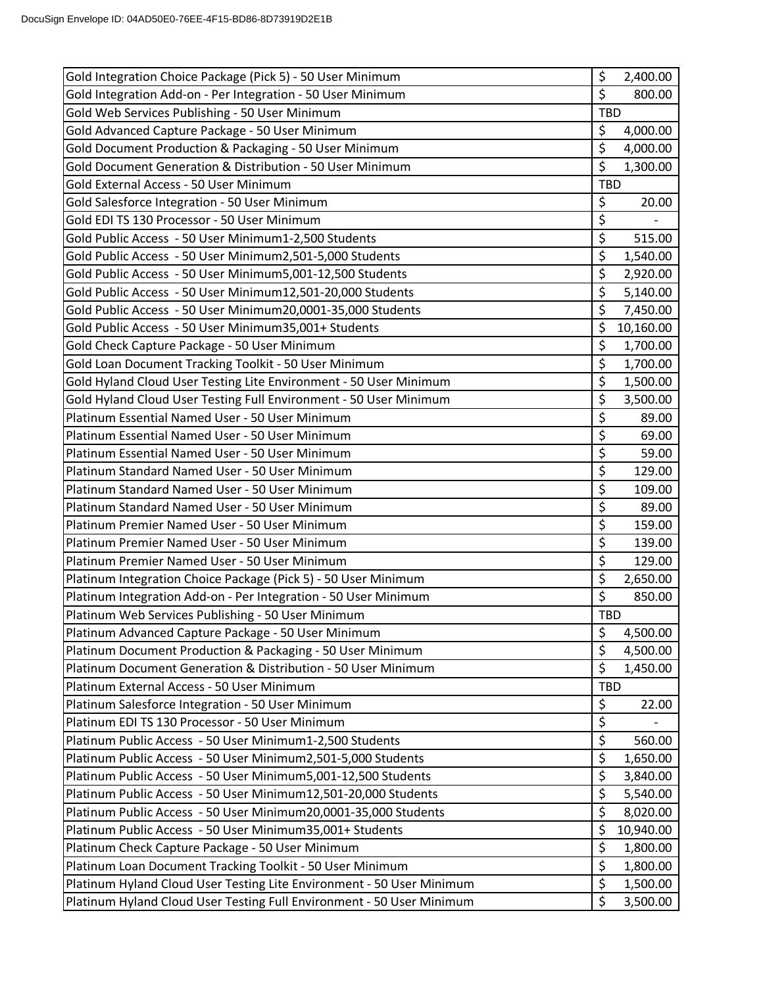| Gold Integration Choice Package (Pick 5) - 50 User Minimum            | \$<br>2,400.00  |
|-----------------------------------------------------------------------|-----------------|
| Gold Integration Add-on - Per Integration - 50 User Minimum           | \$<br>800.00    |
| Gold Web Services Publishing - 50 User Minimum                        | <b>TBD</b>      |
| Gold Advanced Capture Package - 50 User Minimum                       | \$<br>4,000.00  |
| Gold Document Production & Packaging - 50 User Minimum                | \$<br>4,000.00  |
| Gold Document Generation & Distribution - 50 User Minimum             | \$<br>1,300.00  |
| Gold External Access - 50 User Minimum                                | <b>TBD</b>      |
| Gold Salesforce Integration - 50 User Minimum                         | \$<br>20.00     |
| Gold EDI TS 130 Processor - 50 User Minimum                           | \$              |
| Gold Public Access - 50 User Minimum1-2,500 Students                  | \$<br>515.00    |
| Gold Public Access - 50 User Minimum2,501-5,000 Students              | \$<br>1,540.00  |
| Gold Public Access - 50 User Minimum5,001-12,500 Students             | \$<br>2,920.00  |
| Gold Public Access - 50 User Minimum12,501-20,000 Students            | \$<br>5,140.00  |
| Gold Public Access - 50 User Minimum20,0001-35,000 Students           | \$<br>7,450.00  |
| Gold Public Access - 50 User Minimum35,001+ Students                  | \$<br>10,160.00 |
| Gold Check Capture Package - 50 User Minimum                          | \$<br>1,700.00  |
| Gold Loan Document Tracking Toolkit - 50 User Minimum                 | \$<br>1,700.00  |
| Gold Hyland Cloud User Testing Lite Environment - 50 User Minimum     | \$<br>1,500.00  |
| Gold Hyland Cloud User Testing Full Environment - 50 User Minimum     | \$<br>3,500.00  |
| Platinum Essential Named User - 50 User Minimum                       | \$<br>89.00     |
| Platinum Essential Named User - 50 User Minimum                       | \$<br>69.00     |
| Platinum Essential Named User - 50 User Minimum                       | \$<br>59.00     |
| Platinum Standard Named User - 50 User Minimum                        | \$<br>129.00    |
| Platinum Standard Named User - 50 User Minimum                        | \$<br>109.00    |
| Platinum Standard Named User - 50 User Minimum                        | \$<br>89.00     |
| Platinum Premier Named User - 50 User Minimum                         | \$<br>159.00    |
| Platinum Premier Named User - 50 User Minimum                         | \$<br>139.00    |
| Platinum Premier Named User - 50 User Minimum                         | \$<br>129.00    |
| Platinum Integration Choice Package (Pick 5) - 50 User Minimum        | \$<br>2,650.00  |
| Platinum Integration Add-on - Per Integration - 50 User Minimum       | \$<br>850.00    |
| Platinum Web Services Publishing - 50 User Minimum                    | <b>TBD</b>      |
| Platinum Advanced Capture Package - 50 User Minimum                   | \$<br>4,500.00  |
| Platinum Document Production & Packaging - 50 User Minimum            | \$<br>4,500.00  |
| Platinum Document Generation & Distribution - 50 User Minimum         | \$<br>1,450.00  |
| Platinum External Access - 50 User Minimum                            | TBD             |
| Platinum Salesforce Integration - 50 User Minimum                     | \$<br>22.00     |
| Platinum EDI TS 130 Processor - 50 User Minimum                       | \$              |
| Platinum Public Access - 50 User Minimum1-2,500 Students              | \$<br>560.00    |
| Platinum Public Access - 50 User Minimum2,501-5,000 Students          | \$<br>1,650.00  |
| Platinum Public Access - 50 User Minimum5,001-12,500 Students         | \$<br>3,840.00  |
| Platinum Public Access - 50 User Minimum12,501-20,000 Students        | \$<br>5,540.00  |
| Platinum Public Access - 50 User Minimum20,0001-35,000 Students       | \$<br>8,020.00  |
| Platinum Public Access - 50 User Minimum35,001+ Students              | \$<br>10,940.00 |
| Platinum Check Capture Package - 50 User Minimum                      | \$<br>1,800.00  |
| Platinum Loan Document Tracking Toolkit - 50 User Minimum             | \$<br>1,800.00  |
| Platinum Hyland Cloud User Testing Lite Environment - 50 User Minimum | \$<br>1,500.00  |
| Platinum Hyland Cloud User Testing Full Environment - 50 User Minimum | \$<br>3,500.00  |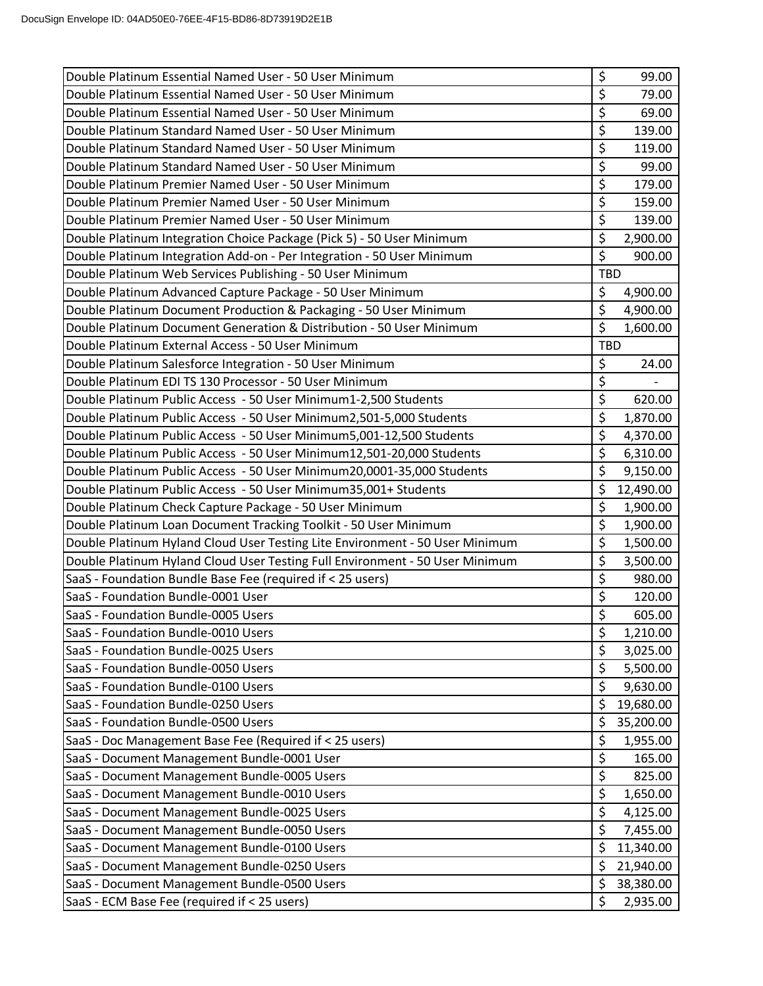| Double Platinum Essential Named User - 50 User Minimum                       | \$<br>99.00                      |
|------------------------------------------------------------------------------|----------------------------------|
| Double Platinum Essential Named User - 50 User Minimum                       | \$<br>79.00                      |
| Double Platinum Essential Named User - 50 User Minimum                       | \$<br>69.00                      |
| Double Platinum Standard Named User - 50 User Minimum                        | \$<br>139.00                     |
| Double Platinum Standard Named User - 50 User Minimum                        | \$<br>119.00                     |
| Double Platinum Standard Named User - 50 User Minimum                        | \$<br>99.00                      |
| Double Platinum Premier Named User - 50 User Minimum                         | \$<br>179.00                     |
| Double Platinum Premier Named User - 50 User Minimum                         | \$<br>159.00                     |
| Double Platinum Premier Named User - 50 User Minimum                         | \$<br>139.00                     |
| Double Platinum Integration Choice Package (Pick 5) - 50 User Minimum        | \$<br>2,900.00                   |
| Double Platinum Integration Add-on - Per Integration - 50 User Minimum       | \$<br>900.00                     |
| Double Platinum Web Services Publishing - 50 User Minimum                    | <b>TBD</b>                       |
| Double Platinum Advanced Capture Package - 50 User Minimum                   | \$<br>4,900.00                   |
| Double Platinum Document Production & Packaging - 50 User Minimum            | \$<br>4,900.00                   |
| Double Platinum Document Generation & Distribution - 50 User Minimum         | $\overline{\xi}$<br>1,600.00     |
| Double Platinum External Access - 50 User Minimum                            | <b>TBD</b>                       |
| Double Platinum Salesforce Integration - 50 User Minimum                     | \$<br>24.00                      |
| Double Platinum EDI TS 130 Processor - 50 User Minimum                       | \$                               |
| Double Platinum Public Access - 50 User Minimum1-2,500 Students              | \$<br>620.00                     |
| Double Platinum Public Access - 50 User Minimum2,501-5,000 Students          | \$<br>1,870.00                   |
| Double Platinum Public Access - 50 User Minimum5,001-12,500 Students         | \$<br>4,370.00                   |
| Double Platinum Public Access - 50 User Minimum12,501-20,000 Students        | \$<br>6,310.00                   |
| Double Platinum Public Access - 50 User Minimum20,0001-35,000 Students       | \$<br>9,150.00                   |
| Double Platinum Public Access - 50 User Minimum35,001+ Students              | \$<br>12,490.00                  |
| Double Platinum Check Capture Package - 50 User Minimum                      | $\overline{\xi}$<br>1,900.00     |
| Double Platinum Loan Document Tracking Toolkit - 50 User Minimum             | \$<br>1,900.00                   |
| Double Platinum Hyland Cloud User Testing Lite Environment - 50 User Minimum | \$<br>1,500.00                   |
| Double Platinum Hyland Cloud User Testing Full Environment - 50 User Minimum | \$<br>3,500.00                   |
| SaaS - Foundation Bundle Base Fee (required if < 25 users)                   | \$<br>980.00                     |
| SaaS - Foundation Bundle-0001 User                                           | $\overline{\varsigma}$<br>120.00 |
| SaaS - Foundation Bundle-0005 Users                                          | \$<br>605.00                     |
| SaaS - Foundation Bundle-0010 Users                                          | \$<br>1,210.00                   |
| SaaS - Foundation Bundle-0025 Users                                          | \$<br>3,025.00                   |
| SaaS - Foundation Bundle-0050 Users                                          | \$<br>5,500.00                   |
| SaaS - Foundation Bundle-0100 Users                                          | \$<br>9,630.00                   |
| SaaS - Foundation Bundle-0250 Users                                          | \$<br>19,680.00                  |
| SaaS - Foundation Bundle-0500 Users                                          | \$<br>35,200.00                  |
| SaaS - Doc Management Base Fee (Required if < 25 users)                      | \$<br>1,955.00                   |
| SaaS - Document Management Bundle-0001 User                                  | \$<br>165.00                     |
| SaaS - Document Management Bundle-0005 Users                                 | \$<br>825.00                     |
| SaaS - Document Management Bundle-0010 Users                                 | \$<br>1,650.00                   |
| SaaS - Document Management Bundle-0025 Users                                 | \$<br>4,125.00                   |
| SaaS - Document Management Bundle-0050 Users                                 | \$<br>7,455.00                   |
| SaaS - Document Management Bundle-0100 Users                                 | \$<br>11,340.00                  |
| SaaS - Document Management Bundle-0250 Users                                 | \$<br>21,940.00                  |
| SaaS - Document Management Bundle-0500 Users                                 | \$<br>38,380.00                  |
| SaaS - ECM Base Fee (required if < 25 users)                                 | \$<br>2,935.00                   |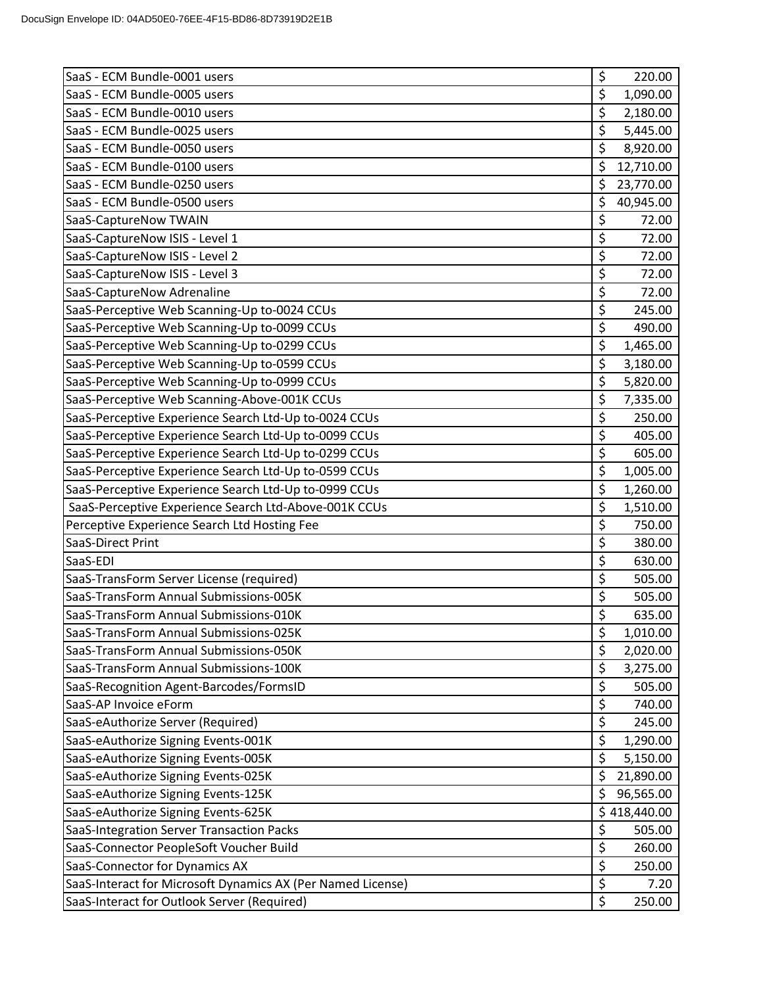| SaaS - ECM Bundle-0001 users                                | \$<br>220.00     |
|-------------------------------------------------------------|------------------|
| SaaS - ECM Bundle-0005 users                                | \$<br>1,090.00   |
| SaaS - ECM Bundle-0010 users                                | \$<br>2,180.00   |
| SaaS - ECM Bundle-0025 users                                | \$<br>5,445.00   |
| SaaS - ECM Bundle-0050 users                                | \$<br>8,920.00   |
| SaaS - ECM Bundle-0100 users                                | \$<br>12,710.00  |
| SaaS - ECM Bundle-0250 users                                | \$<br>23,770.00  |
| SaaS - ECM Bundle-0500 users                                | \$<br>40,945.00  |
| SaaS-CaptureNow TWAIN                                       | \$<br>72.00      |
| SaaS-CaptureNow ISIS - Level 1                              | \$<br>72.00      |
| SaaS-CaptureNow ISIS - Level 2                              | \$<br>72.00      |
| SaaS-CaptureNow ISIS - Level 3                              | \$<br>72.00      |
| SaaS-CaptureNow Adrenaline                                  | \$<br>72.00      |
| SaaS-Perceptive Web Scanning-Up to-0024 CCUs                | \$<br>245.00     |
| SaaS-Perceptive Web Scanning-Up to-0099 CCUs                | \$<br>490.00     |
| SaaS-Perceptive Web Scanning-Up to-0299 CCUs                | \$<br>1,465.00   |
| SaaS-Perceptive Web Scanning-Up to-0599 CCUs                | \$<br>3,180.00   |
| SaaS-Perceptive Web Scanning-Up to-0999 CCUs                | \$<br>5,820.00   |
| SaaS-Perceptive Web Scanning-Above-001K CCUs                | \$<br>7,335.00   |
| SaaS-Perceptive Experience Search Ltd-Up to-0024 CCUs       | \$<br>250.00     |
| SaaS-Perceptive Experience Search Ltd-Up to-0099 CCUs       | \$<br>405.00     |
| SaaS-Perceptive Experience Search Ltd-Up to-0299 CCUs       | \$<br>605.00     |
| SaaS-Perceptive Experience Search Ltd-Up to-0599 CCUs       | \$<br>1,005.00   |
| SaaS-Perceptive Experience Search Ltd-Up to-0999 CCUs       | \$<br>1,260.00   |
| SaaS-Perceptive Experience Search Ltd-Above-001K CCUs       | \$<br>1,510.00   |
| Perceptive Experience Search Ltd Hosting Fee                | \$<br>750.00     |
| SaaS-Direct Print                                           | \$<br>380.00     |
| SaaS-EDI                                                    | \$<br>630.00     |
| SaaS-TransForm Server License (required)                    | \$<br>505.00     |
| SaaS-TransForm Annual Submissions-005K                      | \$<br>505.00     |
| SaaS-TransForm Annual Submissions-010K                      | \$<br>635.00     |
| SaaS-TransForm Annual Submissions-025K                      | \$<br>1,010.00   |
| SaaS-TransForm Annual Submissions-050K                      | \$<br>2,020.00   |
| SaaS-TransForm Annual Submissions-100K                      | \$<br>3,275.00   |
| SaaS-Recognition Agent-Barcodes/FormsID                     | \$<br>505.00     |
| SaaS-AP Invoice eForm                                       | \$<br>740.00     |
| SaaS-eAuthorize Server (Required)                           | \$<br>245.00     |
| SaaS-eAuthorize Signing Events-001K                         | \$<br>1,290.00   |
| SaaS-eAuthorize Signing Events-005K                         | \$<br>5,150.00   |
| SaaS-eAuthorize Signing Events-025K                         | \$<br>21,890.00  |
| SaaS-eAuthorize Signing Events-125K                         | \$<br>96,565.00  |
| SaaS-eAuthorize Signing Events-625K                         | \$<br>418,440.00 |
| SaaS-Integration Server Transaction Packs                   | \$<br>505.00     |
| SaaS-Connector PeopleSoft Voucher Build                     | \$<br>260.00     |
| SaaS-Connector for Dynamics AX                              | \$<br>250.00     |
| SaaS-Interact for Microsoft Dynamics AX (Per Named License) | \$<br>7.20       |
| SaaS-Interact for Outlook Server (Required)                 | \$<br>250.00     |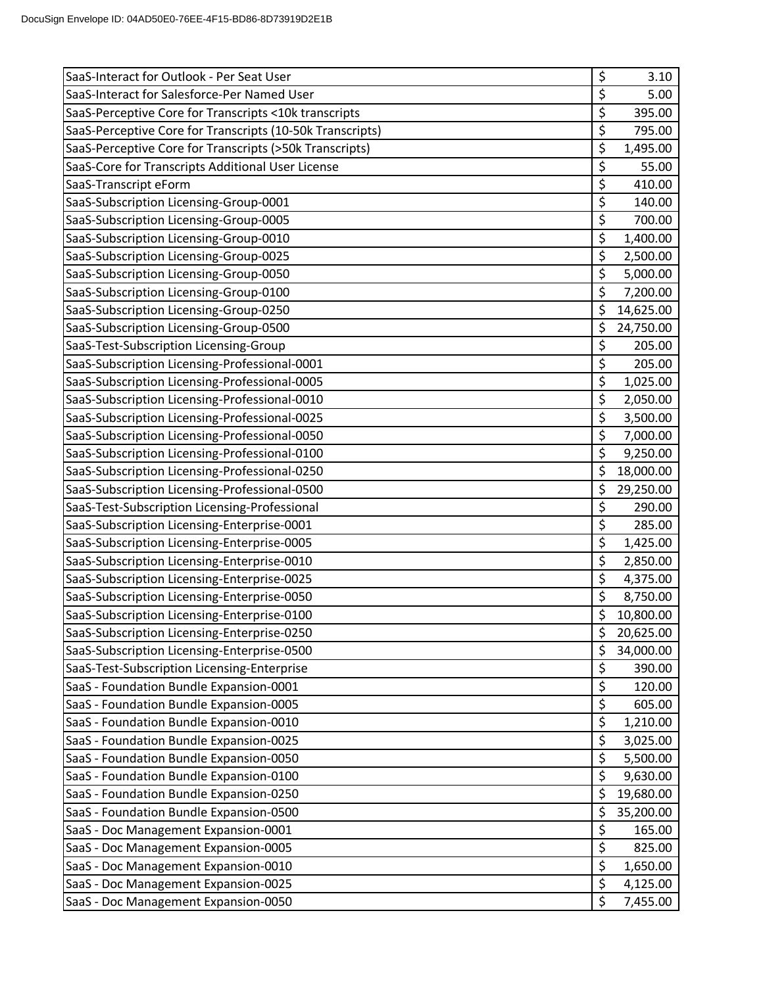| SaaS-Interact for Outlook - Per Seat User                 | \$<br>3.10      |
|-----------------------------------------------------------|-----------------|
| SaaS-Interact for Salesforce-Per Named User               | \$<br>5.00      |
| SaaS-Perceptive Core for Transcripts <10k transcripts     | \$<br>395.00    |
| SaaS-Perceptive Core for Transcripts (10-50k Transcripts) | \$<br>795.00    |
| SaaS-Perceptive Core for Transcripts (>50k Transcripts)   | \$<br>1,495.00  |
| SaaS-Core for Transcripts Additional User License         | \$<br>55.00     |
| SaaS-Transcript eForm                                     | \$<br>410.00    |
| SaaS-Subscription Licensing-Group-0001                    | \$<br>140.00    |
| SaaS-Subscription Licensing-Group-0005                    | \$<br>700.00    |
| SaaS-Subscription Licensing-Group-0010                    | \$<br>1,400.00  |
| SaaS-Subscription Licensing-Group-0025                    | \$<br>2,500.00  |
| SaaS-Subscription Licensing-Group-0050                    | \$<br>5,000.00  |
| SaaS-Subscription Licensing-Group-0100                    | \$<br>7,200.00  |
| SaaS-Subscription Licensing-Group-0250                    | \$<br>14,625.00 |
| SaaS-Subscription Licensing-Group-0500                    | \$<br>24,750.00 |
| SaaS-Test-Subscription Licensing-Group                    | \$<br>205.00    |
| SaaS-Subscription Licensing-Professional-0001             | \$<br>205.00    |
| SaaS-Subscription Licensing-Professional-0005             | \$<br>1,025.00  |
| SaaS-Subscription Licensing-Professional-0010             | \$<br>2,050.00  |
| SaaS-Subscription Licensing-Professional-0025             | \$<br>3,500.00  |
| SaaS-Subscription Licensing-Professional-0050             | \$<br>7,000.00  |
| SaaS-Subscription Licensing-Professional-0100             | \$<br>9,250.00  |
| SaaS-Subscription Licensing-Professional-0250             | \$<br>18,000.00 |
| SaaS-Subscription Licensing-Professional-0500             | \$<br>29,250.00 |
| SaaS-Test-Subscription Licensing-Professional             | \$<br>290.00    |
| SaaS-Subscription Licensing-Enterprise-0001               | \$<br>285.00    |
| SaaS-Subscription Licensing-Enterprise-0005               | \$<br>1,425.00  |
| SaaS-Subscription Licensing-Enterprise-0010               | \$<br>2,850.00  |
| SaaS-Subscription Licensing-Enterprise-0025               | \$<br>4,375.00  |
| SaaS-Subscription Licensing-Enterprise-0050               | \$<br>8,750.00  |
| SaaS-Subscription Licensing-Enterprise-0100               | \$<br>10,800.00 |
| SaaS-Subscription Licensing-Enterprise-0250               | \$<br>20,625.00 |
| SaaS-Subscription Licensing-Enterprise-0500               | \$<br>34,000.00 |
| SaaS-Test-Subscription Licensing-Enterprise               | \$<br>390.00    |
| SaaS - Foundation Bundle Expansion-0001                   | \$<br>120.00    |
| SaaS - Foundation Bundle Expansion-0005                   | \$<br>605.00    |
| SaaS - Foundation Bundle Expansion-0010                   | \$<br>1,210.00  |
| SaaS - Foundation Bundle Expansion-0025                   | \$<br>3,025.00  |
| SaaS - Foundation Bundle Expansion-0050                   | \$<br>5,500.00  |
| SaaS - Foundation Bundle Expansion-0100                   | \$<br>9,630.00  |
| SaaS - Foundation Bundle Expansion-0250                   | \$<br>19,680.00 |
| SaaS - Foundation Bundle Expansion-0500                   | \$<br>35,200.00 |
| SaaS - Doc Management Expansion-0001                      | \$<br>165.00    |
| SaaS - Doc Management Expansion-0005                      | \$<br>825.00    |
| SaaS - Doc Management Expansion-0010                      | \$<br>1,650.00  |
| SaaS - Doc Management Expansion-0025                      | \$<br>4,125.00  |
| SaaS - Doc Management Expansion-0050                      | \$<br>7,455.00  |